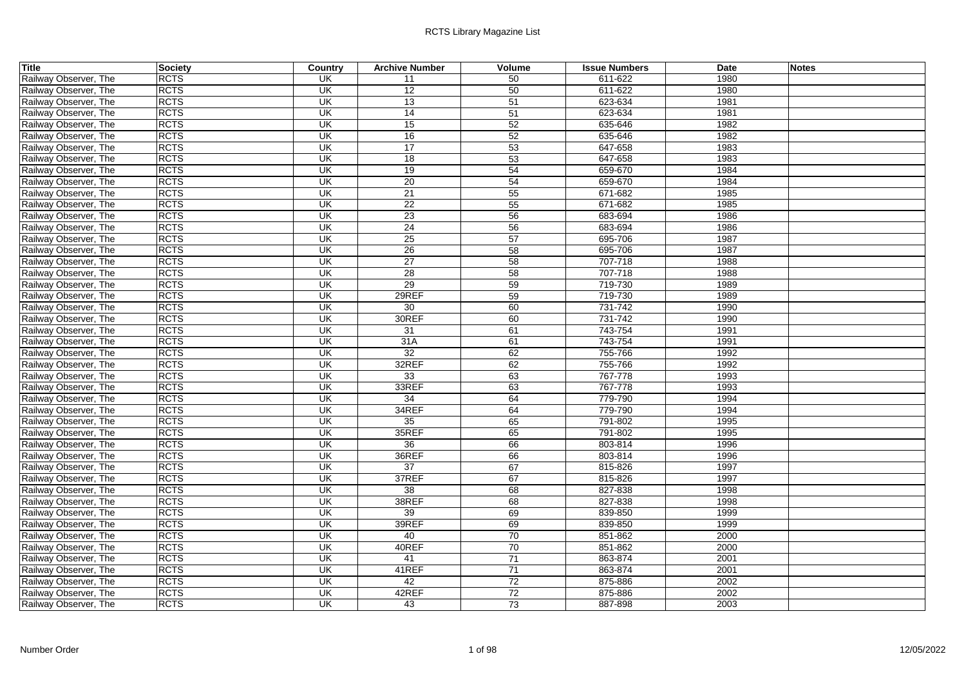| Title                 | Society     | Country                  | <b>Archive Number</b> | Volume | <b>Issue Numbers</b> | Date | <b>Notes</b> |
|-----------------------|-------------|--------------------------|-----------------------|--------|----------------------|------|--------------|
| Railway Observer, The | <b>RCTS</b> | <b>UK</b>                | 11                    | 50     | 611-622              | 1980 |              |
| Railway Observer, The | <b>RCTS</b> | UK                       | 12                    | 50     | 611-622              | 1980 |              |
| Railway Observer, The | <b>RCTS</b> | UK                       | 13                    | 51     | 623-634              | 1981 |              |
| Railway Observer, The | <b>RCTS</b> | UK                       | 14                    | 51     | 623-634              | 1981 |              |
| Railway Observer, The | <b>RCTS</b> | UK                       | 15                    | 52     | 635-646              | 1982 |              |
| Railway Observer, The | <b>RCTS</b> | UK                       | 16                    | 52     | 635-646              | 1982 |              |
| Railway Observer, The | <b>RCTS</b> | UK                       | 17                    | 53     | 647-658              | 1983 |              |
| Railway Observer, The | <b>RCTS</b> | $\overline{\mathsf{CK}}$ | 18                    | 53     | 647-658              | 1983 |              |
| Railway Observer, The | <b>RCTS</b> | $\overline{\mathsf{CK}}$ | 19                    | 54     | 659-670              | 1984 |              |
| Railway Observer, The | <b>RCTS</b> | UK                       | 20                    | 54     | 659-670              | 1984 |              |
| Railway Observer, The | <b>RCTS</b> | $\overline{\mathsf{U}}$  | 21                    | 55     | 671-682              | 1985 |              |
| Railway Observer, The | <b>RCTS</b> | $\overline{\mathsf{U}}$  | 22                    | 55     | 671-682              | 1985 |              |
| Railway Observer, The | <b>RCTS</b> | $\overline{\mathsf{U}}$  | 23                    | 56     | 683-694              | 1986 |              |
| Railway Observer, The | <b>RCTS</b> | UK                       | 24                    | 56     | 683-694              | 1986 |              |
| Railway Observer, The | <b>RCTS</b> | $\overline{\mathsf{CK}}$ | 25                    | 57     | 695-706              | 1987 |              |
| Railway Observer, The | <b>RCTS</b> | UK                       | 26                    | 58     | 695-706              | 1987 |              |
| Railway Observer, The | <b>RCTS</b> | <b>UK</b>                | $\overline{27}$       | 58     | 707-718              | 1988 |              |
| Railway Observer, The | <b>RCTS</b> | UK                       | 28                    | 58     | 707-718              | 1988 |              |
| Railway Observer, The | <b>RCTS</b> | UK                       | 29                    | 59     | 719-730              | 1989 |              |
| Railway Observer, The | <b>RCTS</b> | $\overline{\mathsf{U}}$  | 29REF                 | 59     | 719-730              | 1989 |              |
| Railway Observer, The | <b>RCTS</b> | UK                       | 30                    | 60     | 731-742              | 1990 |              |
| Railway Observer, The | <b>RCTS</b> | UK                       | 30REF                 | 60     | 731-742              | 1990 |              |
| Railway Observer, The | <b>RCTS</b> | UK                       | 31                    | 61     | 743-754              | 1991 |              |
| Railway Observer, The | <b>RCTS</b> | UK                       | 31A                   | 61     | 743-754              | 1991 |              |
| Railway Observer, The | <b>RCTS</b> | UK                       | 32                    | 62     | 755-766              | 1992 |              |
| Railway Observer, The | <b>RCTS</b> | $\overline{\mathsf{U}}$  | 32REF                 | 62     | 755-766              | 1992 |              |
| Railway Observer, The | <b>RCTS</b> | UK                       | 33                    | 63     | 767-778              | 1993 |              |
| Railway Observer, The | <b>RCTS</b> | $\overline{\mathsf{U}}$  | 33REF                 | 63     | 767-778              | 1993 |              |
| Railway Observer, The | <b>RCTS</b> | $\overline{\mathsf{CK}}$ | 34                    | 64     | 779-790              | 1994 |              |
| Railway Observer, The | <b>RCTS</b> | UK                       | 34REF                 | 64     | 779-790              | 1994 |              |
| Railway Observer, The | <b>RCTS</b> | UK                       | 35                    | 65     | 791-802              | 1995 |              |
| Railway Observer, The | <b>RCTS</b> | $\overline{\mathsf{U}}$  | 35REF                 | 65     | 791-802              | 1995 |              |
| Railway Observer, The | <b>RCTS</b> | $\overline{\mathsf{CK}}$ | 36                    | 66     | 803-814              | 1996 |              |
| Railway Observer, The | <b>RCTS</b> | UK                       | 36REF                 | 66     | 803-814              | 1996 |              |
| Railway Observer, The | <b>RCTS</b> | UK                       | 37                    | 67     | 815-826              | 1997 |              |
| Railway Observer, The | <b>RCTS</b> | UK                       | 37REF                 | 67     | 815-826              | 1997 |              |
| Railway Observer, The | <b>RCTS</b> | UK                       | $\overline{38}$       | 68     | 827-838              | 1998 |              |
| Railway Observer, The | <b>RCTS</b> | UK                       | 38REF                 | 68     | 827-838              | 1998 |              |
| Railway Observer, The | <b>RCTS</b> | $\overline{\mathsf{CK}}$ | 39                    | 69     | 839-850              | 1999 |              |
| Railway Observer, The | <b>RCTS</b> | UK                       | 39REF                 | 69     | 839-850              | 1999 |              |
| Railway Observer, The | <b>RCTS</b> | $\overline{\mathsf{U}}$  | 40                    | 70     | 851-862              | 2000 |              |
| Railway Observer, The | <b>RCTS</b> | $\overline{\mathsf{CK}}$ | 40REF                 | 70     | 851-862              | 2000 |              |
| Railway Observer, The | <b>RCTS</b> | UK                       | 41                    | 71     | 863-874              | 2001 |              |
| Railway Observer, The | <b>RCTS</b> | UK                       | 41REF                 | 71     | 863-874              | 2001 |              |
| Railway Observer, The | <b>RCTS</b> | $\overline{\mathsf{U}}$  | 42                    | 72     | 875-886              | 2002 |              |
| Railway Observer, The | <b>RCTS</b> | UK                       | 42REF                 | 72     | 875-886              | 2002 |              |
| Railway Observer, The | <b>RCTS</b> | $\overline{\mathsf{CK}}$ | 43                    | 73     | 887-898              | 2003 |              |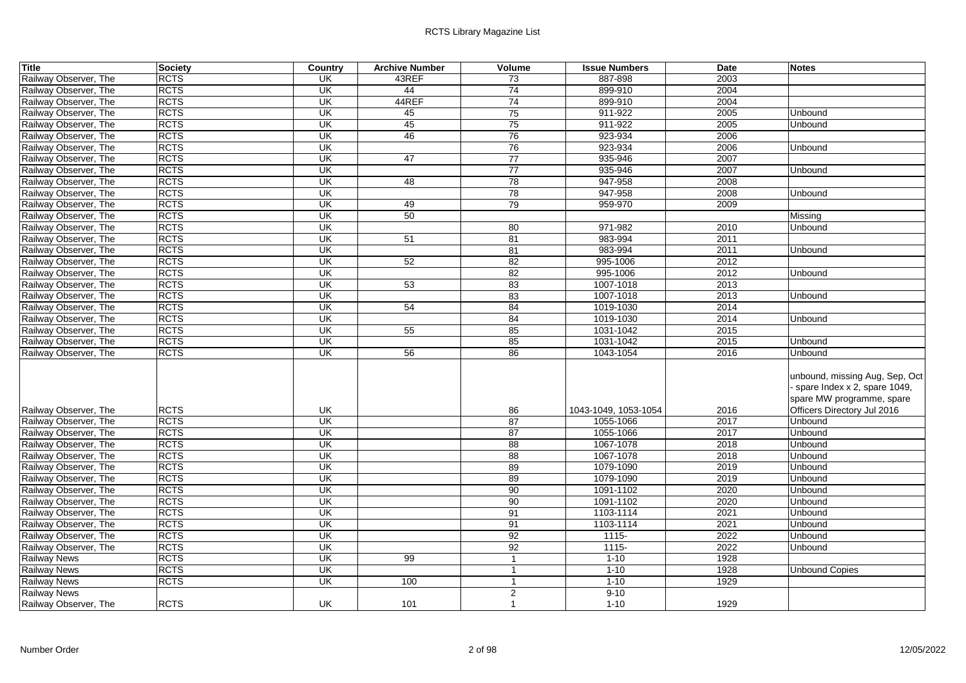| <b>Title</b>          | <b>Society</b> | Country                  | <b>Archive Number</b> | Volume          | <b>Issue Numbers</b> | <b>Date</b> | <b>Notes</b>                                                                                                                 |
|-----------------------|----------------|--------------------------|-----------------------|-----------------|----------------------|-------------|------------------------------------------------------------------------------------------------------------------------------|
| Railway Observer, The | <b>RCTS</b>    | UK                       | 43REF                 | 73              | 887-898              | 2003        |                                                                                                                              |
| Railway Observer, The | <b>RCTS</b>    | UK                       | 44                    | 74              | 899-910              | 2004        |                                                                                                                              |
| Railway Observer, The | <b>RCTS</b>    | UK                       | 44REF                 | 74              | 899-910              | 2004        |                                                                                                                              |
| Railway Observer, The | <b>RCTS</b>    | UK                       | 45                    | 75              | 911-922              | 2005        | Unbound                                                                                                                      |
| Railway Observer, The | <b>RCTS</b>    | UK                       | 45                    | 75              | 911-922              | 2005        | Unbound                                                                                                                      |
| Railway Observer, The | <b>RCTS</b>    | $\overline{\mathsf{CK}}$ | 46                    | 76              | 923-934              | 2006        |                                                                                                                              |
| Railway Observer, The | <b>RCTS</b>    | UK                       |                       | 76              | 923-934              | 2006        | Unbound                                                                                                                      |
| Railway Observer, The | <b>RCTS</b>    | UK                       | 47                    | $\overline{77}$ | 935-946              | 2007        |                                                                                                                              |
| Railway Observer, The | <b>RCTS</b>    | UK                       |                       | 77              | 935-946              | 2007        | Unbound                                                                                                                      |
| Railway Observer, The | <b>RCTS</b>    | UK                       | 48                    | 78              | 947-958              | 2008        |                                                                                                                              |
| Railway Observer, The | <b>RCTS</b>    | $\overline{\mathsf{U}}$  |                       | $\overline{78}$ | 947-958              | 2008        | Unbound                                                                                                                      |
| Railway Observer, The | <b>RCTS</b>    | $\overline{\mathsf{U}}$  | 49                    | 79              | 959-970              | 2009        |                                                                                                                              |
| Railway Observer, The | <b>RCTS</b>    | $\overline{\mathsf{U}}$  | 50                    |                 |                      |             | Missing                                                                                                                      |
| Railway Observer, The | <b>RCTS</b>    | UK                       |                       | 80              | 971-982              | 2010        | Unbound                                                                                                                      |
| Railway Observer, The | <b>RCTS</b>    | UK                       | 51                    | 81              | 983-994              | 2011        |                                                                                                                              |
| Railway Observer, The | <b>RCTS</b>    | $\overline{\mathsf{CK}}$ |                       | 81              | 983-994              | 2011        | Unbound                                                                                                                      |
| Railway Observer, The | <b>RCTS</b>    | $\overline{\mathsf{CK}}$ | 52                    | 82              | 995-1006             | 2012        |                                                                                                                              |
| Railway Observer, The | <b>RCTS</b>    | $\overline{\mathsf{U}}$  |                       | 82              | 995-1006             | 2012        | Unbound                                                                                                                      |
| Railway Observer, The | <b>RCTS</b>    | $\overline{\mathsf{U}}$  | 53                    | 83              | 1007-1018            | 2013        |                                                                                                                              |
| Railway Observer, The | <b>RCTS</b>    | $\overline{\mathsf{CK}}$ |                       | 83              | 1007-1018            | 2013        | Unbound                                                                                                                      |
| Railway Observer, The | <b>RCTS</b>    | UK                       | 54                    | 84              | 1019-1030            | 2014        |                                                                                                                              |
| Railway Observer, The | <b>RCTS</b>    | UK                       |                       | 84              | 1019-1030            | 2014        | Unbound                                                                                                                      |
| Railway Observer, The | <b>RCTS</b>    | UK                       | 55                    | 85              | 1031-1042            | 2015        |                                                                                                                              |
| Railway Observer, The | <b>RCTS</b>    | UK                       |                       | 85              | 1031-1042            | 2015        | Unbound                                                                                                                      |
| Railway Observer, The | <b>RCTS</b>    | UK                       | 56                    | 86              | 1043-1054            | 2016        | Unbound                                                                                                                      |
| Railway Observer, The | <b>RCTS</b>    | UK                       |                       | 86              | 1043-1049, 1053-1054 | 2016        | unbound, missing Aug, Sep, Oct<br>- spare Index x 2, spare 1049,<br>spare MW programme, spare<br>Officers Directory Jul 2016 |
| Railway Observer, The | <b>RCTS</b>    | UK                       |                       | 87              | 1055-1066            | 2017        | Unbound                                                                                                                      |
| Railway Observer, The | <b>RCTS</b>    | UK                       |                       | 87              | 1055-1066            | 2017        | Unbound                                                                                                                      |
| Railway Observer, The | <b>RCTS</b>    | $\overline{\mathsf{U}}$  |                       | 88              | 1067-1078            | 2018        | Unbound                                                                                                                      |
| Railway Observer, The | <b>RCTS</b>    | UK                       |                       | 88              | 1067-1078            | 2018        | Unbound                                                                                                                      |
| Railway Observer, The | <b>RCTS</b>    | UK                       |                       | 89              | 1079-1090            | 2019        | Unbound                                                                                                                      |
| Railway Observer, The | <b>RCTS</b>    | UK                       |                       | 89              | 1079-1090            | 2019        | Unbound                                                                                                                      |
| Railway Observer, The | <b>RCTS</b>    | UK                       |                       | 90              | 1091-1102            | 2020        | Unbound                                                                                                                      |
| Railway Observer, The | <b>RCTS</b>    | UK                       |                       | 90              | 1091-1102            | 2020        | Unbound                                                                                                                      |
| Railway Observer, The | <b>RCTS</b>    | $\overline{\mathsf{CK}}$ |                       | 91              | 1103-1114            | 2021        | Unbound                                                                                                                      |
| Railway Observer, The | <b>RCTS</b>    | UK                       |                       | 91              | 1103-1114            | 2021        | Unbound                                                                                                                      |
| Railway Observer, The | <b>RCTS</b>    | UK                       |                       | 92              | $1115 -$             | 2022        | Unbound                                                                                                                      |
| Railway Observer, The | <b>RCTS</b>    | UK                       |                       | 92              | $1115 -$             | 2022        | Unbound                                                                                                                      |
| <b>Railway News</b>   | <b>RCTS</b>    | UK                       | 99                    | $\overline{1}$  | $1 - 10$             | 1928        |                                                                                                                              |
| <b>Railway News</b>   | <b>RCTS</b>    | $\overline{\mathsf{CK}}$ |                       | $\overline{1}$  | $1 - 10$             | 1928        | Unbound Copies                                                                                                               |
| <b>Railway News</b>   | <b>RCTS</b>    | UK                       | 100                   |                 | $1 - 10$             | 1929        |                                                                                                                              |
| <b>Railway News</b>   |                |                          |                       | $\overline{2}$  | $9 - 10$             |             |                                                                                                                              |
| Railway Observer, The | <b>RCTS</b>    | UK                       | 101                   | $\mathbf 1$     | $1 - 10$             | 1929        |                                                                                                                              |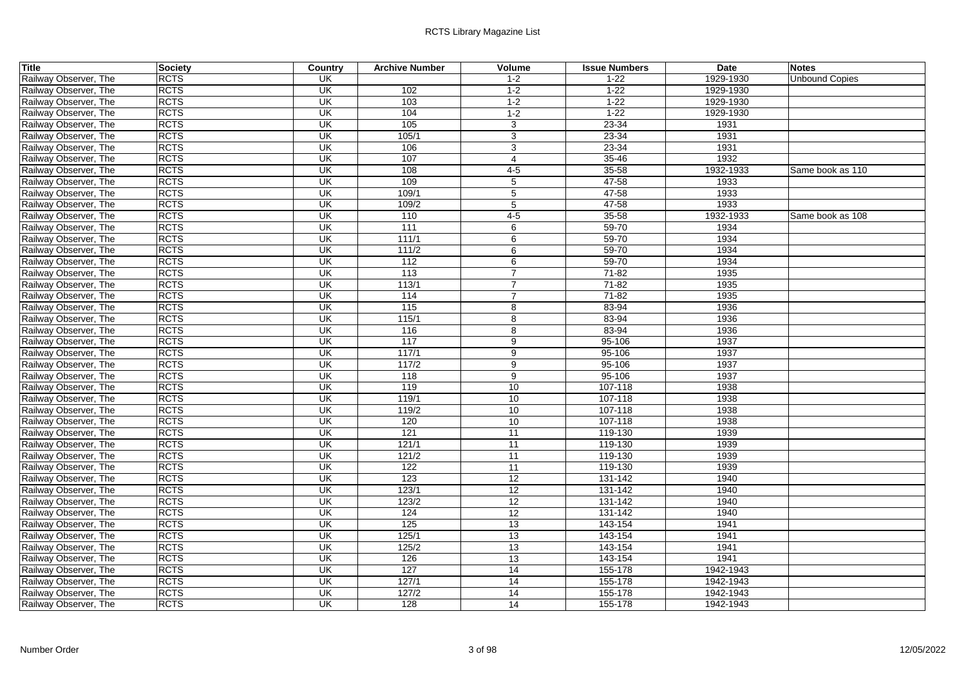| <b>Title</b>          | Society     | <b>Country</b>           | <b>Archive Number</b> | Volume          | <b>Issue Numbers</b> | <b>Date</b> | <b>Notes</b>          |
|-----------------------|-------------|--------------------------|-----------------------|-----------------|----------------------|-------------|-----------------------|
| Railway Observer, The | <b>RCTS</b> | UK                       |                       | $1 - 2$         | $1 - 22$             | 1929-1930   | <b>Unbound Copies</b> |
| Railway Observer, The | <b>RCTS</b> | UK                       | 102                   | $1-2$           | $1 - 22$             | 1929-1930   |                       |
| Railway Observer, The | <b>RCTS</b> | $\overline{\mathsf{CK}}$ | 103                   | $1 - 2$         | $1 - 22$             | 1929-1930   |                       |
| Railway Observer, The | <b>RCTS</b> | UK                       | 104                   | $1-2$           | $1 - 22$             | 1929-1930   |                       |
| Railway Observer, The | <b>RCTS</b> | UK                       | 105                   | 3               | $23 - 34$            | 1931        |                       |
| Railway Observer, The | <b>RCTS</b> | UK                       | 105/1                 | 3               | $23 - 34$            | 1931        |                       |
| Railway Observer, The | <b>RCTS</b> | <b>UK</b>                | 106                   | 3               | 23-34                | 1931        |                       |
| Railway Observer, The | <b>RCTS</b> | UK                       | 107                   | $\overline{4}$  | $35 - 46$            | 1932        |                       |
| Railway Observer, The | <b>RCTS</b> | $\overline{\mathsf{CK}}$ | 108                   | $4-5$           | 35-58                | 1932-1933   | Same book as 110      |
| Railway Observer, The | <b>RCTS</b> | UK                       | 109                   | 5               | 47-58                | 1933        |                       |
| Railway Observer, The | <b>RCTS</b> | $\overline{\mathsf{U}}$  | 109/1                 | 5               | $47 - 58$            | 1933        |                       |
| Railway Observer, The | <b>RCTS</b> | UK                       | 109/2                 | 5               | 47-58                | 1933        |                       |
| Railway Observer, The | <b>RCTS</b> | UK                       | 110                   | $4 - 5$         | $35 - 58$            | 1932-1933   | Same book as 108      |
| Railway Observer, The | <b>RCTS</b> | UK                       | 111                   | 6               | 59-70                | 1934        |                       |
| Railway Observer, The | <b>RCTS</b> | $\overline{\mathsf{CK}}$ | 111/1                 | 6               | $59 - 70$            | 1934        |                       |
| Railway Observer, The | <b>RCTS</b> | UK                       | 111/2                 | 6               | 59-70                | 1934        |                       |
| Railway Observer, The | <b>RCTS</b> | $\overline{\mathsf{U}}$  | 112                   | 6               | $59 - 70$            | 1934        |                       |
| Railway Observer, The | <b>RCTS</b> | UK                       | 113                   | $\overline{7}$  | $71 - 82$            | 1935        |                       |
| Railway Observer, The | <b>RCTS</b> | UK                       | 113/1                 | $\overline{7}$  | $71 - 82$            | 1935        |                       |
| Railway Observer, The | <b>RCTS</b> | UK                       | 114                   | $\overline{7}$  | $71 - 82$            | 1935        |                       |
| Railway Observer, The | <b>RCTS</b> | UK                       | 115                   | 8               | 83-94                | 1936        |                       |
| Railway Observer, The | <b>RCTS</b> | $\overline{\mathsf{U}}$  | 115/1                 | 8               | 83-94                | 1936        |                       |
| Railway Observer, The | <b>RCTS</b> | UK                       | 116                   | 8               | 83-94                | 1936        |                       |
| Railway Observer, The | <b>RCTS</b> | UK                       | 117                   | 9               | 95-106               | 1937        |                       |
| Railway Observer, The | <b>RCTS</b> | UK                       | 117/1                 | 9               | 95-106               | 1937        |                       |
| Railway Observer, The | <b>RCTS</b> | UK                       | 117/2                 | 9               | 95-106               | 1937        |                       |
| Railway Observer, The | <b>RCTS</b> | $\overline{\mathsf{CK}}$ | 118                   | 9               | 95-106               | 1937        |                       |
| Railway Observer, The | <b>RCTS</b> | $\overline{\mathsf{U}}$  | 119                   | 10              | 107-118              | 1938        |                       |
| Railway Observer, The | <b>RCTS</b> | $\overline{\mathsf{CK}}$ | 119/1                 | 10              | 107-118              | 1938        |                       |
| Railway Observer, The | <b>RCTS</b> | <b>UK</b>                | 119/2                 | 10              | 107-118              | 1938        |                       |
| Railway Observer, The | <b>RCTS</b> | UK                       | 120                   | 10              | 107-118              | 1938        |                       |
| Railway Observer, The | <b>RCTS</b> | UK                       | 121                   | 11              | 119-130              | 1939        |                       |
| Railway Observer, The | <b>RCTS</b> | $\overline{\mathsf{U}}$  | 121/1                 | 11              | 119-130              | 1939        |                       |
| Railway Observer, The | <b>RCTS</b> | $\overline{\mathsf{U}}$  | 121/2                 | 11              | 119-130              | 1939        |                       |
| Railway Observer, The | <b>RCTS</b> | UK                       | 122                   | 11              | 119-130              | 1939        |                       |
| Railway Observer, The | <b>RCTS</b> | UK                       | 123                   | 12              | 131-142              | 1940        |                       |
| Railway Observer, The | <b>RCTS</b> | UK                       | 123/1                 | 12              | 131-142              | 1940        |                       |
| Railway Observer, The | <b>RCTS</b> | UK                       | 123/2                 | 12              | 131-142              | 1940        |                       |
| Railway Observer, The | <b>RCTS</b> | $\overline{\mathsf{CK}}$ | 124                   | $\overline{12}$ | 131-142              | 1940        |                       |
| Railway Observer, The | <b>RCTS</b> | $\overline{\mathsf{CK}}$ | 125                   | 13              | 143-154              | 1941        |                       |
| Railway Observer, The | <b>RCTS</b> | $\overline{\mathsf{U}}$  | 125/1                 | 13              | 143-154              | 1941        |                       |
| Railway Observer, The | <b>RCTS</b> | UK                       | 125/2                 | 13              | 143-154              | 1941        |                       |
| Railway Observer, The | <b>RCTS</b> | UK                       | 126                   | 13              | 143-154              | 1941        |                       |
| Railway Observer, The | <b>RCTS</b> | UK                       | 127                   | 14              | 155-178              | 1942-1943   |                       |
| Railway Observer, The | <b>RCTS</b> | $\overline{\mathsf{CK}}$ | 127/1                 | $\overline{14}$ | 155-178              | 1942-1943   |                       |
| Railway Observer, The | <b>RCTS</b> | <b>UK</b>                | 127/2                 | 14              | 155-178              | 1942-1943   |                       |
| Railway Observer, The | <b>RCTS</b> | $\overline{\mathsf{CK}}$ | 128                   | 14              | 155-178              | 1942-1943   |                       |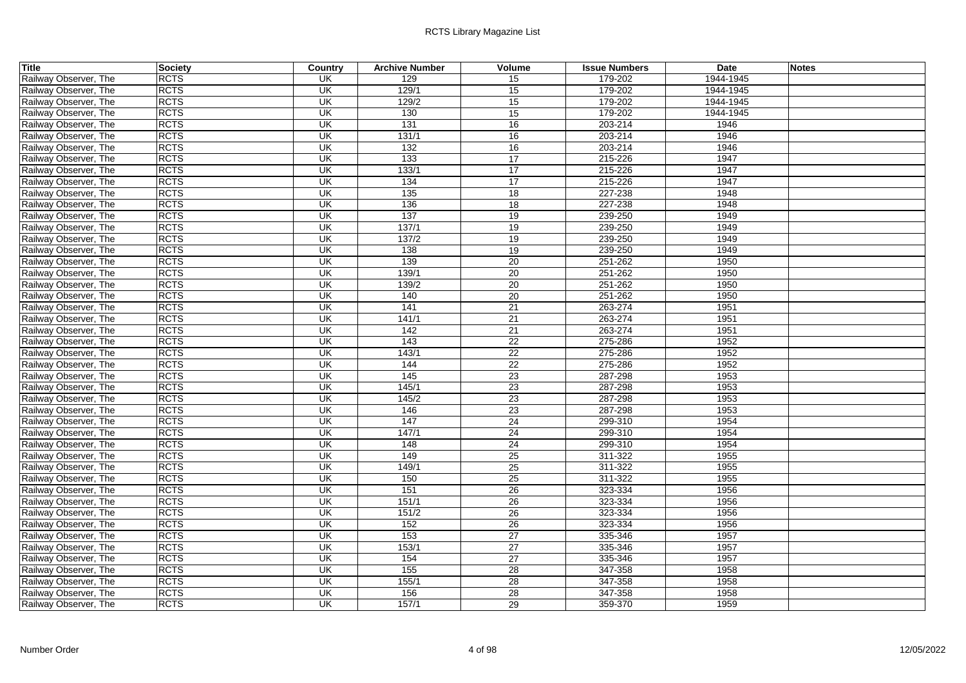| <b>Title</b>          | Society     | <b>Country</b>           | <b>Archive Number</b> | Volume          | <b>Issue Numbers</b> | <b>Date</b> | <b>Notes</b> |
|-----------------------|-------------|--------------------------|-----------------------|-----------------|----------------------|-------------|--------------|
| Railway Observer, The | <b>RCTS</b> | UK                       | 129                   | 15              | 179-202              | 1944-1945   |              |
| Railway Observer, The | <b>RCTS</b> | UK                       | 129/1                 | 15              | 179-202              | 1944-1945   |              |
| Railway Observer, The | <b>RCTS</b> | $\overline{\mathsf{CK}}$ | 129/2                 | 15              | 179-202              | 1944-1945   |              |
| Railway Observer, The | <b>RCTS</b> | UK                       | 130                   | 15              | 179-202              | 1944-1945   |              |
| Railway Observer, The | <b>RCTS</b> | UK                       | 131                   | 16              | 203-214              | 1946        |              |
| Railway Observer, The | <b>RCTS</b> | UK                       | 131/1                 | 16              | 203-214              | 1946        |              |
| Railway Observer, The | <b>RCTS</b> | UK                       | 132                   | 16              | 203-214              | 1946        |              |
| Railway Observer, The | <b>RCTS</b> | UK                       | 133                   | 17              | 215-226              | 1947        |              |
| Railway Observer, The | <b>RCTS</b> | $\overline{\mathsf{CK}}$ | 133/1                 | 17              | 215-226              | 1947        |              |
| Railway Observer, The | <b>RCTS</b> | UK                       | 134                   | $\overline{17}$ | 215-226              | 1947        |              |
| Railway Observer, The | <b>RCTS</b> | $\overline{\mathsf{CK}}$ | $\overline{135}$      | $\overline{18}$ | 227-238              | 1948        |              |
| Railway Observer, The | <b>RCTS</b> | UK                       | 136                   | 18              | 227-238              | 1948        |              |
| Railway Observer, The | <b>RCTS</b> | UK                       | 137                   | 19              | 239-250              | 1949        |              |
| Railway Observer, The | <b>RCTS</b> | UK                       | 137/1                 | 19              | 239-250              | 1949        |              |
| Railway Observer, The | <b>RCTS</b> | $\overline{\mathsf{CK}}$ | 137/2                 | 19              | 239-250              | 1949        |              |
| Railway Observer, The | <b>RCTS</b> | UK                       | 138                   | 19              | 239-250              | 1949        |              |
| Railway Observer, The | <b>RCTS</b> | $\overline{\mathsf{CK}}$ | 139                   | 20              | 251-262              | 1950        |              |
| Railway Observer, The | <b>RCTS</b> | UK                       | 139/1                 | 20              | 251-262              | 1950        |              |
| Railway Observer, The | <b>RCTS</b> | UK                       | 139/2                 | $\overline{20}$ | 251-262              | 1950        |              |
| Railway Observer, The | <b>RCTS</b> | UK                       | 140                   | 20              | 251-262              | 1950        |              |
| Railway Observer, The | <b>RCTS</b> | UK                       | 141                   | $\overline{21}$ | 263-274              | 1951        |              |
| Railway Observer, The | <b>RCTS</b> | $\overline{\mathsf{U}}$  | 141/1                 | $\overline{21}$ | 263-274              | 1951        |              |
| Railway Observer, The | <b>RCTS</b> | UK                       | 142                   | 21              | 263-274              | 1951        |              |
| Railway Observer, The | <b>RCTS</b> | UK                       | 143                   | 22              | 275-286              | 1952        |              |
| Railway Observer, The | <b>RCTS</b> | UK                       | 143/1                 | 22              | 275-286              | 1952        |              |
| Railway Observer, The | <b>RCTS</b> | UK                       | 144                   | 22              | 275-286              | 1952        |              |
| Railway Observer, The | <b>RCTS</b> | $\overline{\mathsf{CK}}$ | 145                   | $\overline{23}$ | 287-298              | 1953        |              |
| Railway Observer, The | <b>RCTS</b> | $\overline{\mathsf{CK}}$ | 145/1                 | 23              | 287-298              | 1953        |              |
| Railway Observer, The | <b>RCTS</b> | $\overline{\mathsf{CK}}$ | 145/2                 | 23              | 287-298              | 1953        |              |
| Railway Observer, The | <b>RCTS</b> | <b>UK</b>                | 146                   | 23              | 287-298              | 1953        |              |
| Railway Observer, The | <b>RCTS</b> | UK                       | 147                   | 24              | 299-310              | 1954        |              |
| Railway Observer, The | <b>RCTS</b> | UK                       | 147/1                 | 24              | 299-310              | 1954        |              |
| Railway Observer, The | <b>RCTS</b> | $\overline{\mathsf{U}}$  | 148                   | 24              | 299-310              | 1954        |              |
| Railway Observer, The | <b>RCTS</b> | $\overline{\mathsf{U}}$  | 149                   | 25              | 311-322              | 1955        |              |
| Railway Observer, The | <b>RCTS</b> | $\overline{\mathsf{CK}}$ | 149/1                 | 25              | 311-322              | 1955        |              |
| Railway Observer, The | <b>RCTS</b> | UK                       | 150                   | 25              | 311-322              | 1955        |              |
| Railway Observer, The | <b>RCTS</b> | UK                       | 151                   | 26              | 323-334              | 1956        |              |
| Railway Observer, The | <b>RCTS</b> | UK                       | 151/1                 | 26              | 323-334              | 1956        |              |
| Railway Observer, The | <b>RCTS</b> | $\overline{\mathsf{CK}}$ | 151/2                 | $\overline{26}$ | 323-334              | 1956        |              |
| Railway Observer, The | <b>RCTS</b> | $\overline{\mathsf{CK}}$ | 152                   | 26              | 323-334              | 1956        |              |
| Railway Observer, The | <b>RCTS</b> | $\overline{\mathsf{U}}$  | 153                   | 27              | 335-346              | 1957        |              |
| Railway Observer, The | <b>RCTS</b> | UK                       | 153/1                 | 27              | 335-346              | 1957        |              |
| Railway Observer, The | <b>RCTS</b> | UK                       | 154                   | 27              | 335-346              | 1957        |              |
| Railway Observer, The | <b>RCTS</b> | <b>UK</b>                | 155                   | 28              | 347-358              | 1958        |              |
| Railway Observer, The | <b>RCTS</b> | $\overline{\mathsf{CK}}$ | 155/1                 | $\overline{28}$ | 347-358              | 1958        |              |
| Railway Observer, The | <b>RCTS</b> | <b>UK</b>                | 156                   | 28              | 347-358              | 1958        |              |
| Railway Observer, The | <b>RCTS</b> | $\overline{\mathsf{CK}}$ | 157/1                 | 29              | 359-370              | 1959        |              |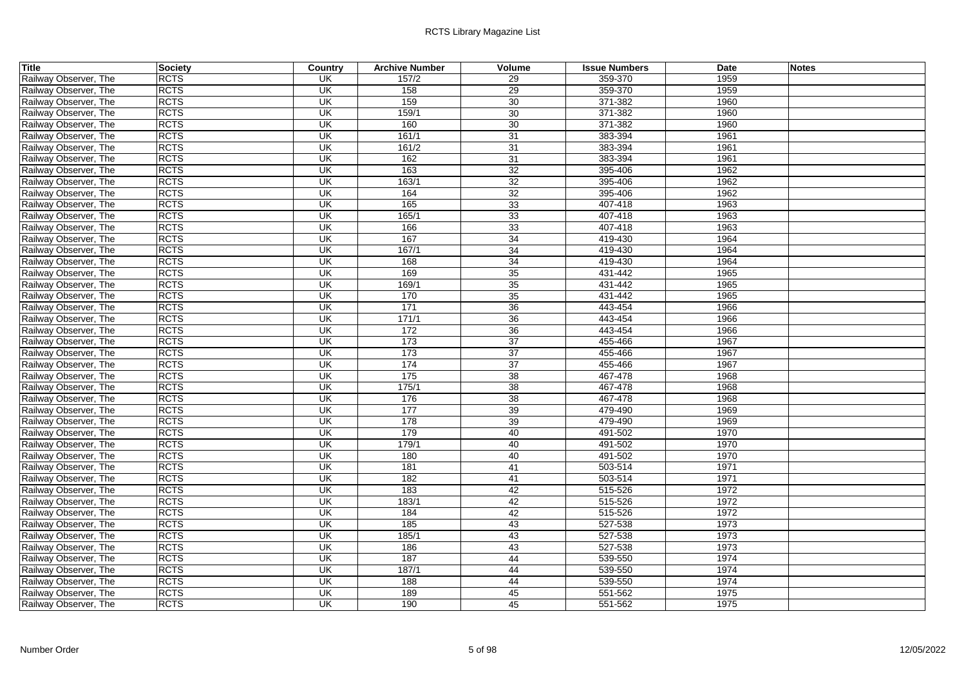| Title                 | <b>Society</b> | Country                   | <b>Archive Number</b> | Volume          | <b>Issue Numbers</b> | <b>Date</b> | <b>Notes</b> |
|-----------------------|----------------|---------------------------|-----------------------|-----------------|----------------------|-------------|--------------|
| Railway Observer, The | <b>RCTS</b>    | UK                        | 157/2                 | 29              | 359-370              | 1959        |              |
| Railway Observer, The | <b>RCTS</b>    | <b>UK</b>                 | 158                   | 29              | 359-370              | 1959        |              |
| Railway Observer, The | <b>RCTS</b>    | $\overline{\mathsf{U}}$   | 159                   | 30              | 371-382              | 1960        |              |
| Railway Observer, The | <b>RCTS</b>    | UK                        | 159/1                 | 30              | 371-382              | 1960        |              |
| Railway Observer, The | <b>RCTS</b>    | <b>UK</b>                 | 160                   | $\overline{30}$ | 371-382              | 1960        |              |
| Railway Observer, The | <b>RCTS</b>    | <b>UK</b>                 | 161/1                 | 31              | 383-394              | 1961        |              |
| Railway Observer, The | <b>RCTS</b>    | UK                        | 161/2                 | 31              | 383-394              | 1961        |              |
| Railway Observer, The | <b>RCTS</b>    | <b>UK</b>                 | 162                   | $\overline{31}$ | 383-394              | 1961        |              |
| Railway Observer, The | <b>RCTS</b>    | UK                        | 163                   | 32              | 395-406              | 1962        |              |
| Railway Observer, The | <b>RCTS</b>    | UK                        | 163/1                 | 32              | 395-406              | 1962        |              |
| Railway Observer, The | <b>RCTS</b>    | $\overline{\mathsf{U}}$   | 164                   | 32              | 395-406              | 1962        |              |
| Railway Observer, The | <b>RCTS</b>    | $\overline{\mathsf{U}}$   | 165                   | 33              | 407-418              | 1963        |              |
| Railway Observer, The | <b>RCTS</b>    | UK                        | 165/1                 | 33              | 407-418              | 1963        |              |
| Railway Observer, The | <b>RCTS</b>    | $\overline{\mathsf{U}}$   | 166                   | 33              | 407-418              | 1963        |              |
| Railway Observer, The | <b>RCTS</b>    | UK                        | 167                   | 34              | 419-430              | 1964        |              |
| Railway Observer, The | <b>RCTS</b>    | UK                        | 167/1                 | 34              | 419-430              | 1964        |              |
| Railway Observer, The | <b>RCTS</b>    | <b>UK</b>                 | 168                   | 34              | 419-430              | 1964        |              |
| Railway Observer, The | <b>RCTS</b>    | UK                        | 169                   | 35              | 431-442              | 1965        |              |
| Railway Observer, The | <b>RCTS</b>    | UK                        | 169/1                 | 35              | 431-442              | 1965        |              |
| Railway Observer, The | <b>RCTS</b>    | $\overline{\mathsf{U}}$   | 170                   | 35              | 431-442              | 1965        |              |
| Railway Observer, The | <b>RCTS</b>    | $\overline{\mathsf{U}}$   | 171                   | 36              | 443-454              | 1966        |              |
| Railway Observer, The | <b>RCTS</b>    | UK                        | 171/1                 | 36              | 443-454              | 1966        |              |
| Railway Observer, The | <b>RCTS</b>    | <b>UK</b>                 | 172                   | 36              | 443-454              | 1966        |              |
| Railway Observer, The | <b>RCTS</b>    | UK                        | 173                   | 37              | 455-466              | 1967        |              |
| Railway Observer, The | <b>RCTS</b>    | UK                        | 173                   | 37              | 455-466              | 1967        |              |
| Railway Observer, The | <b>RCTS</b>    | $\overline{\mathsf{CK}}$  | 174                   | 37              | 455-466              | 1967        |              |
| Railway Observer, The | <b>RCTS</b>    | UK                        | 175                   | 38              | 467-478              | 1968        |              |
| Railway Observer, The | <b>RCTS</b>    | <b>UK</b>                 | 175/1                 | 38              | 467-478              | 1968        |              |
| Railway Observer, The | <b>RCTS</b>    | $\overline{\mathsf{U}}$   | 176                   | 38              | 467-478              | 1968        |              |
| Railway Observer, The | <b>RCTS</b>    | UK                        | 177                   | 39              | 479-490              | 1969        |              |
| Railway Observer, The | <b>RCTS</b>    | <b>UK</b>                 | 178                   | 39              | 479-490              | 1969        |              |
| Railway Observer, The | <b>RCTS</b>    | <b>UK</b>                 | 179                   | 40              | 491-502              | 1970        |              |
| Railway Observer, The | <b>RCTS</b>    | <b>UK</b>                 | 179/1                 | 40              | 491-502              | 1970        |              |
| Railway Observer, The | <b>RCTS</b>    | <b>UK</b>                 | 180                   | 40              | 491-502              | 1970        |              |
| Railway Observer, The | <b>RCTS</b>    | <b>UK</b>                 | 181                   | 41              | 503-514              | 1971        |              |
| Railway Observer, The | <b>RCTS</b>    | UK                        | 182                   | 41              | 503-514              | 1971        |              |
| Railway Observer, The | <b>RCTS</b>    | $\overline{\mathsf{U}}$ K | 183                   | 42              | 515-526              | 1972        |              |
| Railway Observer, The | <b>RCTS</b>    | UK                        | 183/1                 | 42              | 515-526              | 1972        |              |
| Railway Observer, The | <b>RCTS</b>    | $\overline{\mathsf{U}}$   | 184                   | 42              | 515-526              | 1972        |              |
| Railway Observer, The | <b>RCTS</b>    | $\overline{\mathsf{CK}}$  | 185                   | 43              | 527-538              | 1973        |              |
| Railway Observer, The | <b>RCTS</b>    | $\overline{\mathsf{U}}$   | 185/1                 | 43              | 527-538              | 1973        |              |
| Railway Observer, The | <b>RCTS</b>    | UK                        | 186                   | 43              | 527-538              | 1973        |              |
| Railway Observer, The | <b>RCTS</b>    | UK                        | 187                   | 44              | 539-550              | 1974        |              |
| Railway Observer, The | <b>RCTS</b>    | <b>UK</b>                 | 187/1                 | 44              | 539-550              | 1974        |              |
| Railway Observer, The | <b>RCTS</b>    | UK                        | 188                   | 44              | 539-550              | 1974        |              |
| Railway Observer, The | <b>RCTS</b>    | UK                        | 189                   | 45              | 551-562              | 1975        |              |
| Railway Observer, The | <b>RCTS</b>    | <b>UK</b>                 | 190                   | 45              | 551-562              | 1975        |              |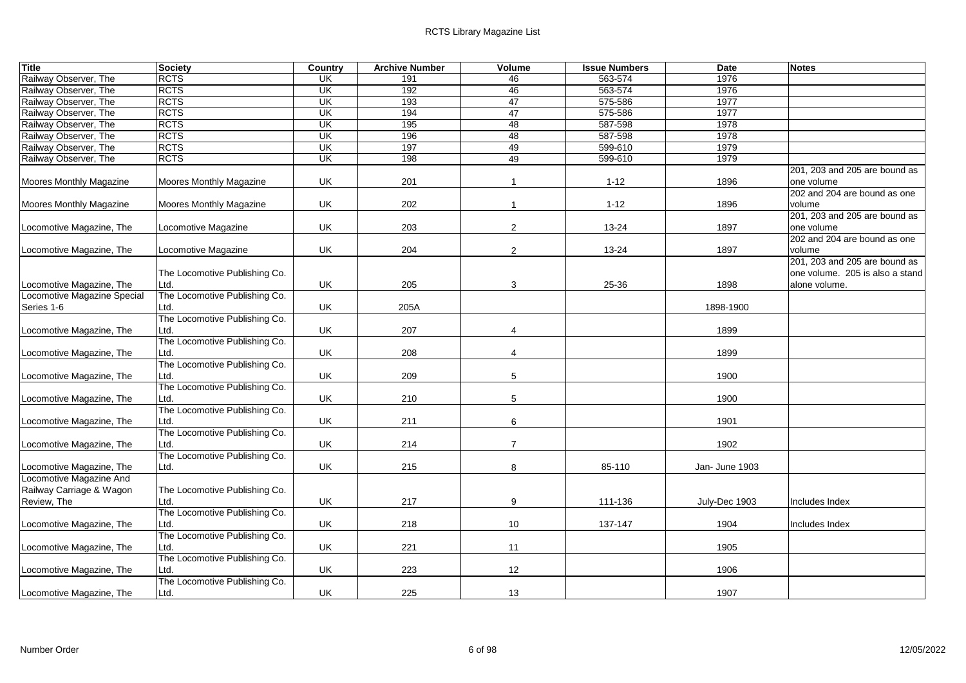| Title                       | <b>Society</b>                        | Country                 | <b>Archive Number</b> | Volume         | <b>Issue Numbers</b> | <b>Date</b>    | <b>Notes</b>                    |
|-----------------------------|---------------------------------------|-------------------------|-----------------------|----------------|----------------------|----------------|---------------------------------|
| Railway Observer, The       | <b>RCTS</b>                           | <b>UK</b>               | 191                   | 46             | 563-574              | 1976           |                                 |
| Railway Observer, The       | <b>RCTS</b>                           | UK                      | 192                   | 46             | 563-574              | 1976           |                                 |
| Railway Observer, The       | <b>RCTS</b>                           | UK                      | 193                   | 47             | 575-586              | 1977           |                                 |
| Railway Observer, The       | <b>RCTS</b>                           | UK                      | 194                   | 47             | 575-586              | 1977           |                                 |
| Railway Observer, The       | <b>RCTS</b>                           | $\overline{\mathsf{U}}$ | 195                   | 48             | 587-598              | 1978           |                                 |
| Railway Observer, The       | <b>RCTS</b>                           | UK                      | 196                   | 48             | 587-598              | 1978           |                                 |
| Railway Observer, The       | <b>RCTS</b>                           | UK                      | 197                   | 49             | 599-610              | 1979           |                                 |
| Railway Observer, The       | <b>RCTS</b>                           | UK                      | 198                   | 49             | 599-610              | 1979           |                                 |
|                             |                                       |                         |                       |                |                      |                | 201, 203 and 205 are bound as   |
| Moores Monthly Magazine     | Moores Monthly Magazine               | UK                      | 201                   | $\mathbf{1}$   | $1 - 12$             | 1896           | one volume                      |
|                             |                                       |                         |                       |                |                      |                | 202 and 204 are bound as one    |
| Moores Monthly Magazine     | Moores Monthly Magazine               | UK                      | 202                   | $\mathbf{1}$   | $1 - 12$             | 1896           | volume                          |
|                             |                                       |                         |                       |                |                      |                | 201, 203 and 205 are bound as   |
| Locomotive Magazine, The    | Locomotive Magazine                   | UK                      | 203                   | 2              | $13 - 24$            | 1897           | one volume                      |
|                             |                                       |                         |                       |                |                      |                | 202 and 204 are bound as one    |
| Locomotive Magazine, The    | Locomotive Magazine                   | UK                      | 204                   | $\overline{2}$ | 13-24                | 1897           | volume                          |
|                             |                                       |                         |                       |                |                      |                | 201, 203 and 205 are bound as   |
|                             | The Locomotive Publishing Co.         |                         |                       |                |                      |                | one volume. 205 is also a stand |
| Locomotive Magazine, The    | Ltd.                                  | UK                      | 205                   | 3              | 25-36                | 1898           | alone volume.                   |
| Locomotive Magazine Special | The Locomotive Publishing Co.         |                         |                       |                |                      |                |                                 |
| Series 1-6                  | Ltd.                                  | UK                      | 205A                  |                |                      | 1898-1900      |                                 |
|                             | The Locomotive Publishing Co.         |                         |                       |                |                      |                |                                 |
| Locomotive Magazine, The    | Ltd.                                  | UK                      | 207                   | 4              |                      | 1899           |                                 |
|                             | The Locomotive Publishing Co.         |                         |                       |                |                      |                |                                 |
| Locomotive Magazine, The    | Ltd.                                  | UK                      | 208                   | $\overline{4}$ |                      | 1899           |                                 |
|                             | The Locomotive Publishing Co.         |                         |                       |                |                      |                |                                 |
| Locomotive Magazine, The    | Ltd.                                  | UK                      | 209                   | 5              |                      | 1900           |                                 |
|                             | The Locomotive Publishing Co.         |                         |                       |                |                      |                |                                 |
| Locomotive Magazine, The    | Ltd.                                  | UK                      | 210                   | 5              |                      | 1900           |                                 |
|                             | The Locomotive Publishing Co.         |                         |                       |                |                      |                |                                 |
| Locomotive Magazine, The    | Ltd.<br>The Locomotive Publishing Co. | UK                      | 211                   | 6              |                      | 1901           |                                 |
| Locomotive Magazine, The    | Ltd.                                  | UK                      | 214                   | $\overline{7}$ |                      | 1902           |                                 |
|                             | The Locomotive Publishing Co.         |                         |                       |                |                      |                |                                 |
| Locomotive Magazine, The    | Ltd.                                  | UK                      | 215                   | 8              | 85-110               | Jan- June 1903 |                                 |
| Locomotive Magazine And     |                                       |                         |                       |                |                      |                |                                 |
| Railway Carriage & Wagon    | The Locomotive Publishing Co.         |                         |                       |                |                      |                |                                 |
| Review, The                 | Ltd.                                  | UK                      | 217                   | 9              | 111-136              | July-Dec 1903  | Includes Index                  |
|                             | The Locomotive Publishing Co.         |                         |                       |                |                      |                |                                 |
| Locomotive Magazine, The    | Ltd.                                  | UK                      | 218                   | 10             | 137-147              | 1904           | Includes Index                  |
|                             | The Locomotive Publishing Co.         |                         |                       |                |                      |                |                                 |
| Locomotive Magazine, The    | Ltd.                                  | UK                      | 221                   | 11             |                      | 1905           |                                 |
|                             | The Locomotive Publishing Co.         |                         |                       |                |                      |                |                                 |
| Locomotive Magazine, The    | Ltd.                                  | UK                      | 223                   | 12             |                      | 1906           |                                 |
|                             | The Locomotive Publishing Co.         |                         |                       |                |                      |                |                                 |
| Locomotive Magazine, The    | Ltd.                                  | <b>UK</b>               | 225                   | 13             |                      | 1907           |                                 |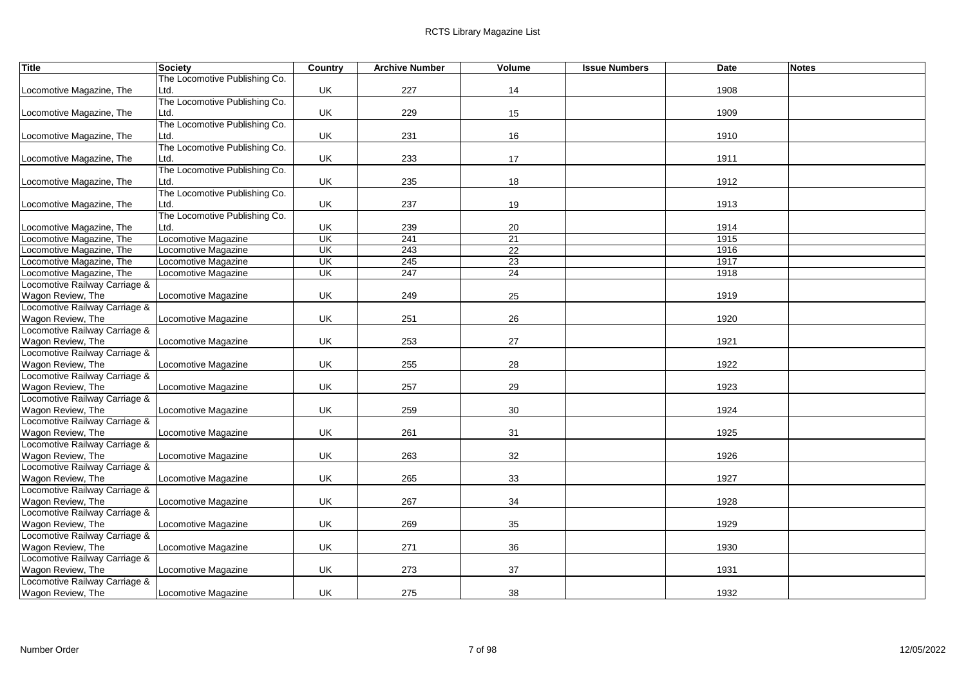| Title                         | <b>Society</b>                | Country                   | <b>Archive Number</b> | <b>Volume</b>   | <b>Issue Numbers</b> | <b>Date</b> | <b>Notes</b> |
|-------------------------------|-------------------------------|---------------------------|-----------------------|-----------------|----------------------|-------------|--------------|
|                               | The Locomotive Publishing Co. |                           |                       |                 |                      |             |              |
| Locomotive Magazine, The      | Ltd.                          | UK                        | 227                   | 14              |                      | 1908        |              |
|                               | The Locomotive Publishing Co. |                           |                       |                 |                      |             |              |
| Locomotive Magazine, The      | Ltd.                          | UK                        | 229                   | 15              |                      | 1909        |              |
|                               | The Locomotive Publishing Co. |                           |                       |                 |                      |             |              |
| Locomotive Magazine, The      | Ltd.                          | UK                        | 231                   | 16              |                      | 1910        |              |
|                               | The Locomotive Publishing Co. |                           |                       |                 |                      |             |              |
| Locomotive Magazine, The      | Ltd.                          | UK                        | 233                   | 17              |                      | 1911        |              |
|                               | The Locomotive Publishing Co. |                           |                       |                 |                      |             |              |
| Locomotive Magazine, The      | Ltd.                          | UK                        | 235                   | 18              |                      | 1912        |              |
|                               | The Locomotive Publishing Co. |                           |                       |                 |                      |             |              |
| Locomotive Magazine, The      | Ltd.                          | UK                        | 237                   | 19              |                      | 1913        |              |
|                               | The Locomotive Publishing Co. |                           |                       |                 |                      |             |              |
| Locomotive Magazine, The      | Ltd.                          | UK                        | 239                   | 20              |                      | 1914        |              |
| ocomotive Magazine, The       | Locomotive Magazine           | UK                        | 241                   | $\overline{21}$ |                      | 1915        |              |
| ocomotive Magazine, The       | Locomotive Magazine           | $\overline{\mathsf{U}}$ K | 243                   | $\overline{22}$ |                      | 1916        |              |
| ocomotive Magazine, The       | Locomotive Magazine           | UK                        | 245                   | 23              |                      | 1917        |              |
| Locomotive Magazine, The      | Locomotive Magazine           | UK                        | 247                   | 24              |                      | 1918        |              |
| Locomotive Railway Carriage & |                               |                           |                       |                 |                      |             |              |
| Wagon Review, The             | Locomotive Magazine           | UK                        | 249                   | 25              |                      | 1919        |              |
| Locomotive Railway Carriage & |                               |                           |                       |                 |                      |             |              |
| Wagon Review, The             | Locomotive Magazine           | UK                        | 251                   | 26              |                      | 1920        |              |
| Locomotive Railway Carriage & |                               |                           |                       |                 |                      |             |              |
| Wagon Review, The             | Locomotive Magazine           | UK                        | 253                   | 27              |                      | 1921        |              |
| Locomotive Railway Carriage & |                               |                           |                       |                 |                      |             |              |
| Wagon Review, The             | Locomotive Magazine           | UK                        | 255                   | 28              |                      | 1922        |              |
| Locomotive Railway Carriage & |                               |                           |                       |                 |                      |             |              |
| Wagon Review, The             | Locomotive Magazine           | UK                        | 257                   | 29              |                      | 1923        |              |
| Locomotive Railway Carriage & |                               |                           |                       |                 |                      |             |              |
| Wagon Review, The             | Locomotive Magazine           | UK                        | 259                   | 30              |                      | 1924        |              |
| Locomotive Railway Carriage & |                               |                           |                       |                 |                      |             |              |
| Wagon Review, The             | Locomotive Magazine           | UK                        | 261                   | 31              |                      | 1925        |              |
| Locomotive Railway Carriage & |                               |                           |                       |                 |                      |             |              |
| Wagon Review, The             | Locomotive Magazine           | UK                        | 263                   | 32              |                      | 1926        |              |
| Locomotive Railway Carriage & |                               |                           |                       |                 |                      |             |              |
| Wagon Review, The             | Locomotive Magazine           | UK                        | 265                   | 33              |                      | 1927        |              |
| Locomotive Railway Carriage & |                               |                           |                       |                 |                      |             |              |
| Wagon Review, The             | Locomotive Magazine           | UK                        | 267                   | 34              |                      | 1928        |              |
| Locomotive Railway Carriage & |                               |                           |                       |                 |                      |             |              |
| Wagon Review, The             | Locomotive Magazine           | UK                        | 269                   | 35              |                      | 1929        |              |
| Locomotive Railway Carriage & |                               |                           |                       |                 |                      |             |              |
| Wagon Review, The             | Locomotive Magazine           | UK                        | 271                   | 36              |                      | 1930        |              |
| Locomotive Railway Carriage & |                               |                           |                       |                 |                      |             |              |
| Wagon Review, The             | Locomotive Magazine           | UK                        | 273                   | 37              |                      | 1931        |              |
| Locomotive Railway Carriage & |                               |                           |                       |                 |                      |             |              |
| Wagon Review, The             | Locomotive Magazine           | UK                        | 275                   | 38              |                      | 1932        |              |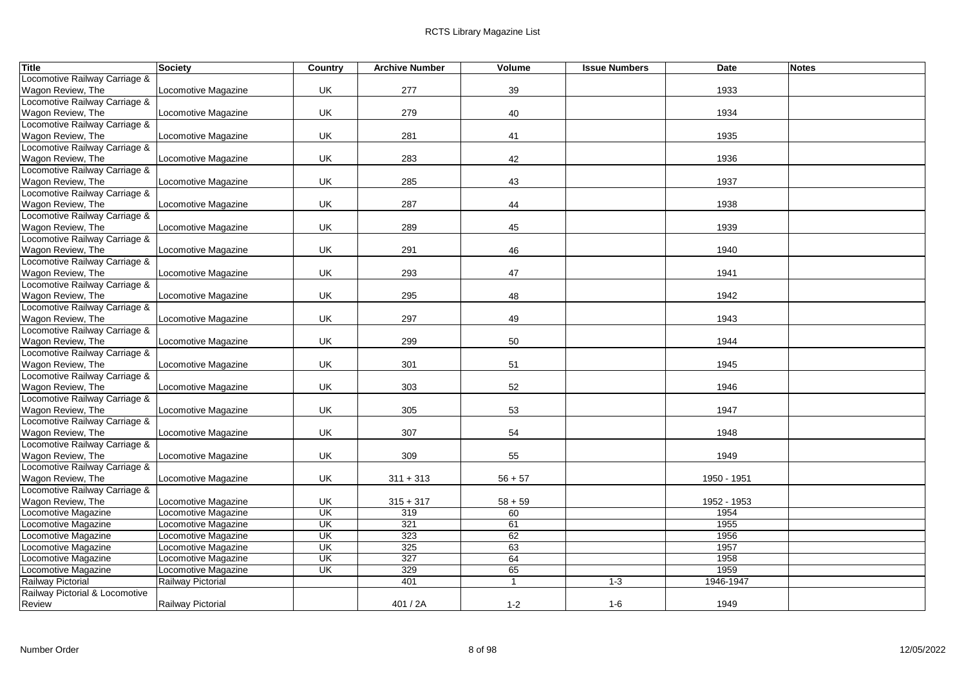| <b>Title</b>                   | <b>Society</b>      | Country                   | <b>Archive Number</b> | Volume       | <b>Issue Numbers</b> | Date        | <b>Notes</b> |
|--------------------------------|---------------------|---------------------------|-----------------------|--------------|----------------------|-------------|--------------|
| Locomotive Railway Carriage &  |                     |                           |                       |              |                      |             |              |
| Wagon Review, The              | Locomotive Magazine | UK                        | 277                   | 39           |                      | 1933        |              |
| Locomotive Railway Carriage &  |                     |                           |                       |              |                      |             |              |
| Wagon Review, The              | Locomotive Magazine | UK                        | 279                   | 40           |                      | 1934        |              |
| Locomotive Railway Carriage &  |                     |                           |                       |              |                      |             |              |
| Wagon Review, The              | Locomotive Magazine | UK                        | 281                   | 41           |                      | 1935        |              |
| Locomotive Railway Carriage &  |                     |                           |                       |              |                      |             |              |
| Wagon Review, The              | Locomotive Magazine | UK                        | 283                   | 42           |                      | 1936        |              |
| Locomotive Railway Carriage &  |                     |                           |                       |              |                      |             |              |
| Wagon Review, The              | Locomotive Magazine | UK                        | 285                   | 43           |                      | 1937        |              |
| Locomotive Railway Carriage &  |                     |                           |                       |              |                      |             |              |
| Wagon Review, The              | Locomotive Magazine | UK                        | 287                   | 44           |                      | 1938        |              |
| Locomotive Railway Carriage &  |                     |                           |                       |              |                      |             |              |
| Wagon Review, The              | Locomotive Magazine | UK                        | 289                   | 45           |                      | 1939        |              |
| Locomotive Railway Carriage &  |                     |                           |                       |              |                      |             |              |
| Wagon Review, The              | Locomotive Magazine | UK                        | 291                   | 46           |                      | 1940        |              |
| Locomotive Railway Carriage &  |                     |                           |                       |              |                      |             |              |
| Wagon Review, The              | Locomotive Magazine | UK                        | 293                   | 47           |                      | 1941        |              |
| Locomotive Railway Carriage &  |                     |                           |                       |              |                      |             |              |
| Wagon Review, The              | Locomotive Magazine | UK                        | 295                   | 48           |                      | 1942        |              |
| Locomotive Railway Carriage &  |                     |                           |                       |              |                      |             |              |
| Wagon Review, The              | Locomotive Magazine | UK                        | 297                   | 49           |                      | 1943        |              |
| Locomotive Railway Carriage &  |                     |                           |                       |              |                      |             |              |
| Wagon Review, The              | Locomotive Magazine | UK                        | 299                   | 50           |                      | 1944        |              |
| Locomotive Railway Carriage &  |                     |                           |                       |              |                      |             |              |
| Wagon Review, The              | Locomotive Magazine | UK                        | 301                   | 51           |                      | 1945        |              |
| Locomotive Railway Carriage &  |                     |                           |                       |              |                      |             |              |
| Wagon Review, The              | Locomotive Magazine | UK                        | 303                   | 52           |                      | 1946        |              |
| Locomotive Railway Carriage &  |                     |                           |                       |              |                      |             |              |
| Wagon Review, The              | Locomotive Magazine | UK                        | 305                   | 53           |                      | 1947        |              |
| Locomotive Railway Carriage &  |                     |                           |                       |              |                      |             |              |
| Wagon Review, The              | Locomotive Magazine | UK                        | 307                   | 54           |                      | 1948        |              |
| Locomotive Railway Carriage &  |                     |                           |                       |              |                      |             |              |
| Wagon Review, The              | Locomotive Magazine | UK                        | 309                   | 55           |                      | 1949        |              |
| Locomotive Railway Carriage &  |                     |                           |                       |              |                      |             |              |
| Wagon Review, The              | Locomotive Magazine | UK                        | $311 + 313$           | $56 + 57$    |                      | 1950 - 1951 |              |
| Locomotive Railway Carriage &  |                     |                           |                       |              |                      |             |              |
| Wagon Review, The              | Locomotive Magazine | UK                        | $315 + 317$           | $58 + 59$    |                      | 1952 - 1953 |              |
| Locomotive Magazine            | Locomotive Magazine | $\overline{\mathsf{U}}$   | 319                   | 60           |                      | 1954        |              |
| Locomotive Magazine            | Locomotive Magazine | $\overline{\mathsf{U}}$ K | 321                   | 61           |                      | 1955        |              |
| Locomotive Magazine            | Locomotive Magazine | <b>UK</b>                 | 323                   | 62           |                      | 1956        |              |
| Locomotive Magazine            | Locomotive Magazine | UK                        | 325                   | 63           |                      | 1957        |              |
| ocomotive Magazine             | Locomotive Magazine | $\overline{\mathsf{U}}$   | 327                   | 64           |                      | 1958        |              |
| Locomotive Magazine            | Locomotive Magazine | UK                        | 329                   | 65           |                      | 1959        |              |
| Railway Pictorial              | Railway Pictorial   |                           | 401                   | $\mathbf{1}$ | $1 - 3$              | 1946-1947   |              |
| Railway Pictorial & Locomotive |                     |                           |                       |              |                      |             |              |
| Review                         | Railway Pictorial   |                           | 401/2A                | $1 - 2$      | $1-6$                | 1949        |              |
|                                |                     |                           |                       |              |                      |             |              |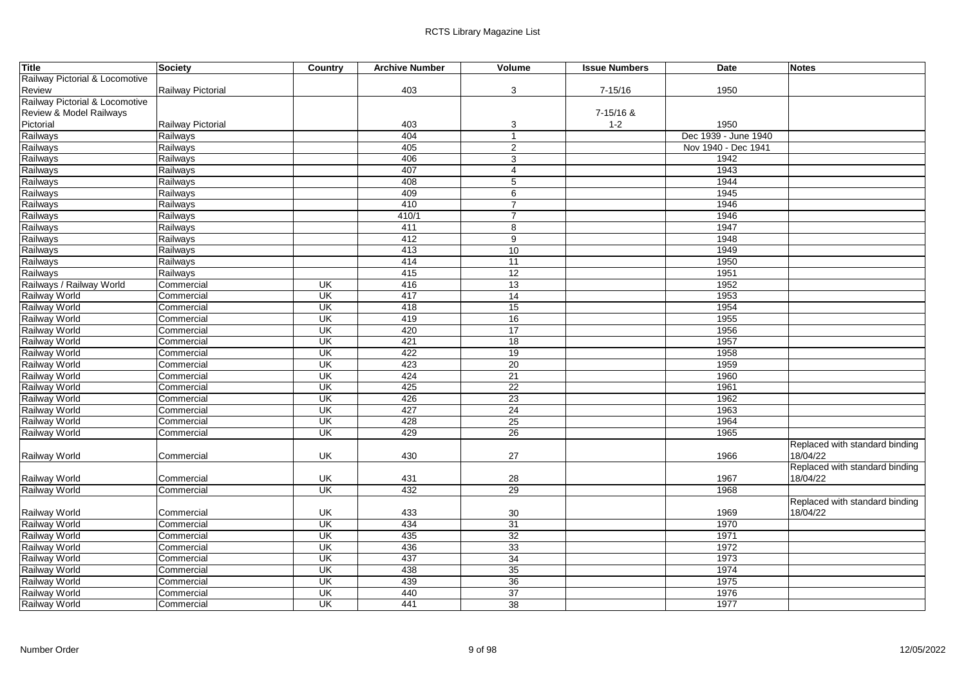| <b>Title</b>                   | <b>Society</b>    | Country                   | <b>Archive Number</b> | Volume          | <b>Issue Numbers</b> | Date                 | <b>Notes</b>                   |
|--------------------------------|-------------------|---------------------------|-----------------------|-----------------|----------------------|----------------------|--------------------------------|
| Railway Pictorial & Locomotive |                   |                           |                       |                 |                      |                      |                                |
| Review                         | Railway Pictorial |                           | 403                   | 3               | $7 - 15/16$          | 1950                 |                                |
| Railway Pictorial & Locomotive |                   |                           |                       |                 |                      |                      |                                |
| Review & Model Railways        |                   |                           |                       |                 | 7-15/16 &            |                      |                                |
| Pictorial                      | Railway Pictorial |                           | 403                   | 3               | $1 - 2$              | 1950                 |                                |
| Railways                       | Railways          |                           | 404                   | $\overline{1}$  |                      | Dec 1939 - June 1940 |                                |
| Railways                       | Railways          |                           | 405                   | $\overline{2}$  |                      | Nov 1940 - Dec 1941  |                                |
| Railways                       | Railways          |                           | 406                   | 3               |                      | 1942                 |                                |
| Railways                       | Railways          |                           | 407                   | $\overline{4}$  |                      | 1943                 |                                |
| Railways                       | Railways          |                           | 408                   | $\overline{5}$  |                      | 1944                 |                                |
| Railways                       | Railways          |                           | 409                   | 6               |                      | 1945                 |                                |
| Railways                       | Railways          |                           | 410                   | $\overline{7}$  |                      | 1946                 |                                |
| Railways                       | Railways          |                           | 410/1                 | $\overline{7}$  |                      | 1946                 |                                |
| Railways                       | Railways          |                           | 411                   | 8               |                      | 1947                 |                                |
| Railways                       | Railways          |                           | 412                   | 9               |                      | 1948                 |                                |
| Railways                       | Railways          |                           | 413                   | 10              |                      | 1949                 |                                |
| Railways                       | Railways          |                           | 414                   | 11              |                      | 1950                 |                                |
| Railways                       | Railways          |                           | 415                   | 12              |                      | 1951                 |                                |
| Railways / Railway World       | Commercial        | UK                        | 416                   | 13              |                      | 1952                 |                                |
| Railway World                  | Commercial        | UK                        | 417                   | 14              |                      | 1953                 |                                |
| Railway World                  | Commercial        | UK                        | 418                   | 15              |                      | 1954                 |                                |
| <b>Railway World</b>           | Commercial        | $\overline{\mathsf{U}}$ K | 419                   | 16              |                      | 1955                 |                                |
| Railway World                  | Commercial        | UK                        | 420                   | 17              |                      | 1956                 |                                |
| <b>Railway World</b>           | Commercial        | UK                        | 421                   | 18              |                      | 1957                 |                                |
| <b>Railway World</b>           | Commercial        | UK                        | 422                   | 19              |                      | 1958                 |                                |
| <b>Railway World</b>           | Commercial        | UK                        | 423                   | $\overline{20}$ |                      | 1959                 |                                |
| <b>Railway World</b>           | Commercial        | UK                        | 424                   | 21              |                      | 1960                 |                                |
| Railway World                  | Commercial        | UK                        | 425                   | 22              |                      | 1961                 |                                |
| <b>Railway World</b>           | Commercial        | UK                        | 426                   | 23              |                      | 1962                 |                                |
| Railway World                  | Commercial        | UK                        | 427                   | 24              |                      | 1963                 |                                |
| <b>Railway World</b>           | Commercial        | UK                        | 428                   | 25              |                      | 1964                 |                                |
| <b>Railway World</b>           | Commercial        | UK                        | 429                   | 26              |                      | 1965                 |                                |
|                                |                   |                           |                       |                 |                      |                      | Replaced with standard binding |
| Railway World                  | Commercial        | UK                        | 430                   | 27              |                      | 1966                 | 18/04/22                       |
|                                |                   |                           |                       |                 |                      |                      | Replaced with standard binding |
| Railway World                  | Commercial        | UK                        | 431                   | 28              |                      | 1967                 | 18/04/22                       |
| <b>Railway World</b>           | Commercial        | <b>UK</b>                 | 432                   | 29              |                      | 1968                 |                                |
|                                |                   |                           |                       |                 |                      |                      | Replaced with standard binding |
| Railway World                  | Commercial        | UK                        | 433                   | 30              |                      | 1969                 | 18/04/22                       |
| Railway World                  | Commercial        | UK                        | 434                   | 31              |                      | 1970                 |                                |
| <b>Railway World</b>           | Commercial        | UK                        | 435                   | 32              |                      | 1971                 |                                |
| <b>Railway World</b>           | Commercial        | UK                        | 436                   | 33              |                      | 1972                 |                                |
| <b>Railway World</b>           | Commercial        | UK                        | 437                   | 34              |                      | 1973                 |                                |
| Railway World                  | Commercial        | UK                        | 438                   | 35              |                      | 1974                 |                                |
| <b>Railway World</b>           | Commercial        | $\overline{\mathsf{U}}$   | 439                   | 36              |                      | 1975                 |                                |
| Railway World                  | Commercial        | UK                        | 440                   | 37              |                      | 1976                 |                                |
| <b>Railway World</b>           | Commercial        | UK.                       | 441                   | $\overline{38}$ |                      | 1977                 |                                |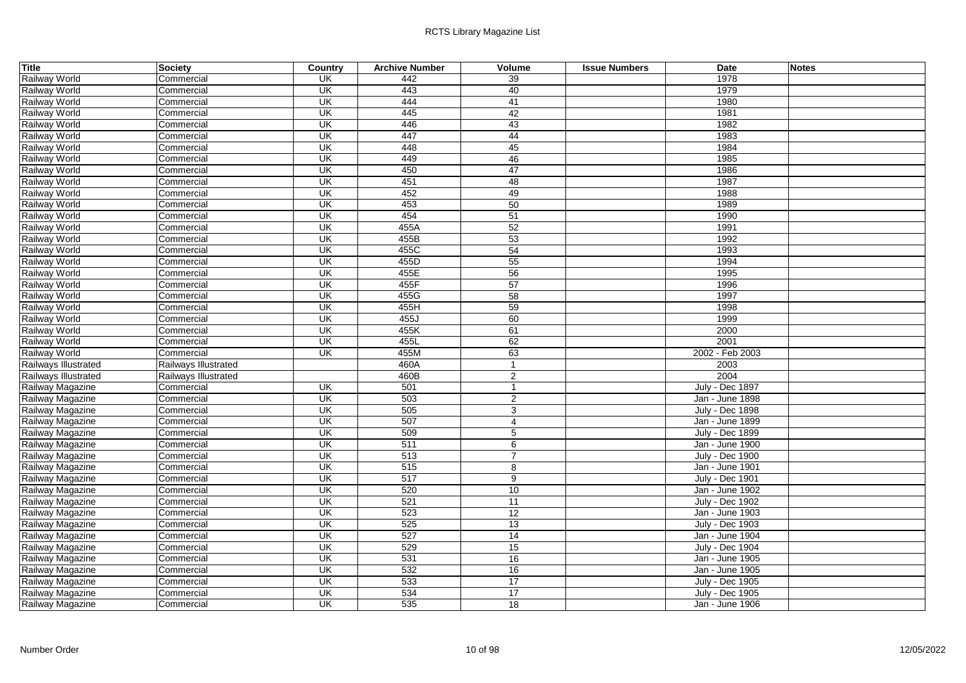| <b>Title</b>         | Society              | <b>Country</b>           | <b>Archive Number</b> | Volume          | <b>Issue Numbers</b> | Date                   | <b>Notes</b> |
|----------------------|----------------------|--------------------------|-----------------------|-----------------|----------------------|------------------------|--------------|
| Railway World        | Commercial           | UK                       | 442                   | 39              |                      | 1978                   |              |
| Railway World        | Commercial           | UK                       | 443                   | 40              |                      | 1979                   |              |
| Railway World        | Commercial           | UK                       | 444                   | 41              |                      | 1980                   |              |
| Railway World        | Commercial           | UK                       | 445                   | 42              |                      | 1981                   |              |
| Railway World        | Commercial           | UK                       | 446                   | 43              |                      | 1982                   |              |
| Railway World        | Commercial           | UK                       | 447                   | 44              |                      | 1983                   |              |
| Railway World        | Commercial           | UK                       | 448                   | 45              |                      | 1984                   |              |
| Railway World        | Commercial           | UK                       | 449                   | 46              |                      | 1985                   |              |
| Railway World        | Commercial           | UK                       | 450                   | 47              |                      | 1986                   |              |
| Railway World        | Commercial           | UK                       | 451                   | 48              |                      | 1987                   |              |
| <b>Railway World</b> | Commercial           | $\overline{\mathsf{CK}}$ | 452                   | 49              |                      | 1988                   |              |
| Railway World        | Commercial           | UK                       | 453                   | 50              |                      | 1989                   |              |
| Railway World        | Commercial           | UK                       | 454                   | 51              |                      | 1990                   |              |
| <b>Railway World</b> | Commercial           | UK                       | 455A                  | 52              |                      | 1991                   |              |
| Railway World        | Commercial           | $\overline{\mathsf{U}}$  | 455B                  | 53              |                      | 1992                   |              |
| Railway World        | Commercial           | UK                       | 455C                  | 54              |                      | 1993                   |              |
| Railway World        | Commercial           | $\overline{\mathsf{CK}}$ | 455D                  | 55              |                      | 1994                   |              |
| Railway World        | Commercial           | UK                       | 455E                  | 56              |                      | 1995                   |              |
| Railway World        | Commercial           | UK                       | 455F                  | 57              |                      | 1996                   |              |
| Railway World        | Commercial           | UK                       | 455G                  | 58              |                      | 1997                   |              |
| Railway World        | Commercial           | UK                       | 455H                  | 59              |                      | 1998                   |              |
| Railway World        | Commercial           | $\overline{\mathsf{CK}}$ | 455J                  | 60              |                      | 1999                   |              |
| Railway World        | Commercial           | UK                       | 455K                  | 61              |                      | 2000                   |              |
| Railway World        | Commercial           | UK                       | 455L                  | 62              |                      | 2001                   |              |
| Railway World        | Commercial           | UK                       | 455M                  | 63              |                      | 2002 - Feb 2003        |              |
| Railways Illustrated | Railways Illustrated |                          | 460A                  | $\mathbf{1}$    |                      | 2003                   |              |
| Railways Illustrated | Railways Illustrated |                          | 460B                  | 2               |                      | 2004                   |              |
| Railway Magazine     | Commercial           | $\overline{\mathsf{U}}$  | 501                   | $\mathbf{1}$    |                      | July - Dec 1897        |              |
| Railway Magazine     | Commercial           | $\overline{\mathsf{U}}$  | 503                   | $\overline{2}$  |                      | Jan - June 1898        |              |
| Railway Magazine     | Commercial           | UK                       | 505                   | 3               |                      | <b>July - Dec 1898</b> |              |
| Railway Magazine     | Commercial           | UK                       | 507                   | 4               |                      | Jan - June 1899        |              |
| Railway Magazine     | Commercial           | UK                       | 509                   | $\overline{5}$  |                      | <b>July - Dec 1899</b> |              |
| Railway Magazine     | Commercial           | $\overline{\mathsf{CK}}$ | 511                   | 6               |                      | Jan - June 1900        |              |
| Railway Magazine     | Commercial           | $\overline{\mathsf{CK}}$ | $\overline{513}$      | $\overline{7}$  |                      | <b>July - Dec 1900</b> |              |
| Railway Magazine     | Commercial           | UK                       | 515                   | 8               |                      | Jan - June 1901        |              |
| Railway Magazine     | Commercial           | UK                       | 517                   | 9               |                      | <b>July - Dec 1901</b> |              |
| Railway Magazine     | Commercial           | UK                       | 520                   | 10              |                      | Jan - June 1902        |              |
| Railway Magazine     | Commercial           | UK                       | 521                   | 11              |                      | <b>July - Dec 1902</b> |              |
| Railway Magazine     | Commercial           | $\overline{\mathsf{U}}$  | 523                   | $\overline{12}$ |                      | Jan - June 1903        |              |
| Railway Magazine     | Commercial           | $\overline{\mathsf{U}}$  | 525                   | 13              |                      | <b>July - Dec 1903</b> |              |
| Railway Magazine     | Commercial           | $\overline{\mathsf{CK}}$ | 527                   | 14              |                      | Jan - June 1904        |              |
| Railway Magazine     | Commercial           | UK                       | 529                   | 15              |                      | July - Dec 1904        |              |
| Railway Magazine     | Commercial           | UK                       | 531                   | 16              |                      | Jan - June 1905        |              |
| Railway Magazine     | Commercial           | UK                       | 532                   | 16              |                      | Jan - June 1905        |              |
| Railway Magazine     | Commercial           | $\overline{\mathsf{U}}$  | 533                   | $\overline{17}$ |                      | <b>July - Dec 1905</b> |              |
| Railway Magazine     | Commercial           | UK                       | 534                   | 17              |                      | <b>July - Dec 1905</b> |              |
| Railway Magazine     | Commercial           | $\overline{\mathsf{U}}$  | 535                   | 18              |                      | Jan - June 1906        |              |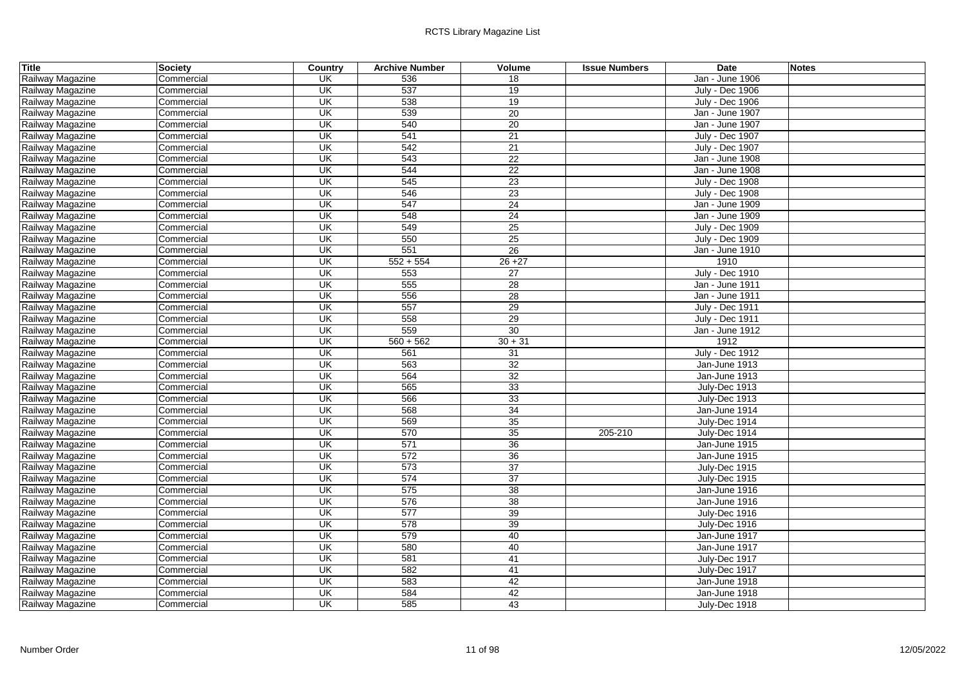| <b>Title</b>     | <b>Society</b> | Country                             | <b>Archive Number</b> | Volume          | <b>Issue Numbers</b> | Date                   | <b>Notes</b> |
|------------------|----------------|-------------------------------------|-----------------------|-----------------|----------------------|------------------------|--------------|
| Railway Magazine | Commercial     | <b>UK</b>                           | 536                   | 18              |                      | Jan - June 1906        |              |
| Railway Magazine | Commercial     | <b>UK</b>                           | 537                   | $\overline{19}$ |                      | <b>July - Dec 1906</b> |              |
| Railway Magazine | Commercial     | $\overline{\mathsf{CK}}$            | 538                   | 19              |                      | <b>July - Dec 1906</b> |              |
| Railway Magazine | Commercial     | $\overline{\mathsf{U}}$             | 539                   | 20              |                      | Jan - June 1907        |              |
| Railway Magazine | Commercial     | UK                                  | 540                   | 20              |                      | Jan - June 1907        |              |
| Railway Magazine | Commercial     | UK                                  | 541                   | 21              |                      | <b>July - Dec 1907</b> |              |
| Railway Magazine | Commercial     | UK                                  | 542                   | 21              |                      | <b>July - Dec 1907</b> |              |
| Railway Magazine | Commercial     | UK                                  | 543                   | $\overline{22}$ |                      | Jan - June 1908        |              |
| Railway Magazine | Commercial     | $\overline{\mathsf{U}}$ K           | 544                   | 22              |                      | Jan - June 1908        |              |
| Railway Magazine | Commercial     | UK                                  | 545                   | 23              |                      | <b>July - Dec 1908</b> |              |
| Railway Magazine | Commercial     | $\overline{\mathsf{U}}$             | 546                   | 23              |                      | <b>July - Dec 1908</b> |              |
| Railway Magazine | Commercial     | $\overline{\mathsf{U}}$             | 547                   | $\overline{24}$ |                      | Jan - June 1909        |              |
| Railway Magazine | Commercial     | $\overline{\mathsf{U}}$             | 548                   | 24              |                      | Jan - June 1909        |              |
| Railway Magazine | Commercial     | UK                                  | 549                   | 25              |                      | <b>July - Dec 1909</b> |              |
| Railway Magazine | Commercial     | $\overline{\mathsf{U}}$             | 550                   | $\overline{25}$ |                      | <b>July - Dec 1909</b> |              |
| Railway Magazine | Commercial     | UK                                  | 551                   | 26              |                      | Jan - June 1910        |              |
| Railway Magazine | Commercial     | <b>UK</b>                           | $552 + 554$           | $26 + 27$       |                      | 1910                   |              |
| Railway Magazine | Commercial     | UK                                  | 553                   | 27              |                      | <b>July - Dec 1910</b> |              |
| Railway Magazine | Commercial     | UK                                  | 555                   | 28              |                      | Jan - June 1911        |              |
| Railway Magazine | Commercial     | $\overline{\mathsf{U}}$             | 556                   | 28              |                      | Jan - June 1911        |              |
| Railway Magazine | Commercial     | $\overline{\mathsf{U}}$             | 557                   | 29              |                      | <b>July - Dec 1911</b> |              |
| Railway Magazine | Commercial     | UK                                  | 558                   | 29              |                      | <b>July - Dec 1911</b> |              |
| Railway Magazine | Commercial     | UK                                  | 559                   | $\overline{30}$ |                      | Jan - June 1912        |              |
| Railway Magazine | Commercial     | UK                                  | $560 + 562$           | $30 + 31$       |                      | 1912                   |              |
| Railway Magazine | Commercial     | UK                                  | 561                   | 31              |                      | <b>July - Dec 1912</b> |              |
| Railway Magazine | Commercial     | $\overline{\mathsf{U}}$             | 563                   | 32              |                      | Jan-June 1913          |              |
| Railway Magazine | Commercial     | UK                                  | 564                   | 32              |                      | Jan-June 1913          |              |
| Railway Magazine | Commercial     | $\overline{\mathsf{U}}$             | 565                   | 33              |                      | July-Dec 1913          |              |
| Railway Magazine | Commercial     | $\overline{\mathsf{U}}$             | 566                   | 33              |                      | July-Dec 1913          |              |
| Railway Magazine | Commercial     | UK                                  | 568                   | 34              |                      | Jan-June 1914          |              |
| Railway Magazine | Commercial     | UK                                  | 569                   | $\overline{35}$ |                      | July-Dec 1914          |              |
| Railway Magazine | Commercial     | UK                                  | 570                   | 35              | 205-210              | July-Dec 1914          |              |
| Railway Magazine | Commercial     | $\overline{\mathsf{U}}$             | 571                   | 36              |                      | Jan-June 1915          |              |
| Railway Magazine | Commercial     | $\overline{\mathsf{U}}$             | 572                   | 36              |                      | Jan-June 1915          |              |
| Railway Magazine | Commercial     | UK                                  | 573                   | 37              |                      | July-Dec 1915          |              |
| Railway Magazine | Commercial     | UK                                  | 574                   | $\overline{37}$ |                      | July-Dec 1915          |              |
| Railway Magazine | Commercial     | $\overline{\overline{\mathsf{CK}}}$ | 575                   | 38              |                      | Jan-June 1916          |              |
| Railway Magazine | Commercial     | UK                                  | 576                   | 38              |                      | Jan-June 1916          |              |
| Railway Magazine | Commercial     | $\overline{\mathsf{U}}$             | 577                   | 39              |                      | July-Dec 1916          |              |
| Railway Magazine | Commercial     | UK                                  | 578                   | 39              |                      | July-Dec 1916          |              |
| Railway Magazine | Commercial     | $\overline{\mathsf{U}}$             | 579                   | 40              |                      | Jan-June 1917          |              |
| Railway Magazine | Commercial     | UK                                  | 580                   | 40              |                      | Jan-June 1917          |              |
| Railway Magazine | Commercial     | UK                                  | 581                   | 41              |                      | July-Dec 1917          |              |
| Railway Magazine | Commercial     | UK                                  | 582                   | 41              |                      | July-Dec 1917          |              |
| Railway Magazine | Commercial     | $\overline{\mathsf{U}}$             | 583                   | 42              |                      | Jan-June 1918          |              |
| Railway Magazine | Commercial     | UK                                  | 584                   | 42              |                      | Jan-June 1918          |              |
| Railway Magazine | Commercial     | $\overline{\mathsf{U}}$             | 585                   | 43              |                      | July-Dec 1918          |              |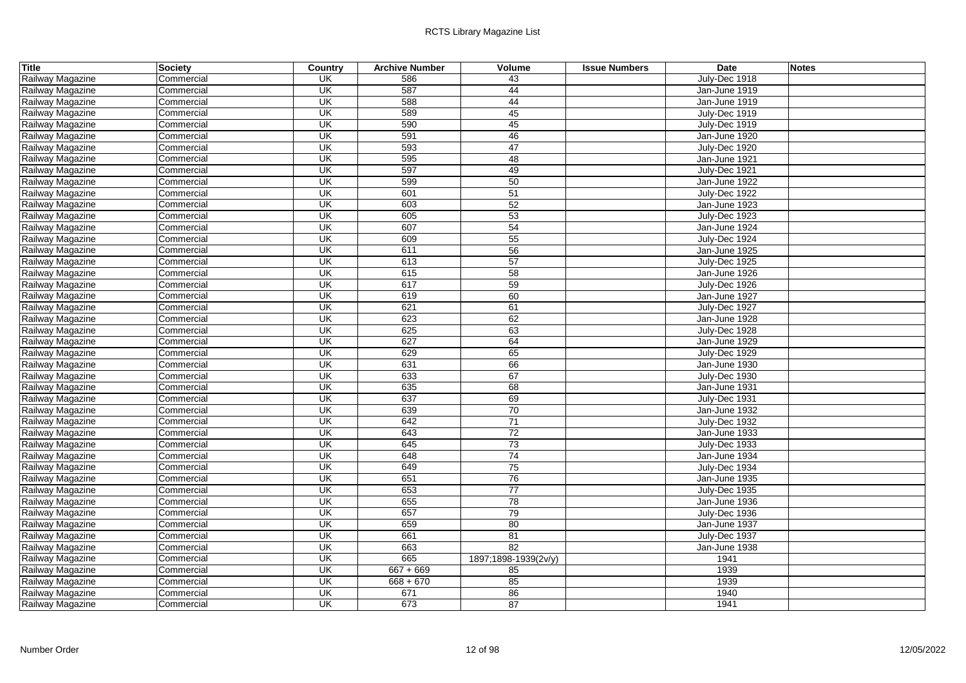| <b>Title</b>     | <b>Society</b> | Country                   | <b>Archive Number</b> | Volume               | <b>Issue Numbers</b> | Date          | <b>Notes</b> |
|------------------|----------------|---------------------------|-----------------------|----------------------|----------------------|---------------|--------------|
| Railway Magazine | Commercial     | UK                        | 586                   | 43                   |                      | July-Dec 1918 |              |
| Railway Magazine | Commercial     | <b>UK</b>                 | 587                   | 44                   |                      | Jan-June 1919 |              |
| Railway Magazine | Commercial     | UK                        | 588                   | 44                   |                      | Jan-June 1919 |              |
| Railway Magazine | Commercial     | UK                        | 589                   | 45                   |                      | July-Dec 1919 |              |
| Railway Magazine | Commercial     | UK                        | 590                   | 45                   |                      | July-Dec 1919 |              |
| Railway Magazine | Commercial     | UK                        | 591                   | 46                   |                      | Jan-June 1920 |              |
| Railway Magazine | Commercial     | UK                        | 593                   | 47                   |                      | July-Dec 1920 |              |
| Railway Magazine | Commercial     | $\overline{\mathsf{U}}$   | 595                   | 48                   |                      | Jan-June 1921 |              |
| Railway Magazine | Commercial     | UK                        | 597                   | 49                   |                      | July-Dec 1921 |              |
| Railway Magazine | Commercial     | UK                        | 599                   | 50                   |                      | Jan-June 1922 |              |
| Railway Magazine | Commercial     | $\overline{\mathsf{U}}$   | 601                   | 51                   |                      | July-Dec 1922 |              |
| Railway Magazine | Commercial     | UK                        | 603                   | 52                   |                      | Jan-June 1923 |              |
| Railway Magazine | Commercial     | $\overline{\mathsf{U}}$   | 605                   | 53                   |                      | July-Dec 1923 |              |
| Railway Magazine | Commercial     | UK                        | 607                   | 54                   |                      | Jan-June 1924 |              |
| Railway Magazine | Commercial     | UK                        | 609                   | 55                   |                      | July-Dec 1924 |              |
| Railway Magazine | Commercial     | UK                        | 611                   | 56                   |                      | Jan-June 1925 |              |
| Railway Magazine | Commercial     | UK                        | 613                   | 57                   |                      | July-Dec 1925 |              |
| Railway Magazine | Commercial     | UK                        | 615                   | 58                   |                      | Jan-June 1926 |              |
| Railway Magazine | Commercial     | UK                        | 617                   | 59                   |                      | July-Dec 1926 |              |
| Railway Magazine | Commercial     | UK                        | 619                   | 60                   |                      | Jan-June 1927 |              |
| Railway Magazine | Commercial     | $\overline{\mathsf{U}}$   | 621                   | 61                   |                      | July-Dec 1927 |              |
| Railway Magazine | Commercial     | $\overline{\mathsf{U}}$   | 623                   | 62                   |                      | Jan-June 1928 |              |
| Railway Magazine | Commercial     | UK                        | 625                   | 63                   |                      | July-Dec 1928 |              |
| Railway Magazine | Commercial     | $\overline{\mathsf{U}}$   | 627                   | 64                   |                      | Jan-June 1929 |              |
| Railway Magazine | Commercial     | $\overline{\mathsf{U}}$   | 629                   | 65                   |                      | July-Dec 1929 |              |
| Railway Magazine | Commercial     | UK                        | 631                   | 66                   |                      | Jan-June 1930 |              |
| Railway Magazine | Commercial     | $\overline{\mathsf{U}}$   | 633                   | 67                   |                      | July-Dec 1930 |              |
| Railway Magazine | Commercial     | UK                        | 635                   | 68                   |                      | Jan-June 1931 |              |
| Railway Magazine | Commercial     | UK                        | 637                   | 69                   |                      | July-Dec 1931 |              |
| Railway Magazine | Commercial     | UK                        | 639                   | 70                   |                      | Jan-June 1932 |              |
| Railway Magazine | Commercial     | UK                        | 642                   | 71                   |                      | July-Dec 1932 |              |
| Railway Magazine | Commercial     | $\overline{\mathsf{U}}$   | 643                   | 72                   |                      | Jan-June 1933 |              |
| Railway Magazine | Commercial     | UK                        | 645                   | $\overline{73}$      |                      | July-Dec 1933 |              |
| Railway Magazine | Commercial     | UK                        | 648                   | 74                   |                      | Jan-June 1934 |              |
| Railway Magazine | Commercial     | UK                        | 649                   | 75                   |                      | July-Dec 1934 |              |
| Railway Magazine | Commercial     | <b>UK</b>                 | 651                   | 76                   |                      | Jan-June 1935 |              |
| Railway Magazine | Commercial     | UK                        | 653                   | $\overline{77}$      |                      | July-Dec 1935 |              |
| Railway Magazine | Commercial     | $\overline{\mathsf{U}}$   | 655                   | 78                   |                      | Jan-June 1936 |              |
| Railway Magazine | Commercial     | UK                        | 657                   | 79                   |                      | July-Dec 1936 |              |
| Railway Magazine | Commercial     | UK                        | 659                   | 80                   |                      | Jan-June 1937 |              |
| Railway Magazine | Commercial     | $\overline{\mathsf{U}}$ K | 661                   | 81                   |                      | July-Dec 1937 |              |
| Railway Magazine | Commercial     | UK                        | 663                   | 82                   |                      | Jan-June 1938 |              |
| Railway Magazine | Commercial     | UK                        | 665                   | 1897;1898-1939(2v/y) |                      | 1941          |              |
| Railway Magazine | Commercial     | UK                        | $667 + 669$           | 85                   |                      | 1939          |              |
| Railway Magazine | Commercial     | UK                        | $668 + 670$           | 85                   |                      | 1939          |              |
| Railway Magazine | Commercial     | UK                        | 671                   | 86                   |                      | 1940          |              |
| Railway Magazine | Commercial     | $\overline{\mathsf{U}}$   | 673                   | 87                   |                      | 1941          |              |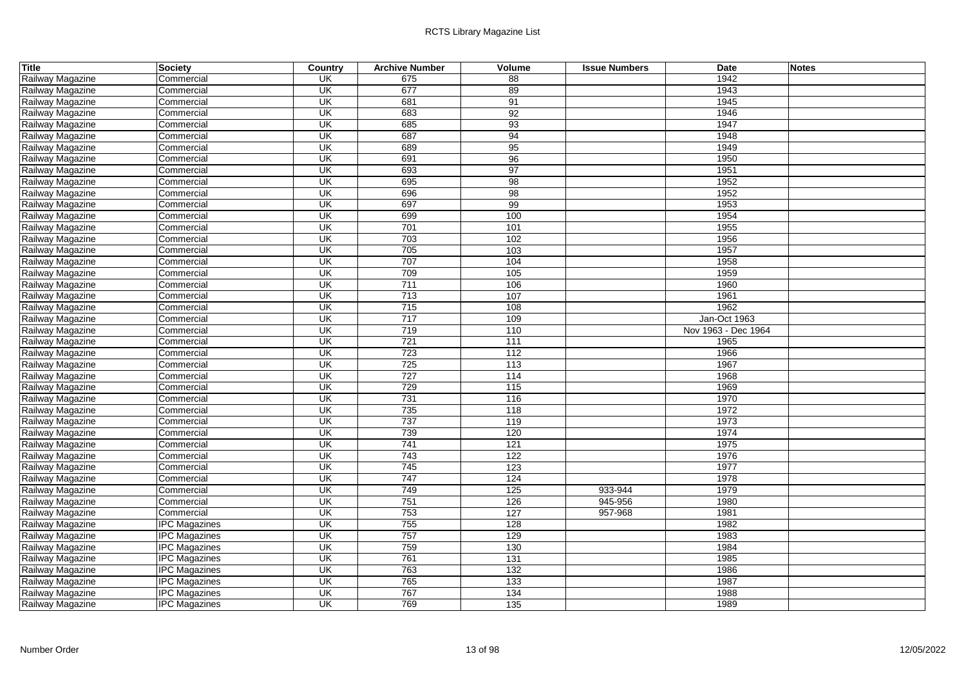| Title            | <b>Society</b>       | Country                  | <b>Archive Number</b> | Volume | <b>Issue Numbers</b> | <b>Date</b>         | <b>Notes</b> |
|------------------|----------------------|--------------------------|-----------------------|--------|----------------------|---------------------|--------------|
| Railway Magazine | Commercial           | <b>UK</b>                | 675                   | 88     |                      | 1942                |              |
| Railway Magazine | Commercial           | $\overline{\mathsf{CK}}$ | 677                   | 89     |                      | 1943                |              |
| Railway Magazine | Commercial           | UK                       | 681                   | 91     |                      | 1945                |              |
| Railway Magazine | Commercial           | UK                       | 683                   | 92     |                      | 1946                |              |
| Railway Magazine | Commercial           | UK                       | 685                   | 93     |                      | 1947                |              |
| Railway Magazine | Commercial           | UK                       | 687                   | 94     |                      | 1948                |              |
| Railway Magazine | Commercial           | UK                       | 689                   | 95     |                      | 1949                |              |
| Railway Magazine | Commercial           | $\overline{\mathsf{CK}}$ | 691                   | 96     |                      | 1950                |              |
| Railway Magazine | Commercial           | UK                       | 693                   | 97     |                      | 1951                |              |
| Railway Magazine | Commercial           | UK                       | 695                   | 98     |                      | 1952                |              |
| Railway Magazine | Commercial           | $\overline{\mathsf{CK}}$ | 696                   | 98     |                      | 1952                |              |
| Railway Magazine | Commercial           | UK                       | 697                   | 99     |                      | 1953                |              |
| Railway Magazine | Commercial           | UK                       | 699                   | 100    |                      | 1954                |              |
| Railway Magazine | Commercial           | UK                       | 701                   | 101    |                      | 1955                |              |
| Railway Magazine | Commercial           | $\overline{\mathsf{CK}}$ | 703                   | 102    |                      | 1956                |              |
| Railway Magazine | Commercial           | UK                       | 705                   | 103    |                      | 1957                |              |
| Railway Magazine | Commercial           | UK                       | 707                   | 104    |                      | 1958                |              |
| Railway Magazine | Commercial           | UK                       | 709                   | 105    |                      | 1959                |              |
| Railway Magazine | Commercial           | UK                       | 711                   | 106    |                      | 1960                |              |
| Railway Magazine | Commercial           | UK                       | 713                   | 107    |                      | 1961                |              |
| Railway Magazine | Commercial           | UK                       | 715                   | 108    |                      | 1962                |              |
| Railway Magazine | Commercial           | UK                       | 717                   | 109    |                      | Jan-Oct 1963        |              |
| Railway Magazine | Commercial           | UK                       | 719                   | 110    |                      | Nov 1963 - Dec 1964 |              |
| Railway Magazine | Commercial           | $\overline{\mathsf{U}}$  | 721                   | 111    |                      | 1965                |              |
| Railway Magazine | Commercial           | UK                       | 723                   | 112    |                      | 1966                |              |
| Railway Magazine | Commercial           | UK                       | 725                   | 113    |                      | 1967                |              |
| Railway Magazine | Commercial           | UK                       | 727                   | 114    |                      | 1968                |              |
| Railway Magazine | Commercial           | UK                       | 729                   | 115    |                      | 1969                |              |
| Railway Magazine | Commercial           | $\overline{\mathsf{CK}}$ | 731                   | 116    |                      | 1970                |              |
| Railway Magazine | Commercial           | UK                       | 735                   | 118    |                      | 1972                |              |
| Railway Magazine | Commercial           | $\overline{\mathsf{CK}}$ | 737                   | 119    |                      | 1973                |              |
| Railway Magazine | Commercial           | $\overline{\mathsf{U}}$  | 739                   | 120    |                      | 1974                |              |
| Railway Magazine | Commercial           | UK                       | 741                   | 121    |                      | 1975                |              |
| Railway Magazine | Commercial           | UK                       | 743                   | 122    |                      | 1976                |              |
| Railway Magazine | Commercial           | UK                       | 745                   | 123    |                      | 1977                |              |
| Railway Magazine | Commercial           | UK                       | 747                   | 124    |                      | 1978                |              |
| Railway Magazine | Commercial           | UK                       | 749                   | 125    | 933-944              | 1979                |              |
| Railway Magazine | Commercial           | UK                       | 751                   | 126    | 945-956              | 1980                |              |
| Railway Magazine | Commercial           | UK                       | 753                   | 127    | 957-968              | 1981                |              |
| Railway Magazine | <b>IPC Magazines</b> | UK                       | 755                   | 128    |                      | 1982                |              |
| Railway Magazine | <b>IPC Magazines</b> | UK                       | 757                   | 129    |                      | 1983                |              |
| Railway Magazine | <b>IPC Magazines</b> | $\overline{\mathsf{CK}}$ | 759                   | 130    |                      | 1984                |              |
| Railway Magazine | <b>IPC Magazines</b> | UK                       | 761                   | 131    |                      | 1985                |              |
| Railway Magazine | <b>IPC Magazines</b> | $\overline{\mathsf{CK}}$ | 763                   | 132    |                      | 1986                |              |
| Railway Magazine | <b>IPC Magazines</b> | $\overline{\mathsf{CK}}$ | 765                   | 133    |                      | 1987                |              |
| Railway Magazine | <b>IPC Magazines</b> | UK                       | 767                   | 134    |                      | 1988                |              |
| Railway Magazine | <b>IPC Magazines</b> | UK                       | 769                   | 135    |                      | 1989                |              |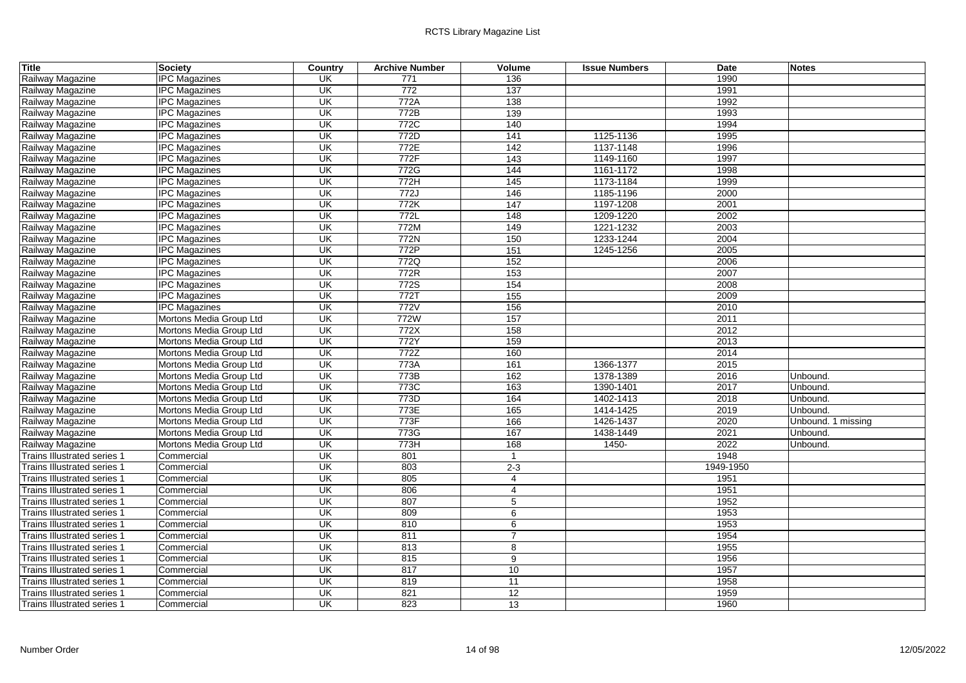| Title                              | <b>Society</b>          | Country                  | <b>Archive Number</b> | Volume         | <b>Issue Numbers</b> | <b>Date</b> | <b>Notes</b>       |
|------------------------------------|-------------------------|--------------------------|-----------------------|----------------|----------------------|-------------|--------------------|
| Railway Magazine                   | <b>IPC Magazines</b>    | UK                       | 771                   | 136            |                      | 1990        |                    |
| Railway Magazine                   | <b>IPC Magazines</b>    | $\overline{\mathsf{CK}}$ | $\overline{772}$      | 137            |                      | 1991        |                    |
| Railway Magazine                   | <b>IPC Magazines</b>    | UK                       | 772A                  | 138            |                      | 1992        |                    |
| Railway Magazine                   | <b>IPC Magazines</b>    | UK                       | 772B                  | 139            |                      | 1993        |                    |
| Railway Magazine                   | <b>IPC Magazines</b>    | UK                       | 772C                  | 140            |                      | 1994        |                    |
| Railway Magazine                   | <b>IPC Magazines</b>    | UK                       | 772D                  | 141            | 1125-1136            | 1995        |                    |
| Railway Magazine                   | <b>IPC Magazines</b>    | UK                       | 772E                  | 142            | 1137-1148            | 1996        |                    |
| Railway Magazine                   | <b>IPC Magazines</b>    | $\overline{\mathsf{U}}$  | 772F                  | 143            | 1149-1160            | 1997        |                    |
| Railway Magazine                   | <b>IPC Magazines</b>    | UK                       | 772G                  | 144            | 1161-1172            | 1998        |                    |
| Railway Magazine                   | <b>IPC Magazines</b>    | UK                       | 772H                  | 145            | 1173-1184            | 1999        |                    |
| Railway Magazine                   | <b>IPC Magazines</b>    | $\overline{\mathsf{U}}$  | 772J                  | 146            | 1185-1196            | 2000        |                    |
| Railway Magazine                   | <b>IPC Magazines</b>    | UK                       | 772K                  | 147            | 1197-1208            | 2001        |                    |
| Railway Magazine                   | <b>IPC Magazines</b>    | UK                       | 772L                  | 148            | 1209-1220            | 2002        |                    |
| Railway Magazine                   | <b>IPC Magazines</b>    | UK                       | 772M                  | 149            | 1221-1232            | 2003        |                    |
| Railway Magazine                   | <b>IPC Magazines</b>    | $\overline{\mathsf{U}}$  | 772N                  | 150            | 1233-1244            | 2004        |                    |
| Railway Magazine                   | <b>IPC Magazines</b>    | UK                       | 772P                  | 151            | 1245-1256            | 2005        |                    |
| Railway Magazine                   | <b>IPC Magazines</b>    | UK                       | 772Q                  | 152            |                      | 2006        |                    |
| Railway Magazine                   | <b>IPC Magazines</b>    | UK                       | 772R                  | 153            |                      | 2007        |                    |
| Railway Magazine                   | <b>IPC Magazines</b>    | UK                       | 772S                  | 154            |                      | 2008        |                    |
| Railway Magazine                   | <b>IPC Magazines</b>    | UK                       | 772T                  | 155            |                      | 2009        |                    |
| Railway Magazine                   | <b>IPC Magazines</b>    | UK                       | 772V                  | 156            |                      | 2010        |                    |
| Railway Magazine                   | Mortons Media Group Ltd | UK                       | 772W                  | 157            |                      | 2011        |                    |
| Railway Magazine                   | Mortons Media Group Ltd | UK                       | 772X                  | 158            |                      | 2012        |                    |
| Railway Magazine                   | Mortons Media Group Ltd | UK                       | 772Y                  | 159            |                      | 2013        |                    |
| Railway Magazine                   | Mortons Media Group Ltd | UK                       | 772Z                  | 160            |                      | 2014        |                    |
| Railway Magazine                   | Mortons Media Group Ltd | UK                       | 773A                  | 161            | 1366-1377            | 2015        |                    |
| Railway Magazine                   | Mortons Media Group Ltd | UK                       | 773B                  | 162            | 1378-1389            | 2016        | Unbound.           |
| Railway Magazine                   | Mortons Media Group Ltd | UK                       | 773C                  | 163            | 1390-1401            | 2017        | Unbound.           |
| Railway Magazine                   | Mortons Media Group Ltd | UK                       | 773D                  | 164            | 1402-1413            | 2018        | Unbound.           |
| Railway Magazine                   | Mortons Media Group Ltd | UK                       | 773E                  | 165            | 1414-1425            | 2019        | Unbound.           |
| Railway Magazine                   | Mortons Media Group Ltd | $\overline{\mathsf{U}}$  | 773F                  | 166            | 1426-1437            | 2020        | Unbound. 1 missing |
| Railway Magazine                   | Mortons Media Group Ltd | $\overline{\mathsf{U}}$  | 773G                  | 167            | 1438-1449            | 2021        | Unbound.           |
| Railway Magazine                   | Mortons Media Group Ltd | UK                       | 773H                  | 168            | $1450 -$             | 2022        | Unbound.           |
| Trains Illustrated series 1        | Commercial              | UK                       | 801                   | $\mathbf{1}$   |                      | 1948        |                    |
| <b>Trains Illustrated series 1</b> | Commercial              | UK                       | 803                   | $2 - 3$        |                      | 1949-1950   |                    |
| <b>Trains Illustrated series 1</b> | Commercial              | UK                       | 805                   | $\overline{4}$ |                      | 1951        |                    |
| <b>Trains Illustrated series 1</b> | Commercial              | UK                       | 806                   | 4              |                      | 1951        |                    |
| <b>Trains Illustrated series 1</b> | Commercial              | UK                       | 807                   | $\overline{5}$ |                      | 1952        |                    |
| <b>Trains Illustrated series 1</b> | Commercial              | UK                       | 809                   | 6              |                      | 1953        |                    |
| <b>Trains Illustrated series 1</b> | Commercial              | UK                       | 810                   | 6              |                      | 1953        |                    |
| <b>Trains Illustrated series 1</b> | Commercial              | UK                       | 811                   | $\overline{7}$ |                      | 1954        |                    |
| <b>Trains Illustrated series 1</b> | Commercial              | $\overline{\mathsf{U}}$  | 813                   | 8              |                      | 1955        |                    |
| Trains Illustrated series 1        | Commercial              | UK                       | 815                   | $\overline{9}$ |                      | 1956        |                    |
| <b>Trains Illustrated series 1</b> | Commercial              | $\overline{\mathsf{CK}}$ | 817                   | 10             |                      | 1957        |                    |
| <b>Trains Illustrated series 1</b> | Commercial              | $\overline{\mathsf{U}}$  | 819                   | 11             |                      | 1958        |                    |
| <b>Trains Illustrated series 1</b> | Commercial              | UK                       | 821                   | 12             |                      | 1959        |                    |
| Trains Illustrated series 1        | Commercial              | UK                       | 823                   | 13             |                      | 1960        |                    |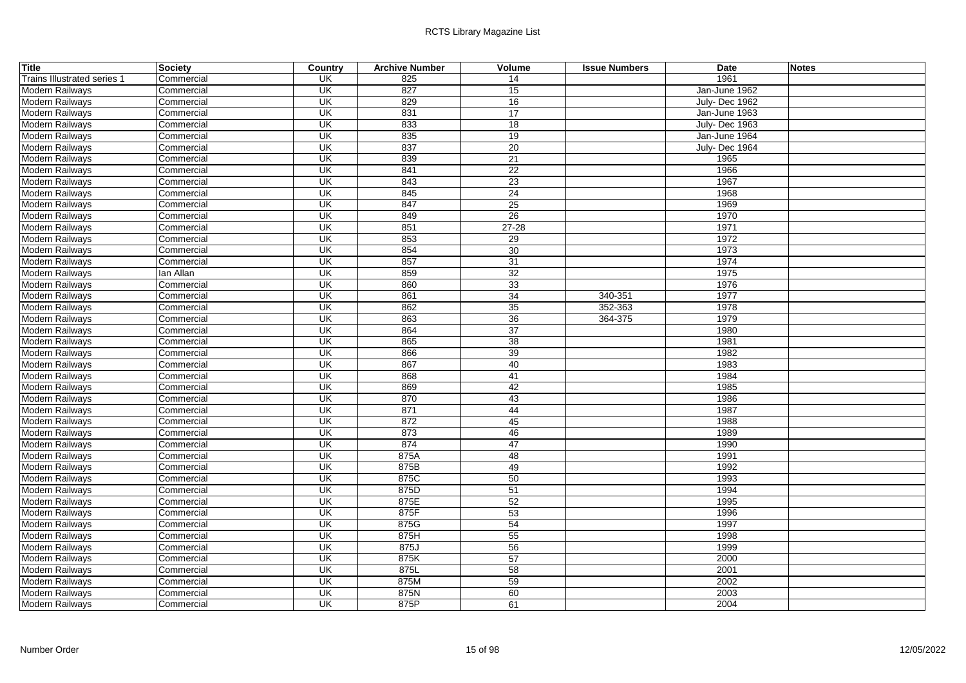| Title                              | <b>Society</b> | Country                             | <b>Archive Number</b> | Volume          | <b>Issue Numbers</b> | <b>Date</b>   | <b>Notes</b> |
|------------------------------------|----------------|-------------------------------------|-----------------------|-----------------|----------------------|---------------|--------------|
| <b>Trains Illustrated series 1</b> | Commercial     | UK                                  | 825                   | 14              |                      | 1961          |              |
| Modern Railways                    | Commercial     | UK                                  | 827                   | 15              |                      | Jan-June 1962 |              |
| Modern Railways                    | Commercial     | $\overline{\mathsf{U}}$             | 829                   | 16              |                      | July-Dec 1962 |              |
| Modern Railways                    | Commercial     | UK                                  | 831                   | 17              |                      | Jan-June 1963 |              |
| Modern Railways                    | Commercial     | $\overline{\mathsf{U}}$             | 833                   | 18              |                      | July-Dec 1963 |              |
| Modern Railways                    | Commercial     | UK                                  | 835                   | 19              |                      | Jan-June 1964 |              |
| <b>Modern Railways</b>             | Commercial     | $\overline{\overline{\mathsf{CK}}}$ | 837                   | 20              |                      | July-Dec 1964 |              |
| <b>Modern Railways</b>             | Commercial     | $\overline{\mathsf{U}}$             | 839                   | 21              |                      | 1965          |              |
| Modern Railways                    | Commercial     | UK                                  | 841                   | 22              |                      | 1966          |              |
| <b>Modern Railways</b>             | Commercial     | $\overline{\mathsf{U}}$             | 843                   | 23              |                      | 1967          |              |
| Modern Railways                    | Commercial     | $\overline{\mathsf{U}}$             | 845                   | 24              |                      | 1968          |              |
| Modern Railways                    | Commercial     | UK                                  | 847                   | 25              |                      | 1969          |              |
| Modern Railways                    | Commercial     | $\overline{\mathsf{U}}$             | 849                   | $\overline{26}$ |                      | 1970          |              |
| Modern Railways                    | Commercial     | UK                                  | 851                   | $27 - 28$       |                      | 1971          |              |
| Modern Railways                    | Commercial     | UK                                  | 853                   | 29              |                      | 1972          |              |
| <b>Modern Railways</b>             | Commercial     | UK                                  | 854                   | 30              |                      | 1973          |              |
| Modern Railways                    | Commercial     | $\overline{\mathsf{U}}$             | 857                   | 31              |                      | 1974          |              |
| Modern Railways                    | lan Allan      | UK                                  | 859                   | 32              |                      | 1975          |              |
| Modern Railways                    | Commercial     | UK                                  | 860                   | 33              |                      | 1976          |              |
| Modern Railways                    | Commercial     | UK                                  | 861                   | 34              | 340-351              | 1977          |              |
| Modern Railways                    | Commercial     | UK                                  | 862                   | 35              | 352-363              | 1978          |              |
| Modern Railways                    | Commercial     | UK                                  | 863                   | 36              | 364-375              | 1979          |              |
| Modern Railways                    | Commercial     | UK                                  | 864                   | 37              |                      | 1980          |              |
| Modern Railways                    | Commercial     | $\overline{\mathsf{U}}$             | 865                   | $\overline{38}$ |                      | 1981          |              |
| <b>Modern Railways</b>             | Commercial     | $\overline{\mathsf{U}}$ K           | 866                   | 39              |                      | 1982          |              |
| Modern Railways                    | Commercial     | UK                                  | 867                   | 40              |                      | 1983          |              |
| <b>Modern Railways</b>             | Commercial     | UK                                  | 868                   | $\overline{41}$ |                      | 1984          |              |
| Modern Railways                    | Commercial     | UK                                  | 869                   | 42              |                      | 1985          |              |
| Modern Railways                    | Commercial     | UK                                  | 870                   | 43              |                      | 1986          |              |
| <b>Modern Railways</b>             | Commercial     | UK                                  | 871                   | 44              |                      | 1987          |              |
| Modern Railways                    | Commercial     | UK                                  | 872                   | 45              |                      | 1988          |              |
| <b>Modern Railways</b>             | Commercial     | UK                                  | 873                   | 46              |                      | 1989          |              |
| Modern Railways                    | Commercial     | UK                                  | 874                   | 47              |                      | 1990          |              |
| Modern Railways                    | Commercial     | $\overline{\mathsf{U}}$             | 875A                  | 48              |                      | 1991          |              |
| <b>Modern Railways</b>             | Commercial     | $\overline{\mathsf{U}}$             | 875B                  | 49              |                      | 1992          |              |
| Modern Railways                    | Commercial     | $\overline{\mathsf{U}}$ K           | 875C                  | 50              |                      | 1993          |              |
| Modern Railways                    | Commercial     | UK                                  | 875D                  | 51              |                      | 1994          |              |
| Modern Railways                    | Commercial     | $\overline{\mathsf{U}}$             | 875E                  | 52              |                      | 1995          |              |
| Modern Railways                    | Commercial     | $\overline{\mathsf{U}}$             | 875F                  | 53              |                      | 1996          |              |
| Modern Railways                    | Commercial     | UK                                  | 875G                  | 54              |                      | 1997          |              |
| <b>Modern Railways</b>             | Commercial     | $\overline{\mathsf{U}}$             | 875H                  | 55              |                      | 1998          |              |
| Modern Railways                    | Commercial     | $\overline{\mathsf{U}}$             | 875J                  | 56              |                      | 1999          |              |
| <b>Modern Railways</b>             | Commercial     | UK                                  | 875K                  | 57              |                      | 2000          |              |
| Modern Railways                    | Commercial     | UK                                  | 875L                  | 58              |                      | 2001          |              |
| Modern Railways                    | Commercial     | UK                                  | 875M                  | 59              |                      | 2002          |              |
| <b>Modern Railways</b>             | Commercial     | UK                                  | 875N                  | 60              |                      | 2003          |              |
| Modern Railways                    | Commercial     | $\overline{\mathsf{U}}$             | 875P                  | 61              |                      | 2004          |              |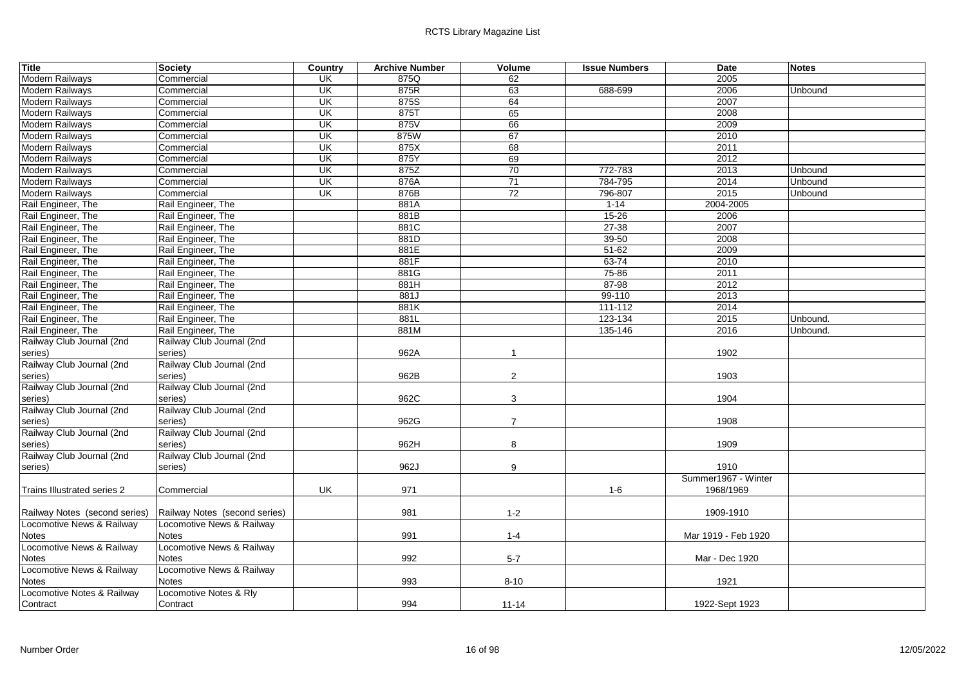| Title                         | Society                       | Country                  | <b>Archive Number</b> | Volume         | <b>Issue Numbers</b> | <b>Date</b>         | <b>Notes</b> |
|-------------------------------|-------------------------------|--------------------------|-----------------------|----------------|----------------------|---------------------|--------------|
| <b>Modern Railways</b>        | Commercial                    | <b>UK</b>                | 875Q                  | 62             |                      | 2005                |              |
| Modern Railways               | Commercial                    | UK                       | 875R                  | 63             | 688-699              | 2006                | Unbound      |
| <b>Modern Railways</b>        | Commercial                    | UK                       | 875S                  | 64             |                      | 2007                |              |
| Modern Railways               | Commercial                    | $\overline{\mathsf{CK}}$ | 875T                  | 65             |                      | 2008                |              |
| Modern Railways               | Commercial                    | UK                       | 875V                  | 66             |                      | 2009                |              |
| Modern Railways               | Commercial                    | <b>UK</b>                | 875W                  | 67             |                      | 2010                |              |
| Modern Railways               | Commercial                    | <b>UK</b>                | 875X                  | 68             |                      | 2011                |              |
| <b>Modern Railways</b>        | Commercial                    | $\overline{\mathsf{CK}}$ | 875Y                  | 69             |                      | 2012                |              |
| <b>Modern Railways</b>        | Commercial                    | <b>UK</b>                | 875Z                  | 70             | 772-783              | 2013                | Unbound      |
| Modern Railways               | Commercial                    | UK                       | 876A                  | 71             | 784-795              | 2014                | Unbound      |
| Modern Railways               | Commercial                    | $\overline{\mathsf{CK}}$ | 876B                  | 72             | 796-807              | 2015                | Unbound      |
| Rail Engineer, The            | Rail Engineer, The            |                          | 881A                  |                | $1 - 14$             | 2004-2005           |              |
| Rail Engineer, The            | Rail Engineer, The            |                          | 881B                  |                | $15 - 26$            | 2006                |              |
| Rail Engineer, The            | Rail Engineer, The            |                          | 881C                  |                | $27 - 38$            | 2007                |              |
| Rail Engineer, The            | Rail Engineer, The            |                          | 881D                  |                | $39 - 50$            | 2008                |              |
| Rail Engineer, The            | Rail Engineer, The            |                          | 881E                  |                | $51 - 62$            | 2009                |              |
| Rail Engineer, The            | Rail Engineer, The            |                          | 881F                  |                | 63-74                | 2010                |              |
| Rail Engineer, The            | Rail Engineer, The            |                          | 881G                  |                | 75-86                | 2011                |              |
| Rail Engineer, The            | Rail Engineer, The            |                          | 881H                  |                | 87-98                | 2012                |              |
| Rail Engineer, The            | Rail Engineer, The            |                          | 881J                  |                | 99-110               | 2013                |              |
| Rail Engineer, The            | Rail Engineer, The            |                          | 881K                  |                | $111 - 112$          | 2014                |              |
| Rail Engineer, The            | Rail Engineer, The            |                          | 881L                  |                | 123-134              | 2015                | Unbound.     |
| Rail Engineer, The            | Rail Engineer, The            |                          | 881M                  |                | 135-146              | 2016                | Unbound.     |
| Railway Club Journal (2nd     | Railway Club Journal (2nd     |                          |                       |                |                      |                     |              |
| series)                       | series)                       |                          | 962A                  | $\overline{1}$ |                      | 1902                |              |
| Railway Club Journal (2nd     | Railway Club Journal (2nd     |                          |                       |                |                      |                     |              |
| series)                       | series)                       |                          | 962B                  | $\overline{2}$ |                      | 1903                |              |
| Railway Club Journal (2nd     | Railway Club Journal (2nd     |                          |                       |                |                      |                     |              |
| series)                       | series)                       |                          | 962C                  | 3              |                      | 1904                |              |
| Railway Club Journal (2nd     | Railway Club Journal (2nd     |                          |                       |                |                      |                     |              |
| series)                       | series)                       |                          | 962G                  | $\overline{7}$ |                      | 1908                |              |
| Railway Club Journal (2nd     | Railway Club Journal (2nd     |                          |                       |                |                      |                     |              |
| series)                       | series)                       |                          | 962H                  | 8              |                      | 1909                |              |
| Railway Club Journal (2nd     | Railway Club Journal (2nd     |                          |                       |                |                      |                     |              |
| series)                       | series)                       |                          | 962J                  | 9              |                      | 1910                |              |
|                               |                               |                          |                       |                |                      | Summer1967 - Winter |              |
| Trains Illustrated series 2   | Commercial                    | UK                       | 971                   |                | $1 - 6$              | 1968/1969           |              |
|                               |                               |                          |                       |                |                      |                     |              |
| Railway Notes (second series) | Railway Notes (second series) |                          | 981                   | $1 - 2$        |                      | 1909-1910           |              |
| Locomotive News & Railway     | Locomotive News & Railway     |                          |                       |                |                      |                     |              |
| Notes                         | <b>Notes</b>                  |                          | 991                   | $1 - 4$        |                      | Mar 1919 - Feb 1920 |              |
| Locomotive News & Railway     | Locomotive News & Railway     |                          |                       |                |                      |                     |              |
| <b>Notes</b>                  | <b>Notes</b>                  |                          | 992                   | $5 - 7$        |                      | Mar - Dec 1920      |              |
| Locomotive News & Railway     | Locomotive News & Railway     |                          |                       |                |                      |                     |              |
| <b>Notes</b>                  | <b>Notes</b>                  |                          | 993                   | $8 - 10$       |                      | 1921                |              |
| Locomotive Notes & Railway    | Locomotive Notes & Rly        |                          |                       |                |                      |                     |              |
| Contract                      | Contract                      |                          | 994                   | $11 - 14$      |                      | 1922-Sept 1923      |              |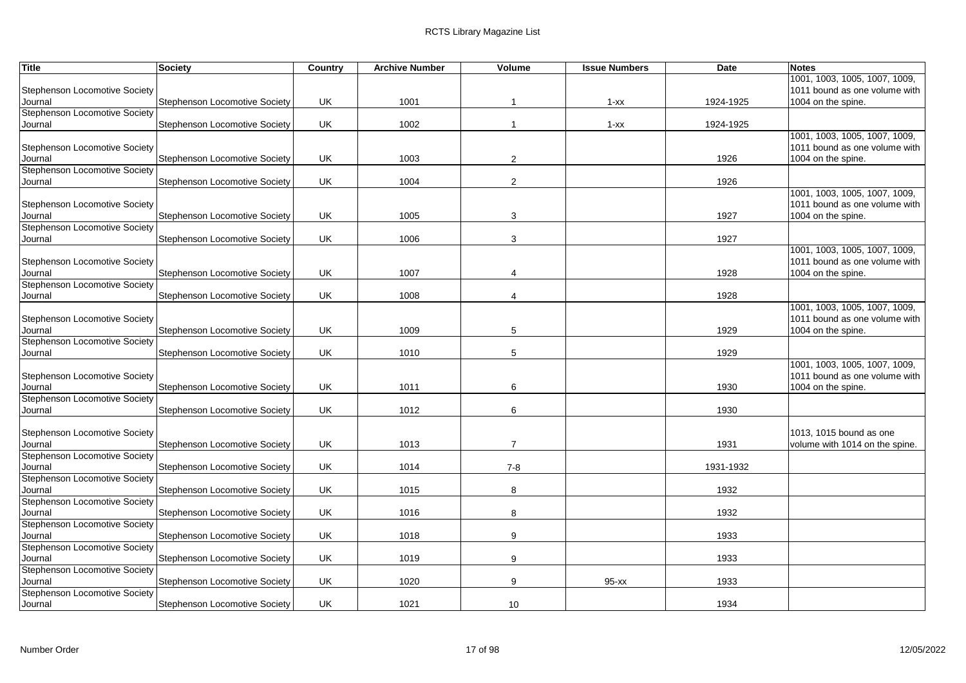| <b>Title</b>                         | <b>Society</b>                       | Country   | <b>Archive Number</b> | Volume         | <b>Issue Numbers</b> | Date      | <b>Notes</b>                   |
|--------------------------------------|--------------------------------------|-----------|-----------------------|----------------|----------------------|-----------|--------------------------------|
|                                      |                                      |           |                       |                |                      |           | 1001, 1003, 1005, 1007, 1009,  |
| Stephenson Locomotive Society        |                                      |           |                       |                |                      |           | 1011 bound as one volume with  |
| Journal                              | Stephenson Locomotive Society        | UK        | 1001                  |                | $1 - XX$             | 1924-1925 | 1004 on the spine.             |
| <b>Stephenson Locomotive Society</b> |                                      |           |                       |                |                      |           |                                |
| Journal                              | <b>Stephenson Locomotive Society</b> | UK        | 1002                  | -1             | $1 - XX$             | 1924-1925 |                                |
|                                      |                                      |           |                       |                |                      |           | 1001, 1003, 1005, 1007, 1009,  |
| Stephenson Locomotive Society        |                                      |           |                       |                |                      |           | 1011 bound as one volume with  |
| Journal                              | Stephenson Locomotive Society        | UK        | 1003                  | 2              |                      | 1926      | 1004 on the spine.             |
| <b>Stephenson Locomotive Society</b> |                                      |           |                       |                |                      |           |                                |
| Journal                              | <b>Stephenson Locomotive Society</b> | <b>UK</b> | 1004                  | $\sqrt{2}$     |                      | 1926      |                                |
|                                      |                                      |           |                       |                |                      |           | 1001, 1003, 1005, 1007, 1009,  |
| <b>Stephenson Locomotive Society</b> |                                      |           |                       |                |                      |           | 1011 bound as one volume with  |
| Journal                              | <b>Stephenson Locomotive Society</b> | UK        | 1005                  | 3              |                      | 1927      | 1004 on the spine.             |
| Stephenson Locomotive Society        |                                      |           |                       |                |                      |           |                                |
| Journal                              | <b>Stephenson Locomotive Society</b> | UK        | 1006                  | 3              |                      | 1927      |                                |
|                                      |                                      |           |                       |                |                      |           | 1001, 1003, 1005, 1007, 1009,  |
| Stephenson Locomotive Society        |                                      |           |                       |                |                      |           | 1011 bound as one volume with  |
| Journal                              | <b>Stephenson Locomotive Society</b> | UK        | 1007                  | 4              |                      | 1928      | 1004 on the spine.             |
| Stephenson Locomotive Society        |                                      |           |                       |                |                      |           |                                |
| Journal                              | <b>Stephenson Locomotive Society</b> | UK        | 1008                  | 4              |                      | 1928      |                                |
|                                      |                                      |           |                       |                |                      |           | 1001, 1003, 1005, 1007, 1009,  |
| Stephenson Locomotive Society        |                                      |           |                       |                |                      |           | 1011 bound as one volume with  |
| Journal                              | <b>Stephenson Locomotive Society</b> | UK        | 1009                  | 5              |                      | 1929      | 1004 on the spine.             |
| <b>Stephenson Locomotive Society</b> |                                      |           |                       |                |                      |           |                                |
| Journal                              | <b>Stephenson Locomotive Society</b> | UK        | 1010                  | 5              |                      | 1929      |                                |
|                                      |                                      |           |                       |                |                      |           | 1001, 1003, 1005, 1007, 1009,  |
| <b>Stephenson Locomotive Society</b> |                                      |           |                       |                |                      |           | 1011 bound as one volume with  |
| Journal                              | <b>Stephenson Locomotive Society</b> | UK        | 1011                  | 6              |                      | 1930      | 1004 on the spine.             |
| <b>Stephenson Locomotive Society</b> |                                      |           |                       |                |                      |           |                                |
| Journal                              | Stephenson Locomotive Society        | UK        | 1012                  | 6              |                      | 1930      |                                |
|                                      |                                      |           |                       |                |                      |           |                                |
| <b>Stephenson Locomotive Society</b> |                                      |           |                       |                |                      |           | 1013, 1015 bound as one        |
| Journal                              | <b>Stephenson Locomotive Society</b> | <b>UK</b> | 1013                  | $\overline{7}$ |                      | 1931      | volume with 1014 on the spine. |
| Stephenson Locomotive Society        |                                      |           |                       |                |                      |           |                                |
| Journal                              | <b>Stephenson Locomotive Society</b> | UK        | 1014                  | $7 - 8$        |                      | 1931-1932 |                                |
| <b>Stephenson Locomotive Society</b> |                                      |           |                       |                |                      |           |                                |
| Journal                              | <b>Stephenson Locomotive Society</b> | UK        | 1015                  | 8              |                      | 1932      |                                |
| <b>Stephenson Locomotive Society</b> |                                      |           |                       |                |                      |           |                                |
| Journal                              | Stephenson Locomotive Society        | UK        | 1016                  | 8              |                      | 1932      |                                |
| <b>Stephenson Locomotive Society</b> |                                      |           |                       |                |                      |           |                                |
| Journal                              | <b>Stephenson Locomotive Society</b> | UK        | 1018                  | 9              |                      | 1933      |                                |
| <b>Stephenson Locomotive Society</b> |                                      |           |                       |                |                      |           |                                |
| Journal                              | <b>Stephenson Locomotive Society</b> | UK        | 1019                  | 9              |                      | 1933      |                                |
| Stephenson Locomotive Society        |                                      |           |                       |                |                      |           |                                |
| Journal                              | <b>Stephenson Locomotive Society</b> | <b>UK</b> | 1020                  | 9              | $95 - xx$            | 1933      |                                |
| Stephenson Locomotive Society        |                                      |           |                       |                |                      |           |                                |
| Journal                              | Stephenson Locomotive Society        | <b>UK</b> | 1021                  | 10             |                      | 1934      |                                |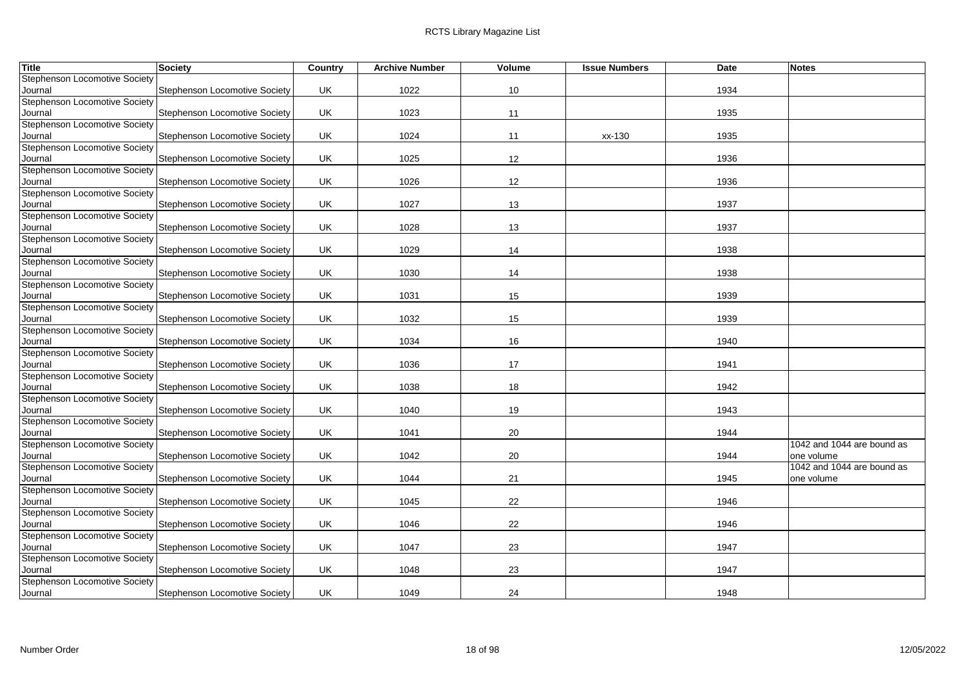| <b>Title</b>                                    | Society                              | Country   | <b>Archive Number</b> | Volume | <b>Issue Numbers</b> | <b>Date</b> | <b>Notes</b>               |
|-------------------------------------------------|--------------------------------------|-----------|-----------------------|--------|----------------------|-------------|----------------------------|
| <b>Stephenson Locomotive Society</b>            |                                      |           |                       |        |                      |             |                            |
| Journal                                         | Stephenson Locomotive Society        | UK        | 1022                  | 10     |                      | 1934        |                            |
| <b>Stephenson Locomotive Society</b>            |                                      |           |                       |        |                      |             |                            |
| Journal                                         | Stephenson Locomotive Society        | UK        | 1023                  | 11     |                      | 1935        |                            |
| <b>Stephenson Locomotive Society</b>            |                                      |           |                       |        |                      |             |                            |
| Journal                                         | <b>Stephenson Locomotive Society</b> | UK        | 1024                  | 11     | xx-130               | 1935        |                            |
| <b>Stephenson Locomotive Society</b>            |                                      |           |                       |        |                      |             |                            |
| Journal                                         | Stephenson Locomotive Society        | UK        | 1025                  | 12     |                      | 1936        |                            |
| Stephenson Locomotive Society                   |                                      |           |                       |        |                      |             |                            |
| Journal                                         | Stephenson Locomotive Society        | UK        | 1026                  | 12     |                      | 1936        |                            |
| <b>Stephenson Locomotive Society</b>            |                                      | UK        |                       |        |                      |             |                            |
| Journal<br><b>Stephenson Locomotive Society</b> | Stephenson Locomotive Society        |           | 1027                  | 13     |                      | 1937        |                            |
| Journal                                         | Stephenson Locomotive Society        | UK.       | 1028                  | 13     |                      | 1937        |                            |
| Stephenson Locomotive Society                   |                                      |           |                       |        |                      |             |                            |
| Journal                                         | <b>Stephenson Locomotive Society</b> | <b>UK</b> | 1029                  | 14     |                      | 1938        |                            |
| <b>Stephenson Locomotive Society</b>            |                                      |           |                       |        |                      |             |                            |
| Journal                                         | Stephenson Locomotive Society        | UK        | 1030                  | 14     |                      | 1938        |                            |
| <b>Stephenson Locomotive Society</b>            |                                      |           |                       |        |                      |             |                            |
| Journal                                         | Stephenson Locomotive Society        | UK        | 1031                  | 15     |                      | 1939        |                            |
| <b>Stephenson Locomotive Society</b>            |                                      |           |                       |        |                      |             |                            |
| Journal                                         | <b>Stephenson Locomotive Society</b> | UK        | 1032                  | 15     |                      | 1939        |                            |
| <b>Stephenson Locomotive Society</b>            |                                      |           |                       |        |                      |             |                            |
| Journal                                         | Stephenson Locomotive Society        | UK        | 1034                  | 16     |                      | 1940        |                            |
| <b>Stephenson Locomotive Society</b>            |                                      |           |                       |        |                      |             |                            |
| Journal                                         | Stephenson Locomotive Society        | UK        | 1036                  | 17     |                      | 1941        |                            |
| <b>Stephenson Locomotive Society</b>            |                                      |           |                       |        |                      |             |                            |
| Journal                                         | Stephenson Locomotive Society        | UK        | 1038                  | 18     |                      | 1942        |                            |
| <b>Stephenson Locomotive Society</b>            |                                      |           |                       |        |                      |             |                            |
| Journal                                         | Stephenson Locomotive Society        | UK.       | 1040                  | 19     |                      | 1943        |                            |
| <b>Stephenson Locomotive Society</b>            |                                      |           |                       |        |                      |             |                            |
| Journal                                         | <b>Stephenson Locomotive Society</b> | UK        | 1041                  | 20     |                      | 1944        |                            |
| <b>Stephenson Locomotive Society</b>            |                                      |           |                       |        |                      |             | 1042 and 1044 are bound as |
| Journal                                         | Stephenson Locomotive Society        | UK        | 1042                  | 20     |                      | 1944        | one volume                 |
| Stephenson Locomotive Society                   |                                      |           |                       |        |                      |             | 1042 and 1044 are bound as |
| Journal<br><b>Stephenson Locomotive Society</b> | Stephenson Locomotive Society        | UK        | 1044                  | 21     |                      | 1945        | one volume                 |
| Journal                                         | Stephenson Locomotive Society        | UK        | 1045                  | 22     |                      | 1946        |                            |
| <b>Stephenson Locomotive Society</b>            |                                      |           |                       |        |                      |             |                            |
| Journal                                         | Stephenson Locomotive Society        | UK        | 1046                  | 22     |                      | 1946        |                            |
| <b>Stephenson Locomotive Society</b>            |                                      |           |                       |        |                      |             |                            |
| Journal                                         | <b>Stephenson Locomotive Society</b> | UK        | 1047                  | 23     |                      | 1947        |                            |
| Stephenson Locomotive Society                   |                                      |           |                       |        |                      |             |                            |
| Journal                                         | Stephenson Locomotive Society        | UK        | 1048                  | 23     |                      | 1947        |                            |
| <b>Stephenson Locomotive Society</b>            |                                      |           |                       |        |                      |             |                            |
| Journal                                         | <b>Stephenson Locomotive Society</b> | <b>UK</b> | 1049                  | 24     |                      | 1948        |                            |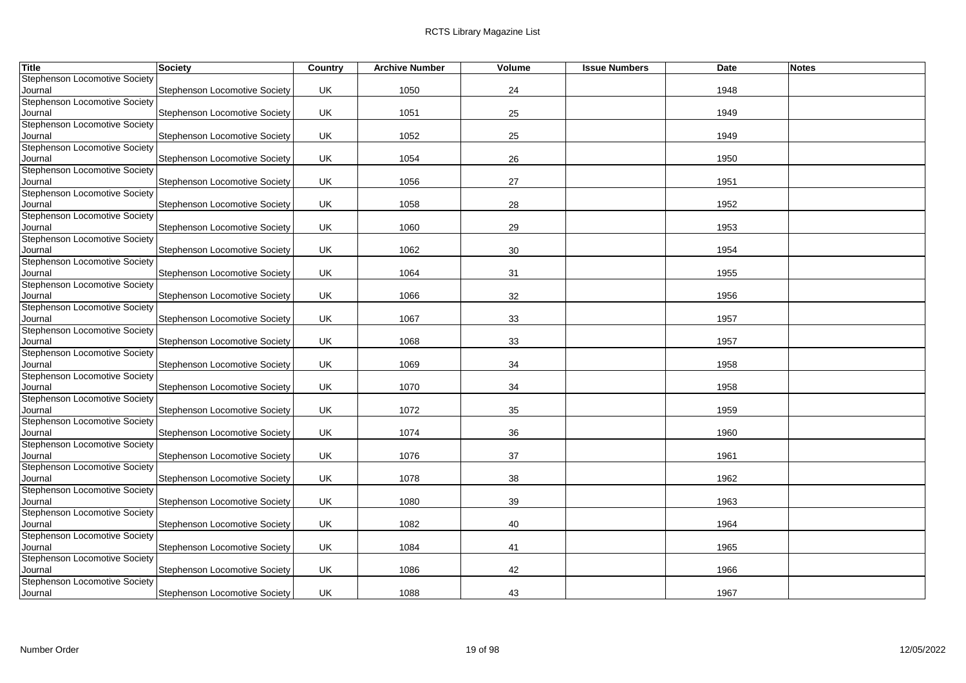| <b>Stephenson Locomotive Society</b><br>Stephenson Locomotive Society<br>UK<br>1050<br>24<br>Journal<br>1948<br>25<br>UK<br>1051<br>1949<br>Journal<br>Stephenson Locomotive Society<br><b>Stephenson Locomotive Society</b><br>25<br><b>Stephenson Locomotive Society</b><br>UK<br>1052<br>1949<br>Journal<br><b>Stephenson Locomotive Society</b><br>Stephenson Locomotive Society<br>UK<br>1054<br>26<br>1950<br>Journal<br>UK<br>Stephenson Locomotive Society<br>1056<br>27<br>1951<br>Journal<br>Stephenson Locomotive Society<br>UK<br>Stephenson Locomotive Society<br>1058<br>28<br>1952<br>Journal<br>Stephenson Locomotive Society<br>UK.<br>1060<br>29<br>1953<br>Journal<br>Stephenson Locomotive Society<br>UK<br>1062<br>30<br><b>Stephenson Locomotive Society</b><br>1954<br>Journal<br>Stephenson Locomotive Society<br>Stephenson Locomotive Society<br>UK<br>Journal<br>1064<br>31<br>1955<br>Stephenson Locomotive Society<br>UK<br>1066<br>32<br>1956<br>Journal<br>Stephenson Locomotive Society<br>UK<br>1067<br>33<br>1957<br>Journal<br>Stephenson Locomotive Society<br>33<br>UK<br>1068<br>1957<br>Journal<br><b>Stephenson Locomotive Society</b><br><b>UK</b><br>1069<br>1958<br>Stephenson Locomotive Society<br>34<br>Journal<br>Stephenson Locomotive Society<br>Stephenson Locomotive Society<br>UK<br>1070<br>1958<br>Journal<br>34<br><b>Stephenson Locomotive Society</b><br>UK.<br>1072<br>35<br>1959<br>Stephenson Locomotive Society<br>Journal<br>1074<br>36<br>Stephenson Locomotive Society<br>UK<br>1960<br>Journal<br><b>Stephenson Locomotive Society</b><br>37<br>UK<br>1076<br>1961<br>Journal<br>Stephenson Locomotive Society<br>Stephenson Locomotive Society<br>UK<br>1078<br>38<br>1962<br>Journal<br>Stephenson Locomotive Society<br>Stephenson Locomotive Society<br>UK<br>1080<br>39<br>1963<br>Journal<br><b>Stephenson Locomotive Society</b><br>Stephenson Locomotive Society<br>UK<br>1082<br>1964<br>Journal<br>40<br>Stephenson Locomotive Society<br>UK<br>1084<br>1965<br>Journal<br>41<br><b>Stephenson Locomotive Society</b><br>42<br>Stephenson Locomotive Society<br>UK<br>1086<br>1966<br>Journal<br>Stephenson Locomotive Society | <b>Title</b> | Society | Country | <b>Archive Number</b> | Volume | <b>Issue Numbers</b> | Date | <b>Notes</b> |
|-----------------------------------------------------------------------------------------------------------------------------------------------------------------------------------------------------------------------------------------------------------------------------------------------------------------------------------------------------------------------------------------------------------------------------------------------------------------------------------------------------------------------------------------------------------------------------------------------------------------------------------------------------------------------------------------------------------------------------------------------------------------------------------------------------------------------------------------------------------------------------------------------------------------------------------------------------------------------------------------------------------------------------------------------------------------------------------------------------------------------------------------------------------------------------------------------------------------------------------------------------------------------------------------------------------------------------------------------------------------------------------------------------------------------------------------------------------------------------------------------------------------------------------------------------------------------------------------------------------------------------------------------------------------------------------------------------------------------------------------------------------------------------------------------------------------------------------------------------------------------------------------------------------------------------------------------------------------------------------------------------------------------------------------------------------------------------------------------------------------------------------------------------------------------------------------------------------|--------------|---------|---------|-----------------------|--------|----------------------|------|--------------|
| <b>Stephenson Locomotive Society</b><br>Stephenson Locomotive Society<br><b>Stephenson Locomotive Society</b><br><b>Stephenson Locomotive Society</b><br><b>Stephenson Locomotive Society</b><br><b>Stephenson Locomotive Society</b><br>Stephenson Locomotive Society<br><b>Stephenson Locomotive Society</b><br><b>Stephenson Locomotive Society</b>                                                                                                                                                                                                                                                                                                                                                                                                                                                                                                                                                                                                                                                                                                                                                                                                                                                                                                                                                                                                                                                                                                                                                                                                                                                                                                                                                                                                                                                                                                                                                                                                                                                                                                                                                                                                                                                    |              |         |         |                       |        |                      |      |              |
|                                                                                                                                                                                                                                                                                                                                                                                                                                                                                                                                                                                                                                                                                                                                                                                                                                                                                                                                                                                                                                                                                                                                                                                                                                                                                                                                                                                                                                                                                                                                                                                                                                                                                                                                                                                                                                                                                                                                                                                                                                                                                                                                                                                                           |              |         |         |                       |        |                      |      |              |
|                                                                                                                                                                                                                                                                                                                                                                                                                                                                                                                                                                                                                                                                                                                                                                                                                                                                                                                                                                                                                                                                                                                                                                                                                                                                                                                                                                                                                                                                                                                                                                                                                                                                                                                                                                                                                                                                                                                                                                                                                                                                                                                                                                                                           |              |         |         |                       |        |                      |      |              |
|                                                                                                                                                                                                                                                                                                                                                                                                                                                                                                                                                                                                                                                                                                                                                                                                                                                                                                                                                                                                                                                                                                                                                                                                                                                                                                                                                                                                                                                                                                                                                                                                                                                                                                                                                                                                                                                                                                                                                                                                                                                                                                                                                                                                           |              |         |         |                       |        |                      |      |              |
|                                                                                                                                                                                                                                                                                                                                                                                                                                                                                                                                                                                                                                                                                                                                                                                                                                                                                                                                                                                                                                                                                                                                                                                                                                                                                                                                                                                                                                                                                                                                                                                                                                                                                                                                                                                                                                                                                                                                                                                                                                                                                                                                                                                                           |              |         |         |                       |        |                      |      |              |
|                                                                                                                                                                                                                                                                                                                                                                                                                                                                                                                                                                                                                                                                                                                                                                                                                                                                                                                                                                                                                                                                                                                                                                                                                                                                                                                                                                                                                                                                                                                                                                                                                                                                                                                                                                                                                                                                                                                                                                                                                                                                                                                                                                                                           |              |         |         |                       |        |                      |      |              |
|                                                                                                                                                                                                                                                                                                                                                                                                                                                                                                                                                                                                                                                                                                                                                                                                                                                                                                                                                                                                                                                                                                                                                                                                                                                                                                                                                                                                                                                                                                                                                                                                                                                                                                                                                                                                                                                                                                                                                                                                                                                                                                                                                                                                           |              |         |         |                       |        |                      |      |              |
|                                                                                                                                                                                                                                                                                                                                                                                                                                                                                                                                                                                                                                                                                                                                                                                                                                                                                                                                                                                                                                                                                                                                                                                                                                                                                                                                                                                                                                                                                                                                                                                                                                                                                                                                                                                                                                                                                                                                                                                                                                                                                                                                                                                                           |              |         |         |                       |        |                      |      |              |
|                                                                                                                                                                                                                                                                                                                                                                                                                                                                                                                                                                                                                                                                                                                                                                                                                                                                                                                                                                                                                                                                                                                                                                                                                                                                                                                                                                                                                                                                                                                                                                                                                                                                                                                                                                                                                                                                                                                                                                                                                                                                                                                                                                                                           |              |         |         |                       |        |                      |      |              |
|                                                                                                                                                                                                                                                                                                                                                                                                                                                                                                                                                                                                                                                                                                                                                                                                                                                                                                                                                                                                                                                                                                                                                                                                                                                                                                                                                                                                                                                                                                                                                                                                                                                                                                                                                                                                                                                                                                                                                                                                                                                                                                                                                                                                           |              |         |         |                       |        |                      |      |              |
|                                                                                                                                                                                                                                                                                                                                                                                                                                                                                                                                                                                                                                                                                                                                                                                                                                                                                                                                                                                                                                                                                                                                                                                                                                                                                                                                                                                                                                                                                                                                                                                                                                                                                                                                                                                                                                                                                                                                                                                                                                                                                                                                                                                                           |              |         |         |                       |        |                      |      |              |
|                                                                                                                                                                                                                                                                                                                                                                                                                                                                                                                                                                                                                                                                                                                                                                                                                                                                                                                                                                                                                                                                                                                                                                                                                                                                                                                                                                                                                                                                                                                                                                                                                                                                                                                                                                                                                                                                                                                                                                                                                                                                                                                                                                                                           |              |         |         |                       |        |                      |      |              |
|                                                                                                                                                                                                                                                                                                                                                                                                                                                                                                                                                                                                                                                                                                                                                                                                                                                                                                                                                                                                                                                                                                                                                                                                                                                                                                                                                                                                                                                                                                                                                                                                                                                                                                                                                                                                                                                                                                                                                                                                                                                                                                                                                                                                           |              |         |         |                       |        |                      |      |              |
|                                                                                                                                                                                                                                                                                                                                                                                                                                                                                                                                                                                                                                                                                                                                                                                                                                                                                                                                                                                                                                                                                                                                                                                                                                                                                                                                                                                                                                                                                                                                                                                                                                                                                                                                                                                                                                                                                                                                                                                                                                                                                                                                                                                                           |              |         |         |                       |        |                      |      |              |
|                                                                                                                                                                                                                                                                                                                                                                                                                                                                                                                                                                                                                                                                                                                                                                                                                                                                                                                                                                                                                                                                                                                                                                                                                                                                                                                                                                                                                                                                                                                                                                                                                                                                                                                                                                                                                                                                                                                                                                                                                                                                                                                                                                                                           |              |         |         |                       |        |                      |      |              |
|                                                                                                                                                                                                                                                                                                                                                                                                                                                                                                                                                                                                                                                                                                                                                                                                                                                                                                                                                                                                                                                                                                                                                                                                                                                                                                                                                                                                                                                                                                                                                                                                                                                                                                                                                                                                                                                                                                                                                                                                                                                                                                                                                                                                           |              |         |         |                       |        |                      |      |              |
|                                                                                                                                                                                                                                                                                                                                                                                                                                                                                                                                                                                                                                                                                                                                                                                                                                                                                                                                                                                                                                                                                                                                                                                                                                                                                                                                                                                                                                                                                                                                                                                                                                                                                                                                                                                                                                                                                                                                                                                                                                                                                                                                                                                                           |              |         |         |                       |        |                      |      |              |
|                                                                                                                                                                                                                                                                                                                                                                                                                                                                                                                                                                                                                                                                                                                                                                                                                                                                                                                                                                                                                                                                                                                                                                                                                                                                                                                                                                                                                                                                                                                                                                                                                                                                                                                                                                                                                                                                                                                                                                                                                                                                                                                                                                                                           |              |         |         |                       |        |                      |      |              |
|                                                                                                                                                                                                                                                                                                                                                                                                                                                                                                                                                                                                                                                                                                                                                                                                                                                                                                                                                                                                                                                                                                                                                                                                                                                                                                                                                                                                                                                                                                                                                                                                                                                                                                                                                                                                                                                                                                                                                                                                                                                                                                                                                                                                           |              |         |         |                       |        |                      |      |              |
|                                                                                                                                                                                                                                                                                                                                                                                                                                                                                                                                                                                                                                                                                                                                                                                                                                                                                                                                                                                                                                                                                                                                                                                                                                                                                                                                                                                                                                                                                                                                                                                                                                                                                                                                                                                                                                                                                                                                                                                                                                                                                                                                                                                                           |              |         |         |                       |        |                      |      |              |
|                                                                                                                                                                                                                                                                                                                                                                                                                                                                                                                                                                                                                                                                                                                                                                                                                                                                                                                                                                                                                                                                                                                                                                                                                                                                                                                                                                                                                                                                                                                                                                                                                                                                                                                                                                                                                                                                                                                                                                                                                                                                                                                                                                                                           |              |         |         |                       |        |                      |      |              |
|                                                                                                                                                                                                                                                                                                                                                                                                                                                                                                                                                                                                                                                                                                                                                                                                                                                                                                                                                                                                                                                                                                                                                                                                                                                                                                                                                                                                                                                                                                                                                                                                                                                                                                                                                                                                                                                                                                                                                                                                                                                                                                                                                                                                           |              |         |         |                       |        |                      |      |              |
|                                                                                                                                                                                                                                                                                                                                                                                                                                                                                                                                                                                                                                                                                                                                                                                                                                                                                                                                                                                                                                                                                                                                                                                                                                                                                                                                                                                                                                                                                                                                                                                                                                                                                                                                                                                                                                                                                                                                                                                                                                                                                                                                                                                                           |              |         |         |                       |        |                      |      |              |
|                                                                                                                                                                                                                                                                                                                                                                                                                                                                                                                                                                                                                                                                                                                                                                                                                                                                                                                                                                                                                                                                                                                                                                                                                                                                                                                                                                                                                                                                                                                                                                                                                                                                                                                                                                                                                                                                                                                                                                                                                                                                                                                                                                                                           |              |         |         |                       |        |                      |      |              |
|                                                                                                                                                                                                                                                                                                                                                                                                                                                                                                                                                                                                                                                                                                                                                                                                                                                                                                                                                                                                                                                                                                                                                                                                                                                                                                                                                                                                                                                                                                                                                                                                                                                                                                                                                                                                                                                                                                                                                                                                                                                                                                                                                                                                           |              |         |         |                       |        |                      |      |              |
|                                                                                                                                                                                                                                                                                                                                                                                                                                                                                                                                                                                                                                                                                                                                                                                                                                                                                                                                                                                                                                                                                                                                                                                                                                                                                                                                                                                                                                                                                                                                                                                                                                                                                                                                                                                                                                                                                                                                                                                                                                                                                                                                                                                                           |              |         |         |                       |        |                      |      |              |
|                                                                                                                                                                                                                                                                                                                                                                                                                                                                                                                                                                                                                                                                                                                                                                                                                                                                                                                                                                                                                                                                                                                                                                                                                                                                                                                                                                                                                                                                                                                                                                                                                                                                                                                                                                                                                                                                                                                                                                                                                                                                                                                                                                                                           |              |         |         |                       |        |                      |      |              |
|                                                                                                                                                                                                                                                                                                                                                                                                                                                                                                                                                                                                                                                                                                                                                                                                                                                                                                                                                                                                                                                                                                                                                                                                                                                                                                                                                                                                                                                                                                                                                                                                                                                                                                                                                                                                                                                                                                                                                                                                                                                                                                                                                                                                           |              |         |         |                       |        |                      |      |              |
|                                                                                                                                                                                                                                                                                                                                                                                                                                                                                                                                                                                                                                                                                                                                                                                                                                                                                                                                                                                                                                                                                                                                                                                                                                                                                                                                                                                                                                                                                                                                                                                                                                                                                                                                                                                                                                                                                                                                                                                                                                                                                                                                                                                                           |              |         |         |                       |        |                      |      |              |
|                                                                                                                                                                                                                                                                                                                                                                                                                                                                                                                                                                                                                                                                                                                                                                                                                                                                                                                                                                                                                                                                                                                                                                                                                                                                                                                                                                                                                                                                                                                                                                                                                                                                                                                                                                                                                                                                                                                                                                                                                                                                                                                                                                                                           |              |         |         |                       |        |                      |      |              |
|                                                                                                                                                                                                                                                                                                                                                                                                                                                                                                                                                                                                                                                                                                                                                                                                                                                                                                                                                                                                                                                                                                                                                                                                                                                                                                                                                                                                                                                                                                                                                                                                                                                                                                                                                                                                                                                                                                                                                                                                                                                                                                                                                                                                           |              |         |         |                       |        |                      |      |              |
|                                                                                                                                                                                                                                                                                                                                                                                                                                                                                                                                                                                                                                                                                                                                                                                                                                                                                                                                                                                                                                                                                                                                                                                                                                                                                                                                                                                                                                                                                                                                                                                                                                                                                                                                                                                                                                                                                                                                                                                                                                                                                                                                                                                                           |              |         |         |                       |        |                      |      |              |
|                                                                                                                                                                                                                                                                                                                                                                                                                                                                                                                                                                                                                                                                                                                                                                                                                                                                                                                                                                                                                                                                                                                                                                                                                                                                                                                                                                                                                                                                                                                                                                                                                                                                                                                                                                                                                                                                                                                                                                                                                                                                                                                                                                                                           |              |         |         |                       |        |                      |      |              |
|                                                                                                                                                                                                                                                                                                                                                                                                                                                                                                                                                                                                                                                                                                                                                                                                                                                                                                                                                                                                                                                                                                                                                                                                                                                                                                                                                                                                                                                                                                                                                                                                                                                                                                                                                                                                                                                                                                                                                                                                                                                                                                                                                                                                           |              |         |         |                       |        |                      |      |              |
|                                                                                                                                                                                                                                                                                                                                                                                                                                                                                                                                                                                                                                                                                                                                                                                                                                                                                                                                                                                                                                                                                                                                                                                                                                                                                                                                                                                                                                                                                                                                                                                                                                                                                                                                                                                                                                                                                                                                                                                                                                                                                                                                                                                                           |              |         |         |                       |        |                      |      |              |
|                                                                                                                                                                                                                                                                                                                                                                                                                                                                                                                                                                                                                                                                                                                                                                                                                                                                                                                                                                                                                                                                                                                                                                                                                                                                                                                                                                                                                                                                                                                                                                                                                                                                                                                                                                                                                                                                                                                                                                                                                                                                                                                                                                                                           |              |         |         |                       |        |                      |      |              |
|                                                                                                                                                                                                                                                                                                                                                                                                                                                                                                                                                                                                                                                                                                                                                                                                                                                                                                                                                                                                                                                                                                                                                                                                                                                                                                                                                                                                                                                                                                                                                                                                                                                                                                                                                                                                                                                                                                                                                                                                                                                                                                                                                                                                           |              |         |         |                       |        |                      |      |              |
|                                                                                                                                                                                                                                                                                                                                                                                                                                                                                                                                                                                                                                                                                                                                                                                                                                                                                                                                                                                                                                                                                                                                                                                                                                                                                                                                                                                                                                                                                                                                                                                                                                                                                                                                                                                                                                                                                                                                                                                                                                                                                                                                                                                                           |              |         |         |                       |        |                      |      |              |
|                                                                                                                                                                                                                                                                                                                                                                                                                                                                                                                                                                                                                                                                                                                                                                                                                                                                                                                                                                                                                                                                                                                                                                                                                                                                                                                                                                                                                                                                                                                                                                                                                                                                                                                                                                                                                                                                                                                                                                                                                                                                                                                                                                                                           |              |         |         |                       |        |                      |      |              |
|                                                                                                                                                                                                                                                                                                                                                                                                                                                                                                                                                                                                                                                                                                                                                                                                                                                                                                                                                                                                                                                                                                                                                                                                                                                                                                                                                                                                                                                                                                                                                                                                                                                                                                                                                                                                                                                                                                                                                                                                                                                                                                                                                                                                           |              |         |         |                       |        |                      |      |              |
|                                                                                                                                                                                                                                                                                                                                                                                                                                                                                                                                                                                                                                                                                                                                                                                                                                                                                                                                                                                                                                                                                                                                                                                                                                                                                                                                                                                                                                                                                                                                                                                                                                                                                                                                                                                                                                                                                                                                                                                                                                                                                                                                                                                                           |              |         |         |                       |        |                      |      |              |
|                                                                                                                                                                                                                                                                                                                                                                                                                                                                                                                                                                                                                                                                                                                                                                                                                                                                                                                                                                                                                                                                                                                                                                                                                                                                                                                                                                                                                                                                                                                                                                                                                                                                                                                                                                                                                                                                                                                                                                                                                                                                                                                                                                                                           |              |         |         |                       |        |                      |      |              |
|                                                                                                                                                                                                                                                                                                                                                                                                                                                                                                                                                                                                                                                                                                                                                                                                                                                                                                                                                                                                                                                                                                                                                                                                                                                                                                                                                                                                                                                                                                                                                                                                                                                                                                                                                                                                                                                                                                                                                                                                                                                                                                                                                                                                           |              |         |         |                       |        |                      |      |              |
| UK<br>43<br><b>Stephenson Locomotive Society</b><br>1088<br>1967<br>Journal                                                                                                                                                                                                                                                                                                                                                                                                                                                                                                                                                                                                                                                                                                                                                                                                                                                                                                                                                                                                                                                                                                                                                                                                                                                                                                                                                                                                                                                                                                                                                                                                                                                                                                                                                                                                                                                                                                                                                                                                                                                                                                                               |              |         |         |                       |        |                      |      |              |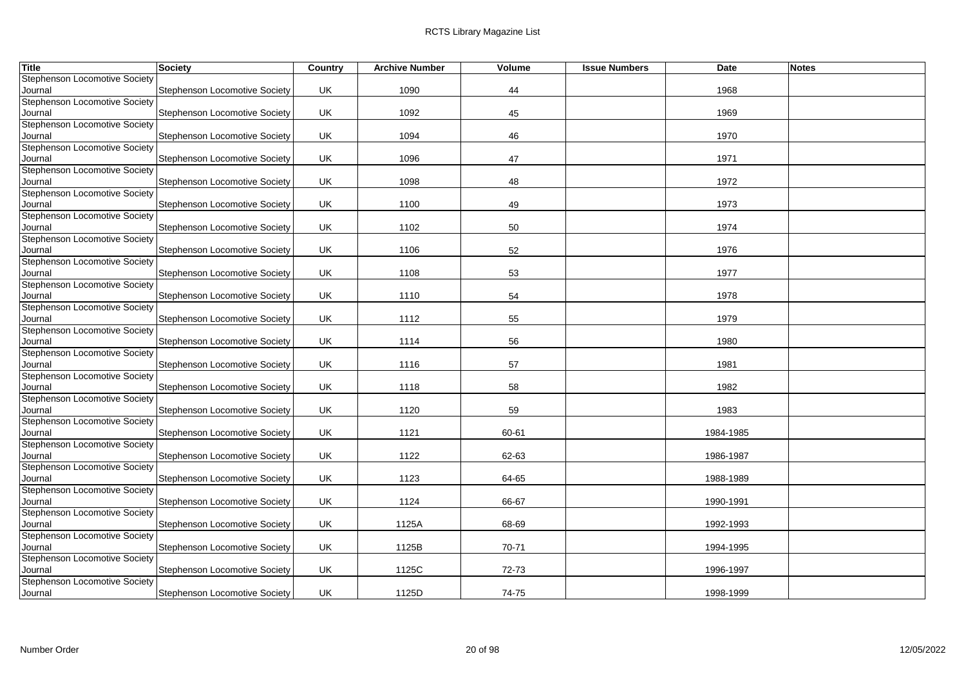| Title                                    | <b>Society</b>                       | Country | <b>Archive Number</b> | Volume | <b>Issue Numbers</b> | Date      | <b>Notes</b> |
|------------------------------------------|--------------------------------------|---------|-----------------------|--------|----------------------|-----------|--------------|
| <b>Stephenson Locomotive Society</b>     |                                      |         |                       |        |                      |           |              |
| Journal                                  | Stephenson Locomotive Society        | UK      | 1090                  | 44     |                      | 1968      |              |
| Stephenson Locomotive Society            |                                      |         |                       |        |                      |           |              |
| Journal                                  | Stephenson Locomotive Society        | UK      | 1092                  | 45     |                      | 1969      |              |
| <b>Stephenson Locomotive Society</b>     |                                      |         |                       |        |                      |           |              |
| Journal                                  | <b>Stephenson Locomotive Society</b> | UK      | 1094                  | 46     |                      | 1970      |              |
| <b>Stephenson Locomotive Society</b>     |                                      |         |                       |        |                      |           |              |
| Journal<br>Stephenson Locomotive Society | Stephenson Locomotive Society        | UK      | 1096                  | 47     |                      | 1971      |              |
| Journal                                  | Stephenson Locomotive Society        | UK      | 1098                  | 48     |                      | 1972      |              |
| <b>Stephenson Locomotive Society</b>     |                                      |         |                       |        |                      |           |              |
| Journal                                  | Stephenson Locomotive Society        | UK      | 1100                  | 49     |                      | 1973      |              |
| <b>Stephenson Locomotive Society</b>     |                                      |         |                       |        |                      |           |              |
| Journal                                  | Stephenson Locomotive Society        | UK      | 1102                  | 50     |                      | 1974      |              |
| <b>Stephenson Locomotive Society</b>     |                                      |         |                       |        |                      |           |              |
| Journal                                  | <b>Stephenson Locomotive Society</b> | UK      | 1106                  | 52     |                      | 1976      |              |
| <b>Stephenson Locomotive Society</b>     |                                      |         |                       |        |                      |           |              |
| Journal                                  | Stephenson Locomotive Society        | UK      | 1108                  | 53     |                      | 1977      |              |
| <b>Stephenson Locomotive Society</b>     |                                      |         |                       |        |                      |           |              |
| Journal                                  | Stephenson Locomotive Society        | UK      | 1110                  | 54     |                      | 1978      |              |
| <b>Stephenson Locomotive Society</b>     |                                      |         |                       |        |                      |           |              |
| Journal                                  | <b>Stephenson Locomotive Society</b> | UK      | 1112                  | 55     |                      | 1979      |              |
| Stephenson Locomotive Society            |                                      |         |                       |        |                      |           |              |
| Journal                                  | Stephenson Locomotive Society        | UK      | 1114                  | 56     |                      | 1980      |              |
| <b>Stephenson Locomotive Society</b>     |                                      |         |                       |        |                      |           |              |
| Journal                                  | Stephenson Locomotive Society        | UK      | 1116                  | 57     |                      | 1981      |              |
| <b>Stephenson Locomotive Society</b>     |                                      |         |                       |        |                      |           |              |
| Journal                                  | Stephenson Locomotive Society        | UK      | 1118                  | 58     |                      | 1982      |              |
| <b>Stephenson Locomotive Society</b>     |                                      |         |                       |        |                      |           |              |
| Journal                                  | Stephenson Locomotive Society        | UK      | 1120                  | 59     |                      | 1983      |              |
| <b>Stephenson Locomotive Society</b>     |                                      |         |                       |        |                      |           |              |
| Journal<br>Stephenson Locomotive Society | Stephenson Locomotive Society        | UK      | 1121                  | 60-61  |                      | 1984-1985 |              |
| Journal                                  | Stephenson Locomotive Society        | UK      | 1122                  | 62-63  |                      | 1986-1987 |              |
| Stephenson Locomotive Society            |                                      |         |                       |        |                      |           |              |
| Journal                                  | <b>Stephenson Locomotive Society</b> | UK      | 1123                  | 64-65  |                      | 1988-1989 |              |
| Stephenson Locomotive Society            |                                      |         |                       |        |                      |           |              |
| Journal                                  | Stephenson Locomotive Society        | UK      | 1124                  | 66-67  |                      | 1990-1991 |              |
| <b>Stephenson Locomotive Society</b>     |                                      |         |                       |        |                      |           |              |
| Journal                                  | Stephenson Locomotive Society        | UK      | 1125A                 | 68-69  |                      | 1992-1993 |              |
| <b>Stephenson Locomotive Society</b>     |                                      |         |                       |        |                      |           |              |
| Journal                                  | Stephenson Locomotive Society        | UK      | 1125B                 | 70-71  |                      | 1994-1995 |              |
| Stephenson Locomotive Society            |                                      |         |                       |        |                      |           |              |
| Journal                                  | <b>Stephenson Locomotive Society</b> | UK      | 1125C                 | 72-73  |                      | 1996-1997 |              |
| Stephenson Locomotive Society            |                                      |         |                       |        |                      |           |              |
| Journal                                  | <b>Stephenson Locomotive Society</b> | UK      | 1125D                 | 74-75  |                      | 1998-1999 |              |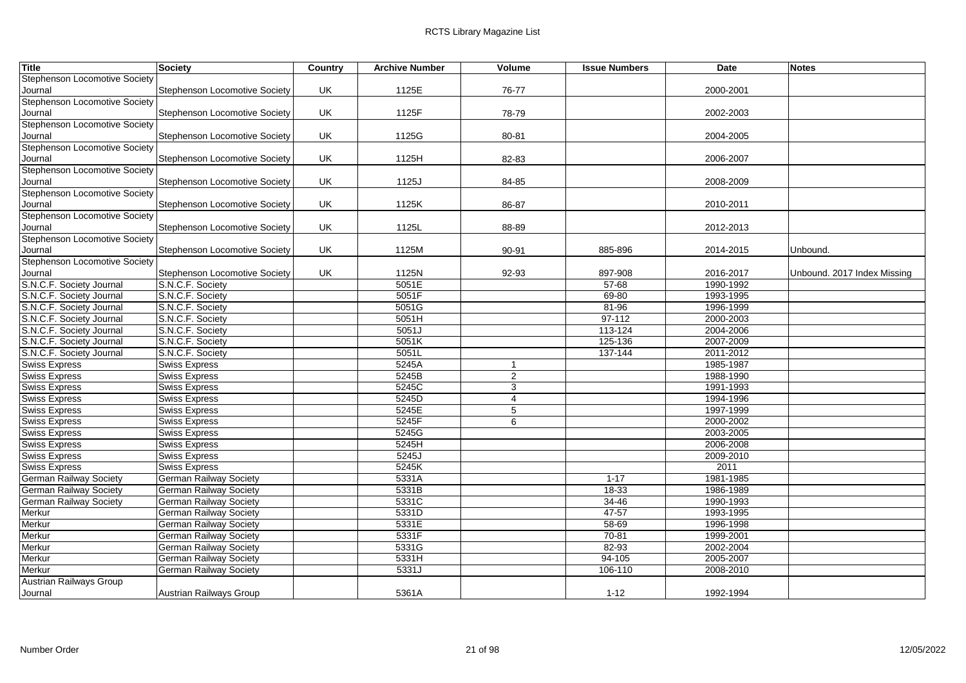| Title                                                | <b>Society</b>                       | Country | <b>Archive Number</b> | Volume         | <b>Issue Numbers</b> | Date                   | <b>Notes</b>                |
|------------------------------------------------------|--------------------------------------|---------|-----------------------|----------------|----------------------|------------------------|-----------------------------|
| Stephenson Locomotive Society                        |                                      |         |                       |                |                      |                        |                             |
| Journal                                              | Stephenson Locomotive Society        | UK      | 1125E                 | 76-77          |                      | 2000-2001              |                             |
| <b>Stephenson Locomotive Society</b>                 |                                      |         |                       |                |                      |                        |                             |
| Journal                                              | Stephenson Locomotive Society        | UK      | 1125F                 | 78-79          |                      | 2002-2003              |                             |
| <b>Stephenson Locomotive Society</b>                 |                                      |         |                       |                |                      |                        |                             |
| Journal                                              | Stephenson Locomotive Society        | UK      | 1125G                 | 80-81          |                      | 2004-2005              |                             |
| <b>Stephenson Locomotive Society</b>                 |                                      |         |                       |                |                      |                        |                             |
| Journal                                              | Stephenson Locomotive Society        | UK      | 1125H                 | 82-83          |                      | 2006-2007              |                             |
| Stephenson Locomotive Society                        |                                      |         |                       |                |                      |                        |                             |
| Journal                                              | <b>Stephenson Locomotive Society</b> | UK.     | 1125J                 | 84-85          |                      | 2008-2009              |                             |
| <b>Stephenson Locomotive Society</b>                 |                                      |         |                       |                |                      |                        |                             |
| Journal                                              | Stephenson Locomotive Society        | UK      | 1125K                 | 86-87          |                      | 2010-2011              |                             |
| Stephenson Locomotive Society                        |                                      |         |                       |                |                      |                        |                             |
| Journal<br><b>Stephenson Locomotive Society</b>      | Stephenson Locomotive Society        | UK      | 1125L                 | 88-89          |                      | 2012-2013              |                             |
|                                                      |                                      |         |                       |                |                      |                        |                             |
| Journal<br><b>Stephenson Locomotive Society</b>      | Stephenson Locomotive Society        | UK      | 1125M                 | 90-91          | 885-896              | 2014-2015              | Unbound.                    |
|                                                      |                                      |         |                       |                |                      |                        |                             |
| Journal                                              | <b>Stephenson Locomotive Society</b> | UK      | 1125N<br>5051E        | 92-93          | 897-908<br>$57 - 68$ | 2016-2017<br>1990-1992 | Unbound. 2017 Index Missing |
| S.N.C.F. Society Journal<br>S.N.C.F. Society Journal | S.N.C.F. Society<br>S.N.C.F. Society |         | 5051F                 |                | 69-80                | 1993-1995              |                             |
| S.N.C.F. Society Journal                             | S.N.C.F. Society                     |         | 5051G                 |                | 81-96                | 1996-1999              |                             |
| S.N.C.F. Society Journal                             | S.N.C.F. Society                     |         | 5051H                 |                | $97 - 112$           | 2000-2003              |                             |
| S.N.C.F. Society Journal                             | S.N.C.F. Society                     |         | 5051J                 |                | 113-124              | 2004-2006              |                             |
| S.N.C.F. Society Journal                             | S.N.C.F. Society                     |         | 5051K                 |                | 125-136              | 2007-2009              |                             |
| S.N.C.F. Society Journal                             | S.N.C.F. Society                     |         | 5051L                 |                | 137-144              | 2011-2012              |                             |
| <b>Swiss Express</b>                                 | <b>Swiss Express</b>                 |         | 5245A                 | $\mathbf{1}$   |                      | 1985-1987              |                             |
| <b>Swiss Express</b>                                 | <b>Swiss Express</b>                 |         | 5245B                 | 2              |                      | 1988-1990              |                             |
| <b>Swiss Express</b>                                 | <b>Swiss Express</b>                 |         | 5245C                 | 3              |                      | 1991-1993              |                             |
| <b>Swiss Express</b>                                 | <b>Swiss Express</b>                 |         | 5245D                 | $\overline{4}$ |                      | 1994-1996              |                             |
| <b>Swiss Express</b>                                 | <b>Swiss Express</b>                 |         | 5245E                 | 5              |                      | 1997-1999              |                             |
| <b>Swiss Express</b>                                 | <b>Swiss Express</b>                 |         | 5245F                 | 6              |                      | 2000-2002              |                             |
| <b>Swiss Express</b>                                 | <b>Swiss Express</b>                 |         | 5245G                 |                |                      | 2003-2005              |                             |
| <b>Swiss Express</b>                                 | <b>Swiss Express</b>                 |         | 5245H                 |                |                      | 2006-2008              |                             |
| <b>Swiss Express</b>                                 | <b>Swiss Express</b>                 |         | 5245J                 |                |                      | 2009-2010              |                             |
| <b>Swiss Express</b>                                 | <b>Swiss Express</b>                 |         | 5245K                 |                |                      | 2011                   |                             |
| <b>German Railway Society</b>                        | <b>German Railway Society</b>        |         | 5331A                 |                | $1 - 17$             | 1981-1985              |                             |
| <b>German Railway Society</b>                        | German Railway Society               |         | 5331B                 |                | $18-33$              | 1986-1989              |                             |
| German Railway Society                               | German Railway Society               |         | 5331C                 |                | 34-46                | 1990-1993              |                             |
| Merkur                                               | German Railway Society               |         | 5331D                 |                | $47 - 57$            | 1993-1995              |                             |
| Merkur                                               | <b>German Railway Society</b>        |         | 5331E                 |                | $58 - 69$            | 1996-1998              |                             |
| Merkur                                               | German Railway Society               |         | 5331F                 |                | $70 - 81$            | 1999-2001              |                             |
| Merkur                                               | <b>German Railway Society</b>        |         | 5331G                 |                | 82-93                | 2002-2004              |                             |
| Merkur                                               | German Railway Society               |         | 5331H                 |                | 94-105               | 2005-2007              |                             |
| Merkur                                               | German Railway Society               |         | 5331J                 |                | 106-110              | 2008-2010              |                             |
| <b>Austrian Railways Group</b>                       |                                      |         |                       |                |                      |                        |                             |
| Journal                                              | Austrian Railways Group              |         | 5361A                 |                | $1 - 12$             | 1992-1994              |                             |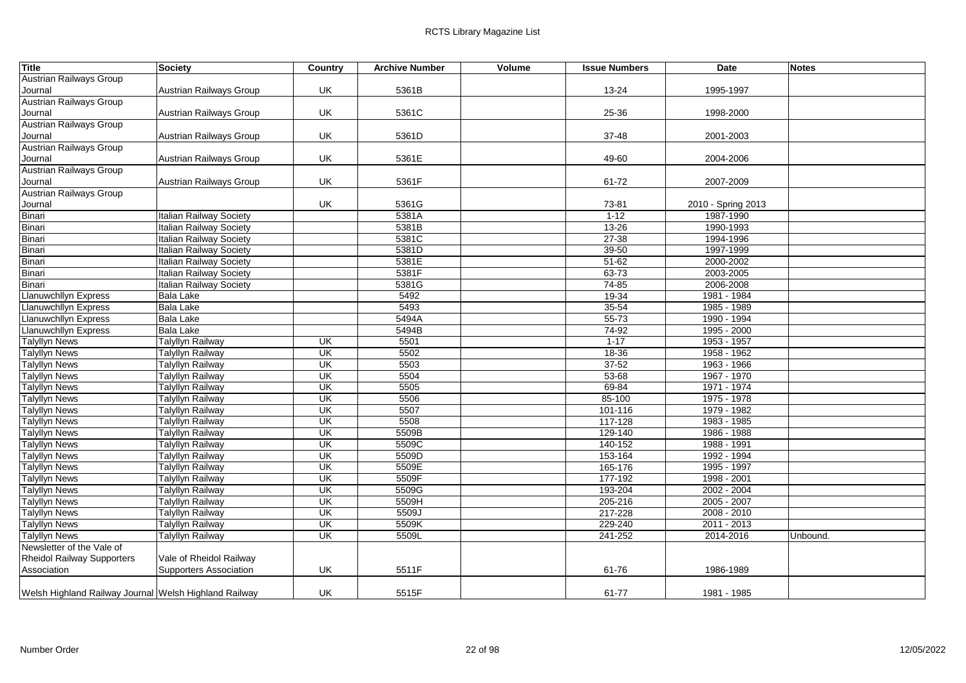| <b>Title</b>                                          | Society                        | Country                  | <b>Archive Number</b> | Volume | <b>Issue Numbers</b> | Date               | <b>Notes</b> |
|-------------------------------------------------------|--------------------------------|--------------------------|-----------------------|--------|----------------------|--------------------|--------------|
| Austrian Railways Group                               |                                |                          |                       |        |                      |                    |              |
| Journal                                               | Austrian Railways Group        | UK                       | 5361B                 |        | 13-24                | 1995-1997          |              |
| Austrian Railways Group                               |                                |                          |                       |        |                      |                    |              |
| Journal                                               | Austrian Railways Group        | UK                       | 5361C                 |        | 25-36                | 1998-2000          |              |
| <b>Austrian Railways Group</b>                        |                                |                          |                       |        |                      |                    |              |
| Journal                                               | Austrian Railways Group        | UK                       | 5361D                 |        | 37-48                | 2001-2003          |              |
| <b>Austrian Railways Group</b>                        |                                |                          |                       |        |                      |                    |              |
| Journal                                               | Austrian Railways Group        | UK                       | 5361E                 |        | 49-60                | 2004-2006          |              |
| <b>Austrian Railways Group</b>                        |                                |                          |                       |        |                      |                    |              |
| Journal                                               | Austrian Railways Group        | UK                       | 5361F                 |        | 61-72                | 2007-2009          |              |
| <b>Austrian Railways Group</b>                        |                                |                          |                       |        |                      |                    |              |
| Journal                                               |                                | UK                       | 5361G                 |        | 73-81                | 2010 - Spring 2013 |              |
| Binari                                                | <b>Italian Railway Society</b> |                          | 5381A                 |        | $1 - 12$             | 1987-1990          |              |
| Binari                                                | <b>Italian Railway Society</b> |                          | 5381B                 |        | $13 - 26$            | 1990-1993          |              |
| Binari                                                | <b>Italian Railway Society</b> |                          | 5381C                 |        | $27 - 38$            | 1994-1996          |              |
| Binari                                                | <b>Italian Railway Society</b> |                          | 5381D                 |        | 39-50                | 1997-1999          |              |
| Binari                                                | <b>Italian Railway Society</b> |                          | 5381E                 |        | $51 - 62$            | 2000-2002          |              |
| Binari                                                | <b>Italian Railway Society</b> |                          | 5381F                 |        | $63 - 73$            | 2003-2005          |              |
| Binari                                                | <b>Italian Railway Society</b> |                          | 5381G                 |        | $74 - 85$            | 2006-2008          |              |
| Llanuwchllyn Express                                  | <b>Bala Lake</b>               |                          | 5492                  |        | 19-34                | 1981 - 1984        |              |
| Llanuwchllyn Express                                  | <b>Bala Lake</b>               |                          | 5493                  |        | $35 - 54$            | 1985 - 1989        |              |
| <b>Llanuwchllyn Express</b>                           | <b>Bala Lake</b>               |                          | 5494A                 |        | $55 - 73$            | 1990 - 1994        |              |
| Llanuwchllyn Express                                  | <b>Bala Lake</b>               |                          | 5494B                 |        | 74-92                | 1995 - 2000        |              |
| <b>Talyllyn News</b>                                  | <b>Talyllyn Railway</b>        | $\overline{\mathsf{CK}}$ | 5501                  |        | $1 - 17$             | 1953 - 1957        |              |
| <b>Talyllyn News</b>                                  | <b>Talyllyn Railway</b>        | UK                       | 5502                  |        | 18-36                | 1958 - 1962        |              |
| <b>Talyllyn News</b>                                  | <b>Talyllyn Railway</b>        | $\overline{\mathsf{U}}$  | 5503                  |        | $37 - 52$            | 1963 - 1966        |              |
| <b>Talyllyn News</b>                                  | <b>Talyllyn Railway</b>        | UK                       | 5504                  |        | 53-68                | 1967 - 1970        |              |
| <b>Talyllyn News</b>                                  | <b>Talyllyn Railway</b>        | UK                       | 5505                  |        | 69-84                | 1971 - 1974        |              |
| <b>Talyllyn News</b>                                  | Talyllyn Railway               | UK                       | 5506                  |        | 85-100               | 1975 - 1978        |              |
| <b>Talyllyn News</b>                                  | <b>Talyllyn Railway</b>        | UK                       | 5507                  |        | 101-116              | 1979 - 1982        |              |
| <b>Talyllyn News</b>                                  | <b>Talyllyn Railway</b>        | UK                       | 5508                  |        | 117-128              | 1983 - 1985        |              |
| <b>Talyllyn News</b>                                  | <b>Talyllyn Railway</b>        | UK                       | 5509B                 |        | 129-140              | 1986 - 1988        |              |
| <b>Talyllyn News</b>                                  | <b>Talyllyn Railway</b>        | UK                       | 5509C                 |        | 140-152              | 1988 - 1991        |              |
| <b>Talyllyn News</b>                                  | <b>Talyllyn Railway</b>        | $\overline{\mathsf{U}}$  | 5509D                 |        | 153-164              | 1992 - 1994        |              |
| <b>Talyllyn News</b>                                  | <b>Talyllyn Railway</b>        | UK                       | 5509E                 |        | 165-176              | 1995 - 1997        |              |
| <b>Talyllyn News</b>                                  | <b>Talyllyn Railway</b>        | UK                       | 5509F                 |        | 177-192              | 1998 - 2001        |              |
| <b>Talyllyn News</b>                                  | <b>Talyllyn Railway</b>        | UK                       | 5509G                 |        | 193-204              | $2002 - 2004$      |              |
| <b>Talyllyn News</b>                                  | <b>Talyllyn Railway</b>        | $\overline{\mathsf{U}}$  | 5509H                 |        | 205-216              | 2005 - 2007        |              |
| <b>Talyllyn News</b>                                  | <b>Talyllyn Railway</b>        | UK                       | 5509J                 |        | 217-228              | 2008 - 2010        |              |
| <b>Talyllyn News</b>                                  | <b>Talyllyn Railway</b>        | UK                       | 5509K                 |        | 229-240              | $2011 - 2013$      |              |
| <b>Talyllyn News</b>                                  | <b>Talyllyn Railway</b>        | UK                       | 5509L                 |        | 241-252              | 2014-2016          | Unbound.     |
| Newsletter of the Vale of                             |                                |                          |                       |        |                      |                    |              |
| <b>Rheidol Railway Supporters</b>                     | Vale of Rheidol Railway        |                          |                       |        |                      |                    |              |
| Association                                           | <b>Supporters Association</b>  | UK                       | 5511F                 |        | 61-76                | 1986-1989          |              |
|                                                       |                                |                          |                       |        |                      |                    |              |
| Welsh Highland Railway Journal Welsh Highland Railway |                                | UK                       | 5515F                 |        | 61-77                | 1981 - 1985        |              |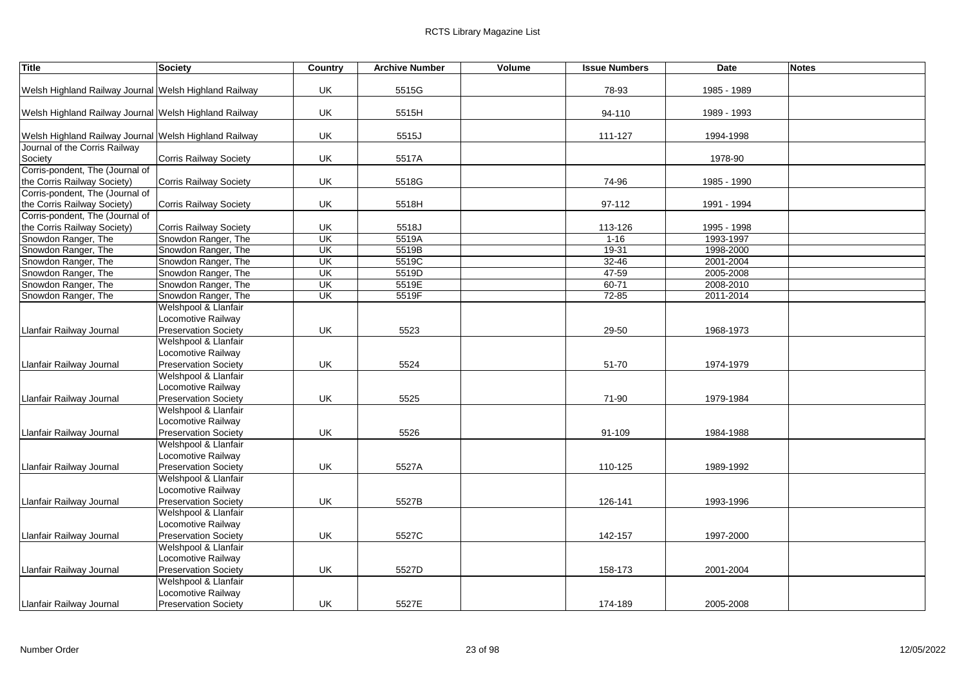| <b>Title</b>                                          | Society                       | Country                 | <b>Archive Number</b> | Volume | <b>Issue Numbers</b> | <b>Date</b> | <b>Notes</b> |
|-------------------------------------------------------|-------------------------------|-------------------------|-----------------------|--------|----------------------|-------------|--------------|
|                                                       |                               |                         |                       |        |                      |             |              |
| Welsh Highland Railway Journal Welsh Highland Railway |                               | UK                      | 5515G                 |        | 78-93                | 1985 - 1989 |              |
|                                                       |                               |                         |                       |        |                      |             |              |
| Welsh Highland Railway Journal Welsh Highland Railway |                               | UK                      | 5515H                 |        | 94-110               | 1989 - 1993 |              |
|                                                       |                               |                         |                       |        |                      |             |              |
| Welsh Highland Railway Journal Welsh Highland Railway |                               | UK                      | 5515J                 |        | 111-127              | 1994-1998   |              |
| Journal of the Corris Railway                         |                               |                         |                       |        |                      |             |              |
| Society                                               | <b>Corris Railway Society</b> | UK                      | 5517A                 |        |                      | 1978-90     |              |
| Corris-pondent, The (Journal of                       |                               |                         |                       |        |                      |             |              |
| the Corris Railway Society)                           | <b>Corris Railway Society</b> | UK                      | 5518G                 |        | 74-96                | 1985 - 1990 |              |
| Corris-pondent, The (Journal of                       |                               |                         |                       |        |                      |             |              |
| the Corris Railway Society)                           | Corris Railway Society        | UK                      | 5518H                 |        | 97-112               | 1991 - 1994 |              |
| Corris-pondent, The (Journal of                       |                               |                         |                       |        |                      |             |              |
| the Corris Railway Society)                           | <b>Corris Railway Society</b> | UK                      | 5518J                 |        | 113-126              | 1995 - 1998 |              |
| Snowdon Ranger, The                                   | Snowdon Ranger, The           | UK                      | 5519A                 |        | $1 - 16$             | 1993-1997   |              |
| Snowdon Ranger, The                                   | Snowdon Ranger, The           | UK                      | 5519B                 |        | 19-31                | 1998-2000   |              |
| Snowdon Ranger, The                                   | Snowdon Ranger, The           | $\overline{\mathsf{U}}$ | 5519C                 |        | $32 - 46$            | 2001-2004   |              |
| Snowdon Ranger, The                                   | Snowdon Ranger, The           | UK                      | 5519D                 |        | 47-59                | 2005-2008   |              |
| Snowdon Ranger, The                                   | Snowdon Ranger, The           | UK                      | 5519E                 |        | $60 - 71$            | 2008-2010   |              |
| Snowdon Ranger, The                                   | Snowdon Ranger, The           | UK                      | 5519F                 |        | $72 - 85$            | 2011-2014   |              |
|                                                       | Welshpool & Llanfair          |                         |                       |        |                      |             |              |
|                                                       | Locomotive Railway            |                         |                       |        |                      |             |              |
| Llanfair Railway Journal                              | <b>Preservation Society</b>   | UK                      | 5523                  |        | 29-50                | 1968-1973   |              |
|                                                       | Welshpool & Llanfair          |                         |                       |        |                      |             |              |
|                                                       | Locomotive Railway            |                         |                       |        |                      |             |              |
| Llanfair Railway Journal                              | <b>Preservation Society</b>   | UK                      | 5524                  |        | 51-70                | 1974-1979   |              |
|                                                       | Welshpool & Llanfair          |                         |                       |        |                      |             |              |
|                                                       | Locomotive Railway            |                         |                       |        |                      |             |              |
| Llanfair Railway Journal                              | <b>Preservation Society</b>   | UK                      | 5525                  |        | 71-90                | 1979-1984   |              |
|                                                       | Welshpool & Llanfair          |                         |                       |        |                      |             |              |
|                                                       | Locomotive Railway            |                         |                       |        |                      |             |              |
| Llanfair Railway Journal                              | <b>Preservation Society</b>   | UK                      | 5526                  |        | 91-109               | 1984-1988   |              |
|                                                       | Welshpool & Llanfair          |                         |                       |        |                      |             |              |
|                                                       | Locomotive Railway            |                         |                       |        |                      |             |              |
| Llanfair Railway Journal                              | <b>Preservation Society</b>   | UK                      | 5527A                 |        | 110-125              | 1989-1992   |              |
|                                                       | Welshpool & Llanfair          |                         |                       |        |                      |             |              |
|                                                       | Locomotive Railway            |                         |                       |        |                      |             |              |
| Llanfair Railway Journal                              | <b>Preservation Society</b>   | UK                      | 5527B                 |        | 126-141              | 1993-1996   |              |
|                                                       | Welshpool & Llanfair          |                         |                       |        |                      |             |              |
|                                                       | Locomotive Railway            |                         |                       |        |                      |             |              |
| Llanfair Railway Journal                              | <b>Preservation Society</b>   | UK                      | 5527C                 |        | 142-157              | 1997-2000   |              |
|                                                       | Welshpool & Llanfair          |                         |                       |        |                      |             |              |
|                                                       | Locomotive Railway            |                         |                       |        |                      |             |              |
| Llanfair Railway Journal                              |                               | UK                      |                       |        |                      |             |              |
|                                                       | <b>Preservation Society</b>   |                         | 5527D                 |        | 158-173              | 2001-2004   |              |
|                                                       | Welshpool & Llanfair          |                         |                       |        |                      |             |              |
|                                                       | Locomotive Railway            |                         |                       |        |                      |             |              |
| Llanfair Railway Journal                              | <b>Preservation Society</b>   | UK                      | 5527E                 |        | 174-189              | 2005-2008   |              |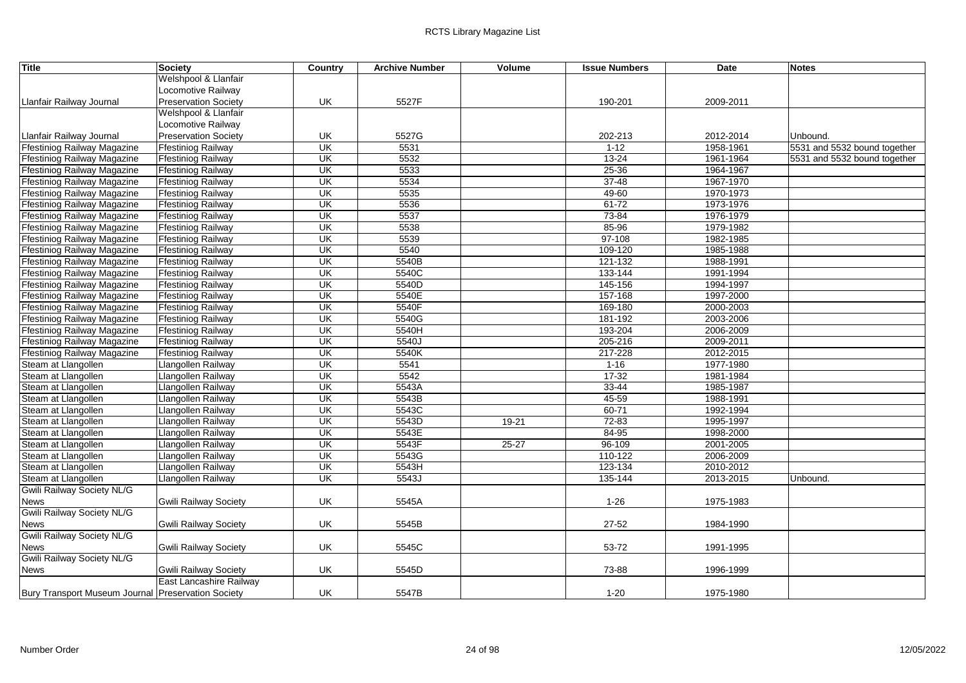| <b>Title</b>                                       | Society                      | <b>Country</b>          | <b>Archive Number</b> | Volume    | <b>Issue Numbers</b> | Date      | <b>Notes</b>                 |
|----------------------------------------------------|------------------------------|-------------------------|-----------------------|-----------|----------------------|-----------|------------------------------|
|                                                    | Welshpool & Llanfair         |                         |                       |           |                      |           |                              |
|                                                    | Locomotive Railway           |                         |                       |           |                      |           |                              |
| Llanfair Railway Journal                           | <b>Preservation Society</b>  | UK                      | 5527F                 |           | 190-201              | 2009-2011 |                              |
|                                                    | Welshpool & Llanfair         |                         |                       |           |                      |           |                              |
|                                                    | Locomotive Railway           |                         |                       |           |                      |           |                              |
| Llanfair Railway Journal                           | <b>Preservation Society</b>  | UK                      | 5527G                 |           | 202-213              | 2012-2014 | Unbound.                     |
| <b>Ffestiniog Railway Magazine</b>                 | <b>Ffestiniog Railway</b>    | UK                      | 5531                  |           | $1 - 12$             | 1958-1961 | 5531 and 5532 bound together |
| <b>Ffestiniog Railway Magazine</b>                 | <b>Ffestiniog Railway</b>    | $\overline{\mathsf{U}}$ | 5532                  |           | $13 - 24$            | 1961-1964 | 5531 and 5532 bound together |
| <b>Ffestiniog Railway Magazine</b>                 | <b>Ffestiniog Railway</b>    | UK                      | 5533                  |           | $25 - 36$            | 1964-1967 |                              |
| <b>Ffestiniog Railway Magazine</b>                 | <b>Ffestiniog Railway</b>    | $\overline{\mathsf{U}}$ | 5534                  |           | $37 - 48$            | 1967-1970 |                              |
| <b>Ffestiniog Railway Magazine</b>                 | <b>Ffestiniog Railway</b>    | UK                      | 5535                  |           | 49-60                | 1970-1973 |                              |
| Ffestiniog Railway Magazine                        | <b>Ffestiniog Railway</b>    | $\overline{\mathsf{U}}$ | 5536                  |           | $61 - 72$            | 1973-1976 |                              |
| <b>Ffestiniog Railway Magazine</b>                 | <b>Ffestiniog Railway</b>    | UK                      | 5537                  |           | 73-84                | 1976-1979 |                              |
| <b>Ffestiniog Railway Magazine</b>                 | <b>Ffestiniog Railway</b>    | UK                      | 5538                  |           | 85-96                | 1979-1982 |                              |
| <b>Ffestiniog Railway Magazine</b>                 | <b>Ffestiniog Railway</b>    | $\overline{\mathsf{U}}$ | 5539                  |           | 97-108               | 1982-1985 |                              |
| <b>Ffestiniog Railway Magazine</b>                 | <b>Ffestiniog Railway</b>    | UK                      | 5540                  |           | 109-120              | 1985-1988 |                              |
| <b>Ffestiniog Railway Magazine</b>                 | <b>Ffestiniog Railway</b>    | $\overline{\mathsf{U}}$ | 5540B                 |           | 121-132              | 1988-1991 |                              |
| <b>Ffestiniog Railway Magazine</b>                 | <b>Ffestiniog Railway</b>    | UK                      | 5540C                 |           | 133-144              | 1991-1994 |                              |
| <b>Ffestiniog Railway Magazine</b>                 | <b>Ffestiniog Railway</b>    | UK                      | 5540D                 |           | 145-156              | 1994-1997 |                              |
| <b>Ffestiniog Railway Magazine</b>                 | <b>Ffestiniog Railway</b>    | UK                      | 5540E                 |           | 157-168              | 1997-2000 |                              |
| <b>Ffestiniog Railway Magazine</b>                 | <b>Ffestiniog Railway</b>    | UK                      | 5540F                 |           | 169-180              | 2000-2003 |                              |
| <b>Ffestiniog Railway Magazine</b>                 | <b>Ffestiniog Railway</b>    | $\overline{\mathsf{U}}$ | 5540G                 |           | 181-192              | 2003-2006 |                              |
| <b>Ffestiniog Railway Magazine</b>                 | <b>Ffestiniog Railway</b>    | UK                      | 5540H                 |           | 193-204              | 2006-2009 |                              |
| Ffestiniog Railway Magazine                        | <b>Ffestiniog Railway</b>    | UK                      | 5540J                 |           | 205-216              | 2009-2011 |                              |
| <b>Ffestiniog Railway Magazine</b>                 | <b>Ffestiniog Railway</b>    | UK                      | 5540K                 |           | 217-228              | 2012-2015 |                              |
| Steam at Llangollen                                | Llangollen Railway           | UK                      | 5541                  |           | $1 - 16$             | 1977-1980 |                              |
| Steam at Llangollen                                | Llangollen Railway           | UK                      | 5542                  |           | $17 - 32$            | 1981-1984 |                              |
| Steam at Llangollen                                | Llangollen Railway           | UK                      | 5543A                 |           | $33 - 44$            | 1985-1987 |                              |
| Steam at Llangollen                                | Llangollen Railway           | UK                      | 5543B                 |           | $45 - 59$            | 1988-1991 |                              |
| Steam at Llangollen                                | Llangollen Railway           | UK                      | 5543C                 |           | $60 - 71$            | 1992-1994 |                              |
| Steam at Llangollen                                | Llangollen Railway           | UK                      | 5543D                 | $19-21$   | $72 - 83$            | 1995-1997 |                              |
| Steam at Llangollen                                | Llangollen Railway           | $\overline{\mathsf{U}}$ | 5543E                 |           | 84-95                | 1998-2000 |                              |
| Steam at Llangollen                                | Llangollen Railway           | UK                      | 5543F                 | $25 - 27$ | 96-109               | 2001-2005 |                              |
| Steam at Llangollen                                | Llangollen Railway           | UK                      | 5543G                 |           | 110-122              | 2006-2009 |                              |
| Steam at Llangollen                                | Llangollen Railway           | UK                      | 5543H                 |           | 123-134              | 2010-2012 |                              |
| Steam at Llangollen                                | Llangollen Railway           | $\overline{\mathsf{U}}$ | 5543J                 |           | 135-144              | 2013-2015 | Unbound.                     |
| Gwili Railway Society NL/G                         |                              |                         |                       |           |                      |           |                              |
| News                                               | <b>Gwili Railway Society</b> | UK                      | 5545A                 |           | $1 - 26$             | 1975-1983 |                              |
| <b>Gwili Railway Society NL/G</b>                  |                              |                         |                       |           |                      |           |                              |
| <b>News</b>                                        | <b>Gwili Railway Society</b> | UK                      | 5545B                 |           | $27 - 52$            | 1984-1990 |                              |
| <b>Gwili Railway Society NL/G</b>                  |                              |                         |                       |           |                      |           |                              |
| <b>News</b>                                        | <b>Gwili Railway Society</b> | UK                      | 5545C                 |           | 53-72                | 1991-1995 |                              |
| <b>Gwili Railway Society NL/G</b>                  |                              |                         |                       |           |                      |           |                              |
| News                                               | <b>Gwili Railway Society</b> | UK                      | 5545D                 |           | 73-88                | 1996-1999 |                              |
|                                                    | East Lancashire Railway      |                         |                       |           |                      |           |                              |
| Bury Transport Museum Journal Preservation Society |                              | UK                      | 5547B                 |           | $1 - 20$             | 1975-1980 |                              |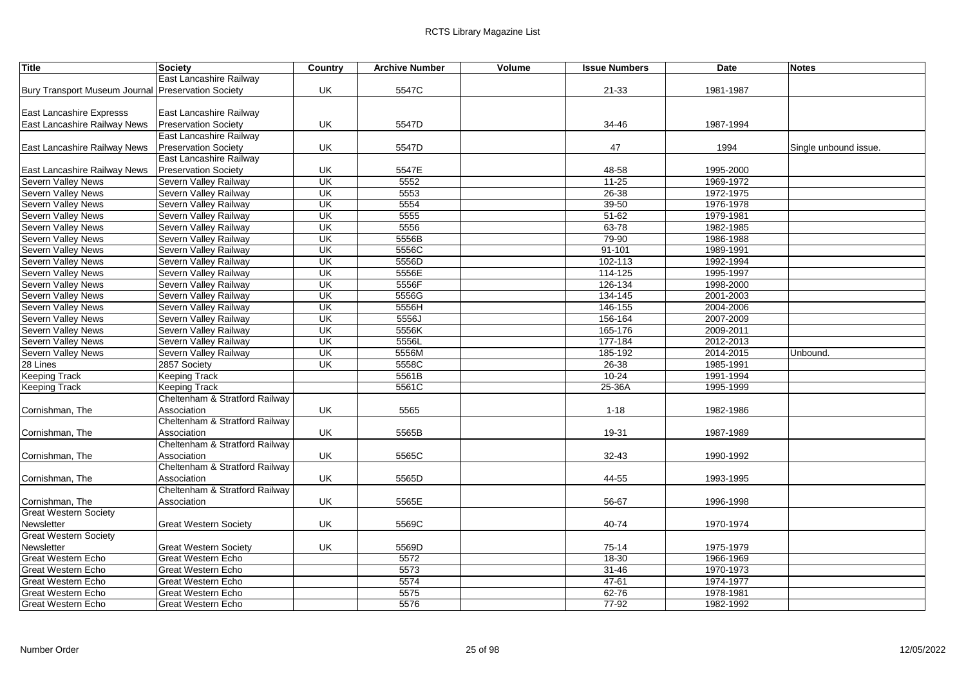| <b>Title</b>                                       | <b>Society</b>                 | Country                  | <b>Archive Number</b> | Volume | <b>Issue Numbers</b> | <b>Date</b> | <b>Notes</b>          |
|----------------------------------------------------|--------------------------------|--------------------------|-----------------------|--------|----------------------|-------------|-----------------------|
|                                                    | East Lancashire Railway        |                          |                       |        |                      |             |                       |
| Bury Transport Museum Journal Preservation Society |                                | UK                       | 5547C                 |        | $21 - 33$            | 1981-1987   |                       |
|                                                    |                                |                          |                       |        |                      |             |                       |
| <b>East Lancashire Expresss</b>                    | East Lancashire Railway        |                          |                       |        |                      |             |                       |
| East Lancashire Railway News                       | <b>Preservation Society</b>    | UK                       | 5547D                 |        | 34-46                | 1987-1994   |                       |
|                                                    | East Lancashire Railway        |                          |                       |        |                      |             |                       |
| East Lancashire Railway News                       | <b>Preservation Society</b>    | UK                       | 5547D                 |        | 47                   | 1994        | Single unbound issue. |
|                                                    | East Lancashire Railway        |                          |                       |        |                      |             |                       |
| East Lancashire Railway News                       | <b>Preservation Society</b>    | UK                       | 5547E                 |        | 48-58                | 1995-2000   |                       |
| <b>Severn Valley News</b>                          | Severn Valley Railway          | UK                       | 5552                  |        | $11 - 25$            | 1969-1972   |                       |
| Severn Valley News                                 | Severn Valley Railway          | UK                       | 5553                  |        | 26-38                | 1972-1975   |                       |
| Severn Valley News                                 | Severn Valley Railway          | $\overline{\mathsf{U}}$  | 5554                  |        | $39 - 50$            | 1976-1978   |                       |
| Severn Valley News                                 | Severn Valley Railway          | UK                       | 5555                  |        | $51 - 62$            | 1979-1981   |                       |
| Severn Valley News                                 | Severn Valley Railway          | UK                       | 5556                  |        | $63 - 78$            | 1982-1985   |                       |
| Severn Valley News                                 | Severn Valley Railway          | $\overline{\mathsf{CK}}$ | 5556B                 |        | 79-90                | 1986-1988   |                       |
| Severn Valley News                                 | Severn Valley Railway          | <b>UK</b>                | 5556C                 |        | $91 - 101$           | 1989-1991   |                       |
| Severn Valley News                                 | Severn Valley Railway          | $\overline{\mathsf{CK}}$ | 5556D                 |        | 102-113              | 1992-1994   |                       |
| Severn Valley News                                 | Severn Valley Railway          | UK                       | 5556E                 |        | 114-125              | 1995-1997   |                       |
| Severn Valley News                                 | Severn Valley Railway          | UK                       | 5556F                 |        | 126-134              | 1998-2000   |                       |
| Severn Valley News                                 | Severn Valley Railway          | UK                       | 5556G                 |        | 134-145              | 2001-2003   |                       |
| <b>Severn Valley News</b>                          | Severn Valley Railway          | $\overline{\mathsf{U}}$  | 5556H                 |        | 146-155              | 2004-2006   |                       |
| Severn Valley News                                 | Severn Valley Railway          | UK                       | 5556J                 |        | 156-164              | 2007-2009   |                       |
| <b>Severn Valley News</b>                          | Severn Valley Railway          | <b>UK</b>                | 5556K                 |        | 165-176              | 2009-2011   |                       |
| Severn Valley News                                 | Severn Valley Railway          | UK                       | 5556L                 |        | 177-184              | 2012-2013   |                       |
| <b>Severn Valley News</b>                          | Severn Valley Railway          | UK                       | 5556M                 |        | 185-192              | 2014-2015   | Unbound.              |
| 28 Lines                                           | 2857 Society                   | <b>UK</b>                | 5558C                 |        | $26 - 38$            | 1985-1991   |                       |
| <b>Keeping Track</b>                               | <b>Keeping Track</b>           |                          | 5561B                 |        | $10 - 24$            | 1991-1994   |                       |
| <b>Keeping Track</b>                               | <b>Keeping Track</b>           |                          | 5561C                 |        | 25-36A               | 1995-1999   |                       |
|                                                    | Cheltenham & Stratford Railway |                          |                       |        |                      |             |                       |
| Cornishman, The                                    | Association                    | UK                       | 5565                  |        | $1 - 18$             | 1982-1986   |                       |
|                                                    | Cheltenham & Stratford Railway |                          |                       |        |                      |             |                       |
| Cornishman, The                                    | Association                    | UK                       | 5565B                 |        | 19-31                | 1987-1989   |                       |
|                                                    | Cheltenham & Stratford Railway |                          |                       |        |                      |             |                       |
| Cornishman, The                                    | Association                    | UK                       | 5565C                 |        | $32 - 43$            | 1990-1992   |                       |
|                                                    | Cheltenham & Stratford Railway |                          |                       |        |                      |             |                       |
| Cornishman, The                                    | Association                    | UK                       | 5565D                 |        | 44-55                | 1993-1995   |                       |
|                                                    | Cheltenham & Stratford Railway |                          |                       |        |                      |             |                       |
| Cornishman, The                                    | Association                    | UK                       | 5565E                 |        | 56-67                | 1996-1998   |                       |
| <b>Great Western Society</b>                       |                                |                          |                       |        |                      |             |                       |
| Newsletter                                         | <b>Great Western Society</b>   | <b>UK</b>                | 5569C                 |        | 40-74                | 1970-1974   |                       |
| <b>Great Western Society</b>                       |                                |                          |                       |        |                      |             |                       |
| Newsletter                                         | <b>Great Western Society</b>   | UK                       | 5569D                 |        | 75-14                | 1975-1979   |                       |
| <b>Great Western Echo</b>                          | <b>Great Western Echo</b>      |                          | 5572                  |        | $18 - 30$            | 1966-1969   |                       |
| <b>Great Western Echo</b>                          | Great Western Echo             |                          | 5573                  |        | $31 - 46$            | 1970-1973   |                       |
| <b>Great Western Echo</b>                          | Great Western Echo             |                          | 5574                  |        | $47 - 61$            | 1974-1977   |                       |
| <b>Great Western Echo</b>                          | Great Western Echo             |                          | 5575                  |        | $62 - 76$            | 1978-1981   |                       |
| Great Western Echo                                 | Great Western Echo             |                          | 5576                  |        | $77-92$              | 1982-1992   |                       |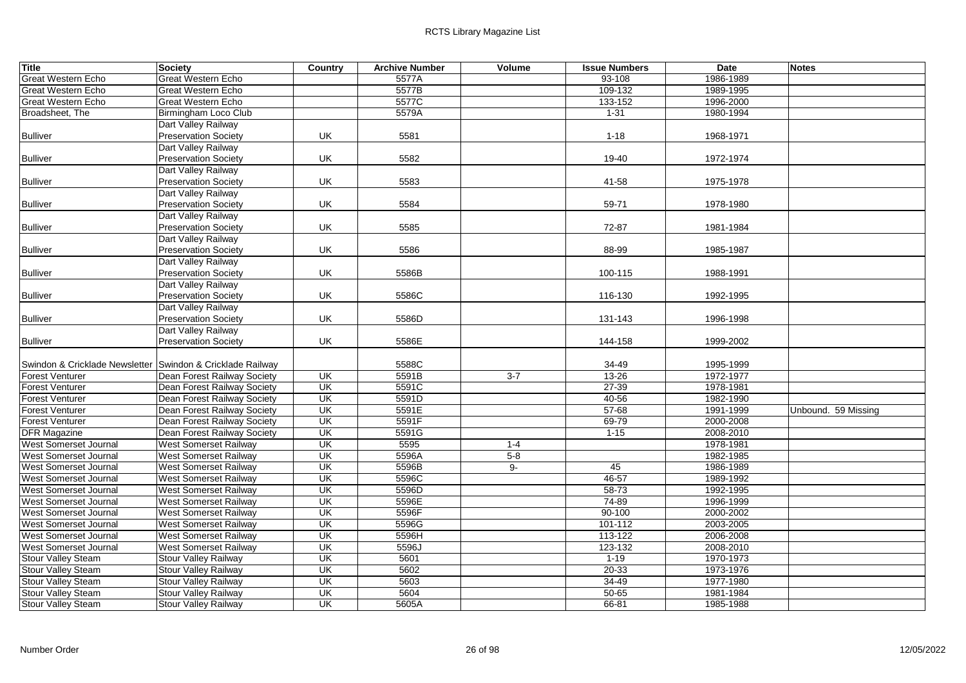| Title                                                        | <b>Society</b>               | Country                  | <b>Archive Number</b> | Volume  | <b>Issue Numbers</b> | Date      | <b>Notes</b>        |
|--------------------------------------------------------------|------------------------------|--------------------------|-----------------------|---------|----------------------|-----------|---------------------|
| <b>Great Western Echo</b>                                    | Great Western Echo           |                          | 5577A                 |         | $93 - 108$           | 1986-1989 |                     |
| Great Western Echo                                           | Great Western Echo           |                          | 5577B                 |         | 109-132              | 1989-1995 |                     |
| <b>Great Western Echo</b>                                    | Great Western Echo           |                          | 5577C                 |         | 133-152              | 1996-2000 |                     |
| Broadsheet, The                                              | Birmingham Loco Club         |                          | 5579A                 |         | $1 - 31$             | 1980-1994 |                     |
|                                                              | Dart Valley Railway          |                          |                       |         |                      |           |                     |
| <b>Bulliver</b>                                              | <b>Preservation Society</b>  | UK                       | 5581                  |         | $1 - 18$             | 1968-1971 |                     |
|                                                              | Dart Valley Railway          |                          |                       |         |                      |           |                     |
| <b>Bulliver</b>                                              | <b>Preservation Society</b>  | UK                       | 5582                  |         | 19-40                | 1972-1974 |                     |
|                                                              | Dart Valley Railway          |                          |                       |         |                      |           |                     |
| <b>Bulliver</b>                                              | <b>Preservation Society</b>  | UK                       | 5583                  |         | 41-58                | 1975-1978 |                     |
|                                                              | Dart Valley Railway          |                          |                       |         |                      |           |                     |
| <b>Bulliver</b>                                              | <b>Preservation Society</b>  | UK                       | 5584                  |         | 59-71                | 1978-1980 |                     |
|                                                              | Dart Valley Railway          |                          |                       |         |                      |           |                     |
| <b>Bulliver</b>                                              | <b>Preservation Society</b>  | UK                       | 5585                  |         | 72-87                | 1981-1984 |                     |
|                                                              | Dart Valley Railway          |                          |                       |         |                      |           |                     |
| <b>Bulliver</b>                                              | <b>Preservation Society</b>  | UK                       | 5586                  |         | 88-99                | 1985-1987 |                     |
|                                                              | Dart Valley Railway          |                          |                       |         |                      |           |                     |
| <b>Bulliver</b>                                              | <b>Preservation Society</b>  | UK                       | 5586B                 |         | 100-115              | 1988-1991 |                     |
|                                                              | Dart Valley Railway          |                          |                       |         |                      |           |                     |
| <b>Bulliver</b>                                              | <b>Preservation Society</b>  | UK                       | 5586C                 |         | 116-130              | 1992-1995 |                     |
|                                                              | Dart Valley Railway          |                          |                       |         |                      |           |                     |
| <b>Bulliver</b>                                              | <b>Preservation Society</b>  | UK                       | 5586D                 |         | 131-143              | 1996-1998 |                     |
|                                                              | Dart Valley Railway          |                          |                       |         |                      |           |                     |
| <b>Bulliver</b>                                              | <b>Preservation Society</b>  | UK                       | 5586E                 |         | 144-158              | 1999-2002 |                     |
|                                                              |                              |                          |                       |         |                      |           |                     |
| Swindon & Cricklade Newsletter   Swindon & Cricklade Railway |                              |                          | 5588C                 |         | 34-49                | 1995-1999 |                     |
| <b>Forest Venturer</b>                                       | Dean Forest Railway Society  | $\overline{\mathsf{CK}}$ | 5591B                 | $3 - 7$ | $13 - 26$            | 1972-1977 |                     |
| <b>Forest Venturer</b>                                       | Dean Forest Railway Society  | UK                       | 5591C                 |         | $27 - 39$            | 1978-1981 |                     |
| <b>Forest Venturer</b>                                       | Dean Forest Railway Society  | UK                       | 5591D                 |         | 40-56                | 1982-1990 |                     |
| Forest Venturer                                              | Dean Forest Railway Society  | <b>UK</b>                | 5591E                 |         | $57 - 68$            | 1991-1999 | Unbound. 59 Missing |
| <b>Forest Venturer</b>                                       | Dean Forest Railway Society  | UK                       | 5591F                 |         | 69-79                | 2000-2008 |                     |
| <b>DFR Magazine</b>                                          | Dean Forest Railway Society  | UK                       | 5591G                 |         | $1 - 15$             | 2008-2010 |                     |
| West Somerset Journal                                        | West Somerset Railway        | UK                       | 5595                  | $1 - 4$ |                      | 1978-1981 |                     |
| West Somerset Journal                                        | <b>West Somerset Railway</b> | UK                       | 5596A                 | $5 - 8$ |                      | 1982-1985 |                     |
| West Somerset Journal                                        | <b>West Somerset Railway</b> | $\overline{\mathsf{U}}$  | 5596B                 | 9-      | 45                   | 1986-1989 |                     |
| West Somerset Journal                                        | <b>West Somerset Railway</b> | UK                       | 5596C                 |         | 46-57                | 1989-1992 |                     |
| West Somerset Journal                                        | <b>West Somerset Railway</b> | UK                       | 5596D                 |         | 58-73                | 1992-1995 |                     |
| <b>West Somerset Journal</b>                                 | West Somerset Railway        | UK                       | 5596E                 |         | 74-89                | 1996-1999 |                     |
| <b>West Somerset Journal</b>                                 | <b>West Somerset Railway</b> | UK                       | 5596F                 |         | 90-100               | 2000-2002 |                     |
| West Somerset Journal                                        | <b>West Somerset Railway</b> | UK                       | 5596G                 |         | 101-112              | 2003-2005 |                     |
| West Somerset Journal                                        | <b>West Somerset Railway</b> | UK                       | 5596H                 |         | 113-122              | 2006-2008 |                     |
| West Somerset Journal                                        | West Somerset Railway        | UK                       | 5596J                 |         | 123-132              | 2008-2010 |                     |
| <b>Stour Valley Steam</b>                                    | <b>Stour Valley Railway</b>  | UK                       | 5601                  |         | $1 - 19$             | 1970-1973 |                     |
|                                                              |                              | <b>UK</b>                | 5602                  |         | $20 - 33$            | 1973-1976 |                     |
| Stour Valley Steam<br><b>Stour Valley Steam</b>              | <b>Stour Valley Railway</b>  | $\overline{\mathsf{U}}$  | 5603                  |         | $34 - 49$            | 1977-1980 |                     |
|                                                              | Stour Valley Railway         | UK                       | 5604                  |         | $50 - 65$            |           |                     |
| <b>Stour Valley Steam</b>                                    | <b>Stour Valley Railway</b>  | UK                       | 5605A                 |         |                      | 1981-1984 |                     |
| <b>Stour Valley Steam</b>                                    | <b>Stour Valley Railway</b>  |                          |                       |         | $66 - 81$            | 1985-1988 |                     |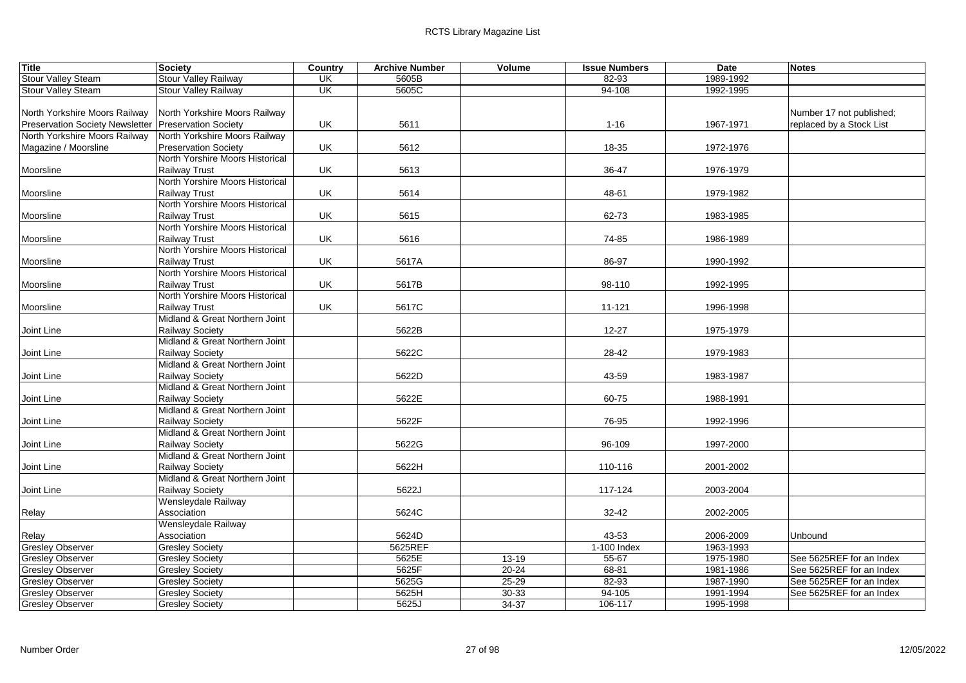| <b>Title</b>                                         | Society                         | Country                  | <b>Archive Number</b> | Volume    | <b>Issue Numbers</b> | Date      | <b>Notes</b>             |
|------------------------------------------------------|---------------------------------|--------------------------|-----------------------|-----------|----------------------|-----------|--------------------------|
| <b>Stour Valley Steam</b>                            | <b>Stour Valley Railway</b>     | UK                       | 5605B                 |           | 82-93                | 1989-1992 |                          |
| Stour Valley Steam                                   | <b>Stour Valley Railway</b>     | $\overline{\mathsf{CK}}$ | 5605C                 |           | $94 - 108$           | 1992-1995 |                          |
|                                                      |                                 |                          |                       |           |                      |           |                          |
| North Yorkshire Moors Railway                        | North Yorkshire Moors Railway   |                          |                       |           |                      |           | Number 17 not published; |
| Preservation Society Newsletter Preservation Society |                                 | UK                       | 5611                  |           | $1 - 16$             | 1967-1971 | replaced by a Stock List |
| North Yorkshire Moors Railway                        | North Yorkshire Moors Railway   |                          |                       |           |                      |           |                          |
| Magazine / Moorsline                                 | <b>Preservation Society</b>     | UK                       | 5612                  |           | 18-35                | 1972-1976 |                          |
|                                                      | North Yorshire Moors Historical |                          |                       |           |                      |           |                          |
| Moorsline                                            | <b>Railway Trust</b>            | UK                       | 5613                  |           | 36-47                | 1976-1979 |                          |
|                                                      | North Yorshire Moors Historical |                          |                       |           |                      |           |                          |
| Moorsline                                            | <b>Railway Trust</b>            | UK                       | 5614                  |           | 48-61                | 1979-1982 |                          |
|                                                      | North Yorshire Moors Historical |                          |                       |           |                      |           |                          |
| Moorsline                                            | Railway Trust                   | UK                       | 5615                  |           | 62-73                | 1983-1985 |                          |
|                                                      | North Yorshire Moors Historical |                          |                       |           |                      |           |                          |
| Moorsline                                            | <b>Railway Trust</b>            | UK                       | 5616                  |           | 74-85                | 1986-1989 |                          |
|                                                      | North Yorshire Moors Historical |                          |                       |           |                      |           |                          |
| Moorsline                                            | <b>Railway Trust</b>            | UK                       | 5617A                 |           | 86-97                | 1990-1992 |                          |
|                                                      | North Yorshire Moors Historical |                          |                       |           |                      |           |                          |
| Moorsline                                            | <b>Railway Trust</b>            | UK                       | 5617B                 |           | 98-110               | 1992-1995 |                          |
|                                                      | North Yorshire Moors Historical |                          |                       |           |                      |           |                          |
| Moorsline                                            | <b>Railway Trust</b>            | UK                       | 5617C                 |           | 11-121               | 1996-1998 |                          |
|                                                      | Midland & Great Northern Joint  |                          |                       |           |                      |           |                          |
| Joint Line                                           | <b>Railway Society</b>          |                          | 5622B                 |           | $12 - 27$            | 1975-1979 |                          |
|                                                      | Midland & Great Northern Joint  |                          |                       |           |                      |           |                          |
| Joint Line                                           | Railway Society                 |                          | 5622C                 |           | 28-42                | 1979-1983 |                          |
|                                                      | Midland & Great Northern Joint  |                          |                       |           |                      |           |                          |
| Joint Line                                           | <b>Railway Society</b>          |                          | 5622D                 |           | 43-59                | 1983-1987 |                          |
|                                                      | Midland & Great Northern Joint  |                          |                       |           |                      |           |                          |
| Joint Line                                           | Railway Society                 |                          | 5622E                 |           | 60-75                | 1988-1991 |                          |
|                                                      | Midland & Great Northern Joint  |                          |                       |           |                      |           |                          |
| Joint Line                                           | <b>Railway Society</b>          |                          | 5622F                 |           | 76-95                | 1992-1996 |                          |
|                                                      | Midland & Great Northern Joint  |                          |                       |           |                      |           |                          |
| Joint Line                                           | <b>Railway Society</b>          |                          | 5622G                 |           | 96-109               | 1997-2000 |                          |
|                                                      | Midland & Great Northern Joint  |                          |                       |           |                      |           |                          |
| Joint Line                                           | Railway Society                 |                          | 5622H                 |           | 110-116              | 2001-2002 |                          |
|                                                      | Midland & Great Northern Joint  |                          |                       |           |                      |           |                          |
| Joint Line                                           | Railway Society                 |                          | 5622J                 |           | 117-124              | 2003-2004 |                          |
|                                                      | Wensleydale Railway             |                          |                       |           |                      |           |                          |
| Relay                                                | Association                     |                          | 5624C                 |           | 32-42                | 2002-2005 |                          |
|                                                      | Wensleydale Railway             |                          |                       |           |                      |           |                          |
| Relay                                                | Association                     |                          | 5624D                 |           | 43-53                | 2006-2009 | Unbound                  |
| <b>Gresley Observer</b>                              | <b>Gresley Society</b>          |                          | 5625REF               |           | 1-100 Index          | 1963-1993 |                          |
| <b>Gresley Observer</b>                              | <b>Gresley Society</b>          |                          | 5625E                 | $13 - 19$ | $55 - 67$            | 1975-1980 | See 5625REF for an Index |
| <b>Gresley Observer</b>                              | <b>Gresley Society</b>          |                          | 5625F                 | $20 - 24$ | 68-81                | 1981-1986 | See 5625REF for an Index |
| <b>Gresley Observer</b>                              | <b>Gresley Society</b>          |                          | 5625G                 | $25 - 29$ | 82-93                | 1987-1990 | See 5625REF for an Index |
| <b>Gresley Observer</b>                              | <b>Gresley Society</b>          |                          | 5625H                 | 30-33     | $94 - 105$           | 1991-1994 | See 5625REF for an Index |
| <b>Gresley Observer</b>                              | <b>Gresley Society</b>          |                          | 5625J                 | $34-37$   | 106-117              | 1995-1998 |                          |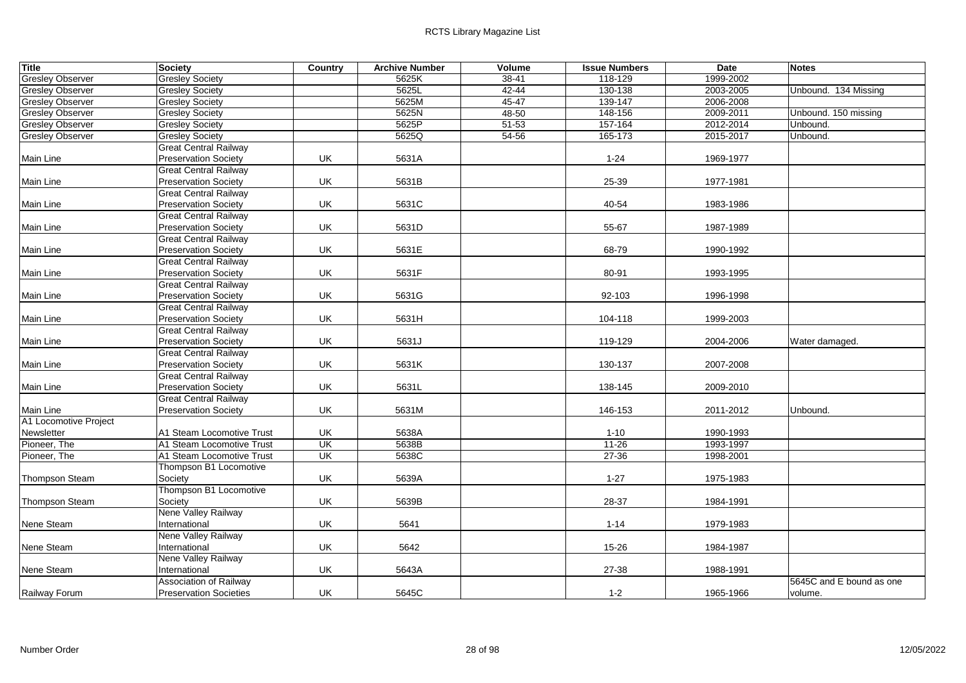| <b>Title</b>            | Society                       | <b>Country</b>           | <b>Archive Number</b> | Volume    | <b>Issue Numbers</b> | Date      | <b>Notes</b>             |
|-------------------------|-------------------------------|--------------------------|-----------------------|-----------|----------------------|-----------|--------------------------|
| <b>Gresley Observer</b> | <b>Gresley Society</b>        |                          | 5625K                 | 38-41     | 118-129              | 1999-2002 |                          |
| <b>Gresley Observer</b> | <b>Gresley Society</b>        |                          | 5625L                 | $42 - 44$ | 130-138              | 2003-2005 | Unbound. 134 Missing     |
| <b>Gresley Observer</b> | <b>Gresley Society</b>        |                          | 5625M                 | 45-47     | 139-147              | 2006-2008 |                          |
| <b>Gresley Observer</b> | <b>Gresley Society</b>        |                          | 5625N                 | 48-50     | 148-156              | 2009-2011 | Unbound. 150 missing     |
| <b>Gresley Observer</b> | <b>Gresley Society</b>        |                          | 5625P                 | 51-53     | 157-164              | 2012-2014 | Unbound.                 |
| <b>Gresley Observer</b> | <b>Gresley Society</b>        |                          | 5625Q                 | 54-56     | 165-173              | 2015-2017 | Unbound.                 |
|                         | <b>Great Central Railway</b>  |                          |                       |           |                      |           |                          |
| Main Line               | <b>Preservation Society</b>   | UK                       | 5631A                 |           | $1 - 24$             | 1969-1977 |                          |
|                         | <b>Great Central Railway</b>  |                          |                       |           |                      |           |                          |
| Main Line               | <b>Preservation Society</b>   | UK                       | 5631B                 |           | 25-39                | 1977-1981 |                          |
|                         | <b>Great Central Railway</b>  |                          |                       |           |                      |           |                          |
| Main Line               | <b>Preservation Society</b>   | UK                       | 5631C                 |           | 40-54                | 1983-1986 |                          |
|                         | <b>Great Central Railway</b>  |                          |                       |           |                      |           |                          |
| Main Line               | <b>Preservation Society</b>   | UK                       | 5631D                 |           | 55-67                | 1987-1989 |                          |
|                         | <b>Great Central Railway</b>  |                          |                       |           |                      |           |                          |
| Main Line               | <b>Preservation Society</b>   | UK                       | 5631E                 |           | 68-79                | 1990-1992 |                          |
|                         | <b>Great Central Railway</b>  |                          |                       |           |                      |           |                          |
| Main Line               | <b>Preservation Society</b>   | UK                       | 5631F                 |           | 80-91                | 1993-1995 |                          |
|                         | <b>Great Central Railway</b>  |                          |                       |           |                      |           |                          |
| Main Line               | <b>Preservation Society</b>   | UK                       | 5631G                 |           | 92-103               | 1996-1998 |                          |
|                         | <b>Great Central Railway</b>  |                          |                       |           |                      |           |                          |
| Main Line               | <b>Preservation Society</b>   | UK                       | 5631H                 |           | 104-118              | 1999-2003 |                          |
|                         | <b>Great Central Railway</b>  |                          |                       |           |                      |           |                          |
| <b>Main Line</b>        | <b>Preservation Society</b>   | UK                       | 5631J                 |           | 119-129              | 2004-2006 | Water damaged.           |
|                         | <b>Great Central Railway</b>  |                          |                       |           |                      |           |                          |
| Main Line               | <b>Preservation Society</b>   | UK                       | 5631K                 |           | 130-137              | 2007-2008 |                          |
|                         | <b>Great Central Railway</b>  |                          |                       |           |                      |           |                          |
| Main Line               | <b>Preservation Society</b>   | UK                       | 5631L                 |           | 138-145              | 2009-2010 |                          |
|                         | <b>Great Central Railway</b>  |                          |                       |           |                      |           |                          |
| Main Line               | <b>Preservation Society</b>   | UK                       | 5631M                 |           | 146-153              | 2011-2012 | Unbound.                 |
| A1 Locomotive Project   |                               |                          |                       |           |                      |           |                          |
| Newsletter              | A1 Steam Locomotive Trust     | UK                       | 5638A                 |           | $1 - 10$             | 1990-1993 |                          |
| Pioneer, The            | A1 Steam Locomotive Trust     | UK                       | 5638B                 |           | $11 - 26$            | 1993-1997 |                          |
| Pioneer, The            | A1 Steam Locomotive Trust     | $\overline{\mathsf{CK}}$ | 5638C                 |           | $27 - 36$            | 1998-2001 |                          |
|                         | Thompson B1 Locomotive        |                          |                       |           |                      |           |                          |
| <b>Thompson Steam</b>   | Society                       | UK                       | 5639A                 |           | $1 - 27$             | 1975-1983 |                          |
|                         | Thompson B1 Locomotive        |                          |                       |           |                      |           |                          |
| Thompson Steam          | Society                       | UK                       | 5639B                 |           | 28-37                | 1984-1991 |                          |
|                         | Nene Valley Railway           |                          |                       |           |                      |           |                          |
| Nene Steam              | International                 | UK                       | 5641                  |           | $1 - 14$             | 1979-1983 |                          |
|                         | Nene Valley Railway           |                          |                       |           |                      |           |                          |
| Nene Steam              | International                 | UK                       | 5642                  |           | 15-26                | 1984-1987 |                          |
|                         | Nene Valley Railway           |                          |                       |           |                      |           |                          |
| Nene Steam              | International                 | UK                       | 5643A                 |           | 27-38                | 1988-1991 |                          |
|                         | <b>Association of Railway</b> |                          |                       |           |                      |           | 5645C and E bound as one |
| Railway Forum           | <b>Preservation Societies</b> | UK                       | 5645C                 |           | $1 - 2$              | 1965-1966 | volume.                  |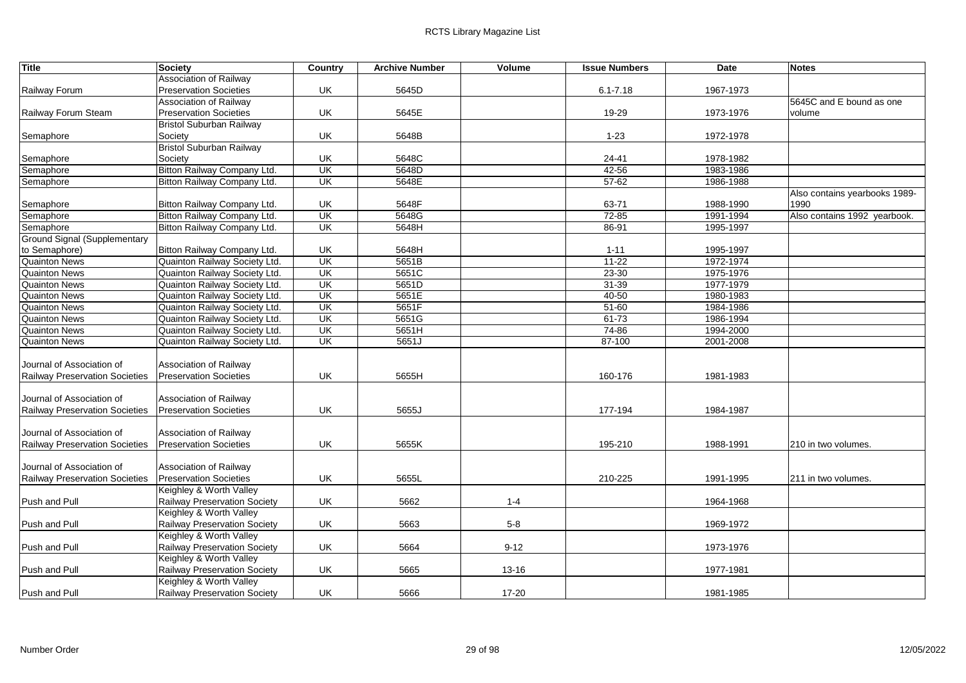| <b>Title</b>                        | <b>Society</b>                  | Country | <b>Archive Number</b> | Volume    | <b>Issue Numbers</b> | <b>Date</b> | <b>Notes</b>                  |
|-------------------------------------|---------------------------------|---------|-----------------------|-----------|----------------------|-------------|-------------------------------|
|                                     | Association of Railway          |         |                       |           |                      |             |                               |
| Railway Forum                       | <b>Preservation Societies</b>   | UK      | 5645D                 |           | $6.1 - 7.18$         | 1967-1973   |                               |
|                                     | Association of Railway          |         |                       |           |                      |             | 5645C and E bound as one      |
| Railway Forum Steam                 | <b>Preservation Societies</b>   | UK      | 5645E                 |           | 19-29                | 1973-1976   | volume                        |
|                                     | <b>Bristol Suburban Railway</b> |         |                       |           |                      |             |                               |
| Semaphore                           | Society                         | UK      | 5648B                 |           | $1 - 23$             | 1972-1978   |                               |
|                                     | <b>Bristol Suburban Railway</b> |         |                       |           |                      |             |                               |
| Semaphore                           | Society                         | UK      | 5648C                 |           | 24-41                | 1978-1982   |                               |
| Semaphore                           | Bitton Railway Company Ltd.     | UK      | 5648D                 |           | $42 - 56$            | 1983-1986   |                               |
| Semaphore                           | Bitton Railway Company Ltd.     | UK      | 5648E                 |           | $57 - 62$            | 1986-1988   |                               |
|                                     |                                 |         |                       |           |                      |             | Also contains yearbooks 1989- |
| Semaphore                           | Bitton Railway Company Ltd.     | UK      | 5648F                 |           | 63-71                | 1988-1990   | 1990                          |
| Semaphore                           | Bitton Railway Company Ltd.     | UK      | 5648G                 |           | $72 - 85$            | 1991-1994   | Also contains 1992 yearbook.  |
| Semaphore                           | Bitton Railway Company Ltd.     | UK      | 5648H                 |           | 86-91                | 1995-1997   |                               |
| <b>Ground Signal (Supplementary</b> |                                 |         |                       |           |                      |             |                               |
| to Semaphore)                       | Bitton Railway Company Ltd.     | UK      | 5648H                 |           | $1 - 11$             | 1995-1997   |                               |
| <b>Quainton News</b>                | Quainton Railway Society Ltd.   | UK      | 5651B                 |           | $11 - 22$            | 1972-1974   |                               |
| <b>Quainton News</b>                | Quainton Railway Society Ltd.   | UK      | 5651C                 |           | $23 - 30$            | 1975-1976   |                               |
| <b>Quainton News</b>                | Quainton Railway Society Ltd.   | UK      | 5651D                 |           | $31 - 39$            | 1977-1979   |                               |
| <b>Quainton News</b>                | Quainton Railway Society Ltd.   | UK      | 5651E                 |           | $40 - 50$            | 1980-1983   |                               |
| <b>Quainton News</b>                | Quainton Railway Society Ltd.   | UK      | 5651F                 |           | $51 - 60$            | 1984-1986   |                               |
| <b>Quainton News</b>                | Quainton Railway Society Ltd.   | UK      | 5651G                 |           | $61 - 73$            | 1986-1994   |                               |
| <b>Quainton News</b>                | Quainton Railway Society Ltd.   | UK      | 5651H                 |           | 74-86                | 1994-2000   |                               |
| <b>Quainton News</b>                | Quainton Railway Society Ltd.   | UK      | 5651J                 |           | 87-100               | 2001-2008   |                               |
|                                     |                                 |         |                       |           |                      |             |                               |
| Journal of Association of           | Association of Railway          |         |                       |           |                      |             |                               |
| Railway Preservation Societies      | <b>Preservation Societies</b>   | UK      | 5655H                 |           | 160-176              | 1981-1983   |                               |
|                                     |                                 |         |                       |           |                      |             |                               |
| Journal of Association of           | Association of Railway          |         |                       |           |                      |             |                               |
| Railway Preservation Societies      | <b>Preservation Societies</b>   | UK      | 5655J                 |           | 177-194              | 1984-1987   |                               |
|                                     |                                 |         |                       |           |                      |             |                               |
| Journal of Association of           | Association of Railway          |         |                       |           |                      |             |                               |
| Railway Preservation Societies      | <b>Preservation Societies</b>   | UK      | 5655K                 |           | 195-210              | 1988-1991   | 210 in two volumes.           |
|                                     |                                 |         |                       |           |                      |             |                               |
| Journal of Association of           | Association of Railway          |         |                       |           |                      |             |                               |
| Railway Preservation Societies      | <b>Preservation Societies</b>   | UK      | 5655L                 |           | 210-225              | 1991-1995   | 211 in two volumes.           |
|                                     | Keighley & Worth Valley         |         |                       |           |                      |             |                               |
| Push and Pull                       | Railway Preservation Society    | UK      | 5662                  | $1 - 4$   |                      | 1964-1968   |                               |
|                                     | Keighley & Worth Valley         |         |                       |           |                      |             |                               |
| Push and Pull                       | Railway Preservation Society    | UK      | 5663                  | $5 - 8$   |                      | 1969-1972   |                               |
|                                     | Keighley & Worth Valley         |         |                       |           |                      |             |                               |
| Push and Pull                       | Railway Preservation Society    | UK      | 5664                  | $9 - 12$  |                      | 1973-1976   |                               |
|                                     | Keighley & Worth Valley         |         |                       |           |                      |             |                               |
| Push and Pull                       | Railway Preservation Society    | UK      | 5665                  | 13-16     |                      | 1977-1981   |                               |
|                                     | Keighley & Worth Valley         |         |                       |           |                      |             |                               |
| Push and Pull                       | Railway Preservation Society    | UK      | 5666                  | $17 - 20$ |                      | 1981-1985   |                               |
|                                     |                                 |         |                       |           |                      |             |                               |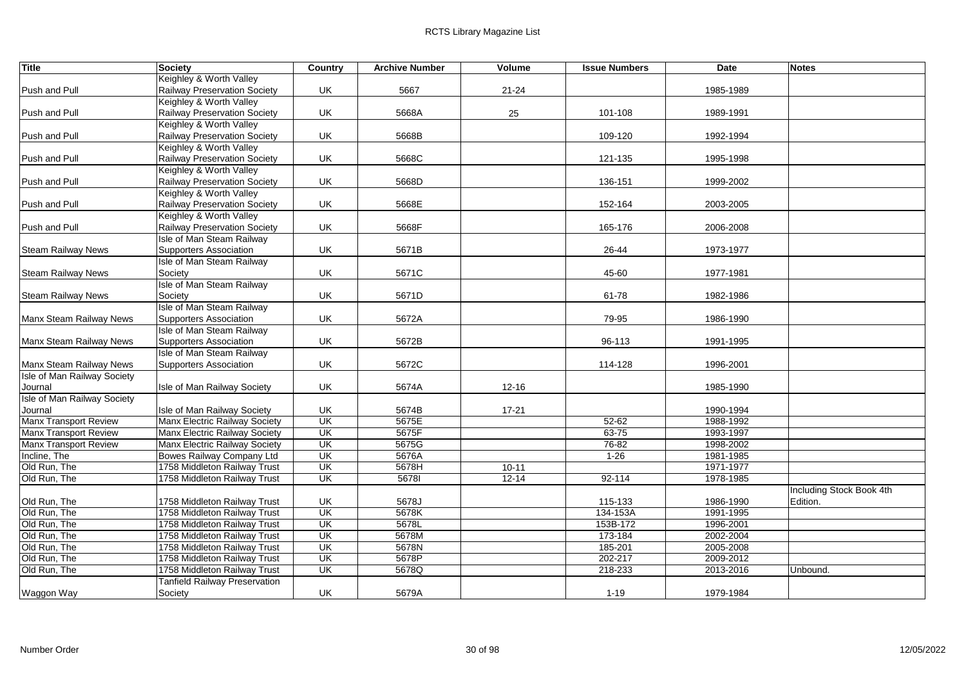| <b>Title</b>                       | Society                                                   | Country                  | <b>Archive Number</b> | Volume    | <b>Issue Numbers</b> | Date      | <b>Notes</b>             |
|------------------------------------|-----------------------------------------------------------|--------------------------|-----------------------|-----------|----------------------|-----------|--------------------------|
|                                    | Keighley & Worth Valley                                   |                          |                       |           |                      |           |                          |
| Push and Pull                      | Railway Preservation Society                              | UK                       | 5667                  | $21 - 24$ |                      | 1985-1989 |                          |
|                                    | Keighley & Worth Valley                                   |                          |                       |           |                      |           |                          |
| Push and Pull                      | Railway Preservation Society                              | UK                       | 5668A                 | 25        | 101-108              | 1989-1991 |                          |
|                                    | Keighley & Worth Valley                                   |                          |                       |           |                      |           |                          |
| Push and Pull                      | Railway Preservation Society                              | UK                       | 5668B                 |           | 109-120              | 1992-1994 |                          |
|                                    | Keighley & Worth Valley                                   |                          |                       |           |                      |           |                          |
| Push and Pull                      | Railway Preservation Society                              | UK                       | 5668C                 |           | 121-135              | 1995-1998 |                          |
|                                    | Keighley & Worth Valley                                   |                          |                       |           |                      |           |                          |
| Push and Pull                      | Railway Preservation Society                              | UK                       | 5668D                 |           | 136-151              | 1999-2002 |                          |
|                                    | Keighley & Worth Valley                                   |                          |                       |           |                      |           |                          |
| Push and Pull                      | Railway Preservation Society                              | UK                       | 5668E                 |           | 152-164              | 2003-2005 |                          |
|                                    | Keighley & Worth Valley                                   | UK                       |                       |           |                      |           |                          |
| Push and Pull                      | Railway Preservation Society<br>Isle of Man Steam Railway |                          | 5668F                 |           | 165-176              | 2006-2008 |                          |
|                                    | Supporters Association                                    | UK                       | 5671B                 |           | 26-44                | 1973-1977 |                          |
| <b>Steam Railway News</b>          | <b>Isle of Man Steam Railway</b>                          |                          |                       |           |                      |           |                          |
| <b>Steam Railway News</b>          | Society                                                   | UK                       | 5671C                 |           | 45-60                | 1977-1981 |                          |
|                                    | <b>Isle of Man Steam Railway</b>                          |                          |                       |           |                      |           |                          |
| <b>Steam Railway News</b>          | Society                                                   | UK                       | 5671D                 |           | 61-78                | 1982-1986 |                          |
|                                    | Isle of Man Steam Railway                                 |                          |                       |           |                      |           |                          |
| Manx Steam Railway News            | Supporters Association                                    | UK                       | 5672A                 |           | 79-95                | 1986-1990 |                          |
|                                    | Isle of Man Steam Railway                                 |                          |                       |           |                      |           |                          |
| Manx Steam Railway News            | Supporters Association                                    | UK                       | 5672B                 |           | 96-113               | 1991-1995 |                          |
|                                    | Isle of Man Steam Railway                                 |                          |                       |           |                      |           |                          |
| Manx Steam Railway News            | <b>Supporters Association</b>                             | UK                       | 5672C                 |           | 114-128              | 1996-2001 |                          |
| <b>Isle of Man Railway Society</b> |                                                           |                          |                       |           |                      |           |                          |
| Journal                            | Isle of Man Railway Society                               | UK                       | 5674A                 | $12 - 16$ |                      | 1985-1990 |                          |
| <b>Isle of Man Railway Society</b> |                                                           |                          |                       |           |                      |           |                          |
| Journal                            | Isle of Man Railway Society                               | UK                       | 5674B                 | $17 - 21$ |                      | 1990-1994 |                          |
| <b>Manx Transport Review</b>       | <b>Manx Electric Railway Society</b>                      | UK                       | 5675E                 |           | $52 - 62$            | 1988-1992 |                          |
| <b>Manx Transport Review</b>       | Manx Electric Railway Society                             | UK                       | 5675F                 |           | $63 - 75$            | 1993-1997 |                          |
| <b>Manx Transport Review</b>       | Manx Electric Railway Society                             | UK                       | 5675G                 |           | 76-82                | 1998-2002 |                          |
| Incline, The                       | <b>Bowes Railway Company Ltd</b>                          | UK                       | 5676A                 |           | $1 - 26$             | 1981-1985 |                          |
| Old Run, The                       | 1758 Middleton Railway Trust                              | UK                       | 5678H                 | $10 - 11$ |                      | 1971-1977 |                          |
| Old Run, The                       | 1758 Middleton Railway Trust                              | UK                       | 56781                 | $12 - 14$ | $92 - 114$           | 1978-1985 |                          |
|                                    |                                                           |                          |                       |           |                      |           | Including Stock Book 4th |
| Old Run, The                       | 1758 Middleton Railway Trust                              | UK                       | 5678J                 |           | 115-133              | 1986-1990 | Edition.                 |
| Old Run, The                       | 1758 Middleton Railway Trust                              | UK                       | 5678K                 |           | 134-153A             | 1991-1995 |                          |
| Old Run, The                       | 1758 Middleton Railway Trust                              | $\overline{\mathsf{CK}}$ | 5678L                 |           | 153B-172             | 1996-2001 |                          |
| Old Run, The                       | 1758 Middleton Railway Trust                              | UK                       | 5678M                 |           | 173-184              | 2002-2004 |                          |
| Old Run, The                       | 1758 Middleton Railway Trust                              | UK                       | 5678N                 |           | 185-201              | 2005-2008 |                          |
| Old Run, The                       | 1758 Middleton Railway Trust                              | UK                       | 5678P                 |           | 202-217              | 2009-2012 |                          |
| Old Run, The                       | 1758 Middleton Railway Trust                              | <b>UK</b>                | 5678Q                 |           | 218-233              | 2013-2016 | Unbound.                 |
|                                    | Tanfield Railway Preservation                             |                          |                       |           |                      |           |                          |
| Waggon Way                         | Society                                                   | UK                       | 5679A                 |           | $1 - 19$             | 1979-1984 |                          |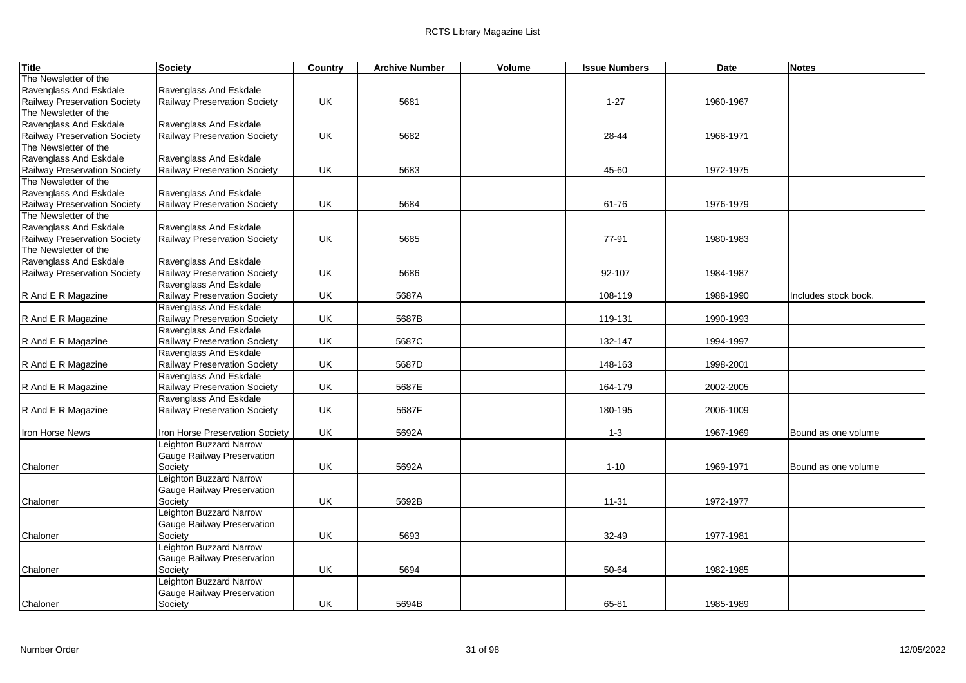| <b>Title</b>                 | Society                             | Country | <b>Archive Number</b> | Volume | <b>Issue Numbers</b> | <b>Date</b> | <b>Notes</b>         |
|------------------------------|-------------------------------------|---------|-----------------------|--------|----------------------|-------------|----------------------|
| The Newsletter of the        |                                     |         |                       |        |                      |             |                      |
| Ravenglass And Eskdale       | Ravenglass And Eskdale              |         |                       |        |                      |             |                      |
| Railway Preservation Society | Railway Preservation Society        | UK      | 5681                  |        | $1 - 27$             | 1960-1967   |                      |
| The Newsletter of the        |                                     |         |                       |        |                      |             |                      |
| Ravenglass And Eskdale       | Ravenglass And Eskdale              |         |                       |        |                      |             |                      |
| Railway Preservation Society | Railway Preservation Society        | UK      | 5682                  |        | 28-44                | 1968-1971   |                      |
| The Newsletter of the        |                                     |         |                       |        |                      |             |                      |
| Ravenglass And Eskdale       | Ravenglass And Eskdale              |         |                       |        |                      |             |                      |
| Railway Preservation Society | Railway Preservation Society        | UK      | 5683                  |        | 45-60                | 1972-1975   |                      |
| The Newsletter of the        |                                     |         |                       |        |                      |             |                      |
| Ravenglass And Eskdale       | Ravenglass And Eskdale              |         |                       |        |                      |             |                      |
| Railway Preservation Society | Railway Preservation Society        | UK      | 5684                  |        | 61-76                | 1976-1979   |                      |
| The Newsletter of the        |                                     |         |                       |        |                      |             |                      |
| Ravenglass And Eskdale       | Ravenglass And Eskdale              |         |                       |        |                      |             |                      |
| Railway Preservation Society | Railway Preservation Society        | UK      | 5685                  |        | 77-91                | 1980-1983   |                      |
| The Newsletter of the        |                                     |         |                       |        |                      |             |                      |
| Ravenglass And Eskdale       | Ravenglass And Eskdale              |         |                       |        |                      |             |                      |
| Railway Preservation Society | Railway Preservation Society        | UK      | 5686                  |        | 92-107               | 1984-1987   |                      |
|                              | Ravenglass And Eskdale              |         |                       |        |                      |             |                      |
| R And E R Magazine           | Railway Preservation Society        | UK      | 5687A                 |        | 108-119              | 1988-1990   | Includes stock book. |
|                              | Ravenglass And Eskdale              |         |                       |        |                      |             |                      |
| R And E R Magazine           | Railway Preservation Society        | UK      | 5687B                 |        | 119-131              | 1990-1993   |                      |
|                              | Ravenglass And Eskdale              |         |                       |        |                      |             |                      |
| R And E R Magazine           | <b>Railway Preservation Society</b> | UK      | 5687C                 |        | 132-147              | 1994-1997   |                      |
|                              | Ravenglass And Eskdale              |         |                       |        |                      |             |                      |
| R And E R Magazine           | Railway Preservation Society        | UK      | 5687D                 |        | 148-163              | 1998-2001   |                      |
|                              | Ravenglass And Eskdale              |         |                       |        |                      |             |                      |
| R And E R Magazine           | Railway Preservation Society        | UK      | 5687E                 |        | 164-179              | 2002-2005   |                      |
|                              | Ravenglass And Eskdale              |         |                       |        |                      |             |                      |
| R And E R Magazine           | <b>Railway Preservation Society</b> | UK      | 5687F                 |        | 180-195              | 2006-1009   |                      |
|                              |                                     |         |                       |        |                      |             |                      |
| <b>Iron Horse News</b>       | Iron Horse Preservation Society     | UK      | 5692A                 |        | $1 - 3$              | 1967-1969   | Bound as one volume  |
|                              | Leighton Buzzard Narrow             |         |                       |        |                      |             |                      |
|                              | Gauge Railway Preservation          |         |                       |        |                      |             |                      |
| Chaloner                     | Society                             | UK      | 5692A                 |        | $1 - 10$             | 1969-1971   | Bound as one volume  |
|                              | Leighton Buzzard Narrow             |         |                       |        |                      |             |                      |
|                              | Gauge Railway Preservation          |         |                       |        |                      |             |                      |
| Chaloner                     | Society                             | UK      | 5692B                 |        | $11 - 31$            | 1972-1977   |                      |
|                              | Leighton Buzzard Narrow             |         |                       |        |                      |             |                      |
|                              | Gauge Railway Preservation          |         |                       |        |                      |             |                      |
| Chaloner                     | Society                             | UK      | 5693                  |        | 32-49                | 1977-1981   |                      |
|                              | <b>Leighton Buzzard Narrow</b>      |         |                       |        |                      |             |                      |
|                              | Gauge Railway Preservation          |         |                       |        |                      |             |                      |
| Chaloner                     | Society                             | UK      | 5694                  |        | 50-64                | 1982-1985   |                      |
|                              | Leighton Buzzard Narrow             |         |                       |        |                      |             |                      |
|                              | Gauge Railway Preservation          |         |                       |        |                      |             |                      |
| Chaloner                     | Society                             | UK      | 5694B                 |        | 65-81                | 1985-1989   |                      |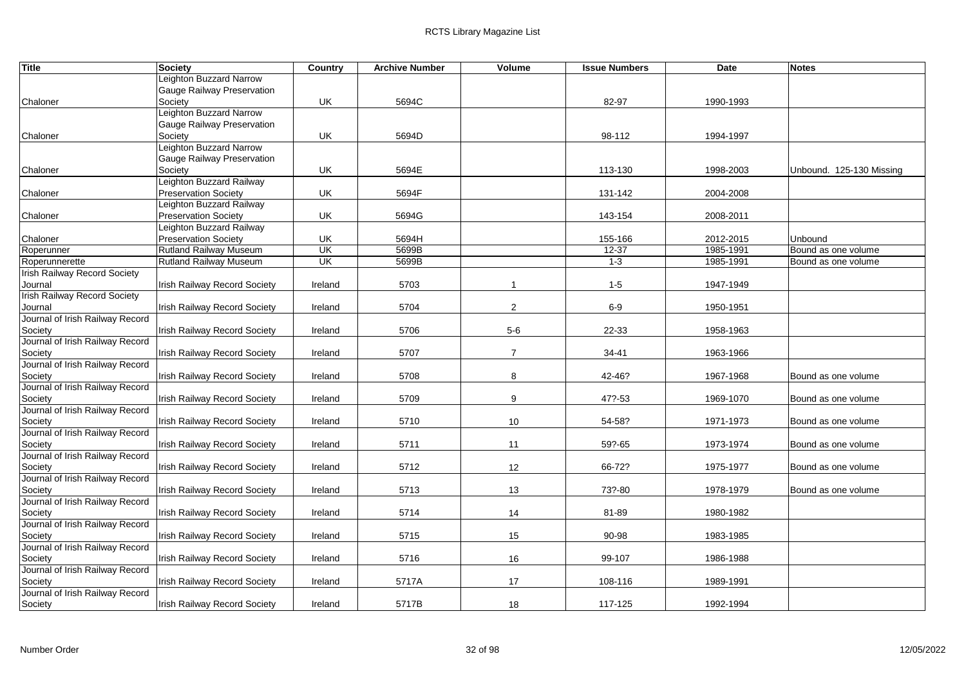| Title                               | <b>Society</b>                      | Country   | <b>Archive Number</b> | Volume         | <b>Issue Numbers</b> | <b>Date</b> | <b>Notes</b>             |
|-------------------------------------|-------------------------------------|-----------|-----------------------|----------------|----------------------|-------------|--------------------------|
|                                     | Leighton Buzzard Narrow             |           |                       |                |                      |             |                          |
|                                     | Gauge Railway Preservation          |           |                       |                |                      |             |                          |
| Chaloner                            | Society                             | UK        | 5694C                 |                | 82-97                | 1990-1993   |                          |
|                                     | Leighton Buzzard Narrow             |           |                       |                |                      |             |                          |
|                                     | Gauge Railway Preservation          |           |                       |                |                      |             |                          |
| Chaloner                            | Society                             | UK        | 5694D                 |                | 98-112               | 1994-1997   |                          |
|                                     | <b>Leighton Buzzard Narrow</b>      |           |                       |                |                      |             |                          |
|                                     | Gauge Railway Preservation          |           |                       |                |                      |             |                          |
| Chaloner                            | Society                             | UK        | 5694E                 |                | 113-130              | 1998-2003   | Unbound. 125-130 Missing |
|                                     | Leighton Buzzard Railway            |           |                       |                |                      |             |                          |
| Chaloner                            | <b>Preservation Society</b>         | UK        | 5694F                 |                | 131-142              | 2004-2008   |                          |
|                                     | Leighton Buzzard Railway            |           |                       |                |                      |             |                          |
| Chaloner                            | <b>Preservation Society</b>         | UK        | 5694G                 |                | 143-154              | 2008-2011   |                          |
|                                     | Leighton Buzzard Railway            |           |                       |                |                      |             |                          |
| Chaloner                            | <b>Preservation Society</b>         | UK        | 5694H                 |                | 155-166              | 2012-2015   | <b>Unbound</b>           |
| Roperunner                          | <b>Rutland Railway Museum</b>       | UK        | 5699B                 |                | $12 - 37$            | 1985-1991   | Bound as one volume      |
| Roperunnerette                      | <b>Rutland Railway Museum</b>       | <b>UK</b> | 5699B                 |                | $1 - 3$              | 1985-1991   | Bound as one volume      |
| Irish Railway Record Society        |                                     |           |                       |                |                      |             |                          |
| Journal                             | Irish Railway Record Society        | Ireland   | 5703                  | $\mathbf{1}$   | $1-5$                | 1947-1949   |                          |
| <b>Irish Railway Record Society</b> |                                     |           |                       |                |                      |             |                          |
| Journal                             | Irish Railway Record Society        | Ireland   | 5704                  | $\overline{2}$ | $6-9$                | 1950-1951   |                          |
| Journal of Irish Railway Record     |                                     |           |                       |                |                      |             |                          |
| Society                             | Irish Railway Record Society        | Ireland   | 5706                  | $5-6$          | 22-33                | 1958-1963   |                          |
| Journal of Irish Railway Record     |                                     |           |                       |                |                      |             |                          |
| Society                             | Irish Railway Record Society        | Ireland   | 5707                  | $\overline{7}$ | 34-41                | 1963-1966   |                          |
| Journal of Irish Railway Record     |                                     |           |                       |                |                      |             |                          |
| Society                             | Irish Railway Record Society        | Ireland   | 5708                  | 8              | 42-46?               | 1967-1968   | Bound as one volume      |
| Journal of Irish Railway Record     |                                     |           |                       |                |                      |             |                          |
| Society                             | Irish Railway Record Society        | Ireland   | 5709                  | 9              | 47?-53               | 1969-1070   | Bound as one volume      |
| Journal of Irish Railway Record     |                                     |           |                       |                |                      |             |                          |
| Society                             | Irish Railway Record Society        | Ireland   | 5710                  | $10$           | 54-58?               | 1971-1973   | Bound as one volume      |
| Journal of Irish Railway Record     |                                     |           |                       |                |                      |             |                          |
| Society                             | Irish Railway Record Society        | Ireland   | 5711                  | 11             | 59?-65               | 1973-1974   | Bound as one volume      |
| Journal of Irish Railway Record     |                                     |           |                       |                |                      |             |                          |
| Society                             | <b>Irish Railway Record Society</b> | Ireland   | 5712                  | 12             | 66-72?               | 1975-1977   | Bound as one volume      |
| Journal of Irish Railway Record     |                                     |           |                       |                |                      |             |                          |
| Society                             | Irish Railway Record Society        | Ireland   | 5713                  | 13             | 73?-80               | 1978-1979   | Bound as one volume      |
| Journal of Irish Railway Record     |                                     |           |                       |                |                      |             |                          |
| Society                             | Irish Railway Record Society        | Ireland   | 5714                  | 14             | 81-89                | 1980-1982   |                          |
| Journal of Irish Railway Record     |                                     |           |                       |                |                      |             |                          |
| Society                             | Irish Railway Record Society        | Ireland   | 5715                  | 15             | 90-98                | 1983-1985   |                          |
| Journal of Irish Railway Record     |                                     |           |                       |                |                      |             |                          |
| Society                             | Irish Railway Record Society        | Ireland   | 5716                  | 16             | 99-107               | 1986-1988   |                          |
| Journal of Irish Railway Record     |                                     |           |                       |                |                      |             |                          |
| Society                             | Irish Railway Record Society        | Ireland   | 5717A                 | 17             | 108-116              | 1989-1991   |                          |
| Journal of Irish Railway Record     |                                     |           |                       |                |                      |             |                          |
| Society                             | Irish Railway Record Society        | Ireland   | 5717B                 | 18             | 117-125              | 1992-1994   |                          |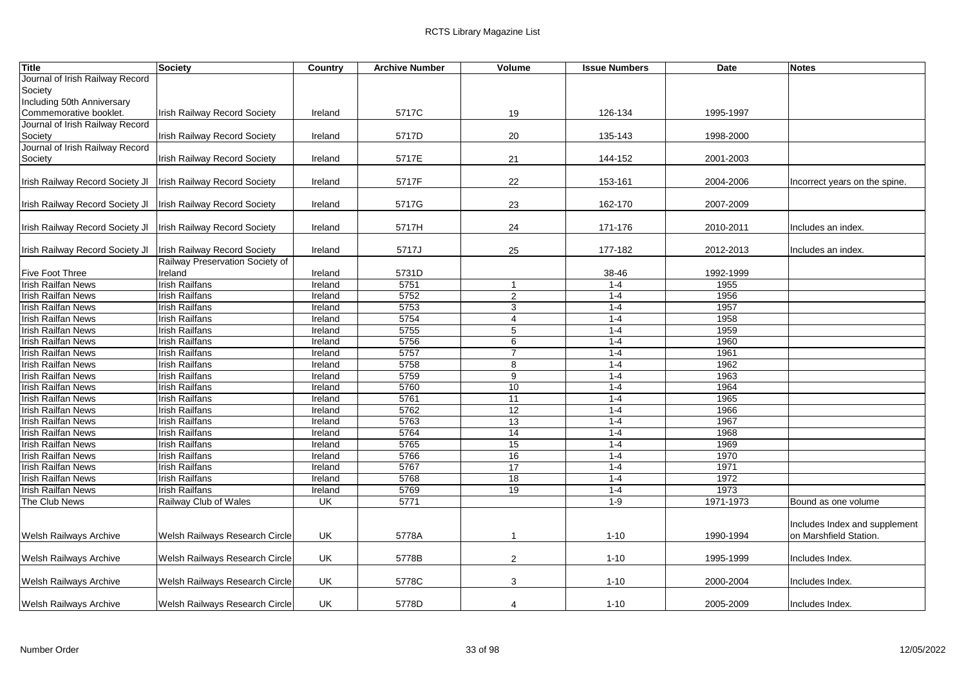| <b>Title</b>                    | Society                             | Country | <b>Archive Number</b> | Volume          | <b>Issue Numbers</b> | <b>Date</b> | <b>Notes</b>                  |
|---------------------------------|-------------------------------------|---------|-----------------------|-----------------|----------------------|-------------|-------------------------------|
| Journal of Irish Railway Record |                                     |         |                       |                 |                      |             |                               |
| Society                         |                                     |         |                       |                 |                      |             |                               |
| Including 50th Anniversary      |                                     |         |                       |                 |                      |             |                               |
| Commemorative booklet.          | <b>Irish Railway Record Society</b> | Ireland | 5717C                 | 19              | 126-134              | 1995-1997   |                               |
| Journal of Irish Railway Record |                                     |         |                       |                 |                      |             |                               |
| Society                         | <b>Irish Railway Record Society</b> | Ireland | 5717D                 | 20              | 135-143              | 1998-2000   |                               |
| Journal of Irish Railway Record |                                     |         |                       |                 |                      |             |                               |
| Society                         | <b>Irish Railway Record Society</b> | Ireland | 5717E                 | 21              | 144-152              | 2001-2003   |                               |
|                                 |                                     |         |                       |                 |                      |             |                               |
| Irish Railway Record Society Jl | <b>Irish Railway Record Society</b> | Ireland | 5717F                 | 22              | 153-161              | 2004-2006   | Incorrect years on the spine. |
|                                 |                                     |         |                       |                 |                      |             |                               |
| Irish Railway Record Society JI | <b>Irish Railway Record Society</b> | Ireland | 5717G                 | 23              | 162-170              | 2007-2009   |                               |
|                                 |                                     |         |                       |                 |                      |             |                               |
| Irish Railway Record Society JI | <b>Irish Railway Record Society</b> | Ireland | 5717H                 | 24              | 171-176              | 2010-2011   | Includes an index.            |
|                                 |                                     |         |                       |                 |                      |             |                               |
| Irish Railway Record Society JI | <b>Irish Railway Record Society</b> | Ireland | 5717J                 | 25              | 177-182              | 2012-2013   | Includes an index.            |
|                                 | Railway Preservation Society of     |         |                       |                 |                      |             |                               |
| Five Foot Three                 | Ireland                             | Ireland | 5731D                 |                 | 38-46                | 1992-1999   |                               |
| <b>Irish Railfan News</b>       | <b>Irish Railfans</b>               | Ireland | 5751                  | $\mathbf{1}$    | $1 - 4$              | 1955        |                               |
| <b>Irish Railfan News</b>       | <b>Irish Railfans</b>               | Ireland | 5752                  | 2               | $1 - 4$              | 1956        |                               |
| <b>Irish Railfan News</b>       | <b>Irish Railfans</b>               | Ireland | 5753                  | 3               | $1 - 4$              | 1957        |                               |
| <b>Irish Railfan News</b>       | <b>Irish Railfans</b>               | Ireland | 5754                  | $\overline{4}$  | $1 - 4$              | 1958        |                               |
| <b>Irish Railfan News</b>       | <b>Irish Railfans</b>               | Ireland | 5755                  | 5               | $1 - 4$              | 1959        |                               |
| <b>Irish Railfan News</b>       | <b>Irish Railfans</b>               | Ireland | 5756                  | 6               | $1 - 4$              | 1960        |                               |
| <b>Irish Railfan News</b>       | <b>Irish Railfans</b>               | Ireland | 5757                  | $\overline{7}$  | $1-4$                | 1961        |                               |
| <b>Irish Railfan News</b>       | Irish Railfans                      | Ireland | 5758                  | 8               | $1 - 4$              | 1962        |                               |
| <b>Irish Railfan News</b>       | <b>Irish Railfans</b>               | Ireland | 5759                  | 9               | $1 - 4$              | 1963        |                               |
| <b>Irish Railfan News</b>       | <b>Irish Railfans</b>               | Ireland | 5760                  | 10              | $1 - 4$              | 1964        |                               |
| <b>Irish Railfan News</b>       | <b>Irish Railfans</b>               | Ireland | 5761                  | 11              | $1 - 4$              | 1965        |                               |
| Irish Railfan News              | <b>Irish Railfans</b>               | Ireland | 5762                  | $\overline{12}$ | $1 - 4$              | 1966        |                               |
| <b>Irish Railfan News</b>       | <b>Irish Railfans</b>               | Ireland | 5763                  | 13              | $1 - 4$              | 1967        |                               |
| <b>Irish Railfan News</b>       | <b>Irish Railfans</b>               | Ireland | 5764                  | 14              | $1 - 4$              | 1968        |                               |
| <b>Irish Railfan News</b>       | Irish Railfans                      | Ireland | 5765                  | 15              | $1 - 4$              | 1969        |                               |
| <b>Irish Railfan News</b>       | Irish Railfans                      | Ireland | 5766                  | 16              | $1 - 4$              | 1970        |                               |
| <b>Irish Railfan News</b>       | <b>Irish Railfans</b>               | Ireland | 5767                  | 17              | $1 - 4$              | 1971        |                               |
| <b>Irish Railfan News</b>       | <b>Irish Railfans</b>               | Ireland | 5768                  | 18              | $1 - 4$              | 1972        |                               |
| <b>Irish Railfan News</b>       | <b>Irish Railfans</b>               | Ireland | 5769                  | 19              | $1 - 4$              | 1973        |                               |
| The Club News                   | Railway Club of Wales               | UK      | 5771                  |                 | $1 - 9$              | 1971-1973   | Bound as one volume           |
|                                 |                                     |         |                       |                 |                      |             |                               |
|                                 |                                     |         |                       |                 |                      |             | Includes Index and supplement |
| Welsh Railways Archive          | Welsh Railways Research Circle      | UK      | 5778A                 | $\mathbf{1}$    | $1 - 10$             | 1990-1994   | on Marshfield Station.        |
|                                 |                                     |         |                       |                 |                      |             |                               |
| <b>Welsh Railways Archive</b>   | Welsh Railways Research Circle      | UK      | 5778B                 | $\overline{2}$  | $1 - 10$             | 1995-1999   | Includes Index.               |
|                                 |                                     |         |                       |                 |                      |             |                               |
| Welsh Railways Archive          | Welsh Railways Research Circle      | UK      | 5778C                 | 3               | $1 - 10$             | 2000-2004   | Includes Index.               |
|                                 |                                     |         |                       |                 |                      |             |                               |
| Welsh Railways Archive          | Welsh Railways Research Circle      | UK      | 5778D                 | 4               | $1 - 10$             | 2005-2009   | Includes Index.               |
|                                 |                                     |         |                       |                 |                      |             |                               |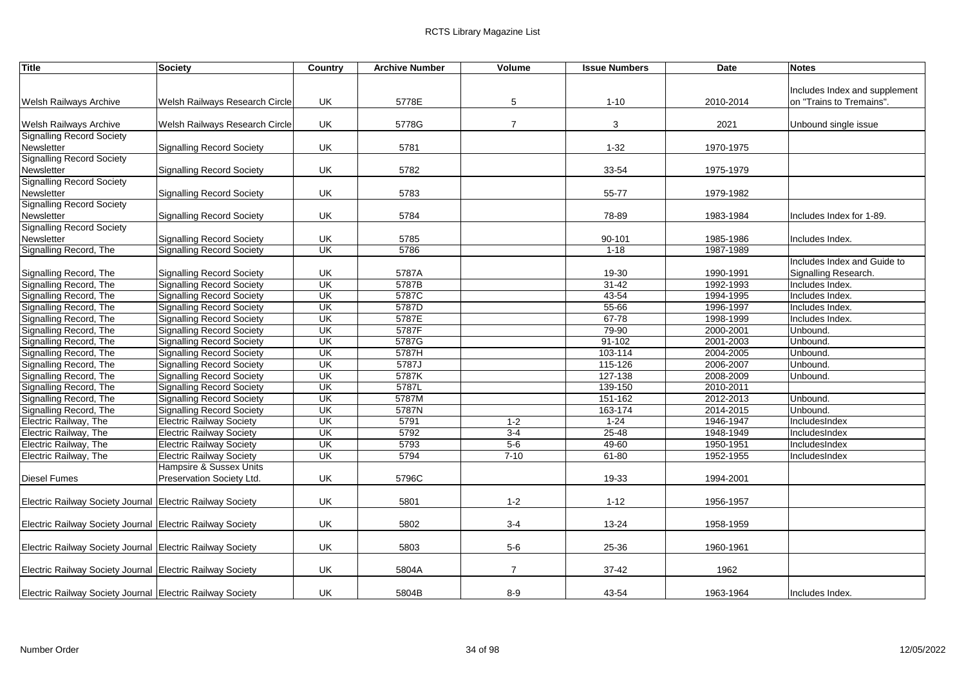| <b>Title</b>                                              | Society                          | Country                  | <b>Archive Number</b> | Volume         | <b>Issue Numbers</b> | <b>Date</b> | <b>Notes</b>                  |
|-----------------------------------------------------------|----------------------------------|--------------------------|-----------------------|----------------|----------------------|-------------|-------------------------------|
|                                                           |                                  |                          |                       |                |                      |             |                               |
|                                                           |                                  |                          |                       |                |                      |             | Includes Index and supplement |
| <b>Welsh Railways Archive</b>                             | Welsh Railways Research Circle   | UK.                      | 5778E                 | 5              | $1 - 10$             | 2010-2014   | on "Trains to Tremains".      |
|                                                           |                                  |                          |                       |                |                      |             |                               |
| <b>Welsh Railways Archive</b>                             | Welsh Railways Research Circle   | UK                       | 5778G                 | $\overline{7}$ | $\mathbf{3}$         | 2021        | Unbound single issue          |
| <b>Signalling Record Society</b>                          |                                  |                          |                       |                |                      |             |                               |
| Newsletter                                                | <b>Signalling Record Society</b> | UK                       | 5781                  |                | $1 - 32$             | 1970-1975   |                               |
| <b>Signalling Record Society</b>                          |                                  |                          |                       |                |                      |             |                               |
| Newsletter                                                | <b>Signalling Record Society</b> | UK                       | 5782                  |                | 33-54                | 1975-1979   |                               |
| <b>Signalling Record Society</b>                          |                                  |                          |                       |                |                      |             |                               |
| Newsletter                                                | <b>Signalling Record Society</b> | UK                       | 5783                  |                | 55-77                | 1979-1982   |                               |
| <b>Signalling Record Society</b>                          |                                  |                          |                       |                |                      |             |                               |
| Newsletter<br><b>Signalling Record Society</b>            | <b>Signalling Record Society</b> | UK                       | 5784                  |                | 78-89                | 1983-1984   | Includes Index for 1-89.      |
| Newsletter                                                |                                  | UK                       | 5785                  |                |                      | 1985-1986   |                               |
|                                                           | <b>Signalling Record Society</b> | UK                       | 5786                  |                | 90-101               |             | Includes Index.               |
| Signalling Record, The                                    | <b>Signalling Record Society</b> |                          |                       |                | $1 - 18$             | 1987-1989   |                               |
|                                                           |                                  |                          |                       |                |                      |             | Includes Index and Guide to   |
| Signalling Record, The                                    | <b>Signalling Record Society</b> | UK                       | 5787A                 |                | 19-30                | 1990-1991   | Signalling Research.          |
| Signalling Record, The                                    | <b>Signalling Record Society</b> | UK                       | 5787B                 |                | $31 - 42$            | 1992-1993   | Includes Index.               |
| Signalling Record, The                                    | <b>Signalling Record Society</b> | UK                       | 5787C                 |                | 43-54                | 1994-1995   | Includes Index.               |
| Signalling Record, The                                    | <b>Signalling Record Society</b> | UK                       | 5787D                 |                | 55-66                | 1996-1997   | Includes Index.               |
| Signalling Record, The                                    | <b>Signalling Record Society</b> | UK                       | 5787E                 |                | $67 - 78$            | 1998-1999   | Includes Index.               |
| Signalling Record, The                                    | <b>Signalling Record Society</b> | UK                       | 5787F                 |                | 79-90                | 2000-2001   | Unbound.                      |
| Signalling Record, The                                    | <b>Signalling Record Society</b> | UK                       | 5787G                 |                | $91 - 102$           | 2001-2003   | Unbound.                      |
| Signalling Record, The                                    | <b>Signalling Record Society</b> | UK                       | 5787H                 |                | 103-114              | 2004-2005   | Unbound.                      |
| Signalling Record, The                                    | Signalling Record Society        | UK                       | 5787J                 |                | 115-126              | 2006-2007   | Unbound.                      |
| Signalling Record, The                                    | <b>Signalling Record Society</b> | UK                       | 5787K                 |                | 127-138              | 2008-2009   | Unbound.                      |
| Signalling Record, The                                    | <b>Signalling Record Society</b> | UK                       | 5787L                 |                | 139-150              | 2010-2011   |                               |
| Signalling Record, The                                    | <b>Signalling Record Society</b> | UK                       | 5787M                 |                | 151-162              | 2012-2013   | Unbound.                      |
| Signalling Record, The                                    | <b>Signalling Record Society</b> | <b>UK</b>                | 5787N                 |                | 163-174              | 2014-2015   | Unbound.                      |
| Electric Railway, The                                     | <b>Electric Railway Society</b>  | $\overline{\mathsf{CK}}$ | 5791                  | $1 - 2$        | $1 - 24$             | 1946-1947   | IncludesIndex                 |
| Electric Railway, The                                     | <b>Electric Railway Society</b>  | UK                       | 5792                  | $3-4$          | $25 - 48$            | 1948-1949   | IncludesIndex                 |
| Electric Railway, The                                     | <b>Electric Railway Society</b>  | UK                       | 5793                  | $5-6$          | $49 - 60$            | 1950-1951   | IncludesIndex                 |
| Electric Railway, The                                     | <b>Electric Railway Society</b>  | UK                       | 5794                  | $7 - 10$       | $61 - 80$            | 1952-1955   | IncludesIndex                 |
|                                                           | Hampsire & Sussex Units          |                          |                       |                |                      |             |                               |
| <b>Diesel Fumes</b>                                       | Preservation Society Ltd.        | UK                       | 5796C                 |                | 19-33                | 1994-2001   |                               |
|                                                           |                                  |                          |                       |                |                      |             |                               |
| Electric Railway Society Journal Electric Railway Society |                                  | UK.                      | 5801                  | $1 - 2$        | $1 - 12$             | 1956-1957   |                               |
|                                                           |                                  |                          |                       |                |                      |             |                               |
| Electric Railway Society Journal Electric Railway Society |                                  | UK                       | 5802                  | $3-4$          | 13-24                | 1958-1959   |                               |
|                                                           |                                  |                          |                       |                |                      |             |                               |
| Electric Railway Society Journal Electric Railway Society |                                  | UK                       | 5803                  | $5-6$          | 25-36                | 1960-1961   |                               |
|                                                           |                                  |                          |                       |                |                      |             |                               |
| Electric Railway Society Journal Electric Railway Society |                                  | UK                       | 5804A                 | $\overline{7}$ | $37 - 42$            | 1962        |                               |
|                                                           |                                  |                          |                       |                |                      |             |                               |
| Electric Railway Society Journal Electric Railway Society |                                  | UK                       | 5804B                 | $8-9$          | 43-54                | 1963-1964   | Includes Index.               |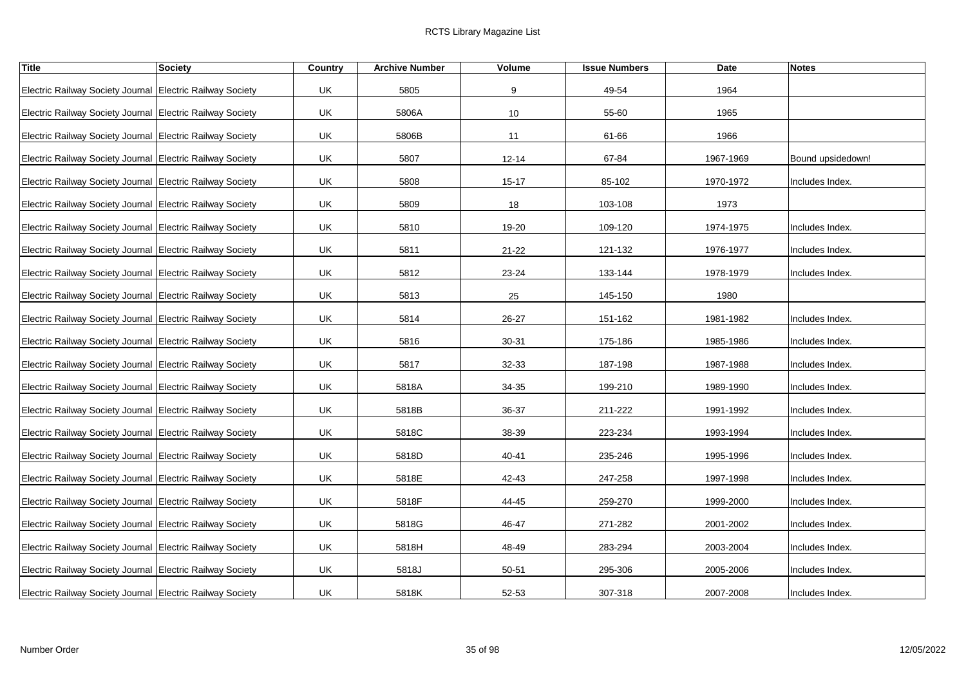| <b>Title</b>                                              | <b>Society</b> | Country | <b>Archive Number</b> | Volume    | <b>Issue Numbers</b> | Date      | <b>Notes</b>      |
|-----------------------------------------------------------|----------------|---------|-----------------------|-----------|----------------------|-----------|-------------------|
| Electric Railway Society Journal Electric Railway Society |                | UK      | 5805                  | 9         | 49-54                | 1964      |                   |
| Electric Railway Society Journal Electric Railway Society |                | UK      | 5806A                 | 10        | 55-60                | 1965      |                   |
| Electric Railway Society Journal Electric Railway Society |                | UK      | 5806B                 | 11        | 61-66                | 1966      |                   |
| Electric Railway Society Journal Electric Railway Society |                | UK      | 5807                  | $12 - 14$ | 67-84                | 1967-1969 | Bound upsidedown! |
| Electric Railway Society Journal Electric Railway Society |                | UK      | 5808                  | $15 - 17$ | 85-102               | 1970-1972 | Includes Index.   |
| Electric Railway Society Journal Electric Railway Society |                | UK      | 5809                  | 18        | 103-108              | 1973      |                   |
| Electric Railway Society Journal Electric Railway Society |                | UK      | 5810                  | 19-20     | 109-120              | 1974-1975 | Includes Index.   |
| Electric Railway Society Journal Electric Railway Society |                | UK      | 5811                  | $21 - 22$ | 121-132              | 1976-1977 | Includes Index.   |
| Electric Railway Society Journal Electric Railway Society |                | UK      | 5812                  | 23-24     | 133-144              | 1978-1979 | Includes Index.   |
| Electric Railway Society Journal Electric Railway Society |                | UK      | 5813                  | 25        | 145-150              | 1980      |                   |
| Electric Railway Society Journal Electric Railway Society |                | UK      | 5814                  | 26-27     | 151-162              | 1981-1982 | Includes Index.   |
| Electric Railway Society Journal Electric Railway Society |                | UK      | 5816                  | 30-31     | 175-186              | 1985-1986 | Includes Index.   |
| Electric Railway Society Journal Electric Railway Society |                | UK      | 5817                  | 32-33     | 187-198              | 1987-1988 | Includes Index.   |
| Electric Railway Society Journal Electric Railway Society |                | UK      | 5818A                 | 34-35     | 199-210              | 1989-1990 | Includes Index.   |
| Electric Railway Society Journal Electric Railway Society |                | UK      | 5818B                 | 36-37     | 211-222              | 1991-1992 | Includes Index.   |
| Electric Railway Society Journal Electric Railway Society |                | UK      | 5818C                 | 38-39     | 223-234              | 1993-1994 | Includes Index.   |
| Electric Railway Society Journal Electric Railway Society |                | UK      | 5818D                 | 40-41     | 235-246              | 1995-1996 | Includes Index.   |
| Electric Railway Society Journal Electric Railway Society |                | UK      | 5818E                 | 42-43     | 247-258              | 1997-1998 | Includes Index.   |
| Electric Railway Society Journal Electric Railway Society |                | UK      | 5818F                 | 44-45     | 259-270              | 1999-2000 | Includes Index.   |
| Electric Railway Society Journal Electric Railway Society |                | UK      | 5818G                 | 46-47     | 271-282              | 2001-2002 | Includes Index.   |
| Electric Railway Society Journal Electric Railway Society |                | UK      | 5818H                 | 48-49     | 283-294              | 2003-2004 | Includes Index.   |
| Electric Railway Society Journal Electric Railway Society |                | UK      | 5818J                 | 50-51     | 295-306              | 2005-2006 | Includes Index.   |
| Electric Railway Society Journal Electric Railway Society |                | UK      | 5818K                 | $52 - 53$ | 307-318              | 2007-2008 | Includes Index.   |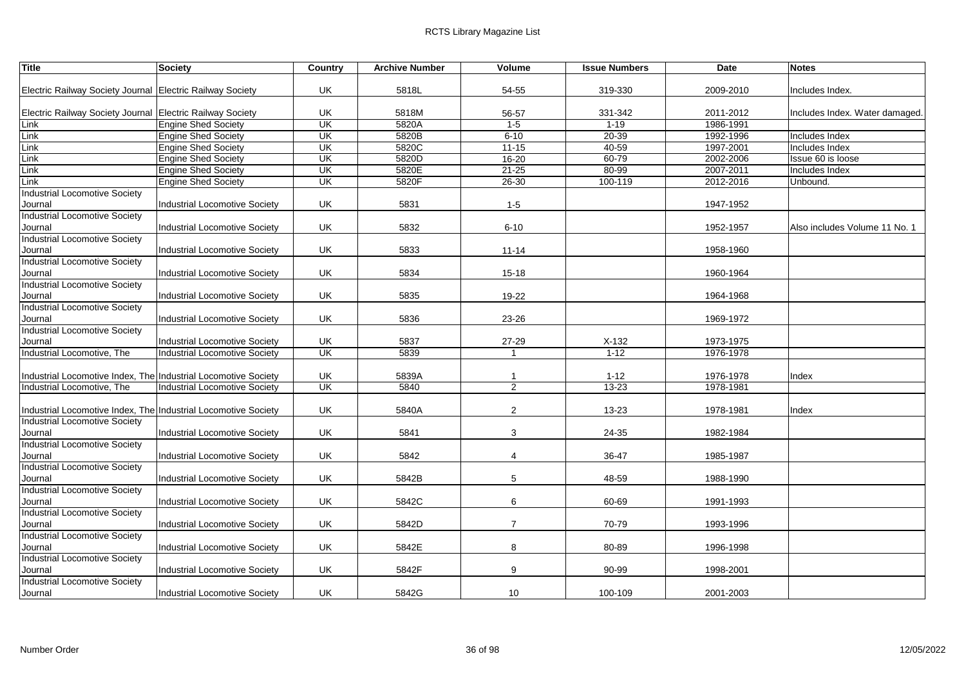| <b>Title</b>                                                   | <b>Society</b>                       | Country   | <b>Archive Number</b> | <b>Volume</b>  | <b>Issue Numbers</b> | Date      | <b>Notes</b>                   |
|----------------------------------------------------------------|--------------------------------------|-----------|-----------------------|----------------|----------------------|-----------|--------------------------------|
|                                                                |                                      |           |                       |                |                      |           |                                |
| Electric Railway Society Journal Electric Railway Society      |                                      | UK        | 5818L                 | 54-55          | 319-330              | 2009-2010 | Includes Index.                |
| Electric Railway Society Journal Electric Railway Society      |                                      | UK        | 5818M                 | 56-57          | 331-342              | 2011-2012 | Includes Index. Water damaged. |
| Link                                                           | <b>Engine Shed Society</b>           | UK        | 5820A                 | $1 - 5$        | $1 - 19$             | 1986-1991 |                                |
| Link                                                           | <b>Engine Shed Society</b>           | UK        | 5820B                 | $6 - 10$       | $20 - 39$            | 1992-1996 | Includes Index                 |
| Link                                                           | <b>Engine Shed Society</b>           | UK        | 5820C                 | $11 - 15$      | 40-59                | 1997-2001 | Includes Index                 |
| Link                                                           | <b>Engine Shed Society</b>           | UK        | 5820D                 | 16-20          | 60-79                | 2002-2006 | Issue 60 is loose              |
| Link                                                           | <b>Engine Shed Society</b>           | <b>UK</b> | 5820E                 | $21 - 25$      | 80-99                | 2007-2011 | Includes Index                 |
| Link                                                           | <b>Engine Shed Society</b>           | UK        | 5820F                 | 26-30          | 100-119              | 2012-2016 | Unbound.                       |
| Industrial Locomotive Society                                  |                                      |           |                       |                |                      |           |                                |
| Journal                                                        | Industrial Locomotive Society        | UK        | 5831                  | $1 - 5$        |                      | 1947-1952 |                                |
| Industrial Locomotive Society                                  |                                      |           |                       |                |                      |           |                                |
| Journal                                                        | <b>Industrial Locomotive Society</b> | UK        | 5832                  | $6 - 10$       |                      | 1952-1957 | Also includes Volume 11 No. 1  |
| <b>Industrial Locomotive Society</b>                           |                                      |           |                       |                |                      |           |                                |
| Journal                                                        | <b>Industrial Locomotive Society</b> | UK        | 5833                  | $11 - 14$      |                      | 1958-1960 |                                |
| <b>Industrial Locomotive Society</b>                           |                                      |           |                       |                |                      |           |                                |
| Journal                                                        | <b>Industrial Locomotive Society</b> | UK        | 5834                  | $15 - 18$      |                      | 1960-1964 |                                |
| <b>Industrial Locomotive Society</b>                           |                                      |           |                       |                |                      |           |                                |
| Journal                                                        | Industrial Locomotive Society        | UK        | 5835                  | 19-22          |                      | 1964-1968 |                                |
| Industrial Locomotive Society                                  |                                      |           |                       |                |                      |           |                                |
| Journal                                                        | <b>Industrial Locomotive Society</b> | UK        | 5836                  | 23-26          |                      | 1969-1972 |                                |
| <b>Industrial Locomotive Society</b>                           |                                      |           |                       |                |                      |           |                                |
| Journal                                                        | Industrial Locomotive Society        | UK        | 5837                  | 27-29          | $X-132$              | 1973-1975 |                                |
| Industrial Locomotive, The                                     | <b>Industrial Locomotive Society</b> | <b>UK</b> | 5839                  | $\overline{1}$ | $1 - 12$             | 1976-1978 |                                |
|                                                                |                                      |           |                       |                |                      |           |                                |
| Industrial Locomotive Index, The Industrial Locomotive Society |                                      | UK        | 5839A                 | -1             | $1 - 12$             | 1976-1978 | Index                          |
| Industrial Locomotive, The                                     | <b>Industrial Locomotive Society</b> | <b>UK</b> | 5840                  | 2              | 13-23                | 1978-1981 |                                |
|                                                                |                                      |           |                       |                |                      |           |                                |
| Industrial Locomotive Index, The Industrial Locomotive Society |                                      | UK        | 5840A                 | 2              | 13-23                | 1978-1981 | Index                          |
| Industrial Locomotive Society                                  |                                      |           |                       |                |                      |           |                                |
| Journal                                                        | <b>Industrial Locomotive Society</b> | UK        | 5841                  | 3              | 24-35                | 1982-1984 |                                |
| Industrial Locomotive Society                                  |                                      |           |                       |                |                      |           |                                |
| Journal                                                        | Industrial Locomotive Society        | UK        | 5842                  | $\overline{4}$ | 36-47                | 1985-1987 |                                |
| <b>Industrial Locomotive Society</b>                           |                                      |           |                       |                |                      |           |                                |
| Journal                                                        | <b>Industrial Locomotive Society</b> | UK        | 5842B                 | 5              | 48-59                | 1988-1990 |                                |
| Industrial Locomotive Society                                  |                                      |           |                       |                |                      |           |                                |
| Journal                                                        | <b>Industrial Locomotive Society</b> | UK.       | 5842C                 | 6              | 60-69                | 1991-1993 |                                |
| Industrial Locomotive Society                                  |                                      |           |                       |                |                      |           |                                |
| Journal                                                        | <b>Industrial Locomotive Society</b> | UK        | 5842D                 | $\overline{7}$ | 70-79                | 1993-1996 |                                |
| Industrial Locomotive Society                                  |                                      |           |                       |                |                      |           |                                |
| Journal                                                        | <b>Industrial Locomotive Society</b> | UK        | 5842E                 | 8              | 80-89                | 1996-1998 |                                |
| <b>Industrial Locomotive Society</b>                           |                                      |           |                       |                |                      |           |                                |
| Journal                                                        | <b>Industrial Locomotive Society</b> | UK        | 5842F                 | 9              | 90-99                | 1998-2001 |                                |
| <b>Industrial Locomotive Society</b>                           |                                      |           |                       |                |                      |           |                                |
| Journal                                                        | <b>Industrial Locomotive Society</b> | UK        | 5842G                 | 10             | 100-109              | 2001-2003 |                                |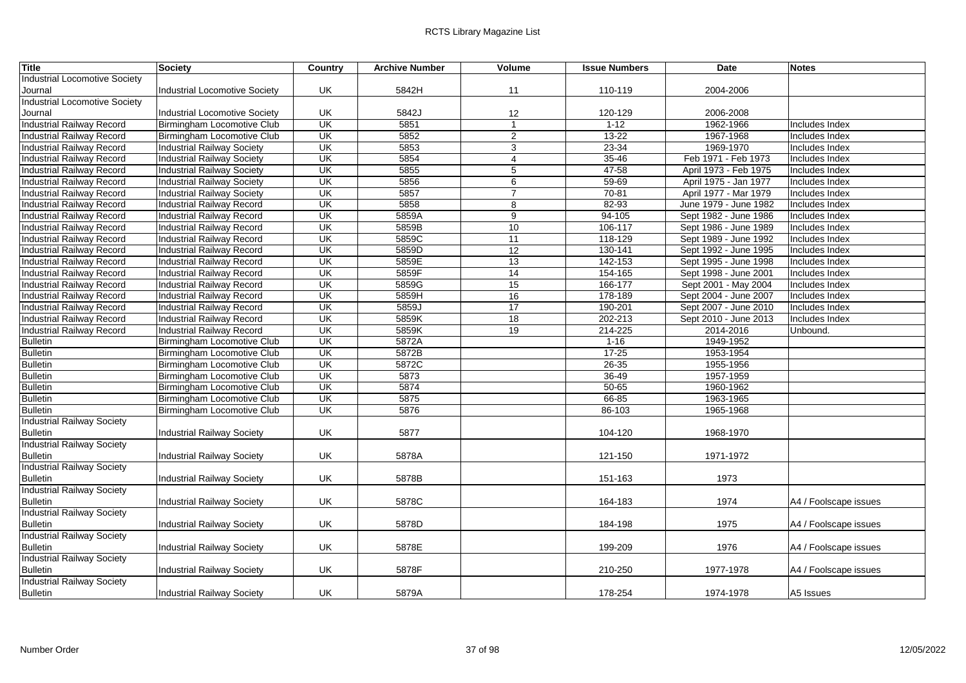| <b>Title</b>                      | Society                              | Country                 | <b>Archive Number</b> | Volume         | <b>Issue Numbers</b> | Date                  | <b>Notes</b>          |
|-----------------------------------|--------------------------------------|-------------------------|-----------------------|----------------|----------------------|-----------------------|-----------------------|
| Industrial Locomotive Society     |                                      |                         |                       |                |                      |                       |                       |
| Journal                           | <b>Industrial Locomotive Society</b> | UK                      | 5842H                 | 11             | 110-119              | 2004-2006             |                       |
| Industrial Locomotive Society     |                                      |                         |                       |                |                      |                       |                       |
| Journal                           | <b>Industrial Locomotive Society</b> | UK                      | 5842J                 | 12             | 120-129              | 2006-2008             |                       |
| <b>Industrial Railway Record</b>  | Birmingham Locomotive Club           | <b>UK</b>               | 5851                  | $\overline{1}$ | $1 - 12$             | 1962-1966             | Includes Index        |
| <b>Industrial Railway Record</b>  | Birmingham Locomotive Club           | UK                      | 5852                  | 2              | 13-22                | 1967-1968             | Includes Index        |
| Industrial Railway Record         | Industrial Railway Society           | UK                      | 5853                  | $\mathbf{3}$   | 23-34                | 1969-1970             | Includes Index        |
| Industrial Railway Record         | Industrial Railway Society           | UK                      | 5854                  | $\overline{4}$ | $35 - 46$            | Feb 1971 - Feb 1973   | Includes Index        |
| Industrial Railway Record         | <b>Industrial Railway Society</b>    | UK                      | 5855                  | 5              | 47-58                | April 1973 - Feb 1975 | Includes Index        |
| Industrial Railway Record         | Industrial Railway Society           | <b>UK</b>               | 5856                  | 6              | $59 - 69$            | April 1975 - Jan 1977 | Includes Index        |
| <b>Industrial Railway Record</b>  | <b>Industrial Railway Society</b>    | $\overline{\mathsf{U}}$ | 5857                  | 7              | 70-81                | April 1977 - Mar 1979 | Includes Index        |
| Industrial Railway Record         | <b>Industrial Railway Record</b>     | <b>UK</b>               | 5858                  | 8              | 82-93                | June 1979 - June 1982 | Includes Index        |
| <b>Industrial Railway Record</b>  | <b>Industrial Railway Record</b>     | $\overline{\mathsf{U}}$ | 5859A                 | $\overline{9}$ | 94-105               | Sept 1982 - June 1986 | Includes Index        |
| <b>Industrial Railway Record</b>  | <b>Industrial Railway Record</b>     | UK                      | 5859B                 | 10             | 106-117              | Sept 1986 - June 1989 | Includes Index        |
| Industrial Railway Record         | Industrial Railway Record            | UK                      | 5859C                 | 11             | 118-129              | Sept 1989 - June 1992 | Includes Index        |
| <b>Industrial Railway Record</b>  | <b>Industrial Railway Record</b>     | <b>UK</b>               | 5859D                 | 12             | 130-141              | Sept 1992 - June 1995 | Includes Index        |
| Industrial Railway Record         | Industrial Railway Record            | <b>UK</b>               | 5859E                 | 13             | 142-153              | Sept 1995 - June 1998 | Includes Index        |
| Industrial Railway Record         | Industrial Railway Record            | UK                      | 5859F                 | 14             | 154-165              | Sept 1998 - June 2001 | Includes Index        |
| <b>Industrial Railway Record</b>  | <b>Industrial Railway Record</b>     | UK                      | 5859G                 | 15             | 166-177              | Sept 2001 - May 2004  | Includes Index        |
| Industrial Railway Record         | Industrial Railway Record            | UK                      | 5859H                 | 16             | 178-189              | Sept 2004 - June 2007 | Includes Index        |
| Industrial Railway Record         | <b>Industrial Railway Record</b>     | UK                      | 5859J                 | 17             | 190-201              | Sept 2007 - June 2010 | Includes Index        |
| Industrial Railway Record         | Industrial Railway Record            | <b>UK</b>               | 5859K                 | 18             | 202-213              | Sept 2010 - June 2013 | Includes Index        |
| Industrial Railway Record         | <b>Industrial Railway Record</b>     | UK                      | 5859K                 | 19             | 214-225              | 2014-2016             | Unbound.              |
| <b>Bulletin</b>                   | Birmingham Locomotive Club           | UK                      | 5872A                 |                | $1 - 16$             | 1949-1952             |                       |
| <b>Bulletin</b>                   | Birmingham Locomotive Club           | $\overline{\mathsf{U}}$ | 5872B                 |                | $17 - 25$            | 1953-1954             |                       |
| <b>Bulletin</b>                   | Birmingham Locomotive Club           | $\overline{\mathsf{U}}$ | 5872C                 |                | $26 - 35$            | 1955-1956             |                       |
| <b>Bulletin</b>                   | Birmingham Locomotive Club           | UK                      | 5873                  |                | 36-49                | 1957-1959             |                       |
| <b>Bulletin</b>                   | Birmingham Locomotive Club           | $\overline{\mathsf{U}}$ | 5874                  |                | $50 - 65$            | 1960-1962             |                       |
| <b>Bulletin</b>                   | Birmingham Locomotive Club           | $\overline{\mathsf{U}}$ | 5875                  |                | 66-85                | 1963-1965             |                       |
| <b>Bulletin</b>                   | Birmingham Locomotive Club           | <b>UK</b>               | 5876                  |                | 86-103               | 1965-1968             |                       |
| Industrial Railway Society        |                                      |                         |                       |                |                      |                       |                       |
| <b>Bulletin</b>                   | <b>Industrial Railway Society</b>    | UK                      | 5877                  |                | 104-120              | 1968-1970             |                       |
| <b>Industrial Railway Society</b> |                                      |                         |                       |                |                      |                       |                       |
| <b>Bulletin</b>                   | <b>Industrial Railway Society</b>    | UK                      | 5878A                 |                | 121-150              | 1971-1972             |                       |
| <b>Industrial Railway Society</b> |                                      |                         |                       |                |                      |                       |                       |
| <b>Bulletin</b>                   | Industrial Railway Society           | UK                      | 5878B                 |                | 151-163              | 1973                  |                       |
| <b>Industrial Railway Society</b> |                                      |                         |                       |                |                      |                       |                       |
| <b>Bulletin</b>                   | Industrial Railway Society           | UK                      | 5878C                 |                | 164-183              | 1974                  | A4 / Foolscape issues |
| <b>Industrial Railway Society</b> |                                      |                         |                       |                |                      |                       |                       |
| <b>Bulletin</b>                   | Industrial Railway Society           | UK                      | 5878D                 |                | 184-198              | 1975                  | A4 / Foolscape issues |
| <b>Industrial Railway Society</b> |                                      |                         |                       |                |                      |                       |                       |
| <b>Bulletin</b>                   | Industrial Railway Society           | UK                      | 5878E                 |                | 199-209              | 1976                  | A4 / Foolscape issues |
| <b>Industrial Railway Society</b> |                                      |                         |                       |                |                      |                       |                       |
| <b>Bulletin</b>                   | <b>Industrial Railway Society</b>    | UK                      | 5878F                 |                | 210-250              | 1977-1978             | A4 / Foolscape issues |
| <b>Industrial Railway Society</b> |                                      |                         |                       |                |                      |                       |                       |
| <b>Bulletin</b>                   | Industrial Railway Society           | UK                      | 5879A                 |                | 178-254              | 1974-1978             | A5 Issues             |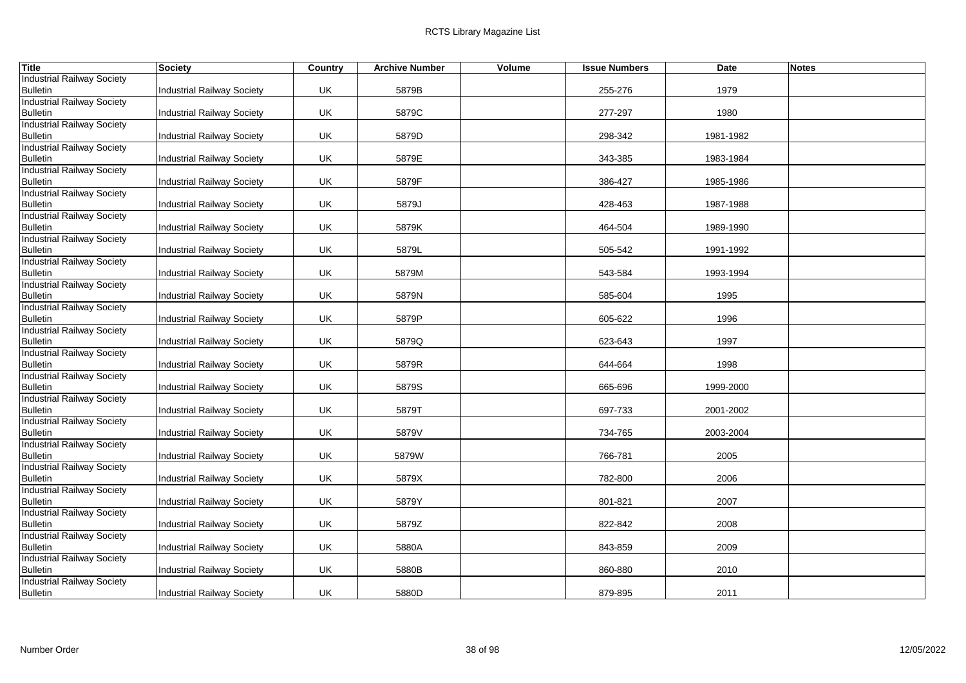| <b>Title</b>                                         | <b>Society</b>                    | Country | <b>Archive Number</b> | Volume | <b>Issue Numbers</b> | Date      | <b>Notes</b> |
|------------------------------------------------------|-----------------------------------|---------|-----------------------|--------|----------------------|-----------|--------------|
| <b>Industrial Railway Society</b>                    |                                   |         |                       |        |                      |           |              |
| <b>Bulletin</b>                                      | <b>Industrial Railway Society</b> | UK      | 5879B                 |        | 255-276              | 1979      |              |
| <b>Industrial Railway Society</b>                    |                                   |         |                       |        |                      |           |              |
| <b>Bulletin</b>                                      | <b>Industrial Railway Society</b> | UK      | 5879C                 |        | 277-297              | 1980      |              |
| <b>Industrial Railway Society</b>                    |                                   |         |                       |        |                      |           |              |
| <b>Bulletin</b>                                      | Industrial Railway Society        | UK      | 5879D                 |        | 298-342              | 1981-1982 |              |
| <b>Industrial Railway Society</b>                    |                                   |         |                       |        |                      |           |              |
| <b>Bulletin</b>                                      | Industrial Railway Society        | UK      | 5879E                 |        | 343-385              | 1983-1984 |              |
| <b>Industrial Railway Society</b>                    |                                   |         |                       |        |                      |           |              |
| <b>Bulletin</b>                                      | <b>Industrial Railway Society</b> | UK      | 5879F                 |        | 386-427              | 1985-1986 |              |
| <b>Industrial Railway Society</b>                    |                                   |         | 5879J                 |        | 428-463              | 1987-1988 |              |
| <b>Bulletin</b><br><b>Industrial Railway Society</b> | <b>Industrial Railway Society</b> | UK.     |                       |        |                      |           |              |
| <b>Bulletin</b>                                      | Industrial Railway Society        | UK      | 5879K                 |        | 464-504              | 1989-1990 |              |
| <b>Industrial Railway Society</b>                    |                                   |         |                       |        |                      |           |              |
| <b>Bulletin</b>                                      | Industrial Railway Society        | UK      | 5879L                 |        | 505-542              | 1991-1992 |              |
| <b>Industrial Railway Society</b>                    |                                   |         |                       |        |                      |           |              |
| <b>Bulletin</b>                                      | <b>Industrial Railway Society</b> | UK      | 5879M                 |        | 543-584              | 1993-1994 |              |
| <b>Industrial Railway Society</b>                    |                                   |         |                       |        |                      |           |              |
| <b>Bulletin</b>                                      | Industrial Railway Society        | UK      | 5879N                 |        | 585-604              | 1995      |              |
| <b>Industrial Railway Society</b>                    |                                   |         |                       |        |                      |           |              |
| <b>Bulletin</b>                                      | <b>Industrial Railway Society</b> | UK.     | 5879P                 |        | 605-622              | 1996      |              |
| <b>Industrial Railway Society</b>                    |                                   |         |                       |        |                      |           |              |
| <b>Bulletin</b>                                      | <b>Industrial Railway Society</b> | UK      | 5879Q                 |        | 623-643              | 1997      |              |
| <b>Industrial Railway Society</b>                    |                                   |         |                       |        |                      |           |              |
| <b>Bulletin</b>                                      | <b>Industrial Railway Society</b> | UK      | 5879R                 |        | 644-664              | 1998      |              |
| <b>Industrial Railway Society</b>                    |                                   |         |                       |        |                      |           |              |
| <b>Bulletin</b>                                      | Industrial Railway Society        | UK      | 5879S                 |        | 665-696              | 1999-2000 |              |
| <b>Industrial Railway Society</b>                    |                                   |         |                       |        |                      |           |              |
| <b>Bulletin</b>                                      | Industrial Railway Society        | UK      | 5879T                 |        | 697-733              | 2001-2002 |              |
| <b>Industrial Railway Society</b>                    |                                   |         |                       |        |                      |           |              |
| <b>Bulletin</b><br><b>Industrial Railway Society</b> | Industrial Railway Society        | UK      | 5879V                 |        | 734-765              | 2003-2004 |              |
| <b>Bulletin</b>                                      | Industrial Railway Society        | UK      | 5879W                 |        | 766-781              | 2005      |              |
| <b>Industrial Railway Society</b>                    |                                   |         |                       |        |                      |           |              |
| <b>Bulletin</b>                                      | Industrial Railway Society        | UK      | 5879X                 |        | 782-800              | 2006      |              |
| <b>Industrial Railway Society</b>                    |                                   |         |                       |        |                      |           |              |
| <b>Bulletin</b>                                      | Industrial Railway Society        | UK      | 5879Y                 |        | 801-821              | 2007      |              |
| <b>Industrial Railway Society</b>                    |                                   |         |                       |        |                      |           |              |
| <b>Bulletin</b>                                      | <b>Industrial Railway Society</b> | UK      | 5879Z                 |        | 822-842              | 2008      |              |
| <b>Industrial Railway Society</b>                    |                                   |         |                       |        |                      |           |              |
| <b>Bulletin</b>                                      | Industrial Railway Society        | UK      | 5880A                 |        | 843-859              | 2009      |              |
| <b>Industrial Railway Society</b>                    |                                   |         |                       |        |                      |           |              |
| <b>Bulletin</b>                                      | Industrial Railway Society        | UK      | 5880B                 |        | 860-880              | 2010      |              |
| <b>Industrial Railway Society</b>                    |                                   |         |                       |        |                      |           |              |
| <b>Bulletin</b>                                      | <b>Industrial Railway Society</b> | UK.     | 5880D                 |        | 879-895              | 2011      |              |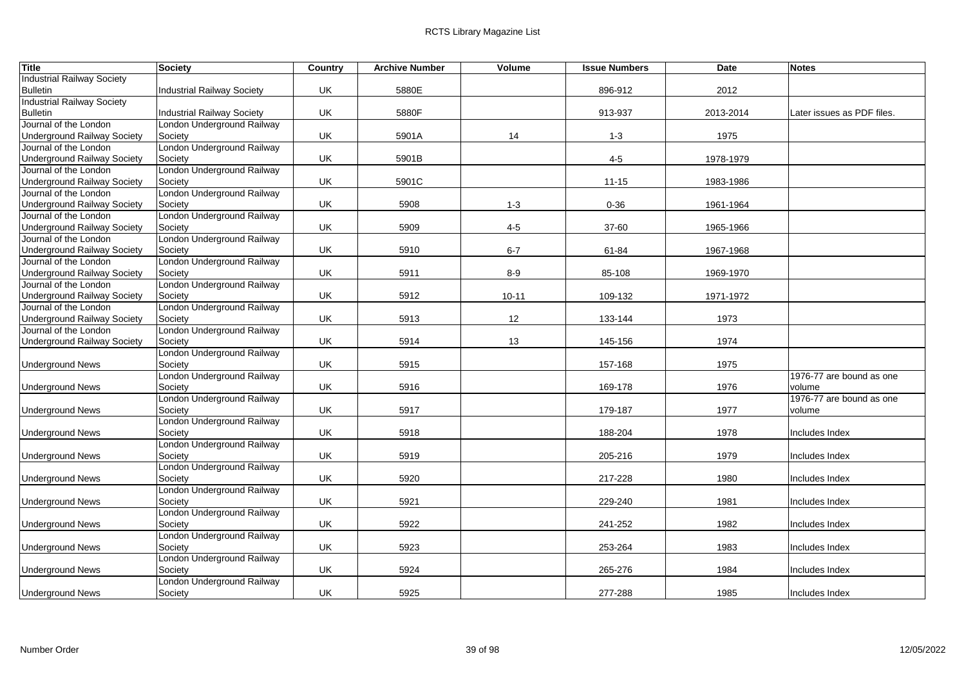| <b>Title</b>                                                | <b>Society</b>                        | Country | <b>Archive Number</b> | Volume    | <b>Issue Numbers</b> | Date      | <b>Notes</b>               |
|-------------------------------------------------------------|---------------------------------------|---------|-----------------------|-----------|----------------------|-----------|----------------------------|
| <b>Industrial Railway Society</b>                           |                                       |         |                       |           |                      |           |                            |
| <b>Bulletin</b>                                             | Industrial Railway Society            | UK      | 5880E                 |           | 896-912              | 2012      |                            |
| <b>Industrial Railway Society</b>                           |                                       |         |                       |           |                      |           |                            |
| <b>Bulletin</b>                                             | Industrial Railway Society            | UK      | 5880F                 |           | 913-937              | 2013-2014 | Later issues as PDF files. |
| Journal of the London                                       | London Underground Railway            |         |                       |           |                      |           |                            |
| <b>Underground Railway Society</b>                          | Society                               | UK      | 5901A                 | 14        | $1 - 3$              | 1975      |                            |
| Journal of the London                                       | London Underground Railway            |         |                       |           |                      |           |                            |
| <b>Underground Railway Society</b>                          | Society                               | UK      | 5901B                 |           | $4 - 5$              | 1978-1979 |                            |
| Journal of the London                                       | London Underground Railway            |         |                       |           |                      |           |                            |
| <b>Underground Railway Society</b>                          | Society                               | UK      | 5901C                 |           | $11 - 15$            | 1983-1986 |                            |
| Journal of the London                                       | London Underground Railway            |         |                       |           |                      |           |                            |
| <b>Underground Railway Society</b>                          | Society                               | UK      | 5908                  | $1 - 3$   | $0 - 36$             | 1961-1964 |                            |
| Journal of the London                                       | London Underground Railway            |         |                       |           |                      |           |                            |
| <b>Underground Railway Society</b><br>Journal of the London | Society<br>London Underground Railway | UK      | 5909                  | $4-5$     | 37-60                | 1965-1966 |                            |
|                                                             |                                       |         |                       |           |                      |           |                            |
| <b>Underground Railway Society</b><br>Journal of the London | Society<br>London Underground Railway | UK      | 5910                  | $6 - 7$   | 61-84                | 1967-1968 |                            |
|                                                             |                                       | UK      | 5911                  | $8-9$     |                      | 1969-1970 |                            |
| <b>Underground Railway Society</b><br>Journal of the London | Society<br>London Underground Railway |         |                       |           | 85-108               |           |                            |
| <b>Underground Railway Society</b>                          | Society                               | UK      | 5912                  | $10 - 11$ | 109-132              | 1971-1972 |                            |
| Journal of the London                                       | London Underground Railway            |         |                       |           |                      |           |                            |
| <b>Underground Railway Society</b>                          | Society                               | UK      | 5913                  | 12        | 133-144              | 1973      |                            |
| Journal of the London                                       | London Underground Railway            |         |                       |           |                      |           |                            |
| <b>Underground Railway Society</b>                          | Society                               | UK      | 5914                  | 13        | 145-156              | 1974      |                            |
|                                                             | London Underground Railway            |         |                       |           |                      |           |                            |
| <b>Underground News</b>                                     | Society                               | UK      | 5915                  |           | 157-168              | 1975      |                            |
|                                                             | London Underground Railway            |         |                       |           |                      |           | 1976-77 are bound as one   |
| <b>Underground News</b>                                     | Society                               | UK      | 5916                  |           | 169-178              | 1976      | volume                     |
|                                                             | London Underground Railway            |         |                       |           |                      |           | 1976-77 are bound as one   |
| <b>Underground News</b>                                     | Society                               | UK      | 5917                  |           | 179-187              | 1977      | volume                     |
|                                                             | London Underground Railway            |         |                       |           |                      |           |                            |
| <b>Underground News</b>                                     | Society                               | UK      | 5918                  |           | 188-204              | 1978      | Includes Index             |
|                                                             | London Underground Railway            |         |                       |           |                      |           |                            |
| <b>Underground News</b>                                     | Society                               | UK      | 5919                  |           | 205-216              | 1979      | Includes Index             |
|                                                             | London Underground Railway            |         |                       |           |                      |           |                            |
| <b>Underground News</b>                                     | Society                               | UK      | 5920                  |           | 217-228              | 1980      | Includes Index             |
|                                                             | London Underground Railway            |         |                       |           |                      |           |                            |
| <b>Underground News</b>                                     | Society                               | UK      | 5921                  |           | 229-240              | 1981      | Includes Index             |
|                                                             | London Underground Railway            |         |                       |           |                      |           |                            |
| <b>Underground News</b>                                     | Society                               | UK      | 5922                  |           | 241-252              | 1982      | Includes Index             |
|                                                             | London Underground Railway            |         |                       |           |                      |           |                            |
| <b>Underground News</b>                                     | Society                               | UK      | 5923                  |           | 253-264              | 1983      | Includes Index             |
|                                                             | London Underground Railway            |         |                       |           |                      |           |                            |
| <b>Underground News</b>                                     | Society                               | UK      | 5924                  |           | 265-276              | 1984      | Includes Index             |
|                                                             | London Underground Railway            |         |                       |           |                      |           |                            |
| <b>Underground News</b>                                     | Society                               | UK      | 5925                  |           | 277-288              | 1985      | Includes Index             |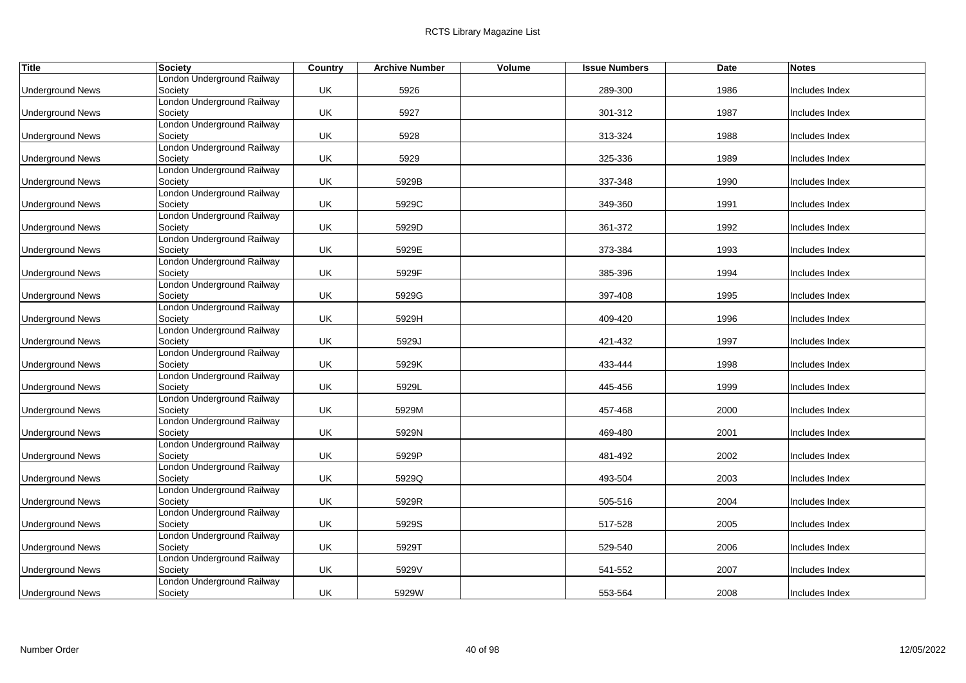| <b>Title</b>            | <b>Society</b>                        | <b>Country</b> | <b>Archive Number</b> | Volume | <b>Issue Numbers</b> | Date | <b>Notes</b>   |
|-------------------------|---------------------------------------|----------------|-----------------------|--------|----------------------|------|----------------|
|                         | London Underground Railway            |                |                       |        |                      |      |                |
| <b>Underground News</b> | Society                               | UK             | 5926                  |        | 289-300              | 1986 | Includes Index |
|                         | London Underground Railway            |                |                       |        |                      |      |                |
| <b>Underground News</b> | Society                               | UK             | 5927                  |        | 301-312              | 1987 | Includes Index |
|                         | London Underground Railway            |                |                       |        |                      |      |                |
| <b>Underground News</b> | Society                               | UK             | 5928                  |        | 313-324              | 1988 | Includes Index |
|                         | London Underground Railway            |                |                       |        |                      |      |                |
| <b>Underground News</b> | Society                               | UK             | 5929                  |        | 325-336              | 1989 | Includes Index |
|                         | London Underground Railway            |                |                       |        |                      |      |                |
| <b>Underground News</b> | Society                               | UK             | 5929B                 |        | 337-348              | 1990 | Includes Index |
|                         | London Underground Railway<br>Society | UK             | 5929C                 |        | 349-360              |      | Includes Index |
| <b>Underground News</b> | London Underground Railway            |                |                       |        |                      | 1991 |                |
| <b>Underground News</b> | Society                               | UK             | 5929D                 |        | 361-372              | 1992 | Includes Index |
|                         | London Underground Railway            |                |                       |        |                      |      |                |
| <b>Underground News</b> | Society                               | UK             | 5929E                 |        | 373-384              | 1993 | Includes Index |
|                         | London Underground Railway            |                |                       |        |                      |      |                |
| <b>Underground News</b> | Society                               | UK             | 5929F                 |        | 385-396              | 1994 | Includes Index |
|                         | London Underground Railway            |                |                       |        |                      |      |                |
| <b>Underground News</b> | Society                               | UK             | 5929G                 |        | 397-408              | 1995 | Includes Index |
|                         | London Underground Railway            |                |                       |        |                      |      |                |
| <b>Underground News</b> | Society                               | UK             | 5929H                 |        | 409-420              | 1996 | Includes Index |
|                         | London Underground Railway            |                |                       |        |                      |      |                |
| <b>Underground News</b> | Society                               | UK             | 5929J                 |        | 421-432              | 1997 | Includes Index |
|                         | London Underground Railway            |                |                       |        |                      |      |                |
| <b>Underground News</b> | Society                               | UK             | 5929K                 |        | 433-444              | 1998 | Includes Index |
|                         | London Underground Railway            |                |                       |        |                      |      |                |
| <b>Underground News</b> | Society                               | UK             | 5929L                 |        | 445-456              | 1999 | Includes Index |
|                         | London Underground Railway            |                |                       |        |                      |      |                |
| <b>Underground News</b> | Society                               | UK             | 5929M                 |        | 457-468              | 2000 | Includes Index |
|                         | London Underground Railway            |                |                       |        |                      |      |                |
| <b>Underground News</b> | Society                               | UK             | 5929N                 |        | 469-480              | 2001 | Includes Index |
|                         | London Underground Railway            |                |                       |        |                      |      |                |
| <b>Underground News</b> | Society<br>London Underground Railway | UK             | 5929P                 |        | 481-492              | 2002 | Includes Index |
|                         | Society                               | UK             | 5929Q                 |        | 493-504              |      |                |
| <b>Underground News</b> | London Underground Railway            |                |                       |        |                      | 2003 | Includes Index |
| <b>Underground News</b> | Society                               | UK             | 5929R                 |        | 505-516              | 2004 | Includes Index |
|                         | London Underground Railway            |                |                       |        |                      |      |                |
| <b>Underground News</b> | Society                               | UK             | 5929S                 |        | 517-528              | 2005 | Includes Index |
|                         | London Underground Railway            |                |                       |        |                      |      |                |
| <b>Underground News</b> | Society                               | UK             | 5929T                 |        | 529-540              | 2006 | Includes Index |
|                         | London Underground Railway            |                |                       |        |                      |      |                |
| <b>Underground News</b> | Society                               | UK             | 5929V                 |        | 541-552              | 2007 | Includes Index |
|                         | London Underground Railway            |                |                       |        |                      |      |                |
| <b>Underground News</b> | Society                               | UK             | 5929W                 |        | 553-564              | 2008 | Includes Index |
|                         |                                       |                |                       |        |                      |      |                |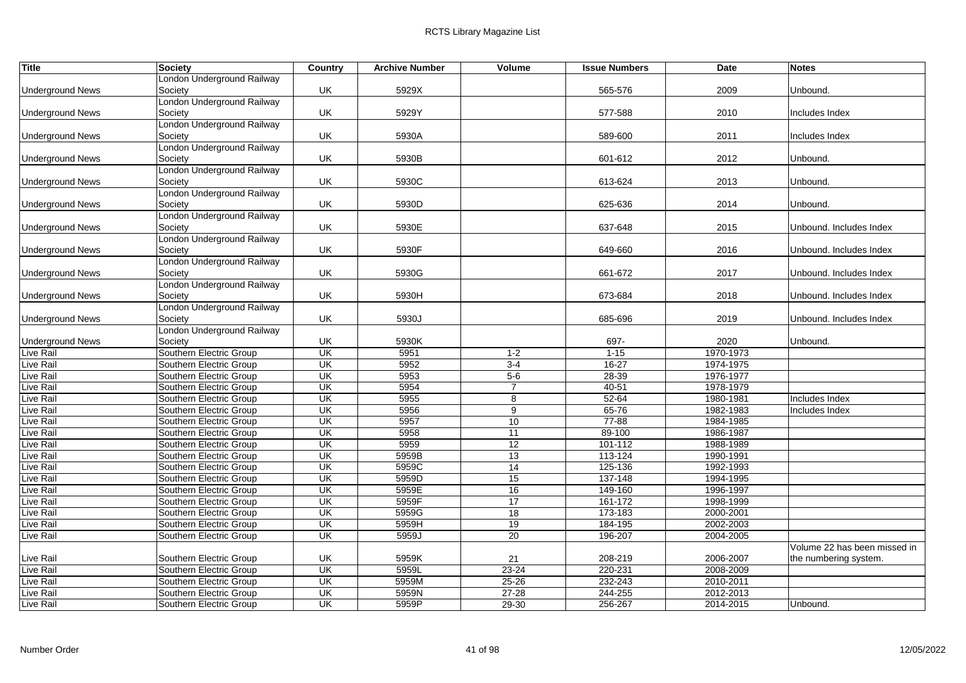| <b>Title</b>            | Society                    | Country                 | <b>Archive Number</b> | Volume         | <b>Issue Numbers</b> | Date      | <b>Notes</b>                 |
|-------------------------|----------------------------|-------------------------|-----------------------|----------------|----------------------|-----------|------------------------------|
|                         | London Underground Railway |                         |                       |                |                      |           |                              |
| <b>Underground News</b> | Society                    | UK                      | 5929X                 |                | 565-576              | 2009      | Unbound.                     |
|                         | London Underground Railway |                         |                       |                |                      |           |                              |
| <b>Underground News</b> | Society                    | UK                      | 5929Y                 |                | 577-588              | 2010      | Includes Index               |
|                         | London Underground Railway |                         |                       |                |                      |           |                              |
| <b>Underground News</b> | Society                    | UK                      | 5930A                 |                | 589-600              | 2011      | Includes Index               |
|                         | London Underground Railway |                         |                       |                |                      |           |                              |
| <b>Underground News</b> | Society                    | UK                      | 5930B                 |                | 601-612              | 2012      | Unbound.                     |
|                         | London Underground Railway |                         |                       |                |                      |           |                              |
| <b>Underground News</b> | Society                    | UK                      | 5930C                 |                | 613-624              | 2013      | Unbound.                     |
|                         | London Underground Railway |                         |                       |                |                      |           |                              |
| <b>Underground News</b> | Society                    | UK                      | 5930D                 |                | 625-636              | 2014      | Unbound.                     |
|                         | London Underground Railway |                         |                       |                |                      |           |                              |
| <b>Underground News</b> | Society                    | UK                      | 5930E                 |                | 637-648              | 2015      | Unbound. Includes Index      |
|                         | London Underground Railway |                         |                       |                |                      |           |                              |
| <b>Underground News</b> | Society                    | UK                      | 5930F                 |                | 649-660              | 2016      | Unbound. Includes Index      |
|                         | London Underground Railway |                         |                       |                |                      |           |                              |
| <b>Underground News</b> | Society                    | UK                      | 5930G                 |                | 661-672              | 2017      | Unbound. Includes Index      |
|                         | London Underground Railway |                         |                       |                |                      |           |                              |
| <b>Underground News</b> | Society                    | UK                      | 5930H                 |                | 673-684              | 2018      | Unbound. Includes Index      |
|                         | London Underground Railway |                         |                       |                |                      |           |                              |
| <b>Underground News</b> | Society                    | UK                      | 5930J                 |                | 685-696              | 2019      | Unbound. Includes Index      |
|                         | London Underground Railway |                         |                       |                |                      |           |                              |
| <b>Underground News</b> | Society                    | UK                      | 5930K                 |                | 697-                 | 2020      | Unbound.                     |
| <b>Live Rail</b>        | Southern Electric Group    | UK                      | 5951                  | $1 - 2$        | $1 - 15$             | 1970-1973 |                              |
| Live Rail               | Southern Electric Group    | $\overline{\mathsf{U}}$ | 5952                  | $3-4$          | $16 - 27$            | 1974-1975 |                              |
| Live Rail               | Southern Electric Group    | UK                      | 5953                  | $5-6$          | 28-39                | 1976-1977 |                              |
| <b>Live Rail</b>        | Southern Electric Group    | $\overline{\mathsf{U}}$ | 5954                  | $\overline{7}$ | $40 - 51$            | 1978-1979 |                              |
| <b>Live Rail</b>        | Southern Electric Group    | UK                      | 5955                  | 8              | $52 - 64$            | 1980-1981 | Includes Index               |
| <b>Live Rail</b>        | Southern Electric Group    | UK                      | 5956                  | 9              | 65-76                | 1982-1983 | Includes Index               |
| Live Rail               | Southern Electric Group    | UK                      | 5957                  | 10             | 77-88                | 1984-1985 |                              |
| <b>Live Rail</b>        | Southern Electric Group    | UK                      | 5958                  | 11             | 89-100               | 1986-1987 |                              |
| <b>Live Rail</b>        | Southern Electric Group    | $\overline{\mathsf{U}}$ | 5959                  | 12             | $101 - 112$          | 1988-1989 |                              |
| Live Rail               | Southern Electric Group    | UK                      | 5959B                 | 13             | 113-124              | 1990-1991 |                              |
| <b>Live Rail</b>        | Southern Electric Group    | UK                      | 5959C                 | 14             | 125-136              | 1992-1993 |                              |
| <b>Live Rail</b>        | Southern Electric Group    | UK                      | 5959D                 | 15             | 137-148              | 1994-1995 |                              |
| Live Rail               | Southern Electric Group    | UK                      | 5959E                 | 16             | 149-160              | 1996-1997 |                              |
| <b>Live Rail</b>        | Southern Electric Group    | UK                      | 5959F                 | 17             | 161-172              | 1998-1999 |                              |
| <b>Live Rail</b>        | Southern Electric Group    | UK                      | 5959G                 | 18             | 173-183              | 2000-2001 |                              |
| Live Rail               | Southern Electric Group    | UK                      | 5959H                 | 19             | 184-195              | 2002-2003 |                              |
| <b>Live Rail</b>        | Southern Electric Group    | UK                      | 5959J                 | 20             | 196-207              | 2004-2005 |                              |
|                         |                            |                         |                       |                |                      |           | Volume 22 has been missed in |
| Live Rail               | Southern Electric Group    | UK                      | 5959K                 | 21             | 208-219              | 2006-2007 | the numbering system.        |
| Live Rail               | Southern Electric Group    | UK                      | 5959L                 | $23 - 24$      | 220-231              | 2008-2009 |                              |
| <b>Live Rail</b>        | Southern Electric Group    | UK                      | 5959M                 | $25 - 26$      | 232-243              | 2010-2011 |                              |
| Live Rail               | Southern Electric Group    | UK                      | 5959N                 | $27 - 28$      | 244-255              | 2012-2013 |                              |
| Live Rail               | Southern Electric Group    | UK                      | 5959P                 | $29 - 30$      | 256-267              | 2014-2015 | Unbound.                     |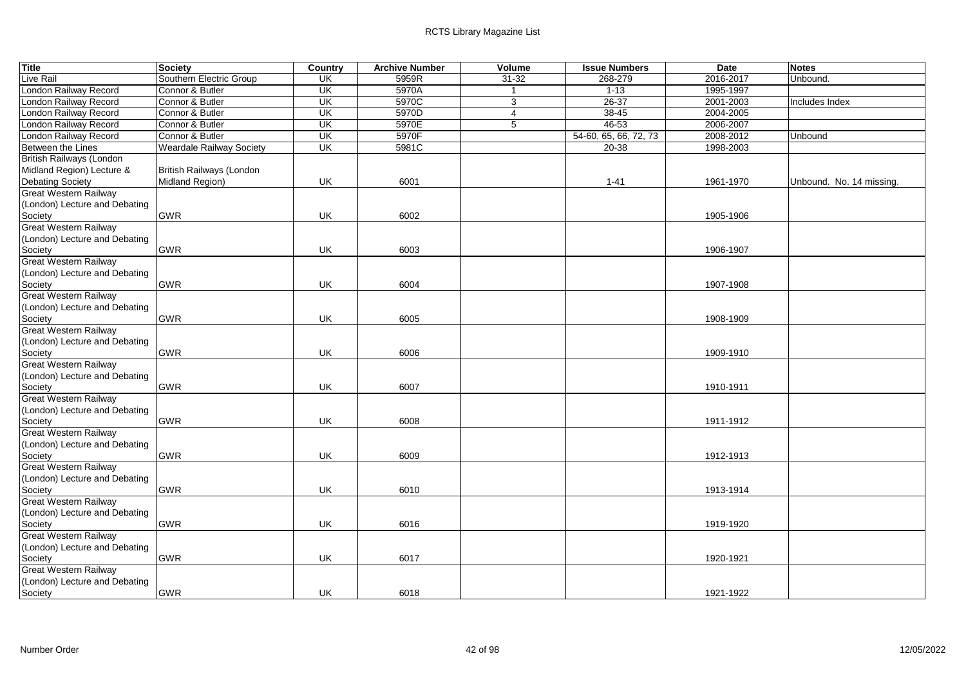| <b>Title</b>                    | Society                         | Country                 | <b>Archive Number</b> | Volume         | <b>Issue Numbers</b>  | <b>Date</b> | <b>Notes</b>             |
|---------------------------------|---------------------------------|-------------------------|-----------------------|----------------|-----------------------|-------------|--------------------------|
| Live Rail                       | Southern Electric Group         | <b>UK</b>               | 5959R                 | $31 - 32$      | 268-279               | 2016-2017   | Unbound.                 |
| London Railway Record           | Connor & Butler                 | UK                      | 5970A                 | $\overline{1}$ | $1 - 13$              | 1995-1997   |                          |
| London Railway Record           | Connor & Butler                 | UK                      | 5970C                 | 3              | $26 - 37$             | 2001-2003   | Includes Index           |
| London Railway Record           | Connor & Butler                 | UK                      | 5970D                 | $\overline{4}$ | $38 - 45$             | 2004-2005   |                          |
| London Railway Record           | Connor & Butler                 | UK                      | 5970E                 | 5              | $46 - 53$             | 2006-2007   |                          |
| London Railway Record           | Connor & Butler                 | $\overline{\mathsf{U}}$ | 5970F                 |                | 54-60, 65, 66, 72, 73 | 2008-2012   | Unbound                  |
| Between the Lines               | <b>Weardale Railway Society</b> | UK                      | 5981C                 |                | $20 - 38$             | 1998-2003   |                          |
| <b>British Railways (London</b> |                                 |                         |                       |                |                       |             |                          |
| Midland Region) Lecture &       | British Railways (London        |                         |                       |                |                       |             |                          |
| <b>Debating Society</b>         | Midland Region)                 | UK                      | 6001                  |                | $1 - 41$              | 1961-1970   | Unbound. No. 14 missing. |
| <b>Great Western Railway</b>    |                                 |                         |                       |                |                       |             |                          |
| (London) Lecture and Debating   |                                 |                         |                       |                |                       |             |                          |
| Society                         | <b>GWR</b>                      | UK                      | 6002                  |                |                       | 1905-1906   |                          |
| <b>Great Western Railway</b>    |                                 |                         |                       |                |                       |             |                          |
| (London) Lecture and Debating   |                                 |                         |                       |                |                       |             |                          |
| Society                         | <b>GWR</b>                      | UK                      | 6003                  |                |                       | 1906-1907   |                          |
| <b>Great Western Railway</b>    |                                 |                         |                       |                |                       |             |                          |
| (London) Lecture and Debating   |                                 |                         |                       |                |                       |             |                          |
| Society                         | <b>GWR</b>                      | UK                      | 6004                  |                |                       | 1907-1908   |                          |
| <b>Great Western Railway</b>    |                                 |                         |                       |                |                       |             |                          |
| (London) Lecture and Debating   |                                 |                         |                       |                |                       |             |                          |
| Society                         | <b>GWR</b>                      | UK                      | 6005                  |                |                       | 1908-1909   |                          |
| <b>Great Western Railway</b>    |                                 |                         |                       |                |                       |             |                          |
| (London) Lecture and Debating   |                                 |                         |                       |                |                       |             |                          |
| Society                         | <b>GWR</b>                      | UK                      | 6006                  |                |                       | 1909-1910   |                          |
| <b>Great Western Railway</b>    |                                 |                         |                       |                |                       |             |                          |
| (London) Lecture and Debating   |                                 |                         |                       |                |                       |             |                          |
| Society                         | <b>GWR</b>                      | UK                      | 6007                  |                |                       | 1910-1911   |                          |
| <b>Great Western Railway</b>    |                                 |                         |                       |                |                       |             |                          |
| (London) Lecture and Debating   |                                 |                         |                       |                |                       |             |                          |
| Society                         | <b>GWR</b>                      | UK                      | 6008                  |                |                       | 1911-1912   |                          |
| Great Western Railway           |                                 |                         |                       |                |                       |             |                          |
| (London) Lecture and Debating   |                                 |                         |                       |                |                       |             |                          |
| Society                         | <b>GWR</b>                      | UK                      | 6009                  |                |                       | 1912-1913   |                          |
| <b>Great Western Railway</b>    |                                 |                         |                       |                |                       |             |                          |
| (London) Lecture and Debating   |                                 |                         |                       |                |                       |             |                          |
| Society                         | <b>GWR</b>                      | UK                      | 6010                  |                |                       | 1913-1914   |                          |
| <b>Great Western Railway</b>    |                                 |                         |                       |                |                       |             |                          |
| (London) Lecture and Debating   |                                 |                         |                       |                |                       |             |                          |
| Society                         | <b>GWR</b>                      | UK                      | 6016                  |                |                       | 1919-1920   |                          |
| <b>Great Western Railway</b>    |                                 |                         |                       |                |                       |             |                          |
| (London) Lecture and Debating   |                                 |                         |                       |                |                       |             |                          |
| Society                         | <b>GWR</b>                      | UK                      | 6017                  |                |                       | 1920-1921   |                          |
| <b>Great Western Railway</b>    |                                 |                         |                       |                |                       |             |                          |
| (London) Lecture and Debating   |                                 |                         |                       |                |                       |             |                          |
| Society                         | <b>GWR</b>                      | UK                      | 6018                  |                |                       | 1921-1922   |                          |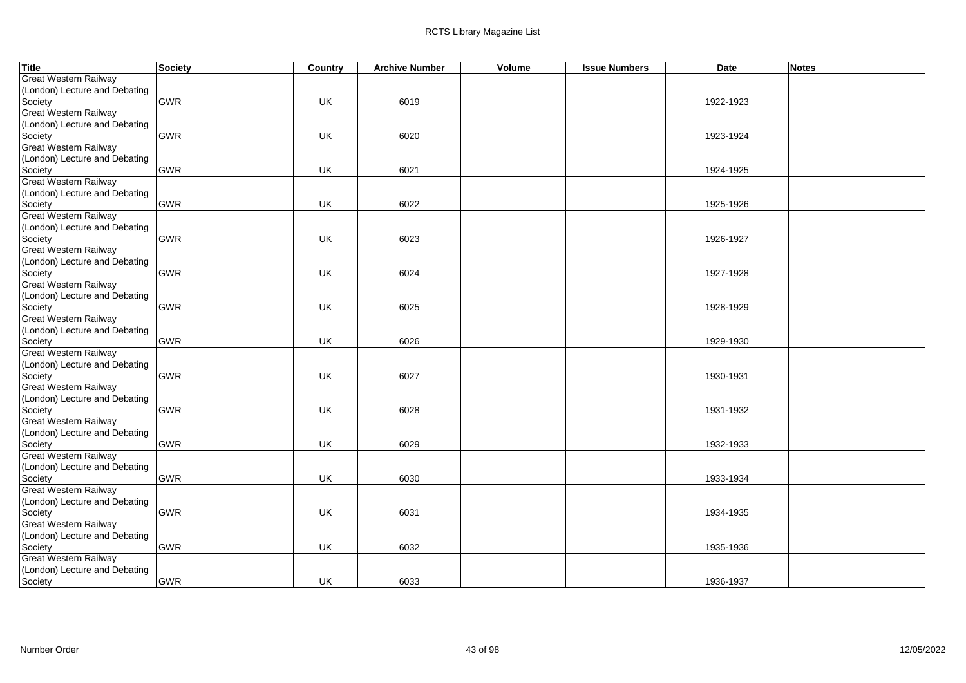| <b>Title</b>                  | Society    | Country   | <b>Archive Number</b> | Volume | <b>Issue Numbers</b> | Date      | <b>Notes</b> |
|-------------------------------|------------|-----------|-----------------------|--------|----------------------|-----------|--------------|
| <b>Great Western Railway</b>  |            |           |                       |        |                      |           |              |
| (London) Lecture and Debating |            |           |                       |        |                      |           |              |
| Society                       | <b>GWR</b> | UK        | 6019                  |        |                      | 1922-1923 |              |
| <b>Great Western Railway</b>  |            |           |                       |        |                      |           |              |
| (London) Lecture and Debating |            |           |                       |        |                      |           |              |
| Society                       | <b>GWR</b> | UK        | 6020                  |        |                      | 1923-1924 |              |
| <b>Great Western Railway</b>  |            |           |                       |        |                      |           |              |
| (London) Lecture and Debating |            |           |                       |        |                      |           |              |
| Society                       | <b>GWR</b> | UK        | 6021                  |        |                      | 1924-1925 |              |
| <b>Great Western Railway</b>  |            |           |                       |        |                      |           |              |
| (London) Lecture and Debating |            |           |                       |        |                      |           |              |
| Society                       | <b>GWR</b> | UK        | 6022                  |        |                      | 1925-1926 |              |
| <b>Great Western Railway</b>  |            |           |                       |        |                      |           |              |
| (London) Lecture and Debating |            |           |                       |        |                      |           |              |
| Society                       | <b>GWR</b> | UK        | 6023                  |        |                      | 1926-1927 |              |
| <b>Great Western Railway</b>  |            |           |                       |        |                      |           |              |
| (London) Lecture and Debating |            |           |                       |        |                      |           |              |
| Society                       | <b>GWR</b> | UK        | 6024                  |        |                      | 1927-1928 |              |
| <b>Great Western Railway</b>  |            |           |                       |        |                      |           |              |
| (London) Lecture and Debating |            |           |                       |        |                      |           |              |
| Society                       | <b>GWR</b> | UK        | 6025                  |        |                      | 1928-1929 |              |
| <b>Great Western Railway</b>  |            |           |                       |        |                      |           |              |
| (London) Lecture and Debating |            |           |                       |        |                      |           |              |
| Society                       | <b>GWR</b> | UK        | 6026                  |        |                      | 1929-1930 |              |
| <b>Great Western Railway</b>  |            |           |                       |        |                      |           |              |
| (London) Lecture and Debating |            |           |                       |        |                      |           |              |
| Society                       | <b>GWR</b> | UK        | 6027                  |        |                      | 1930-1931 |              |
| <b>Great Western Railway</b>  |            |           |                       |        |                      |           |              |
| (London) Lecture and Debating |            |           |                       |        |                      |           |              |
| Society                       | <b>GWR</b> | UK        | 6028                  |        |                      | 1931-1932 |              |
| <b>Great Western Railway</b>  |            |           |                       |        |                      |           |              |
| (London) Lecture and Debating |            |           |                       |        |                      |           |              |
| Society                       | <b>GWR</b> | UK        | 6029                  |        |                      | 1932-1933 |              |
| <b>Great Western Railway</b>  |            |           |                       |        |                      |           |              |
| (London) Lecture and Debating |            |           |                       |        |                      |           |              |
| Society                       | <b>GWR</b> | UK        | 6030                  |        |                      | 1933-1934 |              |
| <b>Great Western Railway</b>  |            |           |                       |        |                      |           |              |
| (London) Lecture and Debating |            |           |                       |        |                      |           |              |
| Society                       | <b>GWR</b> | UK        | 6031                  |        |                      | 1934-1935 |              |
| Great Western Railway         |            |           |                       |        |                      |           |              |
| (London) Lecture and Debating |            |           |                       |        |                      |           |              |
| Society                       | <b>GWR</b> | UK        | 6032                  |        |                      | 1935-1936 |              |
| Great Western Railway         |            |           |                       |        |                      |           |              |
| (London) Lecture and Debating |            |           |                       |        |                      |           |              |
| Society                       | <b>GWR</b> | <b>UK</b> | 6033                  |        |                      | 1936-1937 |              |
|                               |            |           |                       |        |                      |           |              |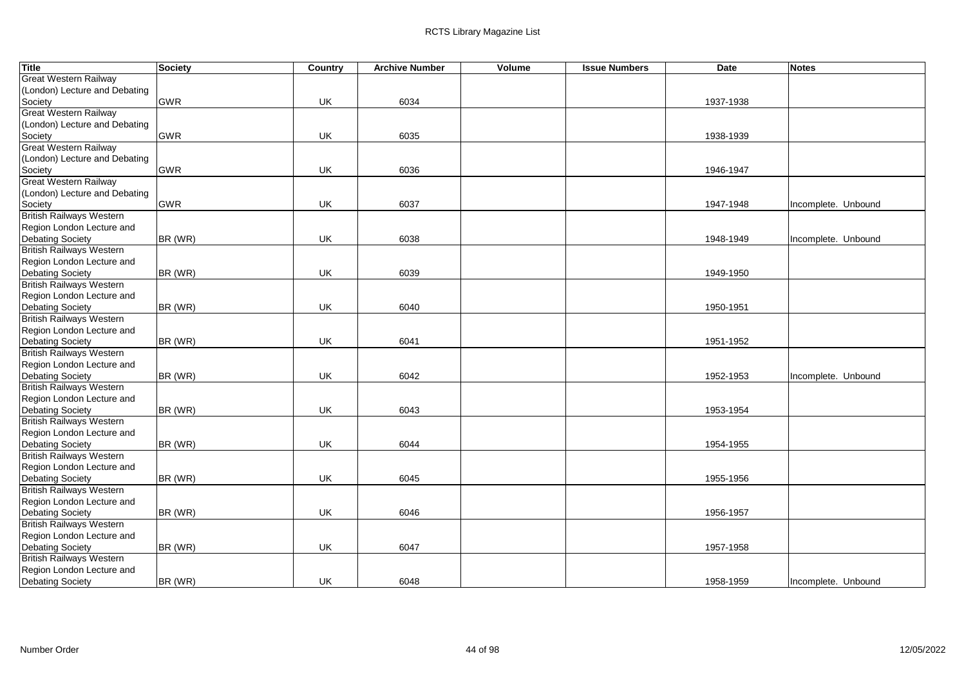| <b>Title</b>                    | Society    | Country | <b>Archive Number</b> | Volume | <b>Issue Numbers</b> | <b>Date</b> | <b>Notes</b>        |
|---------------------------------|------------|---------|-----------------------|--------|----------------------|-------------|---------------------|
| Great Western Railway           |            |         |                       |        |                      |             |                     |
| (London) Lecture and Debating   |            |         |                       |        |                      |             |                     |
| Society                         | GWR        | UK      | 6034                  |        |                      | 1937-1938   |                     |
| <b>Great Western Railway</b>    |            |         |                       |        |                      |             |                     |
| (London) Lecture and Debating   |            |         |                       |        |                      |             |                     |
| Society                         | <b>GWR</b> | UK      | 6035                  |        |                      | 1938-1939   |                     |
| <b>Great Western Railway</b>    |            |         |                       |        |                      |             |                     |
| (London) Lecture and Debating   |            |         |                       |        |                      |             |                     |
| Society                         | GWR        | UK      | 6036                  |        |                      | 1946-1947   |                     |
| <b>Great Western Railway</b>    |            |         |                       |        |                      |             |                     |
| (London) Lecture and Debating   |            |         |                       |        |                      |             |                     |
| Society                         | <b>GWR</b> | UK      | 6037                  |        |                      | 1947-1948   | Incomplete. Unbound |
| <b>British Railways Western</b> |            |         |                       |        |                      |             |                     |
| Region London Lecture and       |            |         |                       |        |                      |             |                     |
| <b>Debating Society</b>         | BR (WR)    | UK      | 6038                  |        |                      | 1948-1949   | Incomplete. Unbound |
| British Railways Western        |            |         |                       |        |                      |             |                     |
| Region London Lecture and       |            |         |                       |        |                      |             |                     |
| <b>Debating Society</b>         | BR (WR)    | UK      | 6039                  |        |                      | 1949-1950   |                     |
| <b>British Railways Western</b> |            |         |                       |        |                      |             |                     |
| Region London Lecture and       |            |         |                       |        |                      |             |                     |
| <b>Debating Society</b>         | BR (WR)    | UK      | 6040                  |        |                      | 1950-1951   |                     |
| <b>British Railways Western</b> |            |         |                       |        |                      |             |                     |
| Region London Lecture and       |            |         |                       |        |                      |             |                     |
| <b>Debating Society</b>         | BR (WR)    | UK      | 6041                  |        |                      | 1951-1952   |                     |
| <b>British Railways Western</b> |            |         |                       |        |                      |             |                     |
| Region London Lecture and       |            |         |                       |        |                      |             |                     |
| <b>Debating Society</b>         | BR (WR)    | UK      | 6042                  |        |                      | 1952-1953   | Incomplete. Unbound |
| <b>British Railways Western</b> |            |         |                       |        |                      |             |                     |
| Region London Lecture and       |            |         |                       |        |                      |             |                     |
| Debating Society                | BR (WR)    | UK      | 6043                  |        |                      | 1953-1954   |                     |
| <b>British Railways Western</b> |            |         |                       |        |                      |             |                     |
| Region London Lecture and       |            |         |                       |        |                      |             |                     |
| <b>Debating Society</b>         | BR (WR)    | UK      | 6044                  |        |                      | 1954-1955   |                     |
| <b>British Railways Western</b> |            |         |                       |        |                      |             |                     |
| Region London Lecture and       |            |         |                       |        |                      |             |                     |
| <b>Debating Society</b>         | BR (WR)    | UK      | 6045                  |        |                      | 1955-1956   |                     |
| <b>British Railways Western</b> |            |         |                       |        |                      |             |                     |
| Region London Lecture and       |            |         |                       |        |                      |             |                     |
| <b>Debating Society</b>         | BR (WR)    | UK      | 6046                  |        |                      | 1956-1957   |                     |
| British Railways Western        |            |         |                       |        |                      |             |                     |
| Region London Lecture and       |            |         |                       |        |                      |             |                     |
| Debating Society                | BR (WR)    | UK      | 6047                  |        |                      | 1957-1958   |                     |
| <b>British Railways Western</b> |            |         |                       |        |                      |             |                     |
| Region London Lecture and       |            |         |                       |        |                      |             |                     |
| <b>Debating Society</b>         | BR (WR)    | UK      | 6048                  |        |                      | 1958-1959   | Incomplete. Unbound |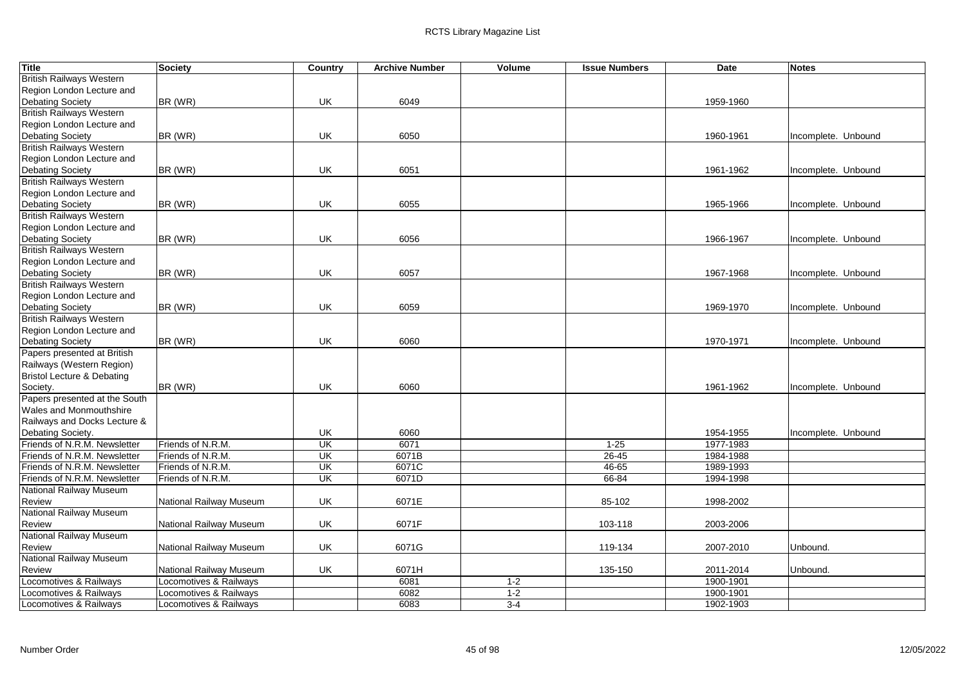| <b>Title</b>                    | Society                 | Country                 | <b>Archive Number</b> | Volume  | <b>Issue Numbers</b> | <b>Date</b> | <b>Notes</b>        |
|---------------------------------|-------------------------|-------------------------|-----------------------|---------|----------------------|-------------|---------------------|
| <b>British Railways Western</b> |                         |                         |                       |         |                      |             |                     |
| Region London Lecture and       |                         |                         |                       |         |                      |             |                     |
| Debating Society                | BR (WR)                 | UK                      | 6049                  |         |                      | 1959-1960   |                     |
| <b>British Railways Western</b> |                         |                         |                       |         |                      |             |                     |
| Region London Lecture and       |                         |                         |                       |         |                      |             |                     |
| <b>Debating Society</b>         | BR (WR)                 | UK                      | 6050                  |         |                      | 1960-1961   | Incomplete. Unbound |
| <b>British Railways Western</b> |                         |                         |                       |         |                      |             |                     |
| Region London Lecture and       |                         |                         |                       |         |                      |             |                     |
| <b>Debating Society</b>         | BR (WR)                 | UK                      | 6051                  |         |                      | 1961-1962   | Incomplete. Unbound |
| <b>British Railways Western</b> |                         |                         |                       |         |                      |             |                     |
| Region London Lecture and       |                         |                         |                       |         |                      |             |                     |
| <b>Debating Society</b>         | BR (WR)                 | <b>UK</b>               | 6055                  |         |                      | 1965-1966   | Incomplete. Unbound |
| <b>British Railways Western</b> |                         |                         |                       |         |                      |             |                     |
| Region London Lecture and       |                         |                         |                       |         |                      |             |                     |
| <b>Debating Society</b>         | BR (WR)                 |                         |                       |         |                      |             |                     |
| <b>British Railways Western</b> |                         | UK                      | 6056                  |         |                      | 1966-1967   | Incomplete. Unbound |
|                                 |                         |                         |                       |         |                      |             |                     |
| Region London Lecture and       |                         |                         |                       |         |                      |             |                     |
| <b>Debating Society</b>         | BR (WR)                 | UK                      | 6057                  |         |                      | 1967-1968   | Incomplete. Unbound |
| <b>British Railways Western</b> |                         |                         |                       |         |                      |             |                     |
| Region London Lecture and       |                         |                         |                       |         |                      |             |                     |
| <b>Debating Society</b>         | BR (WR)                 | UK                      | 6059                  |         |                      | 1969-1970   | Incomplete. Unbound |
| <b>British Railways Western</b> |                         |                         |                       |         |                      |             |                     |
| Region London Lecture and       |                         |                         |                       |         |                      |             |                     |
| <b>Debating Society</b>         | BR (WR)                 | UK                      | 6060                  |         |                      | 1970-1971   | Incomplete. Unbound |
| Papers presented at British     |                         |                         |                       |         |                      |             |                     |
| Railways (Western Region)       |                         |                         |                       |         |                      |             |                     |
| Bristol Lecture & Debating      |                         |                         |                       |         |                      |             |                     |
| Society.                        | BR (WR)                 | UK                      | 6060                  |         |                      | 1961-1962   | Incomplete. Unbound |
| Papers presented at the South   |                         |                         |                       |         |                      |             |                     |
| <b>Wales and Monmouthshire</b>  |                         |                         |                       |         |                      |             |                     |
| Railways and Docks Lecture &    |                         |                         |                       |         |                      |             |                     |
| Debating Society.               |                         | UK                      | 6060                  |         |                      | 1954-1955   | Incomplete. Unbound |
| Friends of N.R.M. Newsletter    | Friends of N.R.M.       | UK                      | 6071                  |         | $1 - 25$             | 1977-1983   |                     |
| Friends of N.R.M. Newsletter    | Friends of N.R.M.       | UK                      | 6071B                 |         | $26 - 45$            | 1984-1988   |                     |
| Friends of N.R.M. Newsletter    | Friends of N.R.M.       | $\overline{\mathsf{U}}$ | 6071C                 |         | $46 - 65$            | 1989-1993   |                     |
| Friends of N.R.M. Newsletter    | Friends of N.R.M.       | UK                      | 6071D                 |         | $66 - 84$            | 1994-1998   |                     |
| National Railway Museum         |                         |                         |                       |         |                      |             |                     |
| <b>Review</b>                   | National Railway Museum | UK                      | 6071E                 |         | 85-102               | 1998-2002   |                     |
| <b>National Railway Museum</b>  |                         |                         |                       |         |                      |             |                     |
| <b>Review</b>                   | National Railway Museum | UK                      | 6071F                 |         | 103-118              | 2003-2006   |                     |
| National Railway Museum         |                         |                         |                       |         |                      |             |                     |
| Review                          | National Railway Museum | <b>UK</b>               | 6071G                 |         | 119-134              | 2007-2010   | Unbound.            |
| <b>National Railway Museum</b>  |                         |                         |                       |         |                      |             |                     |
| Review                          | National Railway Museum | UK                      | 6071H                 |         | 135-150              | 2011-2014   | Unbound.            |
| Locomotives & Railways          | Locomotives & Railways  |                         | 6081                  | $1-2$   |                      | 1900-1901   |                     |
| Locomotives & Railways          | Locomotives & Railways  |                         | 6082                  | $1 - 2$ |                      | 1900-1901   |                     |
| Locomotives & Railways          | Locomotives & Railways  |                         | 6083                  | $3-4$   |                      | 1902-1903   |                     |
|                                 |                         |                         |                       |         |                      |             |                     |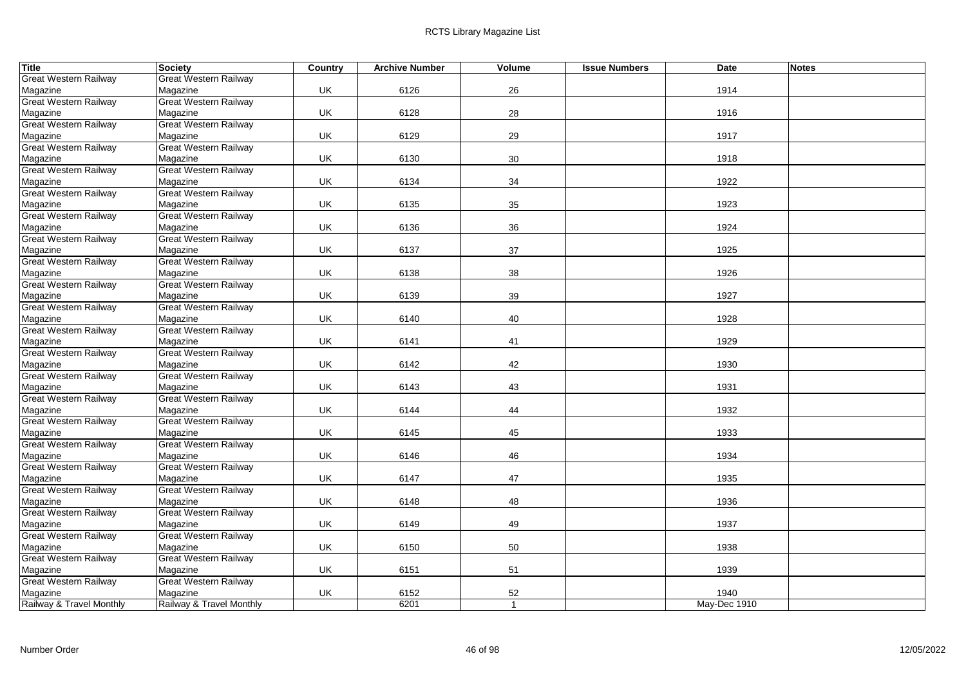| <b>Title</b>                             | Society                                  | Country   | <b>Archive Number</b> | <b>Volume</b>  | <b>Issue Numbers</b> | <b>Date</b>  | <b>Notes</b> |
|------------------------------------------|------------------------------------------|-----------|-----------------------|----------------|----------------------|--------------|--------------|
| <b>Great Western Railway</b>             | <b>Great Western Railway</b>             |           |                       |                |                      |              |              |
| Magazine                                 | Magazine                                 | UK        | 6126                  | 26             |                      | 1914         |              |
| <b>Great Western Railway</b>             | <b>Great Western Railway</b>             |           |                       |                |                      |              |              |
| Magazine                                 | Magazine                                 | UK        | 6128                  | 28             |                      | 1916         |              |
| <b>Great Western Railway</b>             | <b>Great Western Railway</b>             |           |                       |                |                      |              |              |
| Magazine                                 | Magazine                                 | UK        | 6129                  | 29             |                      | 1917         |              |
| <b>Great Western Railway</b>             | <b>Great Western Railway</b>             |           |                       |                |                      |              |              |
| Magazine                                 | Magazine                                 | <b>UK</b> | 6130                  | 30             |                      | 1918         |              |
| <b>Great Western Railway</b>             | <b>Great Western Railway</b>             |           |                       |                |                      |              |              |
| Magazine                                 | Magazine                                 | UK        | 6134                  | 34             |                      | 1922         |              |
| <b>Great Western Railway</b>             | <b>Great Western Railway</b>             |           |                       |                |                      |              |              |
| Magazine                                 | Magazine                                 | <b>UK</b> | 6135                  | 35             |                      | 1923         |              |
| <b>Great Western Railway</b>             | Great Western Railway                    |           |                       |                |                      |              |              |
| Magazine                                 | Magazine                                 | UK        | 6136                  | 36             |                      | 1924         |              |
| <b>Great Western Railway</b>             | <b>Great Western Railway</b>             |           |                       |                |                      |              |              |
| Magazine                                 | Magazine                                 | UK        | 6137                  | 37             |                      | 1925         |              |
| <b>Great Western Railway</b>             | <b>Great Western Railway</b>             |           |                       |                |                      |              |              |
| Magazine                                 | Magazine                                 | <b>UK</b> | 6138                  | 38             |                      | 1926         |              |
| <b>Great Western Railway</b>             | <b>Great Western Railway</b>             |           |                       |                |                      |              |              |
| Magazine                                 | Magazine                                 | UK        | 6139                  | 39             |                      | 1927         |              |
| <b>Great Western Railway</b>             | <b>Great Western Railway</b>             |           |                       |                |                      |              |              |
| Magazine                                 | Magazine                                 | <b>UK</b> | 6140                  | 40             |                      | 1928         |              |
| <b>Great Western Railway</b>             | <b>Great Western Railway</b>             |           |                       |                |                      |              |              |
| Magazine                                 | Magazine                                 | <b>UK</b> | 6141                  | 41             |                      | 1929         |              |
| <b>Great Western Railway</b>             | <b>Great Western Railway</b>             |           |                       |                |                      |              |              |
| Magazine                                 | Magazine                                 | <b>UK</b> | 6142                  | 42             |                      | 1930         |              |
| <b>Great Western Railway</b>             | <b>Great Western Railway</b>             |           |                       |                |                      |              |              |
| Magazine                                 | Magazine                                 | UK        | 6143                  | 43             |                      | 1931         |              |
| <b>Great Western Railway</b>             | <b>Great Western Railway</b>             |           |                       |                |                      |              |              |
| Magazine                                 | Magazine                                 | UK.       | 6144                  | 44             |                      | 1932         |              |
| <b>Great Western Railway</b>             | <b>Great Western Railway</b>             | UK        |                       |                |                      |              |              |
| Magazine<br><b>Great Western Railway</b> | Magazine<br><b>Great Western Railway</b> |           | 6145                  | 45             |                      | 1933         |              |
| Magazine                                 | Magazine                                 | UK        |                       | 46             |                      | 1934         |              |
| <b>Great Western Railway</b>             | <b>Great Western Railway</b>             |           | 6146                  |                |                      |              |              |
| Magazine                                 | Magazine                                 | <b>UK</b> | 6147                  | 47             |                      | 1935         |              |
| <b>Great Western Railway</b>             | <b>Great Western Railway</b>             |           |                       |                |                      |              |              |
| Magazine                                 | Magazine                                 | <b>UK</b> | 6148                  | 48             |                      | 1936         |              |
| <b>Great Western Railway</b>             | <b>Great Western Railway</b>             |           |                       |                |                      |              |              |
| Magazine                                 | Magazine                                 | UK        | 6149                  | 49             |                      | 1937         |              |
| <b>Great Western Railway</b>             | <b>Great Western Railway</b>             |           |                       |                |                      |              |              |
| Magazine                                 | Magazine                                 | UK        | 6150                  | 50             |                      | 1938         |              |
| <b>Great Western Railway</b>             | Great Western Railway                    |           |                       |                |                      |              |              |
| Magazine                                 | Magazine                                 | <b>UK</b> | 6151                  | 51             |                      | 1939         |              |
| <b>Great Western Railway</b>             | <b>Great Western Railway</b>             |           |                       |                |                      |              |              |
| Magazine                                 | Magazine                                 | UK        | 6152                  | 52             |                      | 1940         |              |
| Railway & Travel Monthly                 | Railway & Travel Monthly                 |           | 6201                  | $\overline{1}$ |                      | May-Dec 1910 |              |
|                                          |                                          |           |                       |                |                      |              |              |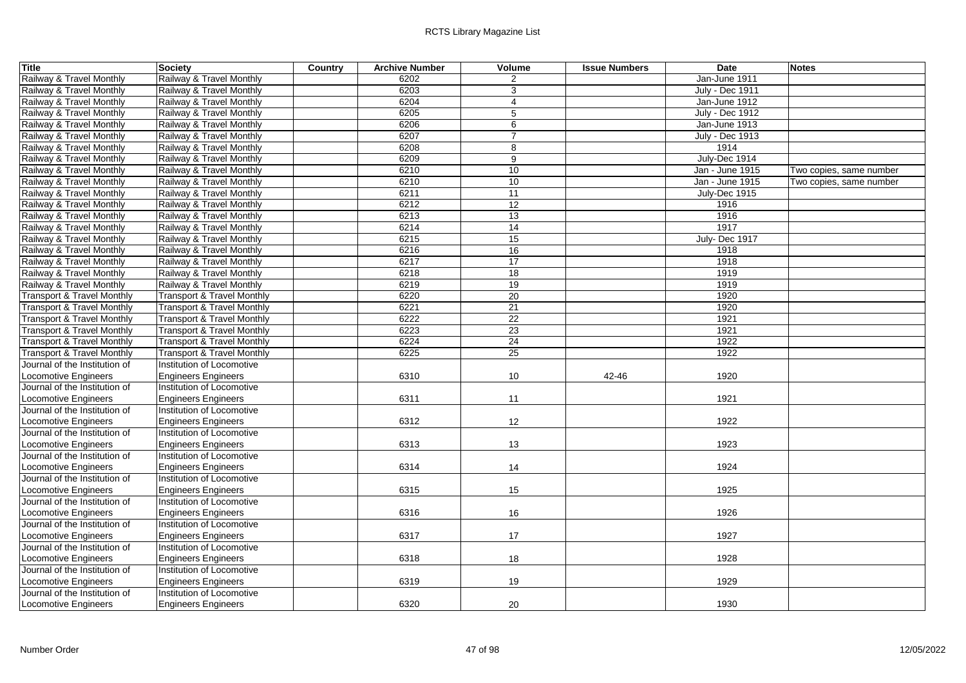| <b>Title</b>                          | Society                               | Country | <b>Archive Number</b> | Volume          | <b>Issue Numbers</b> | Date                   | <b>Notes</b>            |
|---------------------------------------|---------------------------------------|---------|-----------------------|-----------------|----------------------|------------------------|-------------------------|
| Railway & Travel Monthly              | Railway & Travel Monthly              |         | 6202                  | 2               |                      | Jan-June 1911          |                         |
| Railway & Travel Monthly              | Railway & Travel Monthly              |         | 6203                  | 3               |                      | July - Dec 1911        |                         |
| Railway & Travel Monthly              | Railway & Travel Monthly              |         | 6204                  | $\overline{4}$  |                      | Jan-June 1912          |                         |
| Railway & Travel Monthly              | Railway & Travel Monthly              |         | 6205                  | 5               |                      | <b>July - Dec 1912</b> |                         |
| Railway & Travel Monthly              | Railway & Travel Monthly              |         | 6206                  | 6               |                      | Jan-June 1913          |                         |
| Railway & Travel Monthly              | Railway & Travel Monthly              |         | 6207                  | $\overline{7}$  |                      | <b>July - Dec 1913</b> |                         |
| Railway & Travel Monthly              | Railway & Travel Monthly              |         | 6208                  | 8               |                      | 1914                   |                         |
| Railway & Travel Monthly              | Railway & Travel Monthly              |         | 6209                  | 9               |                      | July-Dec 1914          |                         |
| Railway & Travel Monthly              | Railway & Travel Monthly              |         | 6210                  | 10              |                      | Jan - June 1915        | Two copies, same number |
| Railway & Travel Monthly              | Railway & Travel Monthly              |         | 6210                  | 10              |                      | Jan - June 1915        | Two copies, same number |
| Railway & Travel Monthly              | Railway & Travel Monthly              |         | 6211                  | $\overline{11}$ |                      | July-Dec 1915          |                         |
| Railway & Travel Monthly              | Railway & Travel Monthly              |         | 6212                  | 12              |                      | 1916                   |                         |
| Railway & Travel Monthly              | Railway & Travel Monthly              |         | 6213                  | 13              |                      | 1916                   |                         |
| Railway & Travel Monthly              | Railway & Travel Monthly              |         | 6214                  | 14              |                      | 1917                   |                         |
| Railway & Travel Monthly              | Railway & Travel Monthly              |         | 6215                  | 15              |                      | July-Dec 1917          |                         |
| Railway & Travel Monthly              | Railway & Travel Monthly              |         | 6216                  | 16              |                      | 1918                   |                         |
| Railway & Travel Monthly              | Railway & Travel Monthly              |         | 6217                  | 17              |                      | 1918                   |                         |
| Railway & Travel Monthly              | Railway & Travel Monthly              |         | 6218                  | 18              |                      | 1919                   |                         |
| Railway & Travel Monthly              | Railway & Travel Monthly              |         | 6219                  | 19              |                      | 1919                   |                         |
| Transport & Travel Monthly            | Transport & Travel Monthly            |         | 6220                  | 20              |                      | 1920                   |                         |
| Transport & Travel Monthly            | Transport & Travel Monthly            |         | 6221                  | 21              |                      | 1920                   |                         |
| <b>Transport &amp; Travel Monthly</b> | <b>Transport &amp; Travel Monthly</b> |         | 6222                  | 22              |                      | 1921                   |                         |
| Transport & Travel Monthly            | <b>Transport &amp; Travel Monthly</b> |         | 6223                  | 23              |                      | 1921                   |                         |
| Transport & Travel Monthly            | <b>Transport &amp; Travel Monthly</b> |         | 6224                  | 24              |                      | 1922                   |                         |
| <b>Transport &amp; Travel Monthly</b> | <b>Transport &amp; Travel Monthly</b> |         | 6225                  | 25              |                      | 1922                   |                         |
| Journal of the Institution of         | Institution of Locomotive             |         |                       |                 |                      |                        |                         |
| Locomotive Engineers                  | <b>Engineers Engineers</b>            |         | 6310                  | 10              | 42-46                | 1920                   |                         |
| Journal of the Institution of         | Institution of Locomotive             |         |                       |                 |                      |                        |                         |
| <b>Locomotive Engineers</b>           | <b>Engineers Engineers</b>            |         | 6311                  | 11              |                      | 1921                   |                         |
| Journal of the Institution of         | Institution of Locomotive             |         |                       |                 |                      |                        |                         |
| <b>Locomotive Engineers</b>           | <b>Engineers Engineers</b>            |         | 6312                  | 12              |                      | 1922                   |                         |
| Journal of the Institution of         | Institution of Locomotive             |         |                       |                 |                      |                        |                         |
| <b>Locomotive Engineers</b>           | <b>Engineers Engineers</b>            |         | 6313                  | 13              |                      | 1923                   |                         |
| Journal of the Institution of         | Institution of Locomotive             |         |                       |                 |                      |                        |                         |
| <b>Locomotive Engineers</b>           | <b>Engineers Engineers</b>            |         | 6314                  | 14              |                      | 1924                   |                         |
| Journal of the Institution of         | Institution of Locomotive             |         |                       |                 |                      |                        |                         |
| <b>Locomotive Engineers</b>           | <b>Engineers Engineers</b>            |         | 6315                  | 15              |                      | 1925                   |                         |
| Journal of the Institution of         | Institution of Locomotive             |         |                       |                 |                      |                        |                         |
| Locomotive Engineers                  | Engineers Engineers                   |         | 6316                  | 16              |                      | 1926                   |                         |
| Journal of the Institution of         | Institution of Locomotive             |         |                       |                 |                      |                        |                         |
| <b>Locomotive Engineers</b>           | <b>Engineers Engineers</b>            |         | 6317                  | 17              |                      | 1927                   |                         |
| Journal of the Institution of         | Institution of Locomotive             |         |                       |                 |                      |                        |                         |
| <b>Locomotive Engineers</b>           | <b>Engineers Engineers</b>            |         | 6318                  | 18              |                      | 1928                   |                         |
| Journal of the Institution of         | Institution of Locomotive             |         |                       |                 |                      |                        |                         |
| <b>Locomotive Engineers</b>           | <b>Engineers Engineers</b>            |         | 6319                  | 19              |                      | 1929                   |                         |
| Journal of the Institution of         | Institution of Locomotive             |         |                       |                 |                      |                        |                         |
| Locomotive Engineers                  | <b>Engineers Engineers</b>            |         | 6320                  | 20              |                      | 1930                   |                         |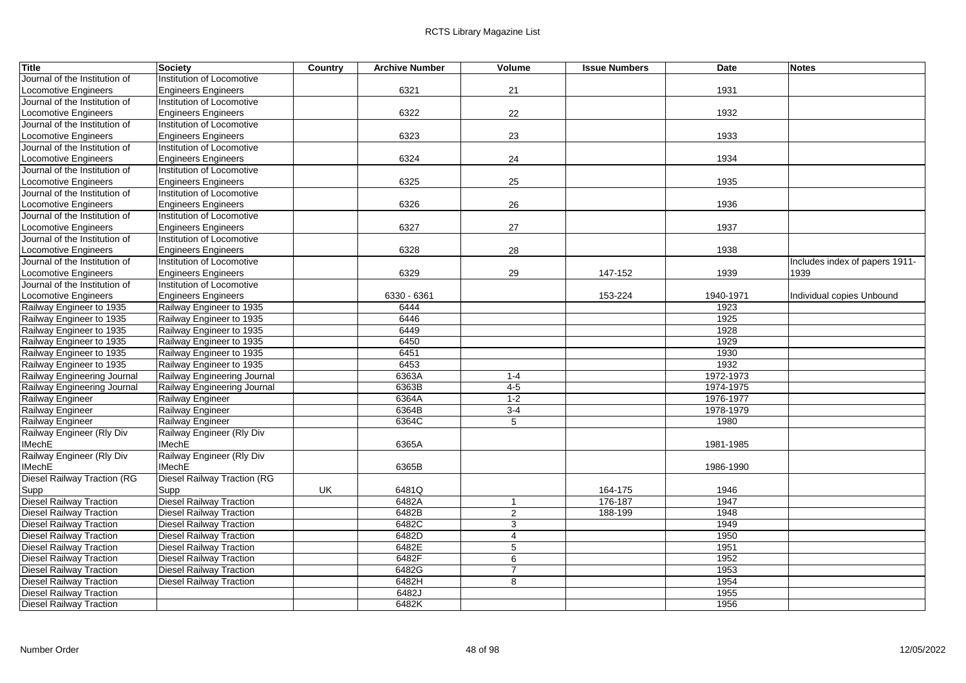| <b>Title</b>                       | <b>Society</b>                     | Country | <b>Archive Number</b> | Volume         | <b>Issue Numbers</b> | Date      | <b>Notes</b>                   |
|------------------------------------|------------------------------------|---------|-----------------------|----------------|----------------------|-----------|--------------------------------|
| Journal of the Institution of      | Institution of Locomotive          |         |                       |                |                      |           |                                |
| <b>Locomotive Engineers</b>        | <b>Engineers Engineers</b>         |         | 6321                  | 21             |                      | 1931      |                                |
| Journal of the Institution of      | Institution of Locomotive          |         |                       |                |                      |           |                                |
| <b>Locomotive Engineers</b>        | <b>Engineers Engineers</b>         |         | 6322                  | 22             |                      | 1932      |                                |
| Journal of the Institution of      | Institution of Locomotive          |         |                       |                |                      |           |                                |
| Locomotive Engineers               | <b>Engineers Engineers</b>         |         | 6323                  | 23             |                      | 1933      |                                |
| Journal of the Institution of      | Institution of Locomotive          |         |                       |                |                      |           |                                |
| Locomotive Engineers               | <b>Engineers Engineers</b>         |         | 6324                  | 24             |                      | 1934      |                                |
| Journal of the Institution of      | Institution of Locomotive          |         |                       |                |                      |           |                                |
| <b>Locomotive Engineers</b>        | <b>Engineers Engineers</b>         |         | 6325                  | 25             |                      | 1935      |                                |
| Journal of the Institution of      | Institution of Locomotive          |         |                       |                |                      |           |                                |
| Locomotive Engineers               | Engineers Engineers                |         | 6326                  | 26             |                      | 1936      |                                |
| Journal of the Institution of      | Institution of Locomotive          |         |                       |                |                      |           |                                |
| Locomotive Engineers               | <b>Engineers Engineers</b>         |         | 6327                  | 27             |                      | 1937      |                                |
| Journal of the Institution of      | Institution of Locomotive          |         |                       |                |                      |           |                                |
| Locomotive Engineers               | <b>Engineers Engineers</b>         |         | 6328                  | 28             |                      | 1938      |                                |
| Journal of the Institution of      | Institution of Locomotive          |         |                       |                |                      |           | Includes index of papers 1911- |
| <b>Locomotive Engineers</b>        | <b>Engineers Engineers</b>         |         | 6329                  | 29             | 147-152              | 1939      | 1939                           |
| Journal of the Institution of      | Institution of Locomotive          |         |                       |                |                      |           |                                |
| Locomotive Engineers               | <b>Engineers Engineers</b>         |         | 6330 - 6361           |                | 153-224              | 1940-1971 | Individual copies Unbound      |
| Railway Engineer to 1935           | Railway Engineer to 1935           |         | 6444                  |                |                      | 1923      |                                |
| Railway Engineer to 1935           | Railway Engineer to 1935           |         | 6446                  |                |                      | 1925      |                                |
| Railway Engineer to 1935           | Railway Engineer to 1935           |         | 6449                  |                |                      | 1928      |                                |
| Railway Engineer to 1935           | Railway Engineer to 1935           |         | 6450                  |                |                      | 1929      |                                |
| Railway Engineer to 1935           | Railway Engineer to 1935           |         | 6451                  |                |                      | 1930      |                                |
| Railway Engineer to 1935           | Railway Engineer to 1935           |         | 6453                  |                |                      | 1932      |                                |
| Railway Engineering Journal        | Railway Engineering Journal        |         | 6363A                 | $1-4$          |                      | 1972-1973 |                                |
| Railway Engineering Journal        | Railway Engineering Journal        |         | 6363B                 | $4-5$          |                      | 1974-1975 |                                |
| Railway Engineer                   | Railway Engineer                   |         | 6364A                 | $1 - 2$        |                      | 1976-1977 |                                |
| Railway Engineer                   | Railway Engineer                   |         | 6364B                 | $3-4$          |                      | 1978-1979 |                                |
| Railway Engineer                   | Railway Engineer                   |         | 6364C                 | 5              |                      | 1980      |                                |
| Railway Engineer (Rly Div          | Railway Engineer (Rly Div          |         |                       |                |                      |           |                                |
| <b>IMechE</b>                      | <b>IMechE</b>                      |         | 6365A                 |                |                      | 1981-1985 |                                |
| Railway Engineer (Rly Div          | Railway Engineer (Rly Div          |         |                       |                |                      |           |                                |
| <b>IMechE</b>                      | <b>IMechE</b>                      |         | 6365B                 |                |                      | 1986-1990 |                                |
| <b>Diesel Railway Traction (RG</b> | <b>Diesel Railway Traction (RG</b> |         |                       |                |                      |           |                                |
| Supp                               | Supp                               | UK      | 6481Q                 |                | 164-175              | 1946      |                                |
| <b>Diesel Railway Traction</b>     | <b>Diesel Railway Traction</b>     |         | 6482A                 | 1              | 176-187              | 1947      |                                |
| <b>Diesel Railway Traction</b>     | <b>Diesel Railway Traction</b>     |         | 6482B                 | $\overline{2}$ | 188-199              | 1948      |                                |
| <b>Diesel Railway Traction</b>     | <b>Diesel Railway Traction</b>     |         | 6482C                 | 3              |                      | 1949      |                                |
| <b>Diesel Railway Traction</b>     | <b>Diesel Railway Traction</b>     |         | 6482D                 | $\overline{4}$ |                      | 1950      |                                |
| <b>Diesel Railway Traction</b>     | <b>Diesel Railway Traction</b>     |         | 6482E                 | 5              |                      | 1951      |                                |
| <b>Diesel Railway Traction</b>     | <b>Diesel Railway Traction</b>     |         | 6482F                 | 6              |                      | 1952      |                                |
| <b>Diesel Railway Traction</b>     | <b>Diesel Railway Traction</b>     |         | 6482G                 | $\overline{7}$ |                      | 1953      |                                |
| <b>Diesel Railway Traction</b>     | <b>Diesel Railway Traction</b>     |         | 6482H                 | 8              |                      | 1954      |                                |
| <b>Diesel Railway Traction</b>     |                                    |         | 6482J                 |                |                      | 1955      |                                |
| <b>Diesel Railway Traction</b>     |                                    |         | 6482K                 |                |                      | 1956      |                                |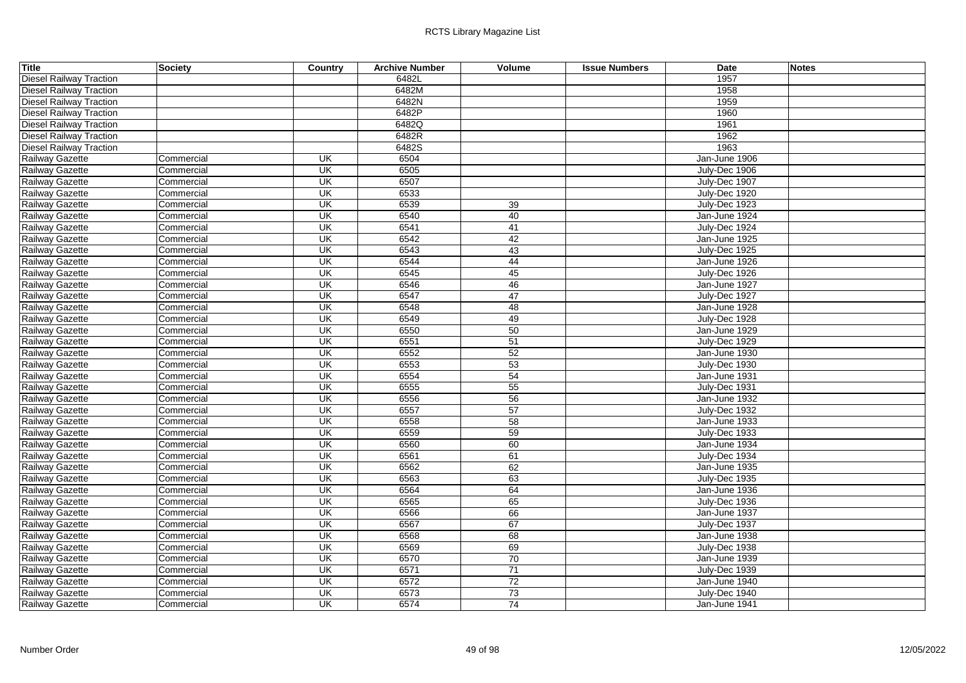| Title                          | Society    | Country                             | <b>Archive Number</b> | Volume          | <b>Issue Numbers</b> | Date          | <b>Notes</b> |
|--------------------------------|------------|-------------------------------------|-----------------------|-----------------|----------------------|---------------|--------------|
| <b>Diesel Railway Traction</b> |            |                                     | 6482L                 |                 |                      | 1957          |              |
| <b>Diesel Railway Traction</b> |            |                                     | 6482M                 |                 |                      | 1958          |              |
| <b>Diesel Railway Traction</b> |            |                                     | 6482N                 |                 |                      | 1959          |              |
| <b>Diesel Railway Traction</b> |            |                                     | 6482P                 |                 |                      | 1960          |              |
| <b>Diesel Railway Traction</b> |            |                                     | 6482Q                 |                 |                      | 1961          |              |
| <b>Diesel Railway Traction</b> |            |                                     | 6482R                 |                 |                      | 1962          |              |
| <b>Diesel Railway Traction</b> |            |                                     | 6482S                 |                 |                      | 1963          |              |
| Railway Gazette                | Commercial | UK                                  | 6504                  |                 |                      | Jan-June 1906 |              |
| Railway Gazette                | Commercial | UK                                  | 6505                  |                 |                      | July-Dec 1906 |              |
| Railway Gazette                | Commercial | UK                                  | 6507                  |                 |                      | July-Dec 1907 |              |
| Railway Gazette                | Commercial | UK                                  | 6533                  |                 |                      | July-Dec 1920 |              |
| Railway Gazette                | Commercial | UK                                  | 6539                  | 39              |                      | July-Dec 1923 |              |
| Railway Gazette                | Commercial | UK                                  | 6540                  | 40              |                      | Jan-June 1924 |              |
| Railway Gazette                | Commercial | UK                                  | 6541                  | 41              |                      | July-Dec 1924 |              |
| Railway Gazette                | Commercial | UK                                  | 6542                  | 42              |                      | Jan-June 1925 |              |
| Railway Gazette                | Commercial | UK                                  | 6543                  | 43              |                      | July-Dec 1925 |              |
| Railway Gazette                | Commercial | UK                                  | 6544                  | 44              |                      | Jan-June 1926 |              |
| Railway Gazette                | Commercial | $\overline{\mathsf{U}}$             | 6545                  | 45              |                      | July-Dec 1926 |              |
| Railway Gazette                | Commercial | UK                                  | 6546                  | 46              |                      | Jan-June 1927 |              |
| Railway Gazette                | Commercial | <b>UK</b>                           | 6547                  | 47              |                      | July-Dec 1927 |              |
| Railway Gazette                | Commercial | UK                                  | 6548                  | 48              |                      | Jan-June 1928 |              |
| Railway Gazette                | Commercial | UK                                  | 6549                  | 49              |                      | July-Dec 1928 |              |
| Railway Gazette                | Commercial | UK                                  | 6550                  | 50              |                      | Jan-June 1929 |              |
| Railway Gazette                | Commercial | UK                                  | 6551                  | 51              |                      | July-Dec 1929 |              |
| Railway Gazette                | Commercial | UK                                  | 6552                  | 52              |                      | Jan-June 1930 |              |
| Railway Gazette                | Commercial | UK                                  | 6553                  | 53              |                      | July-Dec 1930 |              |
| Railway Gazette                | Commercial | UK                                  | 6554                  | 54              |                      | Jan-June 1931 |              |
| Railway Gazette                | Commercial | UK                                  | 6555                  | 55              |                      | July-Dec 1931 |              |
| Railway Gazette                | Commercial | UK                                  | 6556                  | 56              |                      | Jan-June 1932 |              |
| Railway Gazette                | Commercial | $\overline{\overline{\mathsf{CK}}}$ | 6557                  | 57              |                      | July-Dec 1932 |              |
| Railway Gazette                | Commercial | $\overline{\mathsf{U}}$ K           | 6558                  | 58              |                      | Jan-June 1933 |              |
| Railway Gazette                | Commercial | UK                                  | 6559                  | 59              |                      | July-Dec 1933 |              |
| Railway Gazette                | Commercial | UK                                  | 6560                  | 60              |                      | Jan-June 1934 |              |
| Railway Gazette                | Commercial | UK                                  | 6561                  | 61              |                      | July-Dec 1934 |              |
| Railway Gazette                | Commercial | UK                                  | 6562                  | 62              |                      | Jan-June 1935 |              |
| Railway Gazette                | Commercial | <b>UK</b>                           | 6563                  | 63              |                      | July-Dec 1935 |              |
| Railway Gazette                | Commercial | $\overline{\overline{\mathsf{CK}}}$ | 6564                  | 64              |                      | Jan-June 1936 |              |
| Railway Gazette                | Commercial | UK                                  | 6565                  | 65              |                      | July-Dec 1936 |              |
| Railway Gazette                | Commercial | UK                                  | 6566                  | 66              |                      | Jan-June 1937 |              |
| Railway Gazette                | Commercial | UK                                  | 6567                  | 67              |                      | July-Dec 1937 |              |
| Railway Gazette                | Commercial | UK                                  | 6568                  | 68              |                      | Jan-June 1938 |              |
| Railway Gazette                | Commercial | UK                                  | 6569                  | 69              |                      | July-Dec 1938 |              |
| Railway Gazette                | Commercial | $\overline{\mathsf{U}}$ K           | 6570                  | 70              |                      | Jan-June 1939 |              |
| Railway Gazette                | Commercial | UK                                  | 6571                  | 71              |                      | July-Dec 1939 |              |
| Railway Gazette                | Commercial | UK                                  | 6572                  | 72              |                      | Jan-June 1940 |              |
| Railway Gazette                | Commercial | UK                                  | 6573                  | 73              |                      | July-Dec 1940 |              |
| Railway Gazette                | Commercial | $\overline{\mathsf{U}}$ K           | 6574                  | $\overline{74}$ |                      | Jan-June 1941 |              |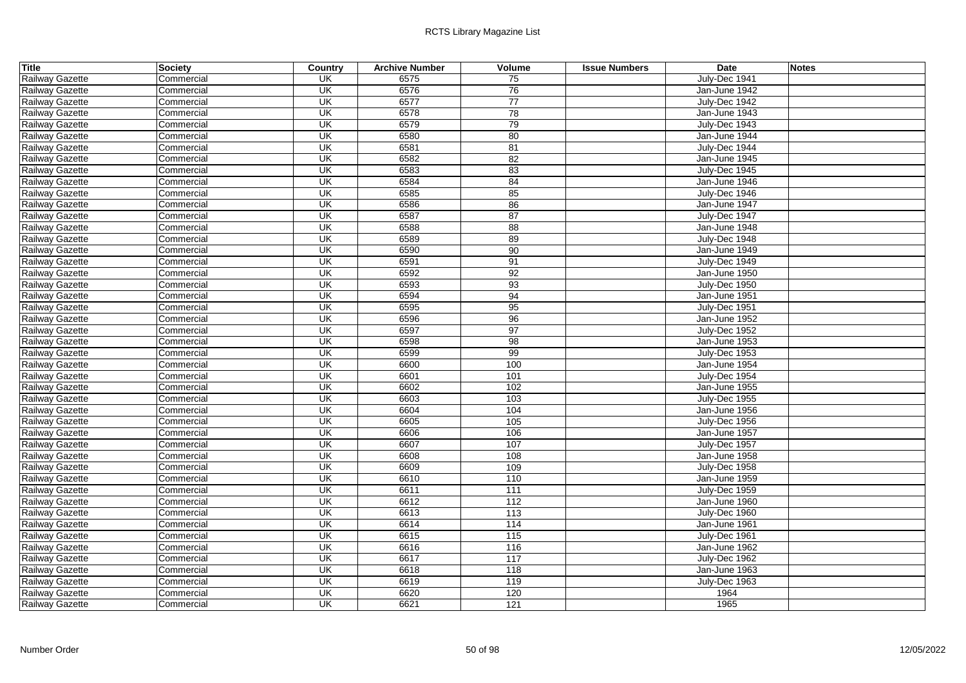| <b>Title</b>    | Society    | Country                             | <b>Archive Number</b> | Volume | <b>Issue Numbers</b> | Date          | <b>Notes</b> |
|-----------------|------------|-------------------------------------|-----------------------|--------|----------------------|---------------|--------------|
| Railway Gazette | Commercial | UK                                  | 6575                  | 75     |                      | July-Dec 1941 |              |
| Railway Gazette | Commercial | UK                                  | 6576                  | 76     |                      | Jan-June 1942 |              |
| Railway Gazette | Commercial | $\overline{\mathsf{U}}$             | 6577                  | 77     |                      | July-Dec 1942 |              |
| Railway Gazette | Commercial | UK                                  | 6578                  | 78     |                      | Jan-June 1943 |              |
| Railway Gazette | Commercial | $\overline{\mathsf{U}}$             | 6579                  | 79     |                      | July-Dec 1943 |              |
| Railway Gazette | Commercial | UK                                  | 6580                  | 80     |                      | Jan-June 1944 |              |
| Railway Gazette | Commercial | $\overline{\overline{\mathsf{CK}}}$ | 6581                  | 81     |                      | July-Dec 1944 |              |
| Railway Gazette | Commercial | $\overline{\mathsf{U}}$             | 6582                  | 82     |                      | Jan-June 1945 |              |
| Railway Gazette | Commercial | UK                                  | 6583                  | 83     |                      | July-Dec 1945 |              |
| Railway Gazette | Commercial | UK                                  | 6584                  | 84     |                      | Jan-June 1946 |              |
| Railway Gazette | Commercial | $\overline{\mathsf{U}}$             | 6585                  | 85     |                      | July-Dec 1946 |              |
| Railway Gazette | Commercial | UK                                  | 6586                  | 86     |                      | Jan-June 1947 |              |
| Railway Gazette | Commercial | $\overline{\mathsf{U}}$             | 6587                  | 87     |                      | July-Dec 1947 |              |
| Railway Gazette | Commercial | $\overline{\mathsf{U}}$             | 6588                  | 88     |                      | Jan-June 1948 |              |
| Railway Gazette | Commercial | UK                                  | 6589                  | 89     |                      | July-Dec 1948 |              |
| Railway Gazette | Commercial | UK                                  | 6590                  | 90     |                      | Jan-June 1949 |              |
| Railway Gazette | Commercial | UK                                  | 6591                  | 91     |                      | July-Dec 1949 |              |
| Railway Gazette | Commercial | UK                                  | 6592                  | 92     |                      | Jan-June 1950 |              |
| Railway Gazette | Commercial | $\overline{\mathsf{U}}$             | 6593                  | 93     |                      | July-Dec 1950 |              |
| Railway Gazette | Commercial | $\overline{\mathsf{U}}$             | 6594                  | 94     |                      | Jan-June 1951 |              |
| Railway Gazette | Commercial | UK                                  | 6595                  | 95     |                      | July-Dec 1951 |              |
| Railway Gazette | Commercial | UK                                  | 6596                  | 96     |                      | Jan-June 1952 |              |
| Railway Gazette | Commercial | UK                                  | 6597                  | 97     |                      | July-Dec 1952 |              |
| Railway Gazette | Commercial | $\overline{\mathsf{U}}$             | 6598                  | 98     |                      | Jan-June 1953 |              |
| Railway Gazette | Commercial | $\overline{\mathsf{U}}$             | 6599                  | 99     |                      | July-Dec 1953 |              |
| Railway Gazette | Commercial | UK                                  | 6600                  | 100    |                      | Jan-June 1954 |              |
| Railway Gazette | Commercial | UK                                  | 6601                  | 101    |                      | July-Dec 1954 |              |
| Railway Gazette | Commercial | UK                                  | 6602                  | 102    |                      | Jan-June 1955 |              |
| Railway Gazette | Commercial | UK                                  | 6603                  | 103    |                      | July-Dec 1955 |              |
| Railway Gazette | Commercial | UK                                  | 6604                  | 104    |                      | Jan-June 1956 |              |
| Railway Gazette | Commercial | UK                                  | 6605                  | 105    |                      | July-Dec 1956 |              |
| Railway Gazette | Commercial | UK                                  | 6606                  | 106    |                      | Jan-June 1957 |              |
| Railway Gazette | Commercial | $\overline{\mathsf{U}}$             | 6607                  | 107    |                      | July-Dec 1957 |              |
| Railway Gazette | Commercial | $\overline{\mathsf{U}}$             | 6608                  | 108    |                      | Jan-June 1958 |              |
| Railway Gazette | Commercial | UK                                  | 6609                  | 109    |                      | July-Dec 1958 |              |
| Railway Gazette | Commercial | $\overline{\mathsf{U}}$             | 6610                  | 110    |                      | Jan-June 1959 |              |
| Railway Gazette | Commercial | UK                                  | 6611                  | 111    |                      | July-Dec 1959 |              |
| Railway Gazette | Commercial | $\overline{\mathsf{U}}$             | 6612                  | 112    |                      | Jan-June 1960 |              |
| Railway Gazette | Commercial | $\overline{\mathsf{U}}$             | 6613                  | 113    |                      | July-Dec 1960 |              |
| Railway Gazette | Commercial | UK                                  | 6614                  | 114    |                      | Jan-June 1961 |              |
| Railway Gazette | Commercial | $\overline{\mathsf{U}}$             | 6615                  | 115    |                      | July-Dec 1961 |              |
| Railway Gazette | Commercial | UK                                  | 6616                  | 116    |                      | Jan-June 1962 |              |
| Railway Gazette | Commercial | UK                                  | 6617                  | 117    |                      | July-Dec 1962 |              |
| Railway Gazette | Commercial | UK                                  | 6618                  | 118    |                      | Jan-June 1963 |              |
| Railway Gazette | Commercial | $\overline{\mathsf{U}}$             | 6619                  | 119    |                      | July-Dec 1963 |              |
| Railway Gazette | Commercial | UK                                  | 6620                  | 120    |                      | 1964          |              |
| Railway Gazette | Commercial | $\overline{\mathsf{U}}$             | 6621                  | 121    |                      | 1965          |              |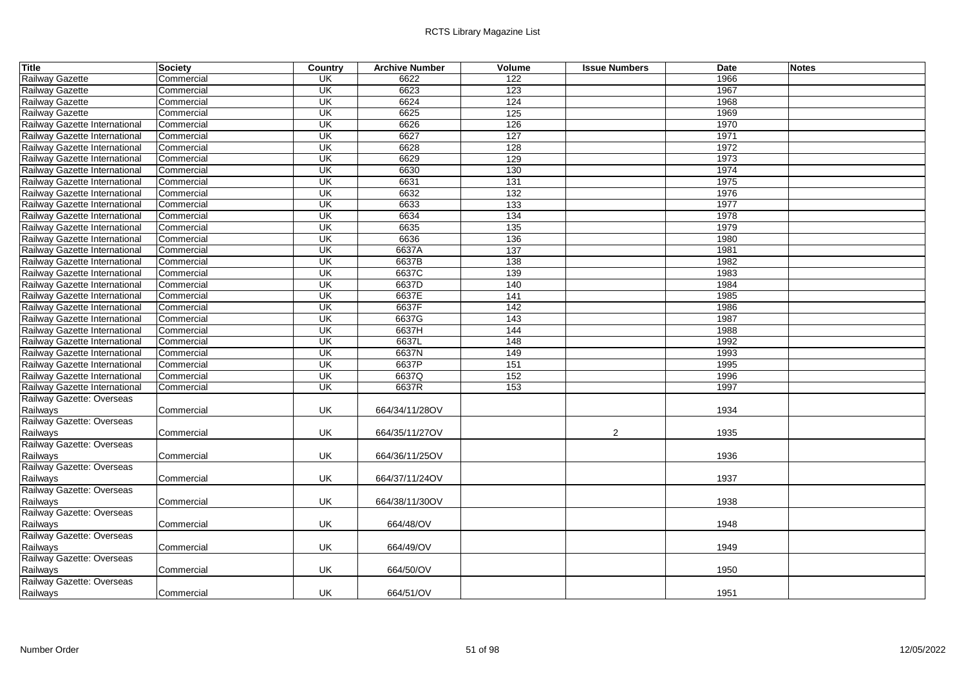| <b>Title</b>                  | <b>Society</b>    | Country                  | <b>Archive Number</b> | Volume          | <b>Issue Numbers</b> | Date | <b>Notes</b> |
|-------------------------------|-------------------|--------------------------|-----------------------|-----------------|----------------------|------|--------------|
| Railway Gazette               | Commercial        | <b>UK</b>                | 6622                  | 122             |                      | 1966 |              |
| Railway Gazette               | Commercial        | $\overline{\mathsf{CK}}$ | 6623                  | 123             |                      | 1967 |              |
| Railway Gazette               | Commercial        | UK                       | 6624                  | 124             |                      | 1968 |              |
| Railway Gazette               | Commercial        | $\overline{\mathsf{U}}$  | 6625                  | 125             |                      | 1969 |              |
| Railway Gazette International | Commercial        | $\overline{\mathsf{U}}$  | 6626                  | 126             |                      | 1970 |              |
| Railway Gazette International | Commercial        | $\overline{\mathsf{U}}$  | 6627                  | 127             |                      | 1971 |              |
| Railway Gazette International | Commercial        | UK                       | 6628                  | 128             |                      | 1972 |              |
| Railway Gazette International | Commercial        | UK                       | 6629                  | 129             |                      | 1973 |              |
| Railway Gazette International | Commercial        | UK                       | 6630                  | 130             |                      | 1974 |              |
| Railway Gazette International | Commercial        | $\overline{\mathsf{U}}$  | 6631                  | 131             |                      | 1975 |              |
| Railway Gazette International | Commercial        | UK                       | 6632                  | 132             |                      | 1976 |              |
| Railway Gazette International | Commercial        | UK                       | 6633                  | 133             |                      | 1977 |              |
| Railway Gazette International | Commercial        | UK                       | 6634                  | 134             |                      | 1978 |              |
| Railway Gazette International | Commercial        | UK                       | 6635                  | 135             |                      | 1979 |              |
| Railway Gazette International | Commercial        | UK                       | 6636                  | 136             |                      | 1980 |              |
| Railway Gazette International | Commercial        | <b>UK</b>                | 6637A                 | 137             |                      | 1981 |              |
| Railway Gazette International | Commercial        | UK                       | 6637B                 | 138             |                      | 1982 |              |
| Railway Gazette International | Commercial        | UK                       | 6637C                 | 139             |                      | 1983 |              |
| Railway Gazette International | Commercial        | UK                       | 6637D                 | 140             |                      | 1984 |              |
| Railway Gazette International | Commercial        | $\overline{\mathsf{U}}$  | 6637E                 | 141             |                      | 1985 |              |
| Railway Gazette International | Commercial        | UK                       | 6637F                 | $\frac{1}{142}$ |                      | 1986 |              |
| Railway Gazette International | Commercial        | UK                       | 6637G                 | 143             |                      | 1987 |              |
| Railway Gazette International | Commercial        | UK                       | 6637H                 | 144             |                      | 1988 |              |
| Railway Gazette International | Commercial        | UK                       | 6637L                 | 148             |                      | 1992 |              |
| Railway Gazette International | Commercial        | UK                       | 6637N                 | 149             |                      | 1993 |              |
| Railway Gazette International | Commercial        | $\overline{\mathsf{U}}$  | 6637P                 | 151             |                      | 1995 |              |
| Railway Gazette International | Commercial        | UK                       | 6637Q                 | 152             |                      | 1996 |              |
| Railway Gazette International | Commercial        | UK                       | 6637R                 | 153             |                      | 1997 |              |
| Railway Gazette: Overseas     |                   |                          |                       |                 |                      |      |              |
| Railways                      | Commercial        | UK                       | 664/34/11/28OV        |                 |                      | 1934 |              |
| Railway Gazette: Overseas     |                   |                          |                       |                 |                      |      |              |
| Railways                      | Commercial        | UK                       | 664/35/11/27OV        |                 | $\overline{2}$       | 1935 |              |
| Railway Gazette: Overseas     |                   |                          |                       |                 |                      |      |              |
| Railways                      | Commercial        | UK                       | 664/36/11/25OV        |                 |                      | 1936 |              |
| Railway Gazette: Overseas     |                   |                          |                       |                 |                      |      |              |
| Railways                      | Commercial        | UK                       | 664/37/11/24OV        |                 |                      | 1937 |              |
| Railway Gazette: Overseas     |                   |                          |                       |                 |                      |      |              |
| Railways                      | Commercial        | UK                       | 664/38/11/30OV        |                 |                      | 1938 |              |
| Railway Gazette: Overseas     |                   |                          |                       |                 |                      |      |              |
| Railways                      | Commercial        | UK                       | 664/48/OV             |                 |                      | 1948 |              |
| Railway Gazette: Overseas     |                   |                          |                       |                 |                      |      |              |
| Railways                      | Commercial        | UK                       | 664/49/OV             |                 |                      | 1949 |              |
| Railway Gazette: Overseas     |                   |                          |                       |                 |                      |      |              |
| Railways                      | Commercial        | UK                       | 664/50/OV             |                 |                      | 1950 |              |
| Railway Gazette: Overseas     |                   |                          |                       |                 |                      |      |              |
| Railways                      | <b>Commercial</b> | <b>UK</b>                | 664/51/OV             |                 |                      | 1951 |              |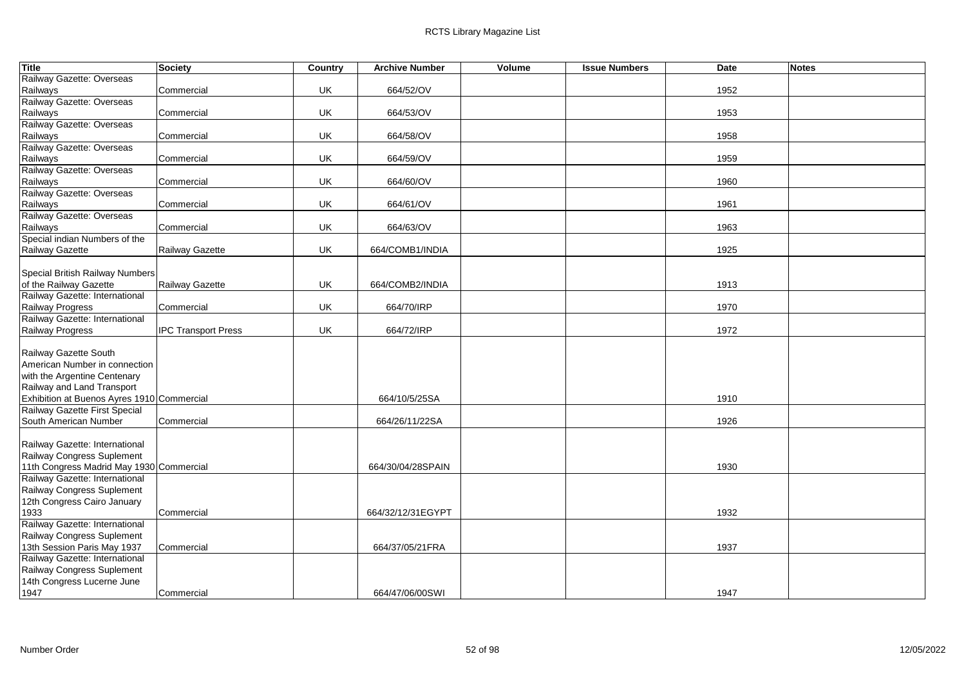| <b>Title</b>                               | Society                    | Country | <b>Archive Number</b> | Volume | <b>Issue Numbers</b> | Date | <b>Notes</b> |
|--------------------------------------------|----------------------------|---------|-----------------------|--------|----------------------|------|--------------|
| Railway Gazette: Overseas                  |                            |         |                       |        |                      |      |              |
| Railways                                   | Commercial                 | UK      | 664/52/OV             |        |                      | 1952 |              |
| Railway Gazette: Overseas                  |                            |         |                       |        |                      |      |              |
| Railways                                   | Commercial                 | UK      | 664/53/OV             |        |                      | 1953 |              |
| Railway Gazette: Overseas                  |                            |         |                       |        |                      |      |              |
| Railways                                   | Commercial                 | UK      | 664/58/OV             |        |                      | 1958 |              |
| Railway Gazette: Overseas                  |                            |         |                       |        |                      |      |              |
| Railways                                   | Commercial                 | UK      | 664/59/OV             |        |                      | 1959 |              |
| Railway Gazette: Overseas                  |                            |         |                       |        |                      |      |              |
| Railways                                   | Commercial                 | UK      | 664/60/OV             |        |                      | 1960 |              |
| Railway Gazette: Overseas                  |                            |         |                       |        |                      |      |              |
| Railways                                   | Commercial                 | UK      | 664/61/OV             |        |                      | 1961 |              |
| Railway Gazette: Overseas                  |                            |         |                       |        |                      |      |              |
| Railways                                   | Commercial                 | UK      | 664/63/OV             |        |                      | 1963 |              |
| Special indian Numbers of the              |                            |         |                       |        |                      |      |              |
| Railway Gazette                            | Railway Gazette            | UK      | 664/COMB1/INDIA       |        |                      | 1925 |              |
|                                            |                            |         |                       |        |                      |      |              |
| Special British Railway Numbers            |                            |         |                       |        |                      |      |              |
| of the Railway Gazette                     | Railway Gazette            | UK      | 664/COMB2/INDIA       |        |                      | 1913 |              |
| Railway Gazette: International             |                            |         |                       |        |                      |      |              |
| Railway Progress                           | Commercial                 | UK      | 664/70/IRP            |        |                      | 1970 |              |
| Railway Gazette: International             |                            |         |                       |        |                      |      |              |
| Railway Progress                           | <b>IPC Transport Press</b> | UK      | 664/72/IRP            |        |                      | 1972 |              |
|                                            |                            |         |                       |        |                      |      |              |
| Railway Gazette South                      |                            |         |                       |        |                      |      |              |
| American Number in connection              |                            |         |                       |        |                      |      |              |
| with the Argentine Centenary               |                            |         |                       |        |                      |      |              |
| Railway and Land Transport                 |                            |         |                       |        |                      |      |              |
| Exhibition at Buenos Ayres 1910 Commercial |                            |         | 664/10/5/25SA         |        |                      | 1910 |              |
| Railway Gazette First Special              |                            |         |                       |        |                      |      |              |
| South American Number                      | Commercial                 |         | 664/26/11/22SA        |        |                      | 1926 |              |
| Railway Gazette: International             |                            |         |                       |        |                      |      |              |
| Railway Congress Suplement                 |                            |         |                       |        |                      |      |              |
| 11th Congress Madrid May 1930 Commercial   |                            |         | 664/30/04/28SPAIN     |        |                      | 1930 |              |
| Railway Gazette: International             |                            |         |                       |        |                      |      |              |
| Railway Congress Suplement                 |                            |         |                       |        |                      |      |              |
| 12th Congress Cairo January                |                            |         |                       |        |                      |      |              |
| 1933                                       | Commercial                 |         | 664/32/12/31EGYPT     |        |                      | 1932 |              |
| Railway Gazette: International             |                            |         |                       |        |                      |      |              |
| Railway Congress Suplement                 |                            |         |                       |        |                      |      |              |
| 13th Session Paris May 1937                | Commercial                 |         | 664/37/05/21FRA       |        |                      | 1937 |              |
| Railway Gazette: International             |                            |         |                       |        |                      |      |              |
| Railway Congress Suplement                 |                            |         |                       |        |                      |      |              |
| 14th Congress Lucerne June                 |                            |         |                       |        |                      |      |              |
| 1947                                       | Commercial                 |         | 664/47/06/00SWI       |        |                      | 1947 |              |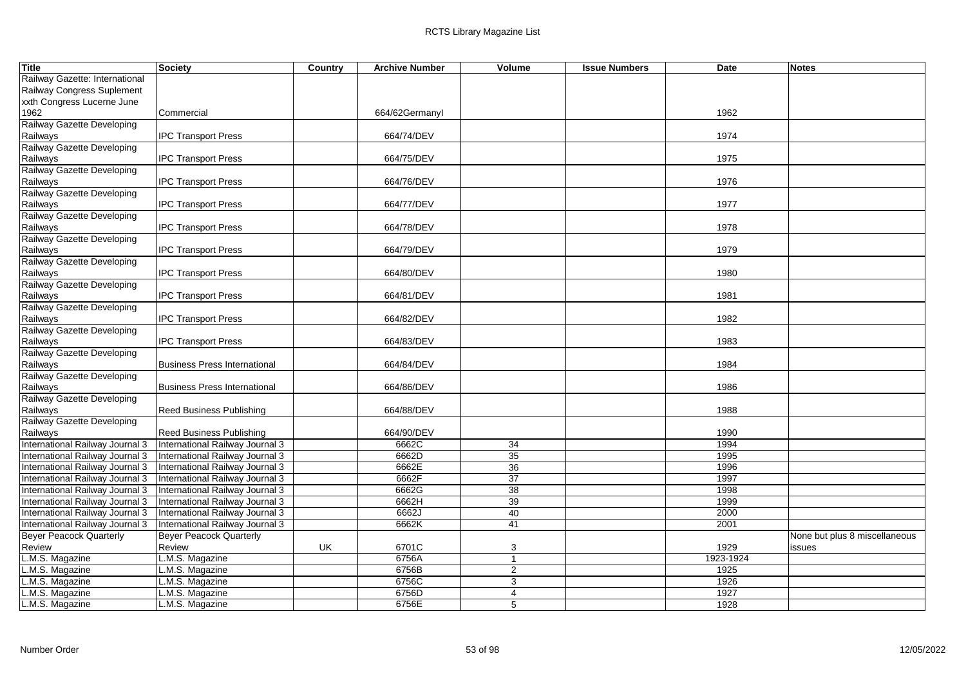| Title                           | Society                             | Country | <b>Archive Number</b> | Volume         | <b>Issue Numbers</b> | <b>Date</b> | <b>Notes</b>                  |
|---------------------------------|-------------------------------------|---------|-----------------------|----------------|----------------------|-------------|-------------------------------|
| Railway Gazette: International  |                                     |         |                       |                |                      |             |                               |
| Railway Congress Suplement      |                                     |         |                       |                |                      |             |                               |
| xxth Congress Lucerne June      |                                     |         |                       |                |                      |             |                               |
| 1962                            | Commercial                          |         | 664/62Germanyl        |                |                      | 1962        |                               |
| Railway Gazette Developing      |                                     |         |                       |                |                      |             |                               |
| Railways                        | <b>IPC Transport Press</b>          |         | 664/74/DEV            |                |                      | 1974        |                               |
| Railway Gazette Developing      |                                     |         |                       |                |                      |             |                               |
| Railways                        | <b>IPC Transport Press</b>          |         | 664/75/DEV            |                |                      | 1975        |                               |
| Railway Gazette Developing      |                                     |         |                       |                |                      |             |                               |
| Railways                        | <b>IPC Transport Press</b>          |         | 664/76/DEV            |                |                      | 1976        |                               |
| Railway Gazette Developing      |                                     |         |                       |                |                      |             |                               |
| Railways                        | <b>IPC Transport Press</b>          |         | 664/77/DEV            |                |                      | 1977        |                               |
| Railway Gazette Developing      |                                     |         |                       |                |                      |             |                               |
| Railways                        | <b>IPC Transport Press</b>          |         | 664/78/DEV            |                |                      | 1978        |                               |
| Railway Gazette Developing      |                                     |         |                       |                |                      |             |                               |
| Railways                        | <b>IPC Transport Press</b>          |         | 664/79/DEV            |                |                      | 1979        |                               |
| Railway Gazette Developing      |                                     |         |                       |                |                      |             |                               |
| Railways                        | <b>IPC Transport Press</b>          |         | 664/80/DEV            |                |                      | 1980        |                               |
| Railway Gazette Developing      |                                     |         |                       |                |                      |             |                               |
| Railways                        | <b>IPC Transport Press</b>          |         | 664/81/DEV            |                |                      | 1981        |                               |
| Railway Gazette Developing      |                                     |         |                       |                |                      |             |                               |
| Railways                        | <b>IPC Transport Press</b>          |         | 664/82/DEV            |                |                      | 1982        |                               |
| Railway Gazette Developing      |                                     |         |                       |                |                      |             |                               |
| Railways                        | <b>IPC Transport Press</b>          |         | 664/83/DEV            |                |                      | 1983        |                               |
| Railway Gazette Developing      |                                     |         |                       |                |                      |             |                               |
| Railways                        | <b>Business Press International</b> |         | 664/84/DEV            |                |                      | 1984        |                               |
| Railway Gazette Developing      |                                     |         |                       |                |                      |             |                               |
| Railways                        | <b>Business Press International</b> |         | 664/86/DEV            |                |                      | 1986        |                               |
| Railway Gazette Developing      |                                     |         |                       |                |                      |             |                               |
| Railways                        | <b>Reed Business Publishing</b>     |         | 664/88/DEV            |                |                      | 1988        |                               |
| Railway Gazette Developing      |                                     |         |                       |                |                      |             |                               |
| Railways                        | <b>Reed Business Publishing</b>     |         | 664/90/DEV            |                |                      | 1990        |                               |
| International Railway Journal 3 | International Railway Journal 3     |         | 6662C                 | 34             |                      | 1994        |                               |
| International Railway Journal 3 | International Railway Journal 3     |         | 6662D                 | 35             |                      | 1995        |                               |
| International Railway Journal 3 | International Railway Journal 3     |         | 6662E                 | 36             |                      | 1996        |                               |
| International Railway Journal 3 | International Railway Journal 3     |         | 6662F                 | 37             |                      | 1997        |                               |
| International Railway Journal 3 | International Railway Journal 3     |         | 6662G                 | 38             |                      | 1998        |                               |
| International Railway Journal 3 | International Railway Journal 3     |         | 6662H                 | 39             |                      | 1999        |                               |
| International Railway Journal 3 | International Railway Journal 3     |         | 6662J                 | 40             |                      | 2000        |                               |
| International Railway Journal 3 | International Railway Journal 3     |         | 6662K                 | 41             |                      | 2001        |                               |
| <b>Beyer Peacock Quarterly</b>  | <b>Beyer Peacock Quarterly</b>      |         |                       |                |                      |             | None but plus 8 miscellaneous |
| Review                          | Review                              | UK      | 6701C                 | 3              |                      | 1929        | issues                        |
| L.M.S. Magazine                 | L.M.S. Magazine                     |         | 6756A                 | $\mathbf{1}$   |                      | 1923-1924   |                               |
| L.M.S. Magazine                 | .M.S. Magazine                      |         | 6756B                 | 2              |                      | 1925        |                               |
| L.M.S. Magazine                 | M.S. Magazine                       |         | 6756C                 | $\overline{3}$ |                      | 1926        |                               |
| L.M.S. Magazine                 | M.S. Magazine                       |         | 6756D                 | $\overline{4}$ |                      | 1927        |                               |
| L.M.S. Magazine                 | L.M.S. Magazine                     |         | 6756E                 | 5              |                      | 1928        |                               |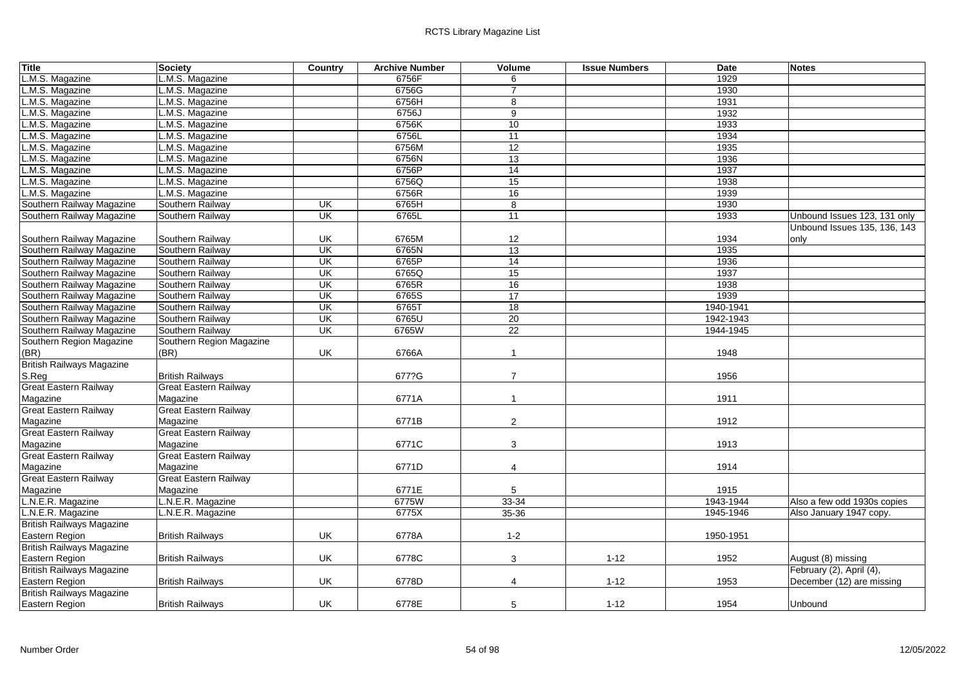| <b>Title</b>                     | Society                      | Country                  | <b>Archive Number</b> | Volume                  | <b>Issue Numbers</b> | Date      | <b>Notes</b>                 |
|----------------------------------|------------------------------|--------------------------|-----------------------|-------------------------|----------------------|-----------|------------------------------|
| L.M.S. Magazine                  | L.M.S. Magazine              |                          | 6756F                 | 6                       |                      | 1929      |                              |
| M.S. Magazine                    | L.M.S. Magazine              |                          | 6756G                 | $\overline{7}$          |                      | 1930      |                              |
| L.M.S. Magazine                  | L.M.S. Magazine              |                          | 6756H                 | 8                       |                      | 1931      |                              |
| M.S. Magazine                    | L.M.S. Magazine              |                          | 6756J                 | $\overline{9}$          |                      | 1932      |                              |
| L.M.S. Magazine                  | L.M.S. Magazine              |                          | 6756K                 | 10                      |                      | 1933      |                              |
| L.M.S. Magazine                  | L.M.S. Magazine              |                          | 6756L                 | 11                      |                      | 1934      |                              |
| L.M.S. Magazine                  | .M.S. Magazine               |                          | 6756M                 | 12                      |                      | 1935      |                              |
| L.M.S. Magazine                  | L.M.S. Magazine              |                          | 6756N                 | 13                      |                      | 1936      |                              |
| M.S. Magazine                    | M.S. Magazine                |                          | 6756P                 | 14                      |                      | 1937      |                              |
| .M.S. Magazine                   | L.M.S. Magazine              |                          | 6756Q                 | 15                      |                      | 1938      |                              |
| M.S. Magazine                    | L.M.S. Magazine              |                          | 6756R                 | 16                      |                      | 1939      |                              |
| Southern Railway Magazine        | Southern Railway             | $\overline{\mathsf{CK}}$ | 6765H                 | 8                       |                      | 1930      |                              |
| Southern Railway Magazine        | Southern Railway             | UK                       | 6765L                 | $\overline{11}$         |                      | 1933      | Unbound Issues 123, 131 only |
|                                  |                              |                          |                       |                         |                      |           | Unbound Issues 135, 136, 143 |
| Southern Railway Magazine        | Southern Railway             | UK                       | 6765M                 | 12                      |                      | 1934      | only                         |
| Southern Railway Magazine        | Southern Railway             | <b>UK</b>                | 6765N                 | 13                      |                      | 1935      |                              |
| Southern Railway Magazine        | Southern Railway             | UK                       | 6765P                 | $\overline{14}$         |                      | 1936      |                              |
| Southern Railway Magazine        | Southern Railway             | UK                       | 6765Q                 | 15                      |                      | 1937      |                              |
| Southern Railway Magazine        | Southern Railway             | UK                       | 6765R                 | 16                      |                      | 1938      |                              |
| Southern Railway Magazine        | Southern Railway             | UK                       | 6765S                 | $\overline{17}$         |                      | 1939      |                              |
| Southern Railway Magazine        | Southern Railway             | $\overline{\mathsf{CK}}$ | 6765T                 | 18                      |                      | 1940-1941 |                              |
| Southern Railway Magazine        | Southern Railway             | UK                       | 6765U                 | 20                      |                      | 1942-1943 |                              |
| Southern Railway Magazine        | Southern Railway             | UK                       | 6765W                 | 22                      |                      | 1944-1945 |                              |
| Southern Region Magazine         | Southern Region Magazine     |                          |                       |                         |                      |           |                              |
| (BR)                             | (BR)                         | UK                       | 6766A                 | $\overline{\mathbf{1}}$ |                      | 1948      |                              |
| <b>British Railways Magazine</b> |                              |                          |                       |                         |                      |           |                              |
| S.Reg                            | <b>British Railways</b>      |                          | 677?G                 | $\overline{7}$          |                      | 1956      |                              |
| Great Eastern Railway            | <b>Great Eastern Railway</b> |                          |                       |                         |                      |           |                              |
| Magazine                         | Magazine                     |                          | 6771A                 | $\overline{1}$          |                      | 1911      |                              |
| <b>Great Eastern Railway</b>     | <b>Great Eastern Railway</b> |                          |                       |                         |                      |           |                              |
| Magazine                         | Magazine                     |                          | 6771B                 | $\overline{2}$          |                      | 1912      |                              |
| <b>Great Eastern Railway</b>     | <b>Great Eastern Railway</b> |                          |                       |                         |                      |           |                              |
| Magazine                         | Magazine                     |                          | 6771C                 | 3                       |                      | 1913      |                              |
| <b>Great Eastern Railway</b>     | <b>Great Eastern Railway</b> |                          |                       |                         |                      |           |                              |
| Magazine                         | Magazine                     |                          | 6771D                 | 4                       |                      | 1914      |                              |
| Great Eastern Railway            | <b>Great Eastern Railway</b> |                          |                       |                         |                      |           |                              |
| Magazine                         | Magazine                     |                          | 6771E                 | 5                       |                      | 1915      |                              |
| L.N.E.R. Magazine                | N.E.R. Magazine              |                          | 6775W                 | 33-34                   |                      | 1943-1944 | Also a few odd 1930s copies  |
| L.N.E.R. Magazine                | L.N.E.R. Magazine            |                          | 6775X                 | 35-36                   |                      | 1945-1946 | Also January 1947 copy.      |
| <b>British Railways Magazine</b> |                              |                          |                       |                         |                      |           |                              |
| Eastern Region                   | <b>British Railways</b>      | UK                       | 6778A                 | $1 - 2$                 |                      | 1950-1951 |                              |
| <b>British Railways Magazine</b> |                              |                          |                       |                         |                      |           |                              |
| Eastern Region                   | <b>British Railways</b>      | UK                       | 6778C                 | 3                       | $1 - 12$             | 1952      | August (8) missing           |
| <b>British Railways Magazine</b> |                              |                          |                       |                         |                      |           | February (2), April (4),     |
| Eastern Region                   | <b>British Railways</b>      | UK                       | 6778D                 | 4                       | $1 - 12$             | 1953      | December (12) are missing    |
| <b>British Railways Magazine</b> |                              |                          |                       |                         |                      |           |                              |
| Eastern Region                   | <b>British Railways</b>      | UK                       | 6778E                 | 5                       | $1 - 12$             | 1954      | Unbound                      |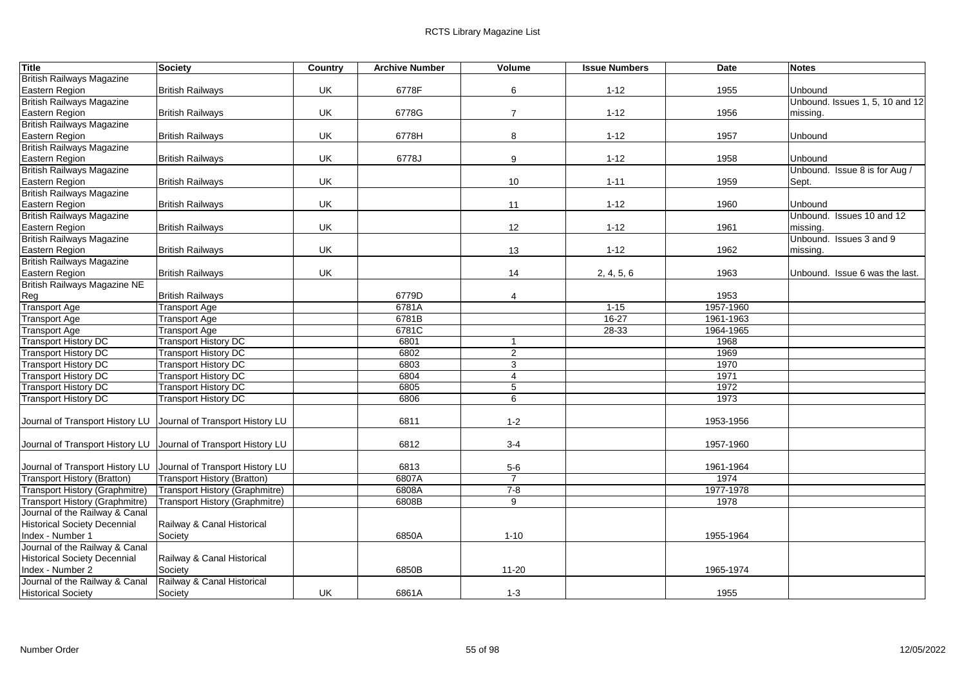| <b>Title</b>                        | Society                                                         | Country | <b>Archive Number</b> | Volume         | <b>Issue Numbers</b> | <b>Date</b>       | <b>Notes</b>                    |
|-------------------------------------|-----------------------------------------------------------------|---------|-----------------------|----------------|----------------------|-------------------|---------------------------------|
| <b>British Railways Magazine</b>    |                                                                 |         |                       |                |                      |                   |                                 |
| Eastern Region                      | <b>British Railways</b>                                         | UK      | 6778F                 | 6              | $1 - 12$             | 1955              | Unbound                         |
| <b>British Railways Magazine</b>    |                                                                 |         |                       |                |                      |                   | Unbound. Issues 1, 5, 10 and 12 |
| Eastern Region                      | <b>British Railways</b>                                         | UK      | 6778G                 | $\overline{7}$ | $1 - 12$             | 1956              | missing.                        |
| <b>British Railways Magazine</b>    |                                                                 |         |                       |                |                      |                   |                                 |
| Eastern Region                      | <b>British Railways</b>                                         | UK      | 6778H                 | 8              | $1 - 12$             | 1957              | Unbound                         |
| <b>British Railways Magazine</b>    |                                                                 |         |                       |                |                      |                   |                                 |
| Eastern Region                      | <b>British Railways</b>                                         | UK      | 6778J                 | 9              | $1 - 12$             | 1958              | Unbound                         |
| <b>British Railways Magazine</b>    |                                                                 |         |                       |                |                      |                   | Unbound. Issue 8 is for Aug /   |
| Eastern Region                      | <b>British Railways</b>                                         | UK      |                       | 10             | $1 - 11$             | 1959              | Sept.                           |
| <b>British Railways Magazine</b>    |                                                                 |         |                       |                |                      |                   |                                 |
| Eastern Region                      | <b>British Railways</b>                                         | UK      |                       | 11             | $1 - 12$             | 1960              | Unbound                         |
| <b>British Railways Magazine</b>    |                                                                 |         |                       |                |                      |                   | Unbound. Issues 10 and 12       |
| Eastern Region                      | <b>British Railways</b>                                         | UK      |                       | 12             | $1 - 12$             | 1961              | missing.                        |
| <b>British Railways Magazine</b>    |                                                                 |         |                       |                |                      |                   | Unbound. Issues 3 and 9         |
| Eastern Region                      | <b>British Railways</b>                                         | UK      |                       | 13             | $1 - 12$             | 1962              | missing.                        |
| <b>British Railways Magazine</b>    |                                                                 |         |                       |                |                      |                   |                                 |
| Eastern Region                      | <b>British Railways</b>                                         | UK      |                       | 14             | 2, 4, 5, 6           | 1963              | Unbound. Issue 6 was the last.  |
| <b>British Railways Magazine NE</b> |                                                                 |         |                       |                |                      |                   |                                 |
| Reg<br><b>Transport Age</b>         | <b>British Railways</b><br><b>Transport Age</b>                 |         | 6779D<br>6781A        | $\overline{4}$ | $1 - 15$             | 1953<br>1957-1960 |                                 |
| <b>Transport Age</b>                | <b>Transport Age</b>                                            |         | 6781B                 |                | $16 - 27$            | 1961-1963         |                                 |
| <b>Transport Age</b>                | <b>Transport Age</b>                                            |         | 6781C                 |                | 28-33                | 1964-1965         |                                 |
| <b>Transport History DC</b>         | <b>Transport History DC</b>                                     |         | 6801                  | $\overline{1}$ |                      | 1968              |                                 |
| <b>Transport History DC</b>         | <b>Transport History DC</b>                                     |         | 6802                  | $\overline{2}$ |                      | 1969              |                                 |
| <b>Transport History DC</b>         | <b>Transport History DC</b>                                     |         | 6803                  | 3              |                      | 1970              |                                 |
| <b>Transport History DC</b>         | <b>Transport History DC</b>                                     |         | 6804                  | $\overline{4}$ |                      | 1971              |                                 |
| <b>Transport History DC</b>         | <b>Transport History DC</b>                                     |         | 6805                  | 5              |                      | 1972              |                                 |
| <b>Transport History DC</b>         | <b>Transport History DC</b>                                     |         | 6806                  | 6              |                      | 1973              |                                 |
|                                     |                                                                 |         |                       |                |                      |                   |                                 |
| Journal of Transport History LU     | Journal of Transport History LU                                 |         | 6811                  | $1 - 2$        |                      | 1953-1956         |                                 |
|                                     |                                                                 |         |                       |                |                      |                   |                                 |
|                                     | Journal of Transport History LU Journal of Transport History LU |         | 6812                  | $3 - 4$        |                      | 1957-1960         |                                 |
|                                     |                                                                 |         |                       |                |                      |                   |                                 |
| Journal of Transport History LU     | Journal of Transport History LU                                 |         | 6813                  | $5-6$          |                      | 1961-1964         |                                 |
| <b>Transport History (Bratton)</b>  | <b>Transport History (Bratton)</b>                              |         | 6807A                 | $\overline{7}$ |                      | 1974              |                                 |
| Transport History (Graphmitre)      | Transport History (Graphmitre)                                  |         | 6808A                 | $7 - 8$        |                      | 1977-1978         |                                 |
| Transport History (Graphmitre)      | Transport History (Graphmitre)                                  |         | 6808B                 | 9              |                      | 1978              |                                 |
| Journal of the Railway & Canal      |                                                                 |         |                       |                |                      |                   |                                 |
| <b>Historical Society Decennial</b> | Railway & Canal Historical                                      |         |                       |                |                      |                   |                                 |
| Index - Number 1                    | Society                                                         |         | 6850A                 | $1 - 10$       |                      | 1955-1964         |                                 |
| Journal of the Railway & Canal      |                                                                 |         |                       |                |                      |                   |                                 |
| <b>Historical Society Decennial</b> | Railway & Canal Historical                                      |         |                       |                |                      |                   |                                 |
| Index - Number 2                    | Society                                                         |         | 6850B                 | $11 - 20$      |                      | 1965-1974         |                                 |
| Journal of the Railway & Canal      | Railway & Canal Historical                                      |         |                       |                |                      |                   |                                 |
| <b>Historical Society</b>           | Society                                                         | UK      | 6861A                 | $1 - 3$        |                      | 1955              |                                 |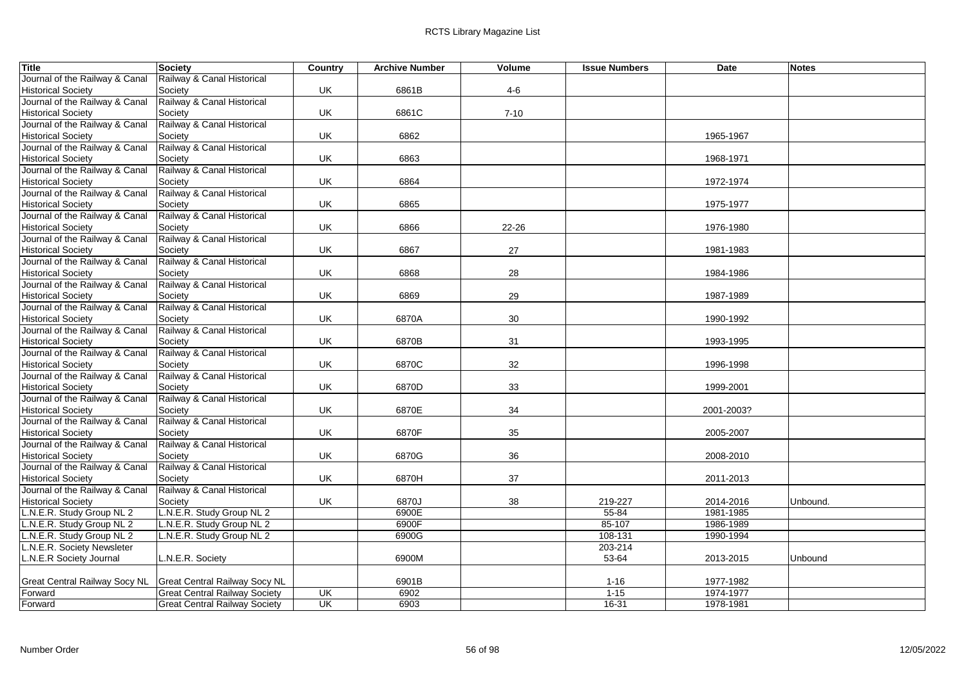| <b>Title</b>                                    | <b>Society</b>                       | Country | <b>Archive Number</b> | Volume   | <b>Issue Numbers</b> | Date       | <b>Notes</b> |
|-------------------------------------------------|--------------------------------------|---------|-----------------------|----------|----------------------|------------|--------------|
| Journal of the Railway & Canal                  | Railway & Canal Historical           |         |                       |          |                      |            |              |
| <b>Historical Society</b>                       | Society                              | UK      | 6861B                 | $4-6$    |                      |            |              |
| Journal of the Railway & Canal                  | Railway & Canal Historical           |         |                       |          |                      |            |              |
| <b>Historical Society</b>                       | Society                              | UK      | 6861C                 | $7 - 10$ |                      |            |              |
| Journal of the Railway & Canal                  | Railway & Canal Historical           |         |                       |          |                      |            |              |
| <b>Historical Society</b>                       | Society                              | UK      | 6862                  |          |                      | 1965-1967  |              |
| Journal of the Railway & Canal                  | Railway & Canal Historical           |         |                       |          |                      |            |              |
| <b>Historical Society</b>                       | Society                              | UK      | 6863                  |          |                      | 1968-1971  |              |
| Journal of the Railway & Canal                  | Railway & Canal Historical           |         |                       |          |                      |            |              |
| <b>Historical Society</b>                       | Society                              | UK      | 6864                  |          |                      | 1972-1974  |              |
| Journal of the Railway & Canal                  | Railway & Canal Historical           |         |                       |          |                      |            |              |
| <b>Historical Society</b>                       | Society                              | UK      | 6865                  |          |                      | 1975-1977  |              |
| Journal of the Railway & Canal                  | Railway & Canal Historical           |         |                       |          |                      |            |              |
| <b>Historical Society</b>                       | Society                              | UK      | 6866                  | 22-26    |                      | 1976-1980  |              |
| Journal of the Railway & Canal                  | Railway & Canal Historical           |         |                       |          |                      |            |              |
| <b>Historical Society</b>                       | Society                              | UK      | 6867                  | 27       |                      | 1981-1983  |              |
| Journal of the Railway & Canal                  | Railway & Canal Historical           |         |                       |          |                      |            |              |
| <b>Historical Society</b>                       | Society                              | UK      | 6868                  | 28       |                      | 1984-1986  |              |
| Journal of the Railway & Canal                  | Railway & Canal Historical           |         |                       |          |                      |            |              |
| <b>Historical Society</b>                       | Society                              | UK      | 6869                  | 29       |                      | 1987-1989  |              |
| Journal of the Railway & Canal                  | Railway & Canal Historical           |         |                       |          |                      |            |              |
| <b>Historical Society</b>                       | Society                              | UK      | 6870A                 | 30       |                      | 1990-1992  |              |
| Journal of the Railway & Canal                  | Railway & Canal Historical           |         |                       |          |                      |            |              |
| <b>Historical Society</b>                       | Society                              | UK      | 6870B                 | 31       |                      | 1993-1995  |              |
| Journal of the Railway & Canal                  | Railway & Canal Historical           |         |                       |          |                      |            |              |
| <b>Historical Society</b>                       | Society                              | UK      | 6870C                 | 32       |                      | 1996-1998  |              |
| Journal of the Railway & Canal                  | Railway & Canal Historical           |         |                       |          |                      |            |              |
| <b>Historical Society</b>                       | Society                              | UK      | 6870D                 | 33       |                      | 1999-2001  |              |
| Journal of the Railway & Canal                  | Railway & Canal Historical           |         |                       |          |                      |            |              |
| <b>Historical Society</b>                       | Society                              | UK      | 6870E                 | 34       |                      | 2001-2003? |              |
| Journal of the Railway & Canal                  | Railway & Canal Historical           |         |                       |          |                      |            |              |
| <b>Historical Society</b>                       | Society                              | UK      | 6870F                 | 35       |                      | 2005-2007  |              |
| Journal of the Railway & Canal                  | Railway & Canal Historical           |         |                       |          |                      |            |              |
| <b>Historical Society</b>                       | Society                              | UK      | 6870G                 | 36       |                      | 2008-2010  |              |
| Journal of the Railway & Canal                  | Railway & Canal Historical           |         |                       |          |                      |            |              |
| <b>Historical Society</b>                       | Society                              | UK      | 6870H                 | 37       |                      | 2011-2013  |              |
| Journal of the Railway & Canal                  | Railway & Canal Historical           |         |                       |          |                      |            |              |
| <b>Historical Society</b>                       | Society                              | UK      | 6870J                 | 38       | 219-227              | 2014-2016  | Unbound.     |
| L.N.E.R. Study Group NL 2                       | L.N.E.R. Study Group NL 2            |         | 6900E                 |          | $55 - 84$            | 1981-1985  |              |
| N.E.R. Study Group NL 2                         | L.N.E.R. Study Group NL 2            |         | 6900F                 |          | 85-107               | 1986-1989  |              |
| L.N.E.R. Study Group NL 2                       | L.N.E.R. Study Group NL 2            |         | 6900G                 |          | 108-131              | 1990-1994  |              |
| L.N.E.R. Society Newsleter                      |                                      |         |                       |          | 203-214              |            |              |
| L.N.E.R Society Journal                         | L.N.E.R. Society                     |         | 6900M                 |          | 53-64                | 2013-2015  | Unbound      |
|                                                 | <b>Great Central Railway Socy NL</b> |         | 6901B                 |          |                      | 1977-1982  |              |
| <b>Great Central Railway Socy NL</b><br>Forward | <b>Great Central Railway Society</b> | UK      | 6902                  |          | $1 - 16$<br>$1 - 15$ | 1974-1977  |              |
|                                                 | <b>Great Central Railway Society</b> | UK      | 6903                  |          | $16 - 31$            | 1978-1981  |              |
| Forward                                         |                                      |         |                       |          |                      |            |              |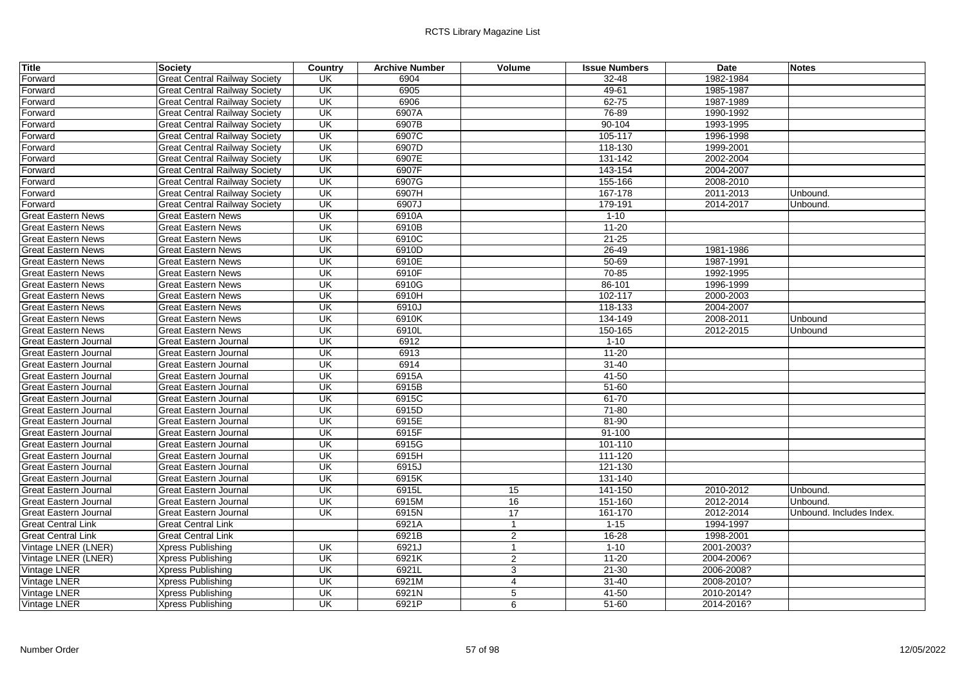| <b>Title</b>                 | Society                              | Country                   | <b>Archive Number</b> | Volume          | <b>Issue Numbers</b> | Date       | <b>Notes</b>             |
|------------------------------|--------------------------------------|---------------------------|-----------------------|-----------------|----------------------|------------|--------------------------|
| Forward                      | <b>Great Central Railway Society</b> | UK                        | 6904                  |                 | 32-48                | 1982-1984  |                          |
| Forward                      | <b>Great Central Railway Society</b> | UK                        | 6905                  |                 | 49-61                | 1985-1987  |                          |
| Forward                      | <b>Great Central Railway Society</b> | UK                        | 6906                  |                 | $62 - 75$            | 1987-1989  |                          |
| Forward                      | <b>Great Central Railway Society</b> | UK                        | 6907A                 |                 | 76-89                | 1990-1992  |                          |
| Forward                      | <b>Great Central Railway Society</b> | UK                        | 6907B                 |                 | $90 - 104$           | 1993-1995  |                          |
| Forward                      | <b>Great Central Railway Society</b> | UK                        | 6907C                 |                 | 105-117              | 1996-1998  |                          |
| Forward                      | <b>Great Central Railway Society</b> | UK                        | 6907D                 |                 | 118-130              | 1999-2001  |                          |
| Forward                      | <b>Great Central Railway Society</b> | UK                        | 6907E                 |                 | 131-142              | 2002-2004  |                          |
| Forward                      | <b>Great Central Railway Society</b> | UK                        | 6907F                 |                 | 143-154              | 2004-2007  |                          |
| Forward                      | <b>Great Central Railway Society</b> | UK                        | 6907G                 |                 | 155-166              | 2008-2010  |                          |
| Forward                      | <b>Great Central Railway Society</b> | UK                        | 6907H                 |                 | 167-178              | 2011-2013  | Unbound.                 |
| Forward                      | <b>Great Central Railway Society</b> | UK                        | 6907J                 |                 | 179-191              | 2014-2017  | Unbound.                 |
| <b>Great Eastern News</b>    | <b>Great Eastern News</b>            | $\overline{\mathsf{U}}$ K | 6910A                 |                 | $1 - 10$             |            |                          |
| <b>Great Eastern News</b>    | <b>Great Eastern News</b>            | $\overline{\mathsf{U}}$ K | 6910B                 |                 | $11 - 20$            |            |                          |
| <b>Great Eastern News</b>    | <b>Great Eastern News</b>            | $\overline{\mathsf{U}}$ K | 6910C                 |                 | $21 - 25$            |            |                          |
| <b>Great Eastern News</b>    | <b>Great Eastern News</b>            | UK                        | 6910D                 |                 | 26-49                | 1981-1986  |                          |
| <b>Great Eastern News</b>    | <b>Great Eastern News</b>            | UK                        | 6910E                 |                 | $50 - 69$            | 1987-1991  |                          |
| <b>Great Eastern News</b>    | <b>Great Eastern News</b>            | UK                        | 6910F                 |                 | $70 - 85$            | 1992-1995  |                          |
| <b>Great Eastern News</b>    | <b>Great Eastern News</b>            | UK                        | 6910G                 |                 | 86-101               | 1996-1999  |                          |
| <b>Great Eastern News</b>    | <b>Great Eastern News</b>            | UK                        | 6910H                 |                 | 102-117              | 2000-2003  |                          |
| <b>Great Eastern News</b>    | <b>Great Eastern News</b>            | UK                        | 6910J                 |                 | 118-133              | 2004-2007  |                          |
| <b>Great Eastern News</b>    | <b>Great Eastern News</b>            | UK                        | 6910K                 |                 | 134-149              | 2008-2011  | Unbound                  |
| <b>Great Eastern News</b>    | <b>Great Eastern News</b>            | UK                        | 6910L                 |                 | 150-165              | 2012-2015  | Unbound                  |
| <b>Great Eastern Journal</b> | Great Eastern Journal                | UK                        | 6912                  |                 | $1 - 10$             |            |                          |
| <b>Great Eastern Journal</b> | <b>Great Eastern Journal</b>         | UK                        | 6913                  |                 | $11 - 20$            |            |                          |
| <b>Great Eastern Journal</b> | Great Eastern Journal                | UK                        | 6914                  |                 | $31 - 40$            |            |                          |
| <b>Great Eastern Journal</b> | Great Eastern Journal                | UK                        | 6915A                 |                 | $41 - 50$            |            |                          |
| <b>Great Eastern Journal</b> | <b>Great Eastern Journal</b>         | UK                        | 6915B                 |                 | $51 - 60$            |            |                          |
| <b>Great Eastern Journal</b> | <b>Great Eastern Journal</b>         | <b>UK</b>                 | 6915C                 |                 | $61 - 70$            |            |                          |
| Great Eastern Journal        | <b>Great Eastern Journal</b>         | UK                        | 6915D                 |                 | $71 - 80$            |            |                          |
| Great Eastern Journal        | Great Eastern Journal                | $\overline{\mathsf{U}}$ K | 6915E                 |                 | $81 - 90$            |            |                          |
| <b>Great Eastern Journal</b> | Great Eastern Journal                | UK                        | 6915F                 |                 | $91 - 100$           |            |                          |
| <b>Great Eastern Journal</b> | <b>Great Eastern Journal</b>         | UK                        | 6915G                 |                 | 101-110              |            |                          |
| <b>Great Eastern Journal</b> | <b>Great Eastern Journal</b>         | UK                        | 6915H                 |                 | 111-120              |            |                          |
| <b>Great Eastern Journal</b> | Great Eastern Journal                | UK                        | 6915J                 |                 | 121-130              |            |                          |
| <b>Great Eastern Journal</b> | <b>Great Eastern Journal</b>         | UK                        | 6915K                 |                 | 131-140              |            |                          |
| <b>Great Eastern Journal</b> | <b>Great Eastern Journal</b>         | UK                        | 6915L                 | 15              | 141-150              | 2010-2012  | Unbound.                 |
| <b>Great Eastern Journal</b> | <b>Great Eastern Journal</b>         | UK                        | 6915M                 | 16              | 151-160              | 2012-2014  | Unbound.                 |
| <b>Great Eastern Journal</b> | Great Eastern Journal                | $\overline{\mathsf{U}}$ K | 6915N                 | $\overline{17}$ | 161-170              | 2012-2014  | Unbound. Includes Index. |
| <b>Great Central Link</b>    | <b>Great Central Link</b>            |                           | 6921A                 | $\mathbf{1}$    | $1 - 15$             | 1994-1997  |                          |
| <b>Great Central Link</b>    | <b>Great Central Link</b>            |                           | 6921B                 | $\overline{2}$  | $16 - 28$            | 1998-2001  |                          |
| Vintage LNER (LNER)          | <b>Xpress Publishing</b>             | UK                        | 6921J                 | $\mathbf{1}$    | $1 - 10$             | 2001-2003? |                          |
| Vintage LNER (LNER)          | <b>Xpress Publishing</b>             | UK                        | 6921K                 | $\overline{2}$  | $11 - 20$            | 2004-2006? |                          |
| Vintage LNER                 | Xpress Publishing                    | UK                        | 6921L                 | 3               | $21 - 30$            | 2006-2008? |                          |
| Vintage LNER                 | <b>Xpress Publishing</b>             | UK                        | 6921M                 | $\overline{4}$  | $31 - 40$            | 2008-2010? |                          |
| Vintage LNER                 | Xpress Publishing                    | UK                        | 6921N                 | 5               | 41-50                | 2010-2014? |                          |
| Vintage LNER                 | <b>Xpress Publishing</b>             | $\overline{\mathsf{U}}$ K | 6921P                 | 6               | $51 - 60$            | 2014-2016? |                          |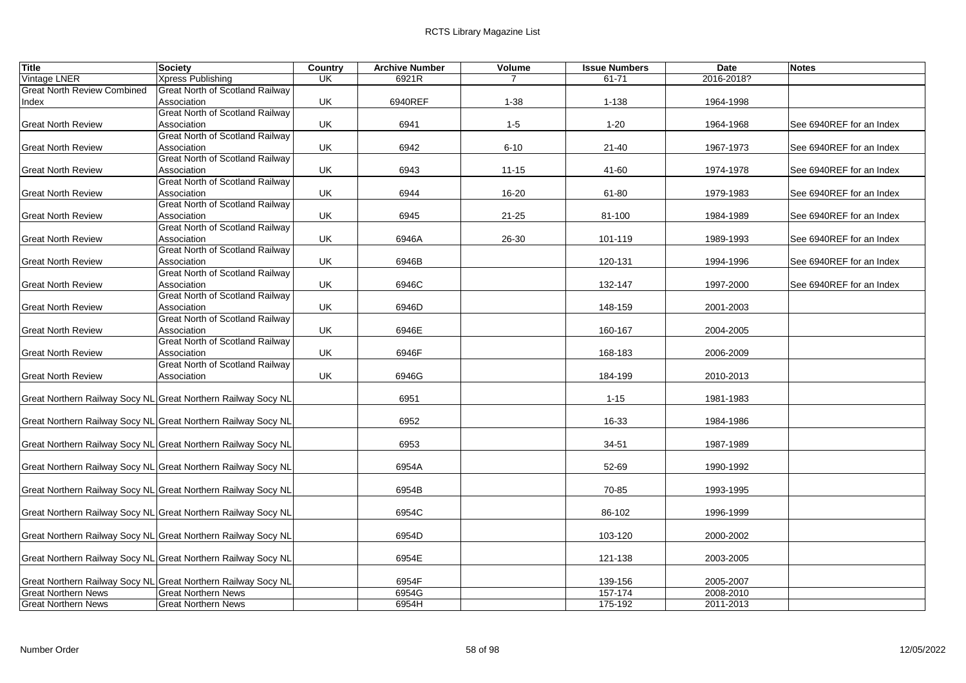| <b>Title</b>                       | <b>Society</b>                                                | Country | <b>Archive Number</b> | Volume    | <b>Issue Numbers</b> | Date       | <b>Notes</b>             |
|------------------------------------|---------------------------------------------------------------|---------|-----------------------|-----------|----------------------|------------|--------------------------|
| Vintage LNER                       | Xpress Publishing                                             | UK      | 6921R                 |           | 61-71                | 2016-2018? |                          |
| <b>Great North Review Combined</b> | Great North of Scotland Railway                               |         |                       |           |                      |            |                          |
| Index                              | Association                                                   | UK      | 6940REF               | $1 - 38$  | 1-138                | 1964-1998  |                          |
|                                    | Great North of Scotland Railway                               |         |                       |           |                      |            |                          |
| <b>Great North Review</b>          | Association                                                   | UK      | 6941                  | $1-5$     | $1 - 20$             | 1964-1968  | See 6940REF for an Index |
|                                    | Great North of Scotland Railway                               |         |                       |           |                      |            |                          |
| <b>Great North Review</b>          | Association                                                   | UK      | 6942                  | $6 - 10$  | 21-40                | 1967-1973  | See 6940REF for an Index |
|                                    | <b>Great North of Scotland Railway</b>                        |         |                       |           |                      |            |                          |
| <b>Great North Review</b>          | Association                                                   | UK      | 6943                  | $11 - 15$ | 41-60                | 1974-1978  | See 6940REF for an Index |
|                                    | Great North of Scotland Railway                               |         |                       |           |                      |            |                          |
| <b>Great North Review</b>          | Association                                                   | UK      | 6944                  | 16-20     | 61-80                | 1979-1983  | See 6940REF for an Index |
|                                    | <b>Great North of Scotland Railway</b>                        |         |                       |           |                      |            |                          |
| <b>Great North Review</b>          | Association<br><b>Great North of Scotland Railway</b>         | UK      | 6945                  | $21 - 25$ | 81-100               | 1984-1989  | See 6940REF for an Index |
|                                    | Association                                                   | UK      | 6946A                 | 26-30     | 101-119              |            | See 6940REF for an Index |
| <b>Great North Review</b>          | Great North of Scotland Railway                               |         |                       |           |                      | 1989-1993  |                          |
| <b>Great North Review</b>          | Association                                                   | UK      | 6946B                 |           | 120-131              | 1994-1996  | See 6940REF for an Index |
|                                    | <b>Great North of Scotland Railway</b>                        |         |                       |           |                      |            |                          |
| <b>Great North Review</b>          | Association                                                   | UK      | 6946C                 |           | 132-147              | 1997-2000  | See 6940REF for an Index |
|                                    | Great North of Scotland Railway                               |         |                       |           |                      |            |                          |
| <b>Great North Review</b>          | Association                                                   | UK      | 6946D                 |           | 148-159              | 2001-2003  |                          |
|                                    | Great North of Scotland Railway                               |         |                       |           |                      |            |                          |
| <b>Great North Review</b>          | Association                                                   | UK      | 6946E                 |           | 160-167              | 2004-2005  |                          |
|                                    | <b>Great North of Scotland Railway</b>                        |         |                       |           |                      |            |                          |
| <b>Great North Review</b>          | Association                                                   | UK      | 6946F                 |           | 168-183              | 2006-2009  |                          |
|                                    | Great North of Scotland Railway                               |         |                       |           |                      |            |                          |
| <b>Great North Review</b>          | Association                                                   | UK      | 6946G                 |           | 184-199              | 2010-2013  |                          |
|                                    |                                                               |         |                       |           |                      |            |                          |
|                                    | Great Northern Railway Socy NL Great Northern Railway Socy NL |         | 6951                  |           | $1 - 15$             | 1981-1983  |                          |
|                                    |                                                               |         |                       |           |                      |            |                          |
|                                    | Great Northern Railway Socy NL Great Northern Railway Socy NL |         | 6952                  |           | 16-33                | 1984-1986  |                          |
|                                    |                                                               |         |                       |           |                      |            |                          |
|                                    | Great Northern Railway Socy NL Great Northern Railway Socy NL |         | 6953                  |           | $34 - 51$            | 1987-1989  |                          |
|                                    |                                                               |         |                       |           |                      |            |                          |
|                                    | Great Northern Railway Socy NL Great Northern Railway Socy NL |         | 6954A                 |           | 52-69                | 1990-1992  |                          |
|                                    |                                                               |         | 6954B                 |           | 70-85                |            |                          |
|                                    | Great Northern Railway Socy NL Great Northern Railway Socy NL |         |                       |           |                      | 1993-1995  |                          |
|                                    | Great Northern Railway Socy NL Great Northern Railway Socy NL |         | 6954C                 |           | 86-102               | 1996-1999  |                          |
|                                    |                                                               |         |                       |           |                      |            |                          |
|                                    | Great Northern Railway Socy NL Great Northern Railway Socy NL |         | 6954D                 |           | 103-120              | 2000-2002  |                          |
|                                    |                                                               |         |                       |           |                      |            |                          |
|                                    | Great Northern Railway Socy NL Great Northern Railway Socy NL |         | 6954E                 |           | 121-138              | 2003-2005  |                          |
|                                    |                                                               |         |                       |           |                      |            |                          |
|                                    | Great Northern Railway Socy NL Great Northern Railway Socy NL |         | 6954F                 |           | 139-156              | 2005-2007  |                          |
| <b>Great Northern News</b>         | <b>Great Northern News</b>                                    |         | 6954G                 |           | 157-174              | 2008-2010  |                          |
| <b>Great Northern News</b>         | <b>Great Northern News</b>                                    |         | 6954H                 |           | 175-192              | 2011-2013  |                          |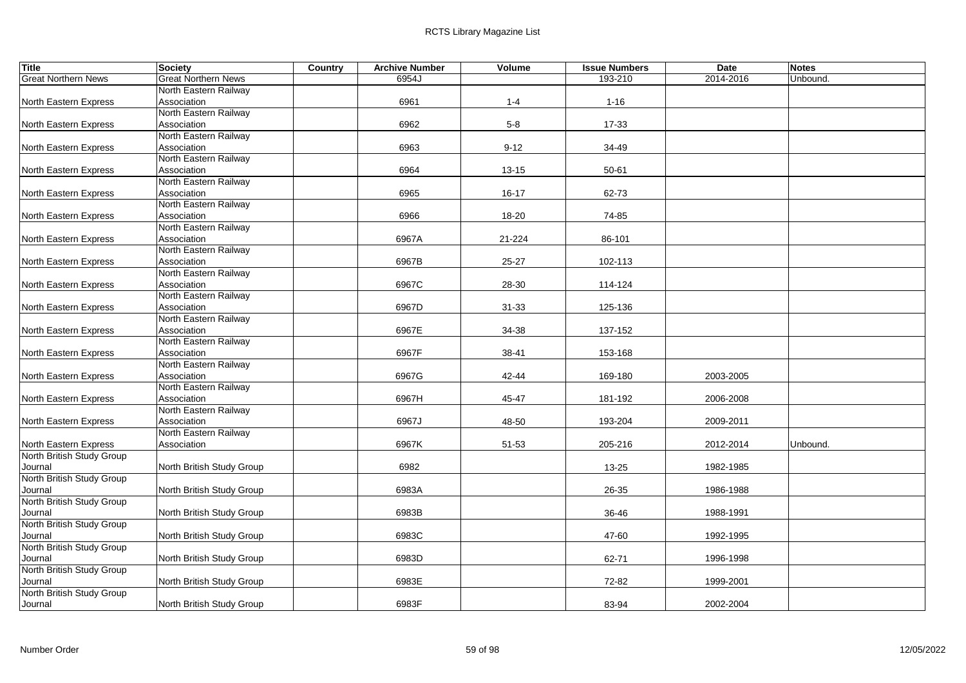| <b>Title</b>                         | <b>Society</b>                       | Country | <b>Archive Number</b> | Volume    | <b>Issue Numbers</b> | <b>Date</b> | <b>Notes</b> |  |
|--------------------------------------|--------------------------------------|---------|-----------------------|-----------|----------------------|-------------|--------------|--|
| <b>Great Northern News</b>           | <b>Great Northern News</b>           |         | 6954J                 |           | 193-210              | 2014-2016   | Unbound.     |  |
|                                      | North Eastern Railway                |         |                       |           |                      |             |              |  |
| North Eastern Express                | Association                          |         | 6961                  | $1 - 4$   | $1 - 16$             |             |              |  |
|                                      | North Eastern Railway                |         |                       |           |                      |             |              |  |
| North Eastern Express                | Association                          |         | 6962                  | $5-8$     | $17 - 33$            |             |              |  |
|                                      | North Eastern Railway                |         |                       |           |                      |             |              |  |
| North Eastern Express                | Association                          |         | 6963                  | $9 - 12$  | 34-49                |             |              |  |
|                                      | North Eastern Railway                |         |                       |           |                      |             |              |  |
| North Eastern Express                | Association                          |         | 6964                  | $13 - 15$ | 50-61                |             |              |  |
|                                      | North Eastern Railway                |         |                       |           |                      |             |              |  |
| North Eastern Express                | Association                          |         | 6965                  | $16 - 17$ | 62-73                |             |              |  |
|                                      | North Eastern Railway                |         |                       |           |                      |             |              |  |
| North Eastern Express                | Association                          |         | 6966                  | 18-20     | 74-85                |             |              |  |
|                                      | North Eastern Railway                |         |                       |           |                      |             |              |  |
| North Eastern Express                | Association<br>North Eastern Railway |         | 6967A                 | 21-224    | 86-101               |             |              |  |
|                                      | Association                          |         | 6967B                 |           |                      |             |              |  |
| North Eastern Express                | North Eastern Railway                |         |                       | $25 - 27$ | 102-113              |             |              |  |
| North Eastern Express                | Association                          |         | 6967C                 | 28-30     | 114-124              |             |              |  |
|                                      | North Eastern Railway                |         |                       |           |                      |             |              |  |
| North Eastern Express                | Association                          |         | 6967D                 | $31 - 33$ | 125-136              |             |              |  |
|                                      | North Eastern Railway                |         |                       |           |                      |             |              |  |
| North Eastern Express                | Association                          |         | 6967E                 | 34-38     | 137-152              |             |              |  |
|                                      | North Eastern Railway                |         |                       |           |                      |             |              |  |
| North Eastern Express                | Association                          |         | 6967F                 | 38-41     | 153-168              |             |              |  |
|                                      | North Eastern Railway                |         |                       |           |                      |             |              |  |
| North Eastern Express                | Association                          |         | 6967G                 | 42-44     | 169-180              | 2003-2005   |              |  |
|                                      | North Eastern Railway                |         |                       |           |                      |             |              |  |
| North Eastern Express                | Association                          |         | 6967H                 | 45-47     | 181-192              | 2006-2008   |              |  |
|                                      | North Eastern Railway                |         |                       |           |                      |             |              |  |
| North Eastern Express                | Association                          |         | 6967J                 | 48-50     | 193-204              | 2009-2011   |              |  |
|                                      | North Eastern Railway                |         |                       |           |                      |             |              |  |
| North Eastern Express                | Association                          |         | 6967K                 | 51-53     | 205-216              | 2012-2014   | Unbound.     |  |
| North British Study Group            |                                      |         |                       |           |                      |             |              |  |
| Journal                              | North British Study Group            |         | 6982                  |           | 13-25                | 1982-1985   |              |  |
| North British Study Group            |                                      |         |                       |           |                      |             |              |  |
| Journal                              | North British Study Group            |         | 6983A                 |           | 26-35                | 1986-1988   |              |  |
| North British Study Group            |                                      |         |                       |           |                      |             |              |  |
| Journal                              | North British Study Group            |         | 6983B                 |           | 36-46                | 1988-1991   |              |  |
| North British Study Group            |                                      |         |                       |           |                      |             |              |  |
| Journal                              | North British Study Group            |         | 6983C                 |           | 47-60                | 1992-1995   |              |  |
| North British Study Group            |                                      |         |                       |           |                      |             |              |  |
| Journal                              | North British Study Group            |         | 6983D                 |           | 62-71                | 1996-1998   |              |  |
| North British Study Group            |                                      |         |                       |           |                      |             |              |  |
| Journal<br>North British Study Group | North British Study Group            |         | 6983E                 |           | 72-82                | 1999-2001   |              |  |
| Journal                              | North British Study Group            |         | 6983F                 |           | 83-94                | 2002-2004   |              |  |
|                                      |                                      |         |                       |           |                      |             |              |  |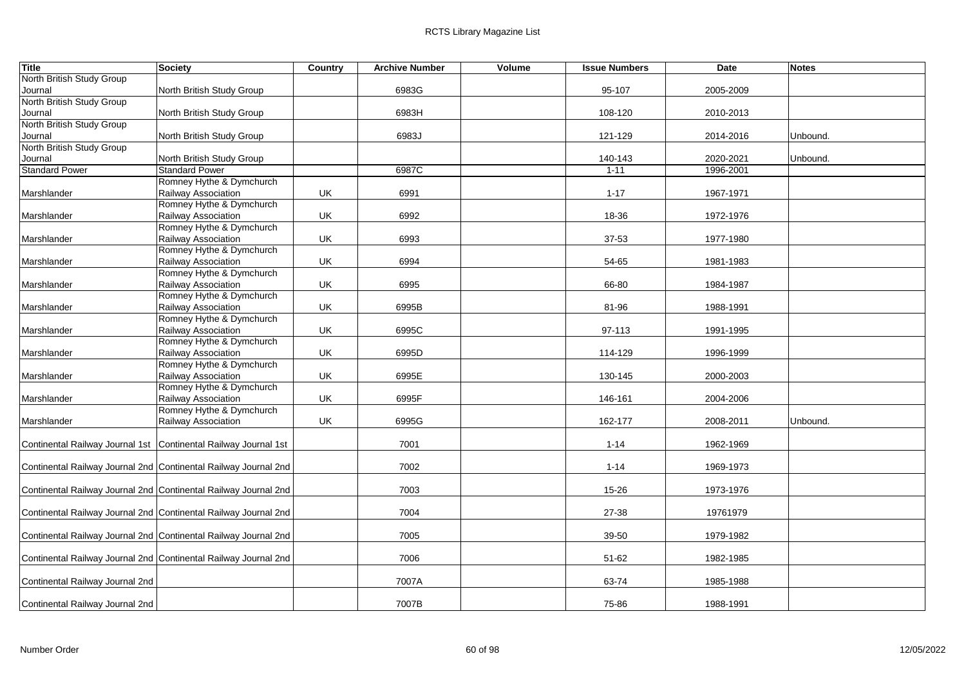| <b>Title</b>                    | <b>Society</b>                                                  | Country | <b>Archive Number</b> | Volume | <b>Issue Numbers</b> | Date      | <b>Notes</b> |  |
|---------------------------------|-----------------------------------------------------------------|---------|-----------------------|--------|----------------------|-----------|--------------|--|
| North British Study Group       |                                                                 |         |                       |        |                      |           |              |  |
| Journal                         | North British Study Group                                       |         | 6983G                 |        | 95-107               | 2005-2009 |              |  |
| North British Study Group       |                                                                 |         |                       |        |                      |           |              |  |
| Journal                         | North British Study Group                                       |         | 6983H                 |        | 108-120              | 2010-2013 |              |  |
| North British Study Group       |                                                                 |         |                       |        |                      |           |              |  |
| Journal                         | North British Study Group                                       |         | 6983J                 |        | 121-129              | 2014-2016 | Unbound.     |  |
| North British Study Group       |                                                                 |         |                       |        |                      |           |              |  |
| Journal                         | North British Study Group                                       |         |                       |        | 140-143              | 2020-2021 | Unbound.     |  |
| <b>Standard Power</b>           | <b>Standard Power</b>                                           |         | 6987C                 |        | $1 - 11$             | 1996-2001 |              |  |
|                                 | Romney Hythe & Dymchurch                                        |         |                       |        |                      |           |              |  |
| Marshlander                     | Railway Association                                             | UK      | 6991                  |        | $1 - 17$             | 1967-1971 |              |  |
|                                 | Romney Hythe & Dymchurch                                        |         |                       |        |                      |           |              |  |
| Marshlander                     | Railway Association                                             | UK      | 6992                  |        | 18-36                | 1972-1976 |              |  |
|                                 | Romney Hythe & Dymchurch                                        |         |                       |        |                      |           |              |  |
| Marshlander                     | Railway Association                                             | UK      | 6993                  |        | 37-53                | 1977-1980 |              |  |
|                                 | Romney Hythe & Dymchurch                                        |         |                       |        |                      |           |              |  |
| Marshlander                     | Railway Association                                             | UK      | 6994                  |        | 54-65                | 1981-1983 |              |  |
|                                 | Romney Hythe & Dymchurch                                        |         |                       |        |                      |           |              |  |
| Marshlander                     | Railway Association                                             | UK      | 6995                  |        | 66-80                | 1984-1987 |              |  |
|                                 | Romney Hythe & Dymchurch                                        |         |                       |        |                      |           |              |  |
| Marshlander                     | Railway Association                                             | UK      | 6995B                 |        | 81-96                | 1988-1991 |              |  |
|                                 | Romney Hythe & Dymchurch                                        |         |                       |        |                      |           |              |  |
| Marshlander                     | Railway Association                                             | UK      | 6995C                 |        | 97-113               | 1991-1995 |              |  |
|                                 | Romney Hythe & Dymchurch                                        |         |                       |        |                      |           |              |  |
| Marshlander                     | Railway Association                                             | UK      | 6995D                 |        | 114-129              | 1996-1999 |              |  |
|                                 | Romney Hythe & Dymchurch                                        |         |                       |        |                      |           |              |  |
| Marshlander                     | Railway Association                                             | UK      | 6995E                 |        | 130-145              | 2000-2003 |              |  |
|                                 | Romney Hythe & Dymchurch                                        |         |                       |        |                      |           |              |  |
| Marshlander                     | Railway Association                                             | UK      | 6995F                 |        | 146-161              | 2004-2006 |              |  |
|                                 | Romney Hythe & Dymchurch                                        |         |                       |        |                      |           |              |  |
| Marshlander                     | Railway Association                                             | UK      | 6995G                 |        | 162-177              | 2008-2011 | Unbound.     |  |
|                                 |                                                                 |         |                       |        |                      |           |              |  |
|                                 | Continental Railway Journal 1st Continental Railway Journal 1st |         | 7001                  |        | $1 - 14$             | 1962-1969 |              |  |
|                                 |                                                                 |         |                       |        |                      |           |              |  |
|                                 | Continental Railway Journal 2nd Continental Railway Journal 2nd |         | 7002                  |        | $1 - 14$             | 1969-1973 |              |  |
|                                 |                                                                 |         |                       |        |                      |           |              |  |
|                                 | Continental Railway Journal 2nd Continental Railway Journal 2nd |         | 7003                  |        | $15 - 26$            | 1973-1976 |              |  |
|                                 |                                                                 |         |                       |        |                      |           |              |  |
|                                 | Continental Railway Journal 2nd Continental Railway Journal 2nd |         | 7004                  |        | 27-38                | 19761979  |              |  |
|                                 |                                                                 |         |                       |        |                      |           |              |  |
|                                 | Continental Railway Journal 2nd Continental Railway Journal 2nd |         | 7005                  |        | 39-50                | 1979-1982 |              |  |
|                                 |                                                                 |         |                       |        |                      |           |              |  |
|                                 | Continental Railway Journal 2nd Continental Railway Journal 2nd |         | 7006                  |        | 51-62                | 1982-1985 |              |  |
|                                 |                                                                 |         |                       |        |                      |           |              |  |
| Continental Railway Journal 2nd |                                                                 |         | 7007A                 |        | 63-74                | 1985-1988 |              |  |
|                                 |                                                                 |         |                       |        |                      |           |              |  |
| Continental Railway Journal 2nd |                                                                 |         | 7007B                 |        | 75-86                | 1988-1991 |              |  |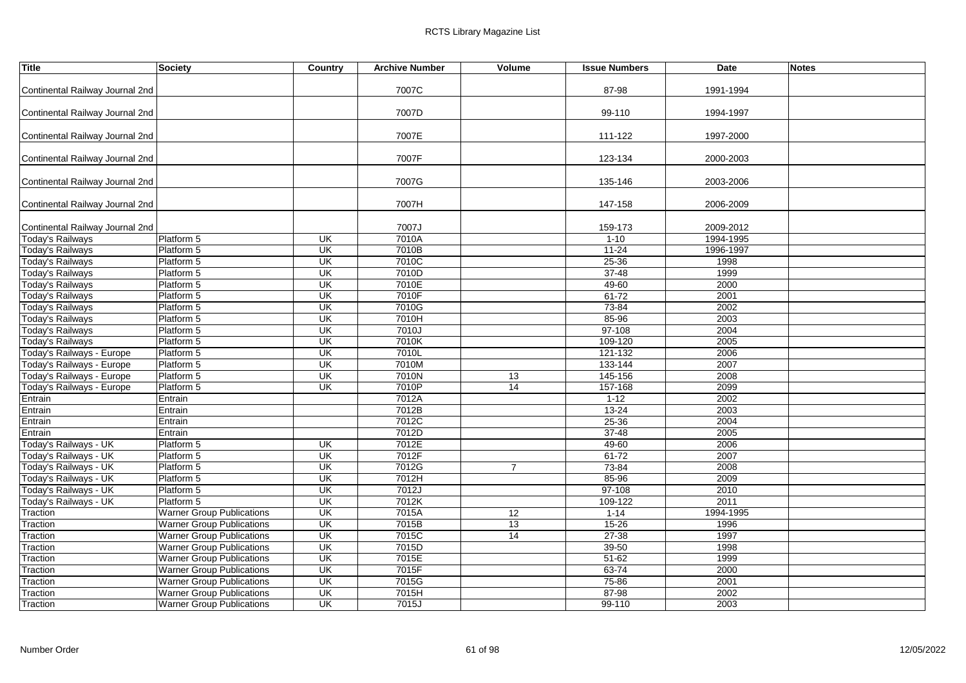| <b>Title</b>                    | <b>Society</b>                   | Country                  | <b>Archive Number</b> | Volume          | <b>Issue Numbers</b> | Date      | <b>Notes</b> |
|---------------------------------|----------------------------------|--------------------------|-----------------------|-----------------|----------------------|-----------|--------------|
|                                 |                                  |                          |                       |                 |                      |           |              |
| Continental Railway Journal 2nd |                                  |                          | 7007C                 |                 | 87-98                | 1991-1994 |              |
|                                 |                                  |                          |                       |                 |                      |           |              |
| Continental Railway Journal 2nd |                                  |                          | 7007D                 |                 | 99-110               | 1994-1997 |              |
|                                 |                                  |                          |                       |                 |                      |           |              |
| Continental Railway Journal 2nd |                                  |                          | 7007E                 |                 | 111-122              | 1997-2000 |              |
| Continental Railway Journal 2nd |                                  |                          | 7007F                 |                 | 123-134              | 2000-2003 |              |
|                                 |                                  |                          |                       |                 |                      |           |              |
| Continental Railway Journal 2nd |                                  |                          | 7007G                 |                 | 135-146              | 2003-2006 |              |
|                                 |                                  |                          |                       |                 |                      |           |              |
| Continental Railway Journal 2nd |                                  |                          | 7007H                 |                 | 147-158              | 2006-2009 |              |
|                                 |                                  |                          |                       |                 |                      |           |              |
| Continental Railway Journal 2nd |                                  |                          | 7007J                 |                 | 159-173              | 2009-2012 |              |
| <b>Today's Railways</b>         | Platform 5                       | UK                       | 7010A                 |                 | $1-10$               | 1994-1995 |              |
| <b>Today's Railways</b>         | Platform 5                       | UK                       | 7010B                 |                 | $11 - 24$            | 1996-1997 |              |
| Today's Railways                | Platform 5                       | $\overline{\mathsf{U}}$  | 7010C                 |                 | $25 - 36$            | 1998      |              |
| <b>Today's Railways</b>         | Platform 5                       | $\overline{\mathsf{CK}}$ | 7010D                 |                 | $37 - 48$            | 1999      |              |
| <b>Today's Railways</b>         | Platform 5                       | UK                       | 7010E                 |                 | $49 - 60$            | 2000      |              |
| Today's Railways                | Platform 5                       | UK                       | 7010F                 |                 | $61 - 72$            | 2001      |              |
| <b>Today's Railways</b>         | Platform 5                       | UK                       | 7010G                 |                 | 73-84                | 2002      |              |
| <b>Today's Railways</b>         | Platform 5                       | UK                       | 7010H                 |                 | 85-96                | 2003      |              |
| <b>Today's Railways</b>         | Platform 5                       | <b>UK</b>                | 7010J                 |                 | $97 - 108$           | 2004      |              |
| Today's Railways                | Platform 5                       | UK                       | 7010K                 |                 | 109-120              | 2005      |              |
| Today's Railways - Europe       | Platform 5                       | UK                       | 7010L                 |                 | 121-132              | 2006      |              |
| Today's Railways - Europe       | Platform 5                       | UK                       | 7010M                 |                 | 133-144              | 2007      |              |
| Today's Railways - Europe       | Platform 5                       | $\overline{\mathsf{CK}}$ | 7010N                 | $\overline{13}$ | 145-156              | 2008      |              |
| Today's Railways - Europe       | Platform 5                       | UK                       | 7010P                 | 14              | $157 - 168$          | 2099      |              |
| Entrain                         | Entrain                          |                          | 7012A                 |                 | $1 - 12$             | 2002      |              |
| Entrain                         | Entrain                          |                          | 7012B                 |                 | $13 - 24$            | 2003      |              |
| Entrain                         | Entrain                          |                          | 7012C                 |                 | 25-36                | 2004      |              |
| Entrain                         | Entrain                          |                          | 7012D                 |                 | $37 - 48$            | 2005      |              |
| Today's Railways - UK           | Platform 5                       | UK                       | 7012E                 |                 | 49-60                | 2006      |              |
| Today's Railways - UK           | Platform 5                       | UK                       | 7012F                 |                 | $61 - 72$            | 2007      |              |
| Today's Railways - UK           | Platform 5                       | $\overline{\mathsf{U}}$  | 7012G                 | $\overline{7}$  | 73-84                | 2008      |              |
| Today's Railways - UK           | Platform 5                       | UK                       | 7012H                 |                 | 85-96                | 2009      |              |
| Today's Railways - UK           | Platform 5                       | $\overline{\mathsf{U}}$  | 7012J                 |                 | $97 - 108$           | 2010      |              |
| Today's Railways - UK           | Platform 5                       | $\overline{\mathsf{U}}$  | 7012K                 |                 | 109-122              | 2011      |              |
| Traction                        | <b>Warner Group Publications</b> | UK                       | 7015A                 | 12              | $1 - 14$             | 1994-1995 |              |
| Traction                        | <b>Warner Group Publications</b> | UK                       | 7015B                 | 13              | $15 - 26$            | 1996      |              |
| Traction                        | <b>Warner Group Publications</b> | UK                       | 7015C                 | 14              | $27 - 38$            | 1997      |              |
| Traction                        | <b>Warner Group Publications</b> | UK                       | 7015D                 |                 | 39-50                | 1998      |              |
| Traction                        | <b>Warner Group Publications</b> | UK                       | 7015E                 |                 | $51 - 62$            | 1999      |              |
| Traction                        | <b>Warner Group Publications</b> | UK                       | 7015F                 |                 | 63-74                | 2000      |              |
| Traction                        | <b>Warner Group Publications</b> | UK                       | 7015G                 |                 | 75-86                | 2001      |              |
| Traction                        | <b>Warner Group Publications</b> | $\overline{\mathsf{CK}}$ | 7015H                 |                 | 87-98                | 2002      |              |
| Traction                        | <b>Warner Group Publications</b> | $\overline{\mathsf{CK}}$ | 7015J                 |                 | 99-110               | 2003      |              |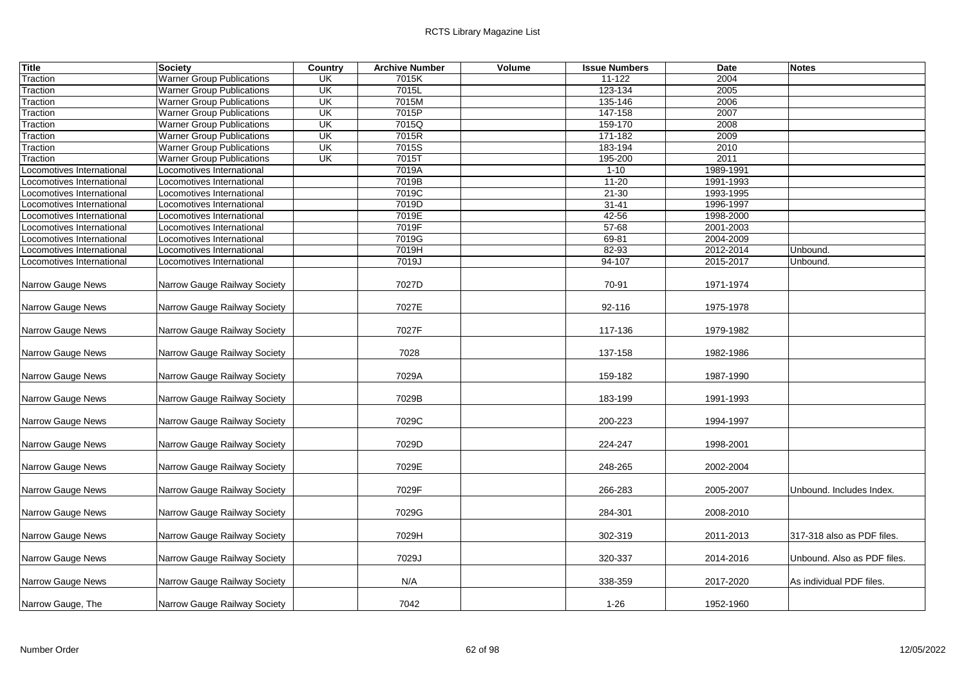| <b>Title</b>             | <b>Society</b>                   | <b>Country</b> | <b>Archive Number</b> | Volume | <b>Issue Numbers</b> | <b>Date</b> | <b>Notes</b>                |
|--------------------------|----------------------------------|----------------|-----------------------|--------|----------------------|-------------|-----------------------------|
| Traction                 | <b>Warner Group Publications</b> | <b>UK</b>      | 7015K                 |        | 11-122               | 2004        |                             |
| Traction                 | <b>Warner Group Publications</b> | UK             | 7015L                 |        | 123-134              | 2005        |                             |
| Traction                 | <b>Warner Group Publications</b> | UK             | 7015M                 |        | 135-146              | 2006        |                             |
| <b>Fraction</b>          | <b>Warner Group Publications</b> | UK             | 7015P                 |        | 147-158              | 2007        |                             |
| Traction                 | <b>Warner Group Publications</b> | UK             | 7015Q                 |        | 159-170              | 2008        |                             |
| Traction                 | <b>Warner Group Publications</b> | UK             | 7015R                 |        | 171-182              | 2009        |                             |
| Traction                 | <b>Warner Group Publications</b> | <b>UK</b>      | 7015S                 |        | 183-194              | 2010        |                             |
| Traction                 | <b>Warner Group Publications</b> | <b>UK</b>      | 7015T                 |        | 195-200              | 2011        |                             |
| ocomotives International | Locomotives International        |                | 7019A                 |        | $1 - 10$             | 1989-1991   |                             |
| ocomotives International | Locomotives International        |                | 7019B                 |        | $11 - 20$            | 1991-1993   |                             |
| ocomotives International | Locomotives International        |                | 7019C                 |        | $21 - 30$            | 1993-1995   |                             |
| ocomotives International | Locomotives International        |                | 7019D                 |        | $31 - 41$            | 1996-1997   |                             |
| ocomotives International | Locomotives International        |                | 7019E                 |        | 42-56                | 1998-2000   |                             |
| ocomotives International | Locomotives International        |                | 7019F                 |        | $57 - 68$            | 2001-2003   |                             |
| ocomotives International | Locomotives International        |                | 7019G                 |        | 69-81                | 2004-2009   |                             |
| ocomotives International | Locomotives International        |                | 7019H                 |        | 82-93                | 2012-2014   | Unbound.                    |
| ocomotives International | Locomotives International        |                | 7019J                 |        | $94 - 107$           | 2015-2017   | Unbound.                    |
| Narrow Gauge News        | Narrow Gauge Railway Society     |                | 7027D                 |        | 70-91                | 1971-1974   |                             |
| Narrow Gauge News        | Narrow Gauge Railway Society     |                | 7027E                 |        | 92-116               | 1975-1978   |                             |
| Narrow Gauge News        | Narrow Gauge Railway Society     |                | 7027F                 |        | 117-136              | 1979-1982   |                             |
| Narrow Gauge News        | Narrow Gauge Railway Society     |                | 7028                  |        | 137-158              | 1982-1986   |                             |
| Narrow Gauge News        | Narrow Gauge Railway Society     |                | 7029A                 |        | 159-182              | 1987-1990   |                             |
| Narrow Gauge News        | Narrow Gauge Railway Society     |                | 7029B                 |        | 183-199              | 1991-1993   |                             |
| Narrow Gauge News        | Narrow Gauge Railway Society     |                | 7029C                 |        | 200-223              | 1994-1997   |                             |
| Narrow Gauge News        | Narrow Gauge Railway Society     |                | 7029D                 |        | 224-247              | 1998-2001   |                             |
| Narrow Gauge News        | Narrow Gauge Railway Society     |                | 7029E                 |        | 248-265              | 2002-2004   |                             |
| Narrow Gauge News        | Narrow Gauge Railway Society     |                | 7029F                 |        | 266-283              | 2005-2007   | Unbound. Includes Index.    |
| Narrow Gauge News        | Narrow Gauge Railway Society     |                | 7029G                 |        | 284-301              | 2008-2010   |                             |
| Narrow Gauge News        | Narrow Gauge Railway Society     |                | 7029H                 |        | 302-319              | 2011-2013   | 317-318 also as PDF files.  |
| Narrow Gauge News        | Narrow Gauge Railway Society     |                | 7029J                 |        | 320-337              | 2014-2016   | Unbound. Also as PDF files. |
| Narrow Gauge News        | Narrow Gauge Railway Society     |                | N/A                   |        | 338-359              | 2017-2020   | As individual PDF files.    |
| Narrow Gauge, The        | Narrow Gauge Railway Society     |                | 7042                  |        | $1 - 26$             | 1952-1960   |                             |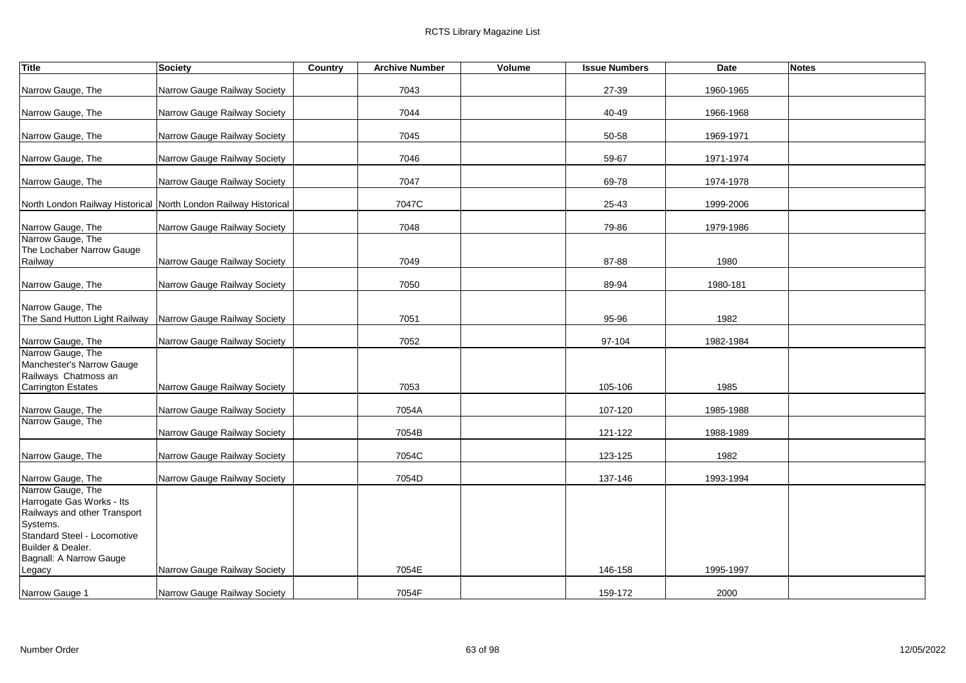| Title                                                                                                                                                                     | <b>Society</b>                                                  | Country | <b>Archive Number</b> | Volume | <b>Issue Numbers</b> | <b>Date</b> | <b>Notes</b> |
|---------------------------------------------------------------------------------------------------------------------------------------------------------------------------|-----------------------------------------------------------------|---------|-----------------------|--------|----------------------|-------------|--------------|
| Narrow Gauge, The                                                                                                                                                         | Narrow Gauge Railway Society                                    |         | 7043                  |        | 27-39                | 1960-1965   |              |
| Narrow Gauge, The                                                                                                                                                         | Narrow Gauge Railway Society                                    |         | 7044                  |        | 40-49                | 1966-1968   |              |
| Narrow Gauge, The                                                                                                                                                         | Narrow Gauge Railway Society                                    |         | 7045                  |        | 50-58                | 1969-1971   |              |
| Narrow Gauge, The                                                                                                                                                         | Narrow Gauge Railway Society                                    |         | 7046                  |        | 59-67                | 1971-1974   |              |
| Narrow Gauge, The                                                                                                                                                         | Narrow Gauge Railway Society                                    |         | 7047                  |        | 69-78                | 1974-1978   |              |
|                                                                                                                                                                           | North London Railway Historical North London Railway Historical |         | 7047C                 |        | 25-43                | 1999-2006   |              |
| Narrow Gauge, The                                                                                                                                                         | Narrow Gauge Railway Society                                    |         | 7048                  |        | 79-86                | 1979-1986   |              |
| Narrow Gauge, The<br>The Lochaber Narrow Gauge<br>Railway                                                                                                                 | Narrow Gauge Railway Society                                    |         | 7049                  |        | 87-88                | 1980        |              |
| Narrow Gauge, The                                                                                                                                                         | Narrow Gauge Railway Society                                    |         | 7050                  |        | 89-94                | 1980-181    |              |
| Narrow Gauge, The<br>The Sand Hutton Light Railway   Narrow Gauge Railway Society                                                                                         |                                                                 |         | 7051                  |        | 95-96                | 1982        |              |
| Narrow Gauge, The                                                                                                                                                         | Narrow Gauge Railway Society                                    |         | 7052                  |        | 97-104               | 1982-1984   |              |
| Narrow Gauge, The<br>Manchester's Narrow Gauge<br>Railways Chatmoss an<br><b>Carrington Estates</b>                                                                       | Narrow Gauge Railway Society                                    |         | 7053                  |        | 105-106              | 1985        |              |
| Narrow Gauge, The                                                                                                                                                         | Narrow Gauge Railway Society                                    |         | 7054A                 |        | 107-120              | 1985-1988   |              |
| Narrow Gauge, The                                                                                                                                                         | Narrow Gauge Railway Society                                    |         | 7054B                 |        | 121-122              | 1988-1989   |              |
| Narrow Gauge, The                                                                                                                                                         | Narrow Gauge Railway Society                                    |         | 7054C                 |        | 123-125              | 1982        |              |
| Narrow Gauge, The                                                                                                                                                         | Narrow Gauge Railway Society                                    |         | 7054D                 |        | 137-146              | 1993-1994   |              |
| Narrow Gauge, The<br>Harrogate Gas Works - Its<br>Railways and other Transport<br>Systems.<br>Standard Steel - Locomotive<br>Builder & Dealer.<br>Bagnall: A Narrow Gauge |                                                                 |         |                       |        |                      |             |              |
| Legacy                                                                                                                                                                    | Narrow Gauge Railway Society                                    |         | 7054E                 |        | 146-158              | 1995-1997   |              |
| Narrow Gauge 1                                                                                                                                                            | Narrow Gauge Railway Society                                    |         | 7054F                 |        | 159-172              | 2000        |              |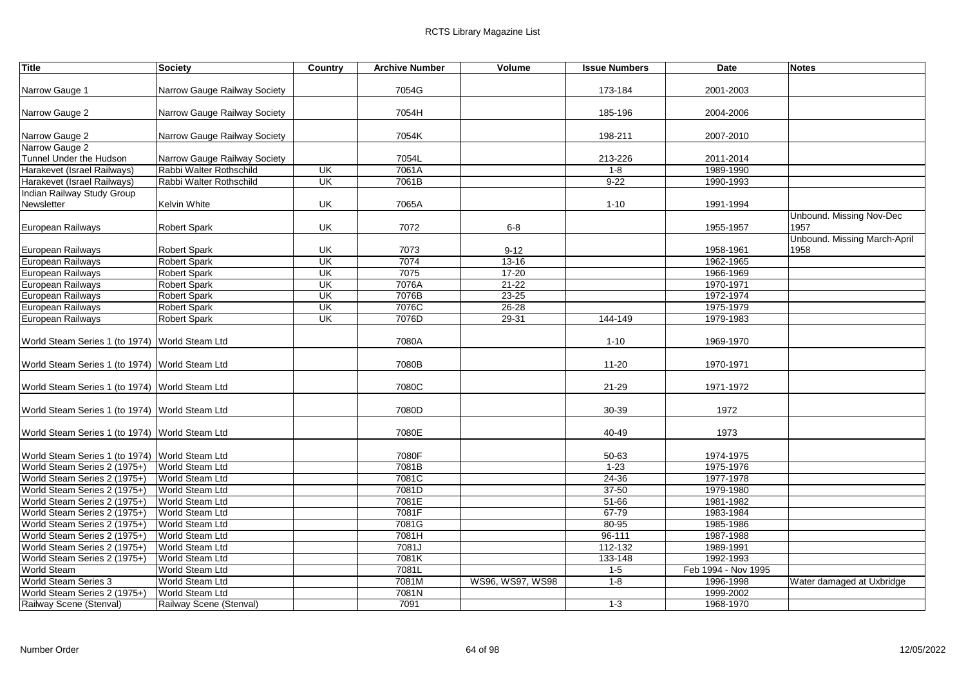| <b>Title</b>                                   | Society                      | Country                 | <b>Archive Number</b> | Volume           | <b>Issue Numbers</b> | Date                | <b>Notes</b>                 |
|------------------------------------------------|------------------------------|-------------------------|-----------------------|------------------|----------------------|---------------------|------------------------------|
|                                                |                              |                         |                       |                  |                      |                     |                              |
| Narrow Gauge 1                                 | Narrow Gauge Railway Society |                         | 7054G                 |                  | 173-184              | 2001-2003           |                              |
|                                                |                              |                         |                       |                  |                      |                     |                              |
| Narrow Gauge 2                                 | Narrow Gauge Railway Society |                         | 7054H                 |                  | 185-196              | 2004-2006           |                              |
|                                                |                              |                         |                       |                  |                      |                     |                              |
| Narrow Gauge 2                                 | Narrow Gauge Railway Society |                         | 7054K                 |                  | 198-211              | 2007-2010           |                              |
| Narrow Gauge 2                                 |                              |                         |                       |                  |                      |                     |                              |
| Tunnel Under the Hudson                        | Narrow Gauge Railway Society |                         | 7054L                 |                  | 213-226              | 2011-2014           |                              |
| Harakevet (Israel Railways)                    | Rabbi Walter Rothschild      | UK                      | 7061A                 |                  | $1 - 8$              | 1989-1990           |                              |
| Harakevet (Israel Railways)                    | Rabbi Walter Rothschild      | UK                      | 7061B                 |                  | $9 - 22$             | 1990-1993           |                              |
| Indian Railway Study Group                     |                              |                         |                       |                  |                      |                     |                              |
| Newsletter                                     | Kelvin White                 | UK                      | 7065A                 |                  | $1 - 10$             | 1991-1994           |                              |
|                                                |                              |                         |                       |                  |                      |                     | Unbound. Missing Nov-Dec     |
| European Railways                              | <b>Robert Spark</b>          | UK                      | 7072                  | $6-8$            |                      | 1955-1957           | 1957                         |
|                                                |                              |                         |                       |                  |                      |                     | Unbound. Missing March-April |
| European Railways                              | Robert Spark                 | UK                      | 7073                  | $9 - 12$         |                      | 1958-1961           | 1958                         |
| European Railways                              | <b>Robert Spark</b>          | UK                      | 7074                  | $13 - 16$        |                      | 1962-1965           |                              |
| European Railways                              | <b>Robert Spark</b>          | UK                      | 7075                  | $17 - 20$        |                      | 1966-1969           |                              |
| European Railways                              | <b>Robert Spark</b>          | UK                      | 7076A                 | $21 - 22$        |                      | 1970-1971           |                              |
| European Railways                              | <b>Robert Spark</b>          | UK                      | 7076B                 | $23 - 25$        |                      | 1972-1974           |                              |
| European Railways                              | <b>Robert Spark</b>          | UK                      | 7076C                 | $26 - 28$        |                      | 1975-1979           |                              |
| European Railways                              | <b>Robert Spark</b>          | $\overline{\mathsf{U}}$ | 7076D                 | $29 - 31$        | 144-149              | 1979-1983           |                              |
|                                                |                              |                         |                       |                  |                      |                     |                              |
| World Steam Series 1 (to 1974) World Steam Ltd |                              |                         | 7080A                 |                  | $1 - 10$             | 1969-1970           |                              |
|                                                |                              |                         | 7080B                 |                  |                      |                     |                              |
| World Steam Series 1 (to 1974) World Steam Ltd |                              |                         |                       |                  | $11 - 20$            | 1970-1971           |                              |
| World Steam Series 1 (to 1974) World Steam Ltd |                              |                         | 7080C                 |                  | $21 - 29$            | 1971-1972           |                              |
|                                                |                              |                         |                       |                  |                      |                     |                              |
| World Steam Series 1 (to 1974) World Steam Ltd |                              |                         | 7080D                 |                  | 30-39                | 1972                |                              |
|                                                |                              |                         |                       |                  |                      |                     |                              |
| World Steam Series 1 (to 1974) World Steam Ltd |                              |                         | 7080E                 |                  | 40-49                | 1973                |                              |
|                                                |                              |                         |                       |                  |                      |                     |                              |
| World Steam Series 1 (to 1974) World Steam Ltd |                              |                         | 7080F                 |                  | 50-63                | 1974-1975           |                              |
| World Steam Series 2 (1975+)                   | World Steam Ltd              |                         | 7081B                 |                  | $1 - 23$             | 1975-1976           |                              |
| World Steam Series 2 (1975+)                   | World Steam Ltd              |                         | 7081C                 |                  | 24-36                | 1977-1978           |                              |
| World Steam Series 2 (1975+)                   | World Steam Ltd              |                         | 7081D                 |                  | $37 - 50$            | 1979-1980           |                              |
| World Steam Series 2 (1975+)                   | World Steam Ltd              |                         | 7081E                 |                  | $51 - 66$            | 1981-1982           |                              |
| World Steam Series 2 (1975+)                   | World Steam Ltd              |                         | 7081F                 |                  | 67-79                | 1983-1984           |                              |
| World Steam Series 2 (1975+)                   | World Steam Ltd              |                         | 7081G                 |                  | 80-95                | 1985-1986           |                              |
| World Steam Series 2 (1975+)                   | World Steam Ltd              |                         | 7081H                 |                  | $96 - 111$           | 1987-1988           |                              |
| World Steam Series 2 (1975+)                   | World Steam Ltd              |                         | 7081J                 |                  | 112-132              | 1989-1991           |                              |
| World Steam Series 2 (1975+)                   | World Steam Ltd              |                         | 7081K                 |                  | 133-148              | 1992-1993           |                              |
| <b>World Steam</b>                             | World Steam Ltd              |                         | 7081L                 |                  | $1 - 5$              | Feb 1994 - Nov 1995 |                              |
| World Steam Series 3                           | World Steam Ltd              |                         | 7081M                 | WS96, WS97, WS98 | $1 - 8$              | 1996-1998           | Water damaged at Uxbridge    |
| World Steam Series 2 (1975+)                   | World Steam Ltd              |                         | 7081N                 |                  |                      | 1999-2002           |                              |
| Railway Scene (Stenval)                        | Railway Scene (Stenval)      |                         | 7091                  |                  | $1 - 3$              | 1968-1970           |                              |
|                                                |                              |                         |                       |                  |                      |                     |                              |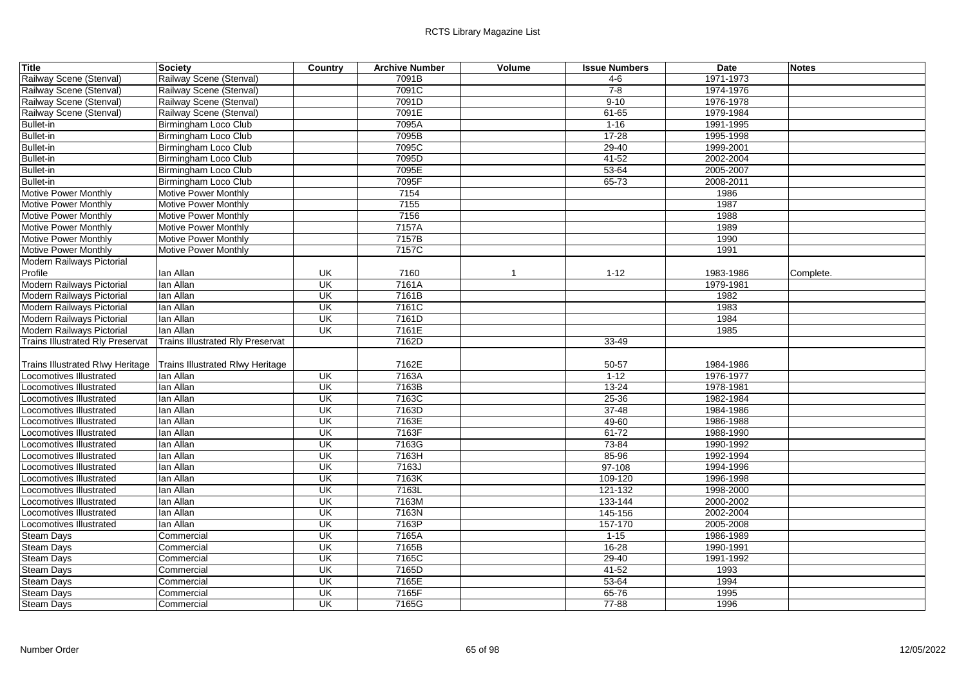| Title                            | <b>Society</b>                          | Country                  | <b>Archive Number</b> | Volume       | <b>Issue Numbers</b> | <b>Date</b> | <b>Notes</b> |
|----------------------------------|-----------------------------------------|--------------------------|-----------------------|--------------|----------------------|-------------|--------------|
| Railway Scene (Stenval)          | Railway Scene (Stenval)                 |                          | 7091B                 |              | 4-6                  | 1971-1973   |              |
| Railway Scene (Stenval)          | Railway Scene (Stenval)                 |                          | 7091C                 |              | $7 - 8$              | 1974-1976   |              |
| Railway Scene (Stenval)          | Railway Scene (Stenval)                 |                          | 7091D                 |              | $9 - 10$             | 1976-1978   |              |
| Railway Scene (Stenval)          | Railway Scene (Stenval)                 |                          | 7091E                 |              | $61 - 65$            | 1979-1984   |              |
| <b>Bullet-in</b>                 | Birmingham Loco Club                    |                          | 7095A                 |              | $1 - 16$             | 1991-1995   |              |
| <b>Bullet-in</b>                 | Birmingham Loco Club                    |                          | 7095B                 |              | $17 - 28$            | 1995-1998   |              |
| <b>Bullet-in</b>                 | Birmingham Loco Club                    |                          | 7095C                 |              | $29 - 40$            | 1999-2001   |              |
| <b>Bullet-in</b>                 | Birmingham Loco Club                    |                          | 7095D                 |              | $41 - 52$            | 2002-2004   |              |
| <b>Bullet-in</b>                 | Birmingham Loco Club                    |                          | 7095E                 |              | $53 - 64$            | 2005-2007   |              |
| <b>Bullet-in</b>                 | Birmingham Loco Club                    |                          | 7095F                 |              | $65 - 73$            | 2008-2011   |              |
| <b>Motive Power Monthly</b>      | Motive Power Monthly                    |                          | 7154                  |              |                      | 1986        |              |
| <b>Motive Power Monthly</b>      | Motive Power Monthly                    |                          | 7155                  |              |                      | 1987        |              |
| Motive Power Monthly             | Motive Power Monthly                    |                          | 7156                  |              |                      | 1988        |              |
| <b>Motive Power Monthly</b>      | Motive Power Monthly                    |                          | 7157A                 |              |                      | 1989        |              |
| <b>Motive Power Monthly</b>      | Motive Power Monthly                    |                          | 7157B                 |              |                      | 1990        |              |
| Motive Power Monthly             | Motive Power Monthly                    |                          | 7157C                 |              |                      | 1991        |              |
| Modern Railways Pictorial        |                                         |                          |                       |              |                      |             |              |
| Profile                          | lan Allan                               | UK                       | 7160                  | $\mathbf{1}$ | $1 - 12$             | 1983-1986   | Complete.    |
| Modern Railways Pictorial        | lan Allan                               | UK                       | 7161A                 |              |                      | 1979-1981   |              |
| Modern Railways Pictorial        | lan Allan                               | UK                       | 7161B                 |              |                      | 1982        |              |
| Modern Railways Pictorial        | lan Allan                               | $\overline{\mathsf{U}}$  | 7161C                 |              |                      | 1983        |              |
| Modern Railways Pictorial        | lan Allan                               | $\overline{\mathsf{U}}$  | 7161D                 |              |                      | 1984        |              |
| Modern Railways Pictorial        | lan Allan                               | UK                       | 7161E                 |              |                      | 1985        |              |
| Trains Illustrated Rly Preservat | <b>Trains Illustrated Rly Preservat</b> |                          | 7162D                 |              | 33-49                |             |              |
|                                  |                                         |                          |                       |              |                      |             |              |
| Trains Illustrated Rlwy Heritage | Trains Illustrated Rlwy Heritage        |                          | 7162E                 |              | 50-57                | 1984-1986   |              |
| Locomotives Illustrated          | lan Allan                               | UK                       | 7163A                 |              | $1 - 12$             | 1976-1977   |              |
| ocomotives Illustrated           | lan Allan                               | UK                       | 7163B                 |              | $13 - 24$            | 1978-1981   |              |
| ocomotives Illustrated           | lan Allan                               | UK                       | 7163C                 |              | $25 - 36$            | 1982-1984   |              |
| Locomotives Illustrated          | lan Allan                               | UK                       | 7163D                 |              | $37 - 48$            | 1984-1986   |              |
| coomotives Illustrated           | lan Allan                               | $\overline{\mathsf{U}}$  | 7163E                 |              | $49 - 60$            | 1986-1988   |              |
| _ocomotives Illustrated          | lan Allan                               | UK                       | 7163F                 |              | $61 - 72$            | 1988-1990   |              |
| ocomotives Illustrated           | lan Allan                               | $\overline{\mathsf{CK}}$ | 7163G                 |              | 73-84                | 1990-1992   |              |
| ocomotives Illustrated           | lan Allan                               | $\overline{\mathsf{U}}$  | 7163H                 |              | 85-96                | 1992-1994   |              |
| _ocomotives Illustrated          | lan Allan                               | UK                       | 7163J                 |              | $97 - 108$           | 1994-1996   |              |
| ocomotives Illustrated           | lan Allan                               | UK                       | 7163K                 |              | 109-120              | 1996-1998   |              |
| ocomotives Illustrated           | lan Allan                               | $\overline{\mathsf{CK}}$ | 7163L                 |              | 121-132              | 1998-2000   |              |
| ocomotives Illustrated           | lan Allan                               | UK                       | 7163M                 |              | 133-144              | 2000-2002   |              |
| ocomotives Illustrated           | lan Allan                               | UK                       | 7163N                 |              | 145-156              | 2002-2004   |              |
| Locomotives Illustrated          | lan Allan                               | $\overline{\mathsf{U}}$  | 7163P                 |              | 157-170              | 2005-2008   |              |
| <b>Steam Days</b>                | Commercial                              | UK                       | 7165A                 |              | $1 - 15$             | 1986-1989   |              |
| Steam Days                       | Commercial                              | UK                       | 7165B                 |              | $16 - 28$            | 1990-1991   |              |
| <b>Steam Days</b>                | Commercial                              | $\overline{\mathsf{U}}$  | 7165C                 |              | $29 - 40$            | 1991-1992   |              |
| <b>Steam Days</b>                | Commercial                              | UK                       | 7165D                 |              | $41 - 52$            | 1993        |              |
| <b>Steam Days</b>                | Commercial                              | UK                       | 7165E                 |              | $53 - 64$            | 1994        |              |
| <b>Steam Days</b>                | Commercial                              | $\overline{\mathsf{CK}}$ | 7165F                 |              | $65 - 76$            | 1995        |              |
| <b>Steam Days</b>                | Commercial                              | $\overline{\mathsf{CK}}$ | 7165G                 |              | 77-88                | 1996        |              |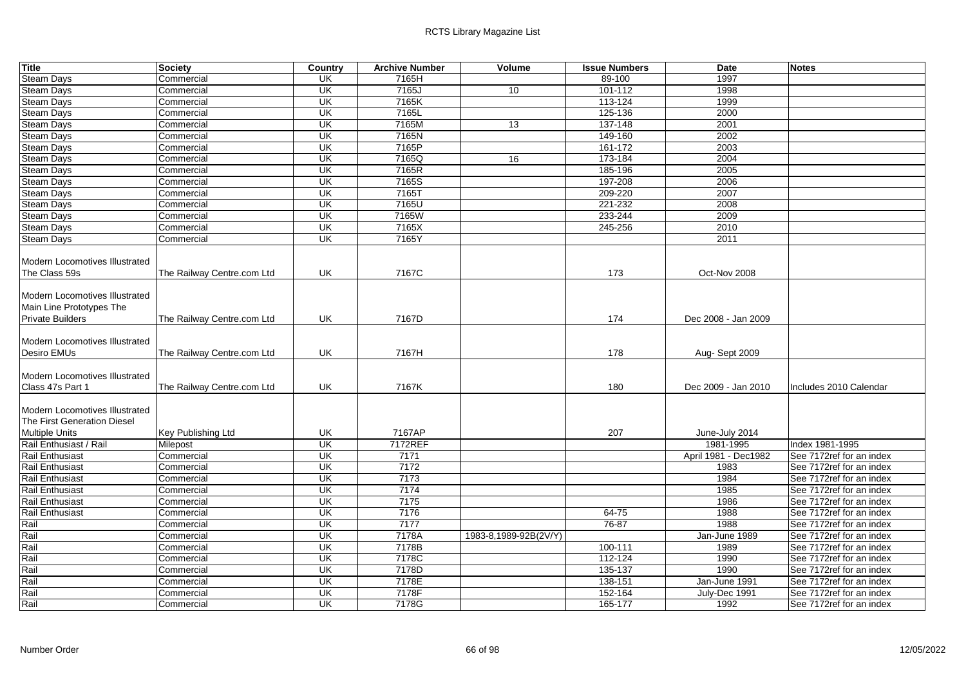| <b>Title</b>                          | <b>Society</b>             | Country                 | <b>Archive Number</b> | Volume                | <b>Issue Numbers</b> | Date                 | <b>Notes</b>             |
|---------------------------------------|----------------------------|-------------------------|-----------------------|-----------------------|----------------------|----------------------|--------------------------|
| <b>Steam Days</b>                     | Commercial                 | UK                      | 7165H                 |                       | 89-100               | 1997                 |                          |
| <b>Steam Days</b>                     | Commercial                 | UK                      | 7165J                 | 10                    | 101-112              | 1998                 |                          |
| <b>Steam Days</b>                     | Commercial                 | UK                      | 7165K                 |                       | 113-124              | 1999                 |                          |
| <b>Steam Days</b>                     | Commercial                 | UK                      | 7165L                 |                       | 125-136              | 2000                 |                          |
| <b>Steam Days</b>                     | Commercial                 | UK                      | 7165M                 | 13                    | 137-148              | 2001                 |                          |
| Steam Days                            | Commercial                 | UK                      | 7165N                 |                       | 149-160              | 2002                 |                          |
| <b>Steam Days</b>                     | Commercial                 | UK                      | 7165P                 |                       | 161-172              | 2003                 |                          |
| <b>Steam Days</b>                     | Commercial                 | UK                      | 7165Q                 | 16                    | 173-184              | 2004                 |                          |
| <b>Steam Days</b>                     | Commercial                 | UK                      | 7165R                 |                       | 185-196              | 2005                 |                          |
| <b>Steam Days</b>                     | Commercial                 | UK                      | 7165S                 |                       | 197-208              | 2006                 |                          |
| <b>Steam Days</b>                     | Commercial                 | $\overline{\mathsf{U}}$ | 7165T                 |                       | 209-220              | 2007                 |                          |
| <b>Steam Days</b>                     | Commercial                 | UK                      | 7165U                 |                       | 221-232              | 2008                 |                          |
| <b>Steam Days</b>                     | Commercial                 | UK                      | 7165W                 |                       | 233-244              | 2009                 |                          |
| <b>Steam Days</b>                     | Commercial                 | UK                      | 7165X                 |                       | 245-256              | 2010                 |                          |
| <b>Steam Days</b>                     | Commercial                 | UK                      | 7165Y                 |                       |                      | 2011                 |                          |
|                                       |                            |                         |                       |                       |                      |                      |                          |
| Modern Locomotives Illustrated        |                            |                         |                       |                       |                      |                      |                          |
| The Class 59s                         | The Railway Centre.com Ltd | UK                      | 7167C                 |                       | 173                  | Oct-Nov 2008         |                          |
|                                       |                            |                         |                       |                       |                      |                      |                          |
| Modern Locomotives Illustrated        |                            |                         |                       |                       |                      |                      |                          |
| Main Line Prototypes The              |                            |                         |                       |                       |                      |                      |                          |
| <b>Private Builders</b>               | The Railway Centre.com Ltd | UK                      | 7167D                 |                       | 174                  | Dec 2008 - Jan 2009  |                          |
|                                       |                            |                         |                       |                       |                      |                      |                          |
| <b>Modern Locomotives Illustrated</b> |                            |                         |                       |                       |                      |                      |                          |
| Desiro EMUs                           | The Railway Centre.com Ltd | UK                      | 7167H                 |                       | 178                  | Aug-Sept 2009        |                          |
|                                       |                            |                         |                       |                       |                      |                      |                          |
| Modern Locomotives Illustrated        |                            |                         |                       |                       |                      |                      |                          |
| Class 47s Part 1                      | The Railway Centre.com Ltd | UK                      | 7167K                 |                       | 180                  | Dec 2009 - Jan 2010  | Includes 2010 Calendar   |
|                                       |                            |                         |                       |                       |                      |                      |                          |
| Modern Locomotives Illustrated        |                            |                         |                       |                       |                      |                      |                          |
| The First Generation Diesel           |                            |                         |                       |                       |                      |                      |                          |
| <b>Multiple Units</b>                 | <b>Key Publishing Ltd</b>  | UK                      | 7167AP                |                       | 207                  | June-July 2014       |                          |
| Rail Enthusiast / Rail                | Milepost                   | $\overline{\mathsf{U}}$ | 7172REF               |                       |                      | 1981-1995            | Index 1981-1995          |
| Rail Enthusiast                       | Commercial                 | UK                      | 7171                  |                       |                      | April 1981 - Dec1982 | See 7172ref for an index |
| <b>Rail Enthusiast</b>                | Commercial                 | UK                      | 7172                  |                       |                      | 1983                 | See 7172ref for an index |
| Rail Enthusiast                       | Commercial                 | $\overline{\mathsf{U}}$ | 7173                  |                       |                      | 1984                 | See 7172ref for an index |
| Rail Enthusiast                       | Commercial                 | UK                      | 7174                  |                       |                      | 1985                 | See 7172ref for an index |
| Rail Enthusiast                       | Commercial                 | UK                      | 7175                  |                       |                      | 1986                 | See 7172ref for an index |
| Rail Enthusiast                       | Commercial                 | UK                      | 7176                  |                       | 64-75                | 1988                 | See 7172ref for an index |
| Rail                                  | Commercial                 | UK                      | 7177                  |                       | 76-87                | 1988                 | See 7172ref for an index |
| Rail                                  | Commercial                 | $\overline{\mathsf{U}}$ | 7178A                 | 1983-8,1989-92B(2V/Y) |                      | Jan-June 1989        | See 7172ref for an index |
| Rail                                  | Commercial                 | UK                      | 7178B                 |                       | 100-111              | 1989                 | See 7172ref for an index |
| Rail                                  | Commercial                 | UK                      | 7178C                 |                       | 112-124              | 1990                 | See 7172ref for an index |
| Rail                                  | Commercial                 | UK                      | 7178D                 |                       | 135-137              | 1990                 | See 7172ref for an index |
| Rail                                  | Commercial                 | UK                      | 7178E                 |                       | 138-151              | Jan-June 1991        | See 7172ref for an index |
| Rail                                  | Commercial                 | UK                      | 7178F                 |                       | 152-164              | July-Dec 1991        | See 7172ref for an index |
| Rail                                  | Commercial                 | $\overline{\mathsf{U}}$ | 7178G                 |                       | 165-177              | 1992                 | See 7172ref for an index |
|                                       |                            |                         |                       |                       |                      |                      |                          |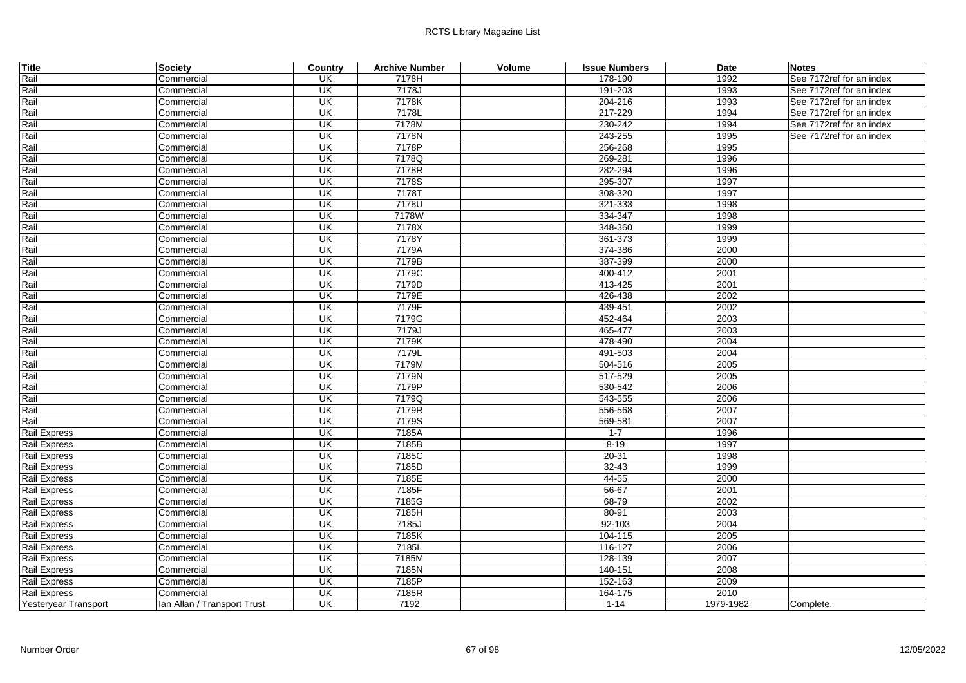| <b>Title</b>         | <b>Society</b>              | Country                  | <b>Archive Number</b> | Volume | <b>Issue Numbers</b> | <b>Date</b> | <b>Notes</b>             |
|----------------------|-----------------------------|--------------------------|-----------------------|--------|----------------------|-------------|--------------------------|
| Rail                 | Commercial                  | UK                       | 7178H                 |        | 178-190              | 1992        | See 7172ref for an index |
| Rail                 | Commercial                  | $\overline{\mathsf{CK}}$ | 7178J                 |        | 191-203              | 1993        | See 7172ref for an index |
| Rail                 | Commercial                  | $\overline{\mathsf{CK}}$ | 7178K                 |        | 204-216              | 1993        | See 7172ref for an index |
| Rail                 | Commercial                  | UK                       | 7178L                 |        | 217-229              | 1994        | See 7172ref for an index |
| Rail                 | Commercial                  | <b>UK</b>                | 7178M                 |        | 230-242              | 1994        | See 7172ref for an index |
| Rail                 | Commercial                  | UK                       | 7178N                 |        | 243-255              | 1995        | See 7172ref for an index |
| Rail                 | Commercial                  | <b>UK</b>                | 7178P                 |        | 256-268              | 1995        |                          |
| Rail                 | Commercial                  | $\overline{\mathsf{CK}}$ | 7178Q                 |        | 269-281              | 1996        |                          |
| Rail                 | Commercial                  | <b>UK</b>                | 7178R                 |        | 282-294              | 1996        |                          |
| Rail                 | Commercial                  | UK                       | 7178S                 |        | 295-307              | 1997        |                          |
| Rail                 | Commercial                  | $\overline{\mathsf{CK}}$ | 7178T                 |        | 308-320              | 1997        |                          |
| Rail                 | Commercial                  | UK                       | 7178U                 |        | 321-333              | 1998        |                          |
| Rail                 | Commercial                  | $\overline{\mathsf{CK}}$ | 7178W                 |        | 334-347              | 1998        |                          |
| Rail                 | Commercial                  | $\overline{\mathsf{CK}}$ | 7178X                 |        | 348-360              | 1999        |                          |
| Rail                 | Commercial                  | UK                       | 7178Y                 |        | 361-373              | 1999        |                          |
| Rail                 | Commercial                  | <b>UK</b>                | 7179A                 |        | 374-386              | 2000        |                          |
| Rail                 | Commercial                  | $\overline{\mathsf{CK}}$ | 7179B                 |        | 387-399              | 2000        |                          |
| Rail                 | Commercial                  | UK                       | 7179C                 |        | 400-412              | 2001        |                          |
| Rail                 | Commercial                  | <b>UK</b>                | 7179D                 |        | 413-425              | 2001        |                          |
| Rail                 | Commercial                  | $\overline{\mathsf{CK}}$ | 7179E                 |        | 426-438              | 2002        |                          |
| Rail                 | Commercial                  | UK                       | 7179F                 |        | 439-451              | 2002        |                          |
| Rail                 | Commercial                  | $\overline{\mathsf{CK}}$ | 7179G                 |        | 452-464              | 2003        |                          |
| Rail                 | Commercial                  | UK                       | 7179J                 |        | 465-477              | 2003        |                          |
| Rail                 | Commercial                  | $\overline{\mathsf{CK}}$ | 7179K                 |        | 478-490              | 2004        |                          |
| Rail                 | Commercial                  | UK                       | 7179L                 |        | 491-503              | 2004        |                          |
| Rail                 | Commercial                  | UK                       | 7179M                 |        | 504-516              | 2005        |                          |
| Rail                 | Commercial                  | UK                       | 7179N                 |        | 517-529              | 2005        |                          |
| Rail                 | Commercial                  | $\overline{\mathsf{CK}}$ | 7179P                 |        | 530-542              | 2006        |                          |
| Rail                 | Commercial                  | UK                       | 7179Q                 |        | 543-555              | 2006        |                          |
| Rail                 | Commercial                  | <b>UK</b>                | 7179R                 |        | 556-568              | 2007        |                          |
| Rail                 | Commercial                  | UK                       | 7179S                 |        | 569-581              | 2007        |                          |
| Rail Express         | Commercial                  | UK                       | 7185A                 |        | $1 - 7$              | 1996        |                          |
| Rail Express         | Commercial                  | $\overline{\mathsf{CK}}$ | 7185B                 |        | $8 - 19$             | 1997        |                          |
| Rail Express         | Commercial                  | $\overline{\mathsf{CK}}$ | 7185C                 |        | $20 - 31$            | 1998        |                          |
| Rail Express         | Commercial                  | <b>UK</b>                | 7185D                 |        | $32 - 43$            | 1999        |                          |
| Rail Express         | Commercial                  | <b>UK</b>                | 7185E                 |        | 44-55                | 2000        |                          |
| <b>Rail Express</b>  | Commercial                  | UK                       | 7185F                 |        | $56 - 67$            | 2001        |                          |
| Rail Express         | Commercial                  | $\overline{\mathsf{CK}}$ | 7185G                 |        | 68-79                | 2002        |                          |
| Rail Express         | Commercial                  | $\overline{\mathsf{CK}}$ | 7185H                 |        | $80 - 91$            | 2003        |                          |
| <b>Rail Express</b>  | Commercial                  | UK                       | 7185J                 |        | $92 - 103$           | 2004        |                          |
| <b>Rail Express</b>  | Commercial                  | $\overline{\mathsf{CK}}$ | 7185K                 |        | 104-115              | 2005        |                          |
| Rail Express         | Commercial                  | $\overline{\mathsf{CK}}$ | 7185L                 |        | 116-127              | 2006        |                          |
| Rail Express         | Commercial                  | UK                       | 7185M                 |        | 128-139              | 2007        |                          |
| Rail Express         | Commercial                  | <b>UK</b>                | 7185N                 |        | 140-151              | 2008        |                          |
| Rail Express         | Commercial                  | $\overline{\mathsf{CK}}$ | 7185P                 |        | 152-163              | 2009        |                          |
| Rail Express         | Commercial                  | UK                       | 7185R                 |        | 164-175              | 2010        |                          |
| Yesteryear Transport | Ian Allan / Transport Trust | $\overline{\mathsf{U}}$  | 7192                  |        | $1 - 14$             | 1979-1982   | Complete.                |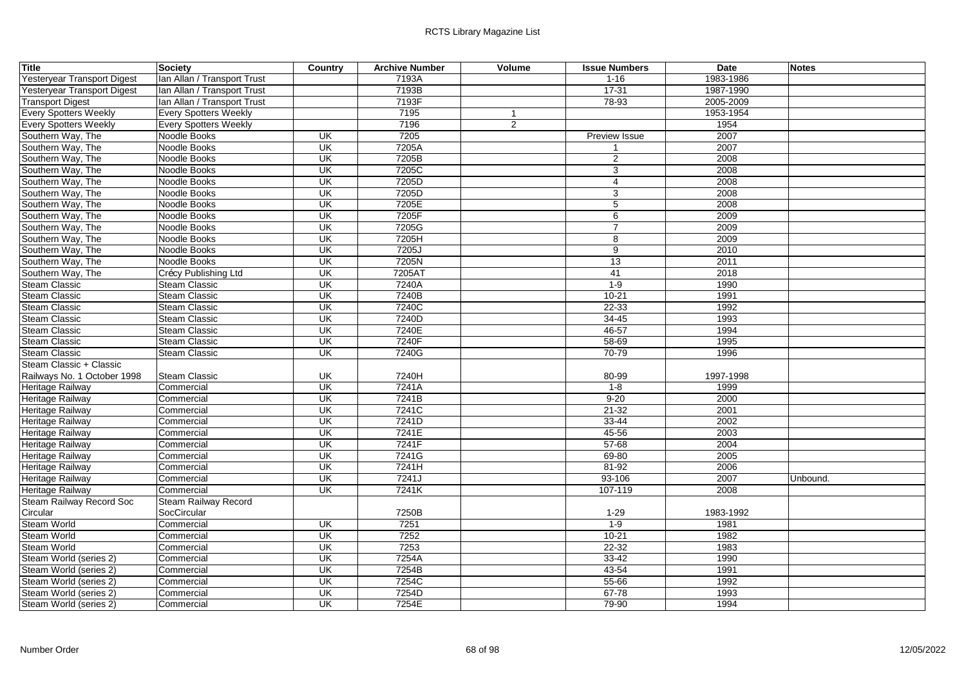| <b>Title</b>                 | <b>Society</b>               | Country                             | <b>Archive Number</b> | Volume         | <b>Issue Numbers</b> | <b>Date</b> | <b>Notes</b> |
|------------------------------|------------------------------|-------------------------------------|-----------------------|----------------|----------------------|-------------|--------------|
| Yesteryear Transport Digest  | Ian Allan / Transport Trust  |                                     | 7193A                 |                | $1 - 16$             | 1983-1986   |              |
| Yesteryear Transport Digest  | Ian Allan / Transport Trust  |                                     | 7193B                 |                | $17 - 31$            | 1987-1990   |              |
| <b>Transport Digest</b>      | Ian Allan / Transport Trust  |                                     | 7193F                 |                | 78-93                | 2005-2009   |              |
| <b>Every Spotters Weekly</b> | <b>Every Spotters Weekly</b> |                                     | 7195                  |                |                      | 1953-1954   |              |
| <b>Every Spotters Weekly</b> | <b>Every Spotters Weekly</b> |                                     | 7196                  | $\overline{2}$ |                      | 1954        |              |
| Southern Way, The            | Noodle Books                 | UK                                  | 7205                  |                | Preview Issue        | 2007        |              |
| Southern Way, The            | Noodle Books                 | UK                                  | 7205A                 |                | $\mathbf 1$          | 2007        |              |
| Southern Way, The            | Noodle Books                 | $\overline{\mathsf{U}}$             | 7205B                 |                | 2                    | 2008        |              |
| Southern Way, The            | Noodle Books                 | UK                                  | 7205C                 |                | 3                    | 2008        |              |
| Southern Way, The            | Noodle Books                 | UK                                  | 7205D                 |                | 4                    | 2008        |              |
| Southern Way, The            | Noodle Books                 | UK                                  | 7205D                 |                | 3                    | 2008        |              |
| Southern Way, The            | Noodle Books                 | UK                                  | 7205E                 |                | 5                    | 2008        |              |
| Southern Way, The            | Noodle Books                 | UK                                  | 7205F                 |                | 6                    | 2009        |              |
| Southern Way, The            | Noodle Books                 | UK                                  | 7205G                 |                | $\overline{7}$       | 2009        |              |
| Southern Way, The            | Noodle Books                 | UK                                  | 7205H                 |                | 8                    | 2009        |              |
| Southern Way, The            | Noodle Books                 | UK                                  | 7205J                 |                | 9                    | 2010        |              |
| Southern Way, The            | Noodle Books                 | $\overline{\mathsf{U}}$             | 7205N                 |                | $\overline{13}$      | 2011        |              |
| Southern Way, The            | Crécy Publishing Ltd         | $\overline{\mathsf{U}}$             | 7205AT                |                | 41                   | 2018        |              |
| <b>Steam Classic</b>         | <b>Steam Classic</b>         | UK                                  | 7240A                 |                | $1 - 9$              | 1990        |              |
| <b>Steam Classic</b>         | <b>Steam Classic</b>         | UK                                  | 7240B                 |                | $10 - 21$            | 1991        |              |
| <b>Steam Classic</b>         | Steam Classic                | UK                                  | 7240C                 |                | $22 - 33$            | 1992        |              |
| <b>Steam Classic</b>         | <b>Steam Classic</b>         | UK                                  | 7240D                 |                | $34 - 45$            | 1993        |              |
| <b>Steam Classic</b>         | <b>Steam Classic</b>         | UK                                  | 7240E                 |                | $46 - 57$            | 1994        |              |
| <b>Steam Classic</b>         | <b>Steam Classic</b>         | UK                                  | 7240F                 |                | $58 - 69$            | 1995        |              |
| <b>Steam Classic</b>         | <b>Steam Classic</b>         | <b>UK</b>                           | 7240G                 |                | $70 - 79$            | 1996        |              |
| Steam Classic + Classic      |                              |                                     |                       |                |                      |             |              |
| Railways No. 1 October 1998  | <b>Steam Classic</b>         | UK                                  | 7240H                 |                | 80-99                | 1997-1998   |              |
| <b>Heritage Railway</b>      | Commercial                   | UK                                  | 7241A                 |                | $1 - 8$              | 1999        |              |
| <b>Heritage Railway</b>      | Commercial                   | UK                                  | 7241B                 |                | $9 - 20$             | 2000        |              |
| Heritage Railway             | Commercial                   | $\overline{\overline{\mathsf{CK}}}$ | 7241C                 |                | $21 - 32$            | 2001        |              |
| Heritage Railway             | Commercial                   | $\overline{\mathsf{U}}$             | 7241D                 |                | $33 - 44$            | 2002        |              |
| Heritage Railway             | Commercial                   | $\overline{\mathsf{U}}$             | 7241E                 |                | 45-56                | 2003        |              |
| Heritage Railway             | Commercial                   | UK                                  | 7241F                 |                | $57 - 68$            | 2004        |              |
| Heritage Railway             | Commercial                   | $\overline{\mathsf{U}}$             | 7241G                 |                | 69-80                | 2005        |              |
| Heritage Railway             | Commercial                   | $\overline{\mathsf{U}}$             | 7241H                 |                | $81 - 92$            | 2006        |              |
| Heritage Railway             | Commercial                   | UK                                  | 7241J                 |                | 93-106               | 2007        | Unbound.     |
| Heritage Railway             | Commercial                   | UK                                  | 7241K                 |                | 107-119              | 2008        |              |
| Steam Railway Record Soc     | Steam Railway Record         |                                     |                       |                |                      |             |              |
| Circular                     | SocCircular                  |                                     | 7250B                 |                | $1 - 29$             | 1983-1992   |              |
| <b>Steam World</b>           | Commercial                   | $\overline{\mathsf{U}}$             | 7251                  |                | $1-9$                | 1981        |              |
| <b>Steam World</b>           | Commercial                   | UK                                  | 7252                  |                | $10 - 21$            | 1982        |              |
| <b>Steam World</b>           | Commercial                   | UK                                  | 7253                  |                | $22 - 32$            | 1983        |              |
| Steam World (series 2)       | Commercial                   | $\overline{\mathsf{U}}$             | 7254A                 |                | $33 - 42$            | 1990        |              |
| Steam World (series 2)       | Commercial                   | UK                                  | 7254B                 |                | 43-54                | 1991        |              |
| Steam World (series 2)       | Commercial                   | UK                                  | 7254C                 |                | 55-66                | 1992        |              |
| Steam World (series 2)       | Commercial                   | $\overline{\mathsf{CK}}$            | 7254D                 |                | 67-78                | 1993        |              |
| Steam World (series 2)       | Commercial                   | $\overline{\mathsf{U}}$             | 7254E                 |                | 79-90                | 1994        |              |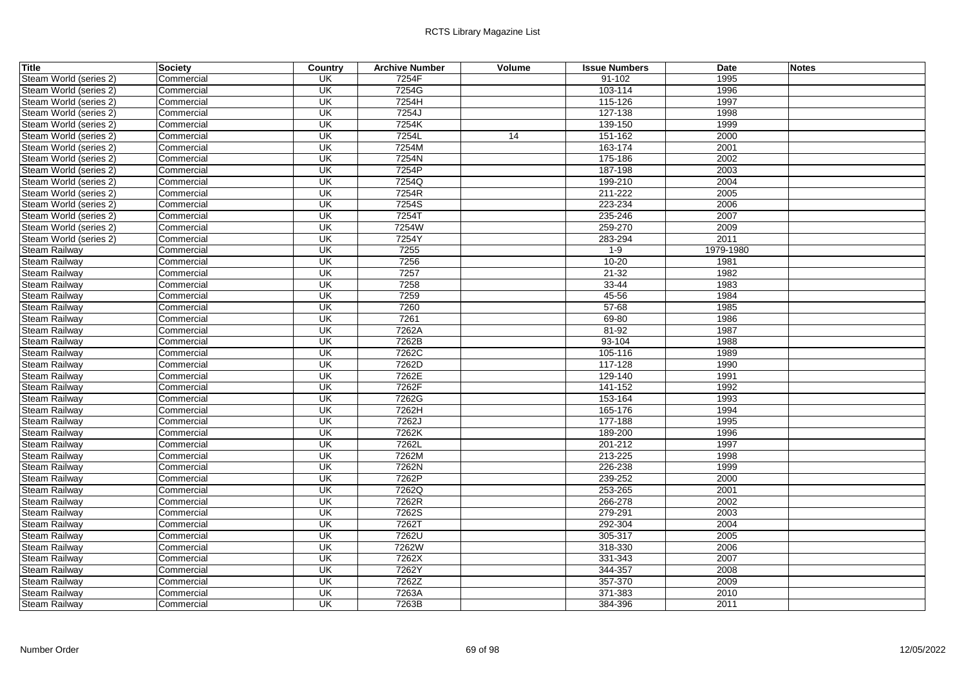| Title                  | <b>Society</b> | Country                 | <b>Archive Number</b> | Volume | <b>Issue Numbers</b> | Date      | <b>Notes</b> |
|------------------------|----------------|-------------------------|-----------------------|--------|----------------------|-----------|--------------|
| Steam World (series 2) | Commercial     | UK                      | 7254F                 |        | 91-102               | 1995      |              |
| Steam World (series 2) | Commercial     | UK                      | 7254G                 |        | 103-114              | 1996      |              |
| Steam World (series 2) | Commercial     | UK                      | 7254H                 |        | 115-126              | 1997      |              |
| Steam World (series 2) | Commercial     | UK                      | 7254J                 |        | 127-138              | 1998      |              |
| Steam World (series 2) | Commercial     | UK                      | 7254K                 |        | 139-150              | 1999      |              |
| Steam World (series 2) | Commercial     | UK                      | 7254L                 | 14     | 151-162              | 2000      |              |
| Steam World (series 2) | Commercial     | UK                      | 7254M                 |        | 163-174              | 2001      |              |
| Steam World (series 2) | Commercial     | UK                      | 7254N                 |        | 175-186              | 2002      |              |
| Steam World (series 2) | Commercial     | UK                      | 7254P                 |        | 187-198              | 2003      |              |
| Steam World (series 2) | Commercial     | UK                      | 7254Q                 |        | 199-210              | 2004      |              |
| Steam World (series 2) | Commercial     | $\overline{\mathsf{U}}$ | 7254R                 |        | 211-222              | 2005      |              |
| Steam World (series 2) | Commercial     | UK                      | 7254S                 |        | 223-234              | 2006      |              |
| Steam World (series 2) | Commercial     | $\overline{\mathsf{U}}$ | 7254T                 |        | 235-246              | 2007      |              |
| Steam World (series 2) | Commercial     | UK                      | 7254W                 |        | 259-270              | 2009      |              |
| Steam World (series 2) | Commercial     | UK                      | 7254Y                 |        | 283-294              | 2011      |              |
| Steam Railway          | Commercial     | UK                      | 7255                  |        | $1 - 9$              | 1979-1980 |              |
| Steam Railway          | Commercial     | UK                      | 7256                  |        | $10 - 20$            | 1981      |              |
| <b>Steam Railwav</b>   | Commercial     | UK                      | 7257                  |        | $21 - 32$            | 1982      |              |
| <b>Steam Railway</b>   | Commercial     | UK                      | 7258                  |        | $33 - 44$            | 1983      |              |
| Steam Railway          | Commercial     | UK                      | 7259                  |        | 45-56                | 1984      |              |
| <b>Steam Railway</b>   | Commercial     | $\overline{\mathsf{U}}$ | 7260                  |        | $57 - 68$            | 1985      |              |
| Steam Railway          | Commercial     | $\overline{\mathsf{U}}$ | 7261                  |        | 69-80                | 1986      |              |
| <b>Steam Railway</b>   | Commercial     | UK                      | 7262A                 |        | $81 - 92$            | 1987      |              |
| Steam Railway          | Commercial     | $\overline{\mathsf{U}}$ | 7262B                 |        | $93 - 104$           | 1988      |              |
| Steam Railway          | Commercial     | $\overline{\mathsf{U}}$ | 7262C                 |        | 105-116              | 1989      |              |
| <b>Steam Railway</b>   | Commercial     | UK                      | 7262D                 |        | 117-128              | 1990      |              |
| <b>Steam Railway</b>   | Commercial     | UK                      | 7262E                 |        | 129-140              | 1991      |              |
| <b>Steam Railway</b>   | Commercial     | $\overline{\mathsf{U}}$ | 7262F                 |        | 141-152              | 1992      |              |
| <b>Steam Railway</b>   | Commercial     | <b>UK</b>               | 7262G                 |        | 153-164              | 1993      |              |
| Steam Railway          | Commercial     | UK                      | 7262H                 |        | 165-176              | 1994      |              |
| Steam Railway          | Commercial     | UK                      | 7262J                 |        | 177-188              | 1995      |              |
| <b>Steam Railway</b>   | Commercial     | $\overline{\mathsf{U}}$ | 7262K                 |        | 189-200              | 1996      |              |
| Steam Railway          | Commercial     | $\overline{\mathsf{U}}$ | 7262L                 |        | 201-212              | 1997      |              |
| Steam Railway          | Commercial     | UK                      | 7262M                 |        | 213-225              | 1998      |              |
| <b>Steam Railway</b>   | Commercial     | $\overline{\mathsf{U}}$ | 7262N                 |        | 226-238              | 1999      |              |
| <b>Steam Railway</b>   | Commercial     | UK                      | 7262P                 |        | 239-252              | 2000      |              |
| <b>Steam Railway</b>   | Commercial     | UK                      | 7262Q                 |        | 253-265              | 2001      |              |
| Steam Railway          | Commercial     | $\overline{\mathsf{U}}$ | 7262R                 |        | 266-278              | 2002      |              |
| Steam Railway          | Commercial     | $\overline{\mathsf{U}}$ | 7262S                 |        | 279-291              | 2003      |              |
| Steam Railway          | Commercial     | UK                      | 7262T                 |        | 292-304              | 2004      |              |
| <b>Steam Railway</b>   | Commercial     | $\overline{\mathsf{U}}$ | 7262U                 |        | 305-317              | 2005      |              |
| Steam Railway          | Commercial     | UK                      | 7262W                 |        | 318-330              | 2006      |              |
| Steam Railway          | Commercial     | UK                      | 7262X                 |        | 331-343              | 2007      |              |
| <b>Steam Railway</b>   | Commercial     | UK                      | 7262Y                 |        | 344-357              | 2008      |              |
| Steam Railway          | Commercial     | UK                      | 7262Z                 |        | 357-370              | 2009      |              |
| <b>Steam Railway</b>   | Commercial     | UK                      | 7263A                 |        | 371-383              | 2010      |              |
| Steam Railway          | Commercial     | $\overline{\mathsf{U}}$ | 7263B                 |        | 384-396              | 2011      |              |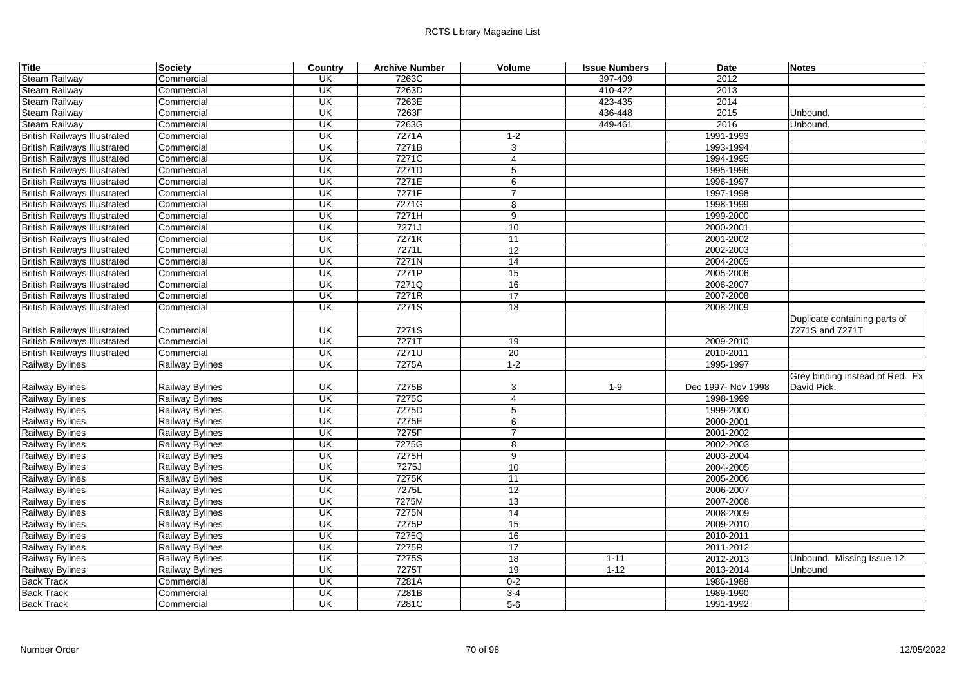| <b>Title</b>                        | <b>Society</b>         | Country                  | <b>Archive Number</b> | Volume          | <b>Issue Numbers</b> | <b>Date</b>        | <b>Notes</b>                    |
|-------------------------------------|------------------------|--------------------------|-----------------------|-----------------|----------------------|--------------------|---------------------------------|
| <b>Steam Railway</b>                | Commercial             | UK                       | 7263C                 |                 | 397-409              | 2012               |                                 |
| <b>Steam Railway</b>                | Commercial             | $\overline{\mathsf{CK}}$ | 7263D                 |                 | 410-422              | 2013               |                                 |
| <b>Steam Railway</b>                | Commercial             | UK                       | 7263E                 |                 | 423-435              | 2014               |                                 |
| <b>Steam Railway</b>                | Commercial             | UK                       | 7263F                 |                 | 436-448              | 2015               | Unbound.                        |
| <b>Steam Railway</b>                | Commercial             | UK                       | 7263G                 |                 | 449-461              | 2016               | Unbound.                        |
| <b>British Railways Illustrated</b> | Commercial             | $\overline{\mathsf{U}}$  | 7271A                 | $1 - 2$         |                      | 1991-1993          |                                 |
| <b>British Railways Illustrated</b> | Commercial             | UK                       | 7271B                 | 3               |                      | 1993-1994          |                                 |
| <b>British Railways Illustrated</b> | Commercial             | $\overline{\mathsf{U}}$  | 7271C                 | 4               |                      | 1994-1995          |                                 |
| <b>British Railways Illustrated</b> | Commercial             | UK                       | 7271D                 | $\overline{5}$  |                      | 1995-1996          |                                 |
| <b>British Railways Illustrated</b> | Commercial             | $\overline{\mathsf{U}}$  | 7271E                 | 6               |                      | 1996-1997          |                                 |
| <b>British Railways Illustrated</b> | Commercial             | $\overline{\mathsf{U}}$  | 7271F                 |                 |                      | 1997-1998          |                                 |
| <b>British Railways Illustrated</b> | Commercial             | UK                       | 7271G                 | 8               |                      | 1998-1999          |                                 |
| <b>British Railways Illustrated</b> | Commercial             | UK                       | 7271H                 | $\overline{9}$  |                      | 1999-2000          |                                 |
| <b>British Railways Illustrated</b> | Commercial             | UK                       | 7271J                 | 10              |                      | 2000-2001          |                                 |
| <b>British Railways Illustrated</b> | Commercial             | UK                       | 7271K                 | 11              |                      | 2001-2002          |                                 |
| <b>British Railways Illustrated</b> | Commercial             | UK                       | 7271L                 | 12              |                      | 2002-2003          |                                 |
| <b>British Railways Illustrated</b> | Commercial             | $\overline{\mathsf{U}}$  | 7271N                 | 14              |                      | 2004-2005          |                                 |
| <b>British Railways Illustrated</b> | Commercial             | UK                       | 7271P                 | 15              |                      | 2005-2006          |                                 |
| <b>British Railways Illustrated</b> | Commercial             | $\overline{\mathsf{U}}$  | 7271Q                 | 16              |                      | 2006-2007          |                                 |
| <b>British Railways Illustrated</b> | Commercial             | UK                       | 7271R                 | 17              |                      | 2007-2008          |                                 |
| <b>British Railways Illustrated</b> | Commercial             | UK                       | 7271S                 | 18              |                      | 2008-2009          |                                 |
|                                     |                        |                          |                       |                 |                      |                    | Duplicate containing parts of   |
| <b>British Railways Illustrated</b> | Commercial             | UK                       | 7271S                 |                 |                      |                    | 7271S and 7271T                 |
| <b>British Railways Illustrated</b> | Commercial             | UK                       | 7271T                 | 19              |                      | 2009-2010          |                                 |
| <b>British Railways Illustrated</b> | Commercial             | $\overline{\mathsf{U}}$  | 7271U                 | 20              |                      | 2010-2011          |                                 |
| <b>Railway Bylines</b>              | <b>Railway Bylines</b> | UK                       | 7275A                 | $1 - 2$         |                      | 1995-1997          |                                 |
|                                     |                        |                          |                       |                 |                      |                    | Grey binding instead of Red. Ex |
| <b>Railway Bylines</b>              | <b>Railway Bylines</b> | UK                       | 7275B                 | 3               | 1-9                  | Dec 1997- Nov 1998 | David Pick.                     |
| <b>Railway Bylines</b>              | <b>Railway Bylines</b> | UK                       | 7275C                 | 4               |                      | 1998-1999          |                                 |
| Railway Bylines                     | Railway Bylines        | UK                       | 7275D                 | 5               |                      | 1999-2000          |                                 |
| <b>Railway Bylines</b>              | <b>Railway Bylines</b> | $\overline{\mathsf{U}}$  | 7275E                 | 6               |                      | 2000-2001          |                                 |
| Railway Bylines                     | <b>Railway Bylines</b> | UK                       | 7275F                 | $\overline{7}$  |                      | 2001-2002          |                                 |
| Railway Bylines                     | <b>Railway Bylines</b> | $\overline{\mathsf{U}}$  | 7275G                 | 8               |                      | 2002-2003          |                                 |
| <b>Railway Bylines</b>              | Railway Bylines        | UK                       | 7275H                 | 9               |                      | 2003-2004          |                                 |
| Railway Bylines                     | <b>Railway Bylines</b> | UK                       | 7275J                 | 10              |                      | 2004-2005          |                                 |
| <b>Railway Bylines</b>              | <b>Railway Bylines</b> | UK                       | 7275K                 | 11              |                      | 2005-2006          |                                 |
| Railway Bylines                     | <b>Railway Bylines</b> | UK                       | 7275L                 | 12              |                      | 2006-2007          |                                 |
| <b>Railway Bylines</b>              | <b>Railway Bylines</b> | UK                       | 7275M                 | 13              |                      | 2007-2008          |                                 |
| Railway Bylines                     | <b>Railway Bylines</b> | UK                       | 7275N                 | 14              |                      | 2008-2009          |                                 |
| <b>Railway Bylines</b>              | <b>Railway Bylines</b> | UK                       | 7275P                 | 15              |                      | 2009-2010          |                                 |
| <b>Railway Bylines</b>              | <b>Railway Bylines</b> | UK                       | 7275Q                 | 16              |                      | 2010-2011          |                                 |
| Railway Bylines                     | Railway Bylines        | UK                       | 7275R                 | $\overline{17}$ |                      | 2011-2012          |                                 |
| Railway Bylines                     | Railway Bylines        | UK                       | 7275S                 | 18              | $1 - 11$             | 2012-2013          | Unbound. Missing Issue 12       |
| Railway Bylines                     | <b>Railway Bylines</b> | UK                       | 7275T                 | 19              | $1 - 12$             | 2013-2014          | Unbound                         |
| <b>Back Track</b>                   | Commercial             | UK                       | 7281A                 | $0 - 2$         |                      | 1986-1988          |                                 |
| <b>Back Track</b>                   | Commercial             | UK                       | 7281B                 | $3 - 4$         |                      | 1989-1990          |                                 |
| <b>Back Track</b>                   | Commercial             | $\overline{\mathsf{U}}$  | 7281C                 | $5-6$           |                      | 1991-1992          |                                 |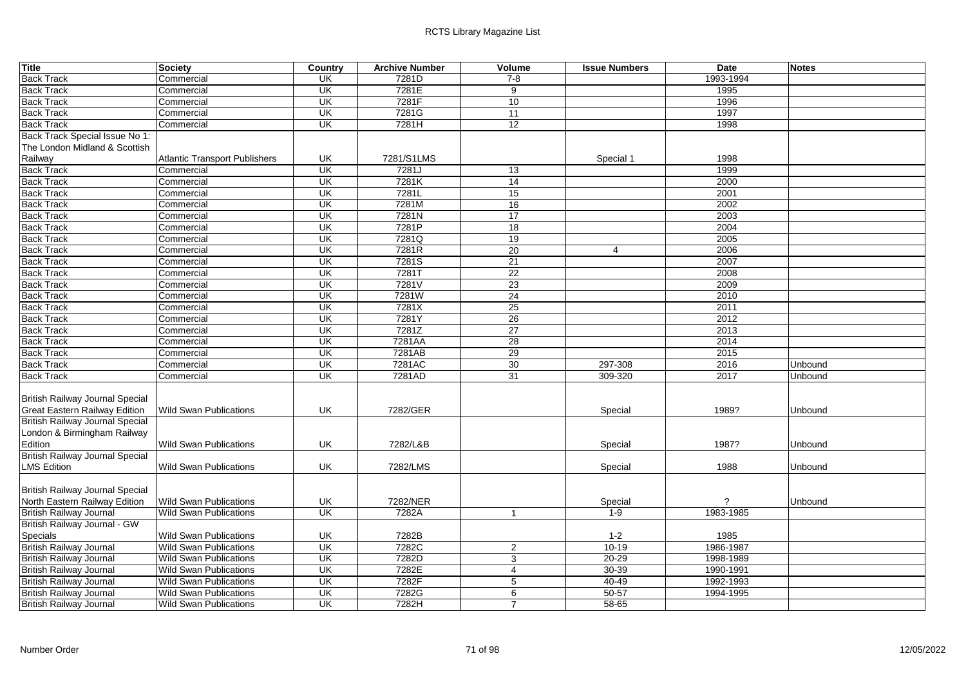| <b>Title</b>                           | <b>Society</b>                       | Country                 | <b>Archive Number</b> | Volume          | <b>Issue Numbers</b> | <b>Date</b>           | <b>Notes</b> |
|----------------------------------------|--------------------------------------|-------------------------|-----------------------|-----------------|----------------------|-----------------------|--------------|
| <b>Back Track</b>                      | Commercial                           | <b>UK</b>               | 7281D                 | $7 - 8$         |                      | 1993-1994             |              |
| <b>Back Track</b>                      | Commercial                           | UK                      | 7281E                 | 9               |                      | 1995                  |              |
| <b>Back Track</b>                      | Commercial                           | UK                      | 7281F                 | 10              |                      | 1996                  |              |
| <b>Back Track</b>                      | Commercial                           | $\overline{\mathsf{U}}$ | 7281G                 | 11              |                      | 1997                  |              |
| <b>Back Track</b>                      | Commercial                           | $\overline{\mathsf{U}}$ | 7281H                 | 12              |                      | 1998                  |              |
| Back Track Special Issue No 1:         |                                      |                         |                       |                 |                      |                       |              |
| The London Midland & Scottish          |                                      |                         |                       |                 |                      |                       |              |
| Railway                                | <b>Atlantic Transport Publishers</b> | UK                      | 7281/S1LMS            |                 | Special 1            | 1998                  |              |
| <b>Back Track</b>                      | Commercial                           | UK                      | 7281J                 | $\overline{13}$ |                      | 1999                  |              |
| <b>Back Track</b>                      | Commercial                           | UK                      | 7281K                 | 14              |                      | 2000                  |              |
| <b>Back Track</b>                      | Commercial                           | UK                      | 7281L                 | 15              |                      | 2001                  |              |
| <b>Back Track</b>                      | Commercial                           | $\overline{\mathsf{U}}$ | 7281M                 | 16              |                      | 2002                  |              |
| <b>Back Track</b>                      | Commercial                           | UK                      | 7281N                 | 17              |                      | 2003                  |              |
| <b>Back Track</b>                      | Commercial                           | UK                      | 7281P                 | $\overline{18}$ |                      | 2004                  |              |
| <b>Back Track</b>                      | Commercial                           | UK                      | 7281Q                 | 19              |                      | 2005                  |              |
| <b>Back Track</b>                      | Commercial                           | UK                      | 7281R                 | 20              | 4                    | 2006                  |              |
| <b>Back Track</b>                      | Commercial                           | $\overline{\mathsf{U}}$ | 7281S                 | $\overline{21}$ |                      | 2007                  |              |
| <b>Back Track</b>                      | Commercial                           | UK                      | 7281T                 | 22              |                      | 2008                  |              |
| <b>Back Track</b>                      | Commercial                           | UK                      | 7281V                 | 23              |                      | 2009                  |              |
| <b>Back Track</b>                      | Commercial                           | <b>UK</b>               | 7281W                 | $\overline{24}$ |                      | 2010                  |              |
| <b>Back Track</b>                      | Commercial                           | $\overline{\mathsf{U}}$ | 7281X                 | 25              |                      | 2011                  |              |
| <b>Back Track</b>                      | Commercial                           | UK                      | 7281Y                 | 26              |                      | 2012                  |              |
| <b>Back Track</b>                      | Commercial                           | UK                      | 7281Z                 | 27              |                      | 2013                  |              |
| <b>Back Track</b>                      | Commercial                           | UK                      | 7281AA                | 28              |                      | 2014                  |              |
| <b>Back Track</b>                      | Commercial                           | UK                      | 7281AB                | 29              |                      | 2015                  |              |
| <b>Back Track</b>                      | Commercial                           | UK                      | 7281AC                | 30              | 297-308              | 2016                  | Unbound      |
| <b>Back Track</b>                      | Commercial                           | <b>UK</b>               | 7281AD                | 31              | 309-320              | 2017                  | Unbound      |
| <b>British Railway Journal Special</b> |                                      |                         |                       |                 |                      |                       |              |
| <b>Great Eastern Railway Edition</b>   | <b>Wild Swan Publications</b>        | UK                      | 7282/GER              |                 | Special              | 1989?                 | Unbound      |
| British Railway Journal Special        |                                      |                         |                       |                 |                      |                       |              |
| London & Birmingham Railway            |                                      |                         |                       |                 |                      |                       |              |
| Edition                                | <b>Wild Swan Publications</b>        | UK                      | 7282/L&B              |                 | Special              | 1987?                 | Unbound      |
| <b>British Railway Journal Special</b> |                                      |                         |                       |                 |                      |                       |              |
| <b>LMS Edition</b>                     | <b>Wild Swan Publications</b>        | UK                      | 7282/LMS              |                 | Special              | 1988                  | Unbound      |
| <b>British Railway Journal Special</b> |                                      |                         |                       |                 |                      |                       |              |
| North Eastern Railway Edition          | <b>Wild Swan Publications</b>        | UK                      | 7282/NER              |                 | Special              | $\boldsymbol{\gamma}$ | Unbound      |
| <b>British Railway Journal</b>         | <b>Wild Swan Publications</b>        | $\overline{\mathsf{U}}$ | 7282A                 | $\overline{1}$  | $1 - 9$              | 1983-1985             |              |
| British Railway Journal - GW           |                                      |                         |                       |                 |                      |                       |              |
| <b>Specials</b>                        | <b>Wild Swan Publications</b>        | UK                      | 7282B                 |                 | $1 - 2$              | 1985                  |              |
| <b>British Railway Journal</b>         | <b>Wild Swan Publications</b>        | UK                      | 7282C                 | 2               | $10-19$              | 1986-1987             |              |
| <b>British Railway Journal</b>         | <b>Wild Swan Publications</b>        | UK                      | 7282D                 | $\overline{3}$  | $20 - 29$            | 1998-1989             |              |
| <b>British Railway Journal</b>         | <b>Wild Swan Publications</b>        | UK                      | 7282E                 | $\overline{4}$  | 30-39                | 1990-1991             |              |
| <b>British Railway Journal</b>         | Wild Swan Publications               | UK                      | 7282F                 | $\sqrt{5}$      | $40 - 49$            | 1992-1993             |              |
| <b>British Railway Journal</b>         | <b>Wild Swan Publications</b>        | UK                      | 7282G                 | 6               | $50 - 57$            | 1994-1995             |              |
| <b>British Railway Journal</b>         | <b>Wild Swan Publications</b>        | UK                      | 7282H                 | $\overline{7}$  | $58 - 65$            |                       |              |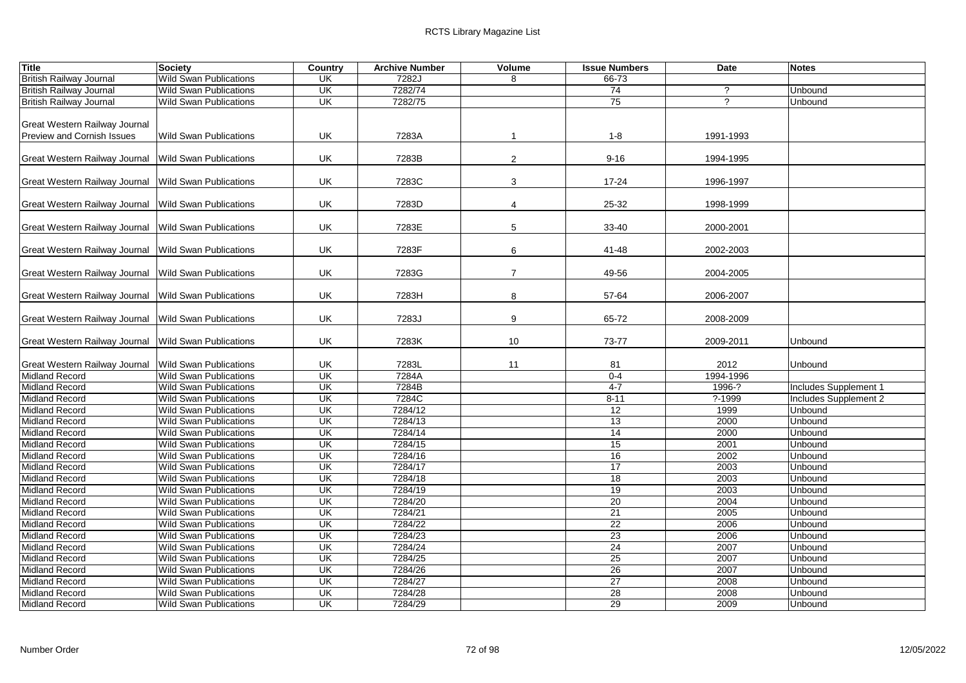| <b>Title</b>                                         | <b>Society</b>                | Country                   | <b>Archive Number</b> | Volume         | <b>Issue Numbers</b> | <b>Date</b>    | <b>Notes</b>          |
|------------------------------------------------------|-------------------------------|---------------------------|-----------------------|----------------|----------------------|----------------|-----------------------|
| <b>British Railway Journal</b>                       | <b>Wild Swan Publications</b> | <b>UK</b>                 | 7282J                 | 8              | $66 - 73$            |                |                       |
| <b>British Railway Journal</b>                       | <b>Wild Swan Publications</b> | UK                        | 7282/74               |                | 74                   | $\overline{?}$ | Unbound               |
| <b>British Railway Journal</b>                       | <b>Wild Swan Publications</b> | UK                        | 7282/75               |                | 75                   | ?              | Unbound               |
|                                                      |                               |                           |                       |                |                      |                |                       |
| Great Western Railway Journal                        |                               |                           |                       |                |                      |                |                       |
| <b>Preview and Cornish Issues</b>                    | <b>Wild Swan Publications</b> | UK                        | 7283A                 |                | $1 - 8$              | 1991-1993      |                       |
|                                                      |                               |                           |                       |                |                      |                |                       |
| Great Western Railway Journal Wild Swan Publications |                               | UK                        | 7283B                 | 2              | $9 - 16$             | 1994-1995      |                       |
|                                                      |                               |                           |                       |                |                      |                |                       |
| Great Western Railway Journal                        | <b>Wild Swan Publications</b> | UK                        | 7283C                 | 3              | 17-24                | 1996-1997      |                       |
|                                                      |                               |                           |                       |                |                      |                |                       |
| Great Western Railway Journal Wild Swan Publications |                               | UK                        | 7283D                 | 4              | 25-32                | 1998-1999      |                       |
|                                                      |                               |                           |                       |                |                      |                |                       |
| Great Western Railway Journal Wild Swan Publications |                               | UK                        | 7283E                 | 5              | 33-40                | 2000-2001      |                       |
|                                                      |                               |                           |                       |                |                      |                |                       |
| Great Western Railway Journal Wild Swan Publications |                               | UK                        | 7283F                 | 6              | 41-48                | 2002-2003      |                       |
| Great Western Railway Journal Wild Swan Publications |                               | UK                        | 7283G                 | $\overline{7}$ | 49-56                | 2004-2005      |                       |
|                                                      |                               |                           |                       |                |                      |                |                       |
| Great Western Railway Journal Wild Swan Publications |                               | UK                        | 7283H                 | 8              | 57-64                | 2006-2007      |                       |
|                                                      |                               |                           |                       |                |                      |                |                       |
| Great Western Railway Journal Wild Swan Publications |                               | UK                        | 7283J                 | 9              | 65-72                | 2008-2009      |                       |
|                                                      |                               |                           |                       |                |                      |                |                       |
| Great Western Railway Journal Wild Swan Publications |                               | UK                        | 7283K                 | 10             | 73-77                | 2009-2011      | Unbound               |
|                                                      |                               |                           |                       |                |                      |                |                       |
| Great Western Railway Journal                        | <b>Wild Swan Publications</b> | UK                        | 7283L                 | 11             | 81                   | 2012           | Unbound               |
| <b>Midland Record</b>                                | <b>Wild Swan Publications</b> | $\overline{\mathsf{U}}$   | 7284A                 |                | $0 - 4$              | 1994-1996      |                       |
| <b>Midland Record</b>                                | <b>Wild Swan Publications</b> | UK                        | 7284B                 |                | $4 - 7$              | 1996-?         | Includes Supplement 1 |
| <b>Midland Record</b>                                | <b>Wild Swan Publications</b> | UK                        | 7284C                 |                | $8 - 11$             | $? - 1999$     | Includes Supplement 2 |
| <b>Midland Record</b>                                | <b>Wild Swan Publications</b> | UK                        | 7284/12               |                | 12                   | 1999           | Unbound               |
| <b>Midland Record</b>                                | <b>Wild Swan Publications</b> | UK                        | 7284/13               |                | 13                   | 2000           | Unbound               |
| <b>Midland Record</b>                                | <b>Wild Swan Publications</b> | UK                        | 7284/14               |                | 14                   | 2000           | Unbound               |
| <b>Midland Record</b>                                | <b>Wild Swan Publications</b> | $\overline{\mathsf{U}}$ K | 7284/15               |                | 15                   | 2001           | Unbound               |
| <b>Midland Record</b>                                | <b>Wild Swan Publications</b> | UK                        | 7284/16               |                | 16                   | 2002           | Unbound               |
| <b>Midland Record</b>                                | <b>Wild Swan Publications</b> | $\overline{\mathsf{U}}$ K | 7284/17               |                | $\overline{17}$      | 2003           | Unbound               |
| <b>Midland Record</b>                                | <b>Wild Swan Publications</b> | $\overline{\mathsf{U}}$   | 7284/18               |                | $\overline{18}$      | 2003           | Unbound               |
| <b>Midland Record</b>                                | <b>Wild Swan Publications</b> | UK                        | 7284/19               |                | 19                   | 2003           | Unbound               |
| <b>Midland Record</b>                                | <b>Wild Swan Publications</b> | <b>UK</b>                 | 7284/20               |                | 20                   | 2004           | Unbound               |
| <b>Midland Record</b>                                | <b>Wild Swan Publications</b> | UK                        | 7284/21               |                | 21                   | 2005           | Unbound               |
| <b>Midland Record</b>                                | <b>Wild Swan Publications</b> | $\overline{\mathsf{U}}$ K | 7284/22               |                | 22                   | 2006           | Unbound               |
| <b>Midland Record</b>                                | <b>Wild Swan Publications</b> | UK                        | 7284/23               |                | 23                   | 2006           | Unbound               |
| <b>Midland Record</b>                                | <b>Wild Swan Publications</b> | UK                        | 7284/24               |                | 24                   | 2007           | Unbound               |
| <b>Midland Record</b>                                | <b>Wild Swan Publications</b> | UK                        | 7284/25               |                | 25                   | 2007           | Unbound               |
| <b>Midland Record</b>                                | <b>Wild Swan Publications</b> | UK                        | 7284/26               |                | 26                   | 2007           | Unbound               |
| <b>Midland Record</b>                                | <b>Wild Swan Publications</b> | UK                        | 7284/27               |                | 27                   | 2008           | Unbound               |
| <b>Midland Record</b>                                | <b>Wild Swan Publications</b> | UK                        | 7284/28               |                | 28                   | 2008           | Unbound               |
| <b>Midland Record</b>                                | <b>Wild Swan Publications</b> | UK                        | 7284/29               |                | 29                   | 2009           | Unbound               |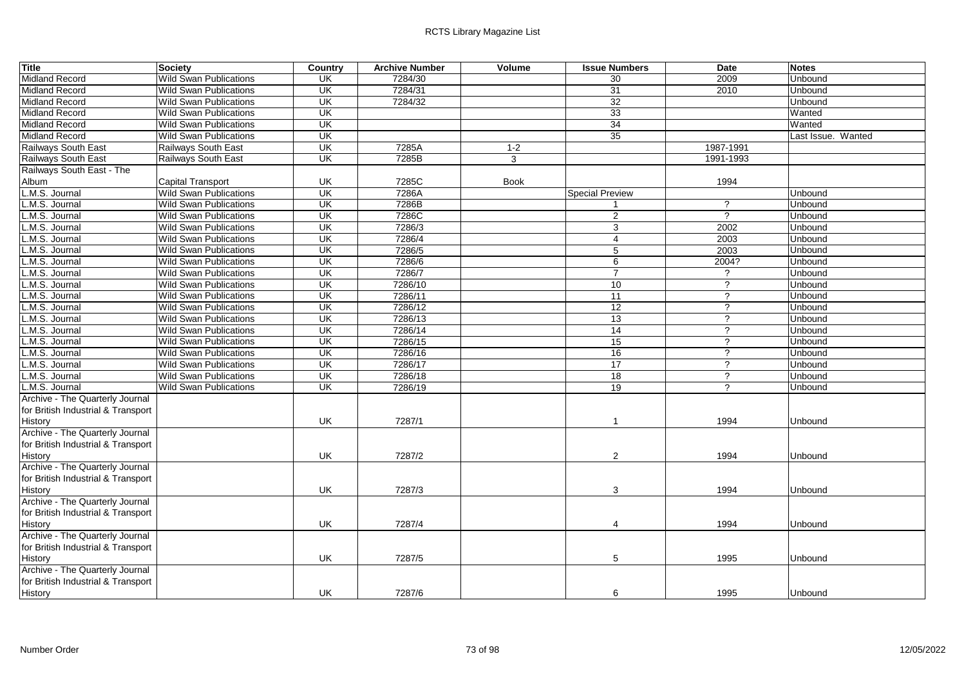| <b>Title</b>                       | <b>Society</b>                | Country                  | <b>Archive Number</b> | Volume      | <b>Issue Numbers</b>   | <b>Date</b>          | <b>Notes</b>       |
|------------------------------------|-------------------------------|--------------------------|-----------------------|-------------|------------------------|----------------------|--------------------|
| <b>Midland Record</b>              | <b>Wild Swan Publications</b> | UK                       | 7284/30               |             | 30                     | 2009                 | Unbound            |
| <b>Midland Record</b>              | <b>Wild Swan Publications</b> | $\overline{\mathsf{CK}}$ | 7284/31               |             | 31                     | 2010                 | Unbound            |
| <b>Midland Record</b>              | <b>Wild Swan Publications</b> | $\overline{\mathsf{U}}$  | 7284/32               |             | 32                     |                      | Unbound            |
| <b>Midland Record</b>              | <b>Wild Swan Publications</b> | $\overline{\mathsf{U}}$  |                       |             | 33                     |                      | Wanted             |
| <b>Midland Record</b>              | <b>Wild Swan Publications</b> | $\overline{\mathsf{U}}$  |                       |             | 34                     |                      | Wanted             |
| <b>Midland Record</b>              | <b>Wild Swan Publications</b> | UK                       |                       |             | 35                     |                      | Last Issue. Wanted |
| Railways South East                | Railways South East           | UK                       | 7285A                 | $1 - 2$     |                        | 1987-1991            |                    |
| Railways South East                | Railways South East           | UK                       | 7285B                 | 3           |                        | 1991-1993            |                    |
| Railways South East - The          |                               |                          |                       |             |                        |                      |                    |
| Album                              | <b>Capital Transport</b>      | UK                       | 7285C                 | <b>Book</b> |                        | 1994                 |                    |
| L.M.S. Journal                     | <b>Wild Swan Publications</b> | UK                       | 7286A                 |             | <b>Special Preview</b> |                      | Unbound            |
| L.M.S. Journal                     | <b>Wild Swan Publications</b> | $\overline{\mathsf{U}}$  | 7286B                 |             |                        | $\gamma$             | Unbound            |
| L.M.S. Journal                     | <b>Wild Swan Publications</b> | UK                       | 7286C                 |             | 2                      | $\overline{\cdot}$   | Unbound            |
| L.M.S. Journal                     | <b>Wild Swan Publications</b> | $\overline{\mathsf{U}}$  | 7286/3                |             | 3                      | 2002                 | Unbound            |
| L.M.S. Journal                     | <b>Wild Swan Publications</b> | UK                       | 7286/4                |             | 4                      | 2003                 | Unbound            |
| L.M.S. Journal                     | <b>Wild Swan Publications</b> | $\overline{\mathsf{CK}}$ | 7286/5                |             | 5                      | 2003                 | Unbound            |
| L.M.S. Journal                     | <b>Wild Swan Publications</b> | UK                       | 7286/6                |             | 6                      | 2004?                | Unbound            |
| L.M.S. Journal                     | <b>Wild Swan Publications</b> | UK                       | 7286/7                |             | $\overline{7}$         | $\overline{?}$       | Unbound            |
| L.M.S. Journal                     | <b>Wild Swan Publications</b> | $\overline{\mathsf{U}}$  | 7286/10               |             | 10                     | $\overline{?}$       | Unbound            |
| L.M.S. Journal                     | <b>Wild Swan Publications</b> | UK                       | 7286/11               |             | 11                     | $\gamma$             | Unbound            |
| L.M.S. Journal                     | <b>Wild Swan Publications</b> | UK                       | 7286/12               |             | 12                     | $\overline{?}$       | Unbound            |
| L.M.S. Journal                     | <b>Wild Swan Publications</b> | UK                       | 7286/13               |             | 13                     | $\overline{?}$       | Unbound            |
| L.M.S. Journal                     | <b>Wild Swan Publications</b> | UK                       | 7286/14               |             | 14                     | $\overline{?}$       | Unbound            |
| L.M.S. Journal                     | <b>Wild Swan Publications</b> | UK                       | 7286/15               |             | 15                     | $\overline{?}$       | Unbound            |
| L.M.S. Journal                     | <b>Wild Swan Publications</b> | UK                       | 7286/16               |             | 16                     | $\gamma$             | Unbound            |
| L.M.S. Journal                     | <b>Wild Swan Publications</b> | UK                       | 7286/17               |             | 17                     | $\overline{?}$       | Unbound            |
| L.M.S. Journal                     | <b>Wild Swan Publications</b> | UK                       | 7286/18               |             | 18                     | $\gamma$             | Unbound            |
| L.M.S. Journal                     | <b>Wild Swan Publications</b> | $\overline{\mathsf{CK}}$ | 7286/19               |             | 19                     | $\ddot{\phantom{0}}$ | Unbound            |
| Archive - The Quarterly Journal    |                               |                          |                       |             |                        |                      |                    |
| for British Industrial & Transport |                               |                          |                       |             |                        |                      |                    |
| History                            |                               | UK                       | 7287/1                |             | $\mathbf{1}$           | 1994                 | Unbound            |
| Archive - The Quarterly Journal    |                               |                          |                       |             |                        |                      |                    |
| for British Industrial & Transport |                               |                          |                       |             |                        |                      |                    |
| <b>History</b>                     |                               | UK                       | 7287/2                |             | 2                      | 1994                 | Unbound            |
| Archive - The Quarterly Journal    |                               |                          |                       |             |                        |                      |                    |
| for British Industrial & Transport |                               |                          |                       |             |                        |                      |                    |
| History                            |                               | UK                       | 7287/3                |             | 3                      | 1994                 | Unbound            |
| Archive - The Quarterly Journal    |                               |                          |                       |             |                        |                      |                    |
| for British Industrial & Transport |                               |                          |                       |             |                        |                      |                    |
| History                            |                               | UK                       | 7287/4                |             | $\overline{4}$         | 1994                 | Unbound            |
| Archive - The Quarterly Journal    |                               |                          |                       |             |                        |                      |                    |
| for British Industrial & Transport |                               |                          |                       |             |                        |                      |                    |
| History                            |                               | UK.                      | 7287/5                |             | 5                      | 1995                 | Unbound            |
| Archive - The Quarterly Journal    |                               |                          |                       |             |                        |                      |                    |
| for British Industrial & Transport |                               |                          |                       |             |                        |                      |                    |
| History                            |                               | <b>UK</b>                | 7287/6                |             | 6                      | 1995                 | <b>Unbound</b>     |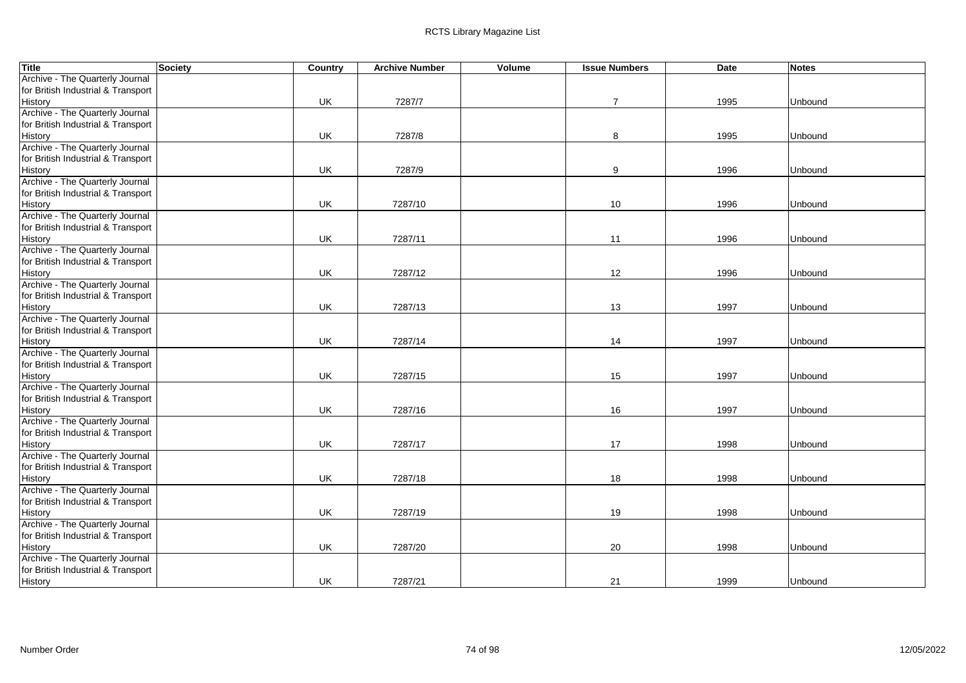| <b>Title</b>                       | Society | Country | <b>Archive Number</b> | Volume | <b>Issue Numbers</b> | <b>Date</b> | <b>Notes</b> |
|------------------------------------|---------|---------|-----------------------|--------|----------------------|-------------|--------------|
| Archive - The Quarterly Journal    |         |         |                       |        |                      |             |              |
| for British Industrial & Transport |         |         |                       |        |                      |             |              |
| History                            |         | UK      | 7287/7                |        | $\overline{7}$       | 1995        | Unbound      |
| Archive - The Quarterly Journal    |         |         |                       |        |                      |             |              |
| for British Industrial & Transport |         |         |                       |        |                      |             |              |
| History                            |         | UK      | 7287/8                |        | 8                    | 1995        | Unbound      |
| Archive - The Quarterly Journal    |         |         |                       |        |                      |             |              |
| for British Industrial & Transport |         |         |                       |        |                      |             |              |
| History                            |         | UK      | 7287/9                |        | 9                    | 1996        | Unbound      |
| Archive - The Quarterly Journal    |         |         |                       |        |                      |             |              |
| for British Industrial & Transport |         |         |                       |        |                      |             |              |
| History                            |         | UK      | 7287/10               |        | 10                   | 1996        | Unbound      |
| Archive - The Quarterly Journal    |         |         |                       |        |                      |             |              |
| for British Industrial & Transport |         |         |                       |        |                      |             |              |
| History                            |         | UK      | 7287/11               |        | 11                   | 1996        | Unbound      |
| Archive - The Quarterly Journal    |         |         |                       |        |                      |             |              |
| for British Industrial & Transport |         |         |                       |        |                      |             |              |
| History                            |         | UK      | 7287/12               |        | 12                   | 1996        | Unbound      |
| Archive - The Quarterly Journal    |         |         |                       |        |                      |             |              |
| for British Industrial & Transport |         |         |                       |        |                      |             |              |
| History                            |         | UK      | 7287/13               |        | 13                   | 1997        | Unbound      |
| Archive - The Quarterly Journal    |         |         |                       |        |                      |             |              |
| for British Industrial & Transport |         |         |                       |        |                      |             |              |
| History                            |         | UK      | 7287/14               |        | 14                   | 1997        | Unbound      |
| Archive - The Quarterly Journal    |         |         |                       |        |                      |             |              |
| for British Industrial & Transport |         |         |                       |        |                      |             |              |
| History                            |         | UK      | 7287/15               |        | 15                   | 1997        | Unbound      |
| Archive - The Quarterly Journal    |         |         |                       |        |                      |             |              |
| for British Industrial & Transport |         |         |                       |        |                      |             |              |
| History                            |         | UK      | 7287/16               |        | 16                   | 1997        | Unbound      |
| Archive - The Quarterly Journal    |         |         |                       |        |                      |             |              |
| for British Industrial & Transport |         |         |                       |        |                      |             |              |
| History                            |         | UK      | 7287/17               |        | 17                   | 1998        | Unbound      |
| Archive - The Quarterly Journal    |         |         |                       |        |                      |             |              |
| for British Industrial & Transport |         |         |                       |        |                      |             |              |
| History                            |         | UK      | 7287/18               |        | 18                   | 1998        | Unbound      |
| Archive - The Quarterly Journal    |         |         |                       |        |                      |             |              |
| for British Industrial & Transport |         |         |                       |        |                      |             |              |
| History                            |         | UK      | 7287/19               |        | 19                   | 1998        | Unbound      |
| Archive - The Quarterly Journal    |         |         |                       |        |                      |             |              |
| for British Industrial & Transport |         |         |                       |        |                      |             |              |
| History                            |         | UK      | 7287/20               |        | 20                   | 1998        | Unbound      |
| Archive - The Quarterly Journal    |         |         |                       |        |                      |             |              |
| for British Industrial & Transport |         |         |                       |        |                      |             |              |
| History                            |         | UK      | 7287/21               |        | 21                   | 1999        | Unbound      |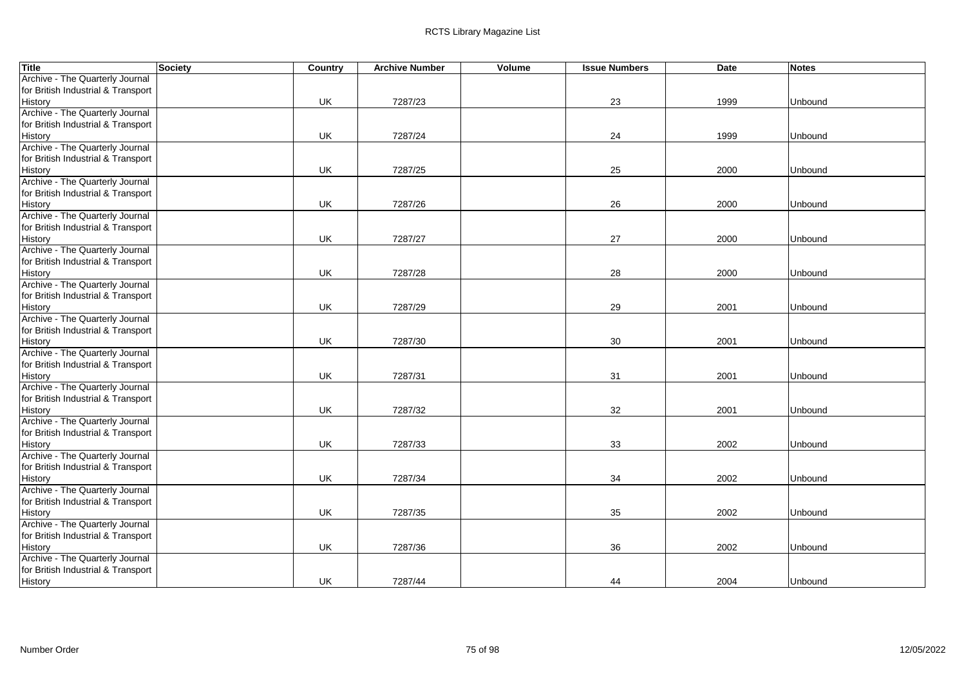| <b>Title</b>                       | Society | Country | <b>Archive Number</b> | Volume | <b>Issue Numbers</b> | <b>Date</b> | <b>Notes</b> |
|------------------------------------|---------|---------|-----------------------|--------|----------------------|-------------|--------------|
| Archive - The Quarterly Journal    |         |         |                       |        |                      |             |              |
| for British Industrial & Transport |         |         |                       |        |                      |             |              |
| History                            |         | UK      | 7287/23               |        | 23                   | 1999        | Unbound      |
| Archive - The Quarterly Journal    |         |         |                       |        |                      |             |              |
| for British Industrial & Transport |         |         |                       |        |                      |             |              |
| History                            |         | UK      | 7287/24               |        | 24                   | 1999        | Unbound      |
| Archive - The Quarterly Journal    |         |         |                       |        |                      |             |              |
| for British Industrial & Transport |         |         |                       |        |                      |             |              |
| History                            |         | UK      | 7287/25               |        | 25                   | 2000        | Unbound      |
| Archive - The Quarterly Journal    |         |         |                       |        |                      |             |              |
| for British Industrial & Transport |         |         |                       |        |                      |             |              |
| History                            |         | UK      | 7287/26               |        | 26                   | 2000        | Unbound      |
| Archive - The Quarterly Journal    |         |         |                       |        |                      |             |              |
| for British Industrial & Transport |         |         |                       |        |                      |             |              |
| History                            |         | UK      | 7287/27               |        | 27                   | 2000        | Unbound      |
| Archive - The Quarterly Journal    |         |         |                       |        |                      |             |              |
| for British Industrial & Transport |         |         |                       |        |                      |             |              |
| History                            |         | UK      | 7287/28               |        | 28                   | 2000        | Unbound      |
| Archive - The Quarterly Journal    |         |         |                       |        |                      |             |              |
| for British Industrial & Transport |         |         |                       |        |                      |             |              |
| History                            |         | UK      | 7287/29               |        | 29                   | 2001        | Unbound      |
| Archive - The Quarterly Journal    |         |         |                       |        |                      |             |              |
| for British Industrial & Transport |         |         |                       |        |                      |             |              |
| History                            |         | UK      | 7287/30               |        | 30                   | 2001        | Unbound      |
| Archive - The Quarterly Journal    |         |         |                       |        |                      |             |              |
| for British Industrial & Transport |         |         |                       |        |                      |             |              |
| History                            |         | UK      | 7287/31               |        | 31                   | 2001        | Unbound      |
| Archive - The Quarterly Journal    |         |         |                       |        |                      |             |              |
| for British Industrial & Transport |         |         |                       |        |                      |             |              |
| History                            |         | UK      | 7287/32               |        | 32                   | 2001        | Unbound      |
| Archive - The Quarterly Journal    |         |         |                       |        |                      |             |              |
| for British Industrial & Transport |         |         |                       |        |                      |             |              |
| History                            |         | UK      | 7287/33               |        | 33                   | 2002        | Unbound      |
| Archive - The Quarterly Journal    |         |         |                       |        |                      |             |              |
| for British Industrial & Transport |         |         |                       |        |                      |             |              |
| History                            |         | UK      | 7287/34               |        | 34                   | 2002        | Unbound      |
| Archive - The Quarterly Journal    |         |         |                       |        |                      |             |              |
| for British Industrial & Transport |         |         |                       |        |                      |             |              |
| History                            |         | UK      | 7287/35               |        | 35                   | 2002        | Unbound      |
| Archive - The Quarterly Journal    |         |         |                       |        |                      |             |              |
| for British Industrial & Transport |         |         |                       |        |                      |             |              |
| History                            |         | UK      | 7287/36               |        | 36                   | 2002        | Unbound      |
| Archive - The Quarterly Journal    |         |         |                       |        |                      |             |              |
| for British Industrial & Transport |         |         |                       |        |                      |             |              |
| History                            |         | UK      | 7287/44               |        | 44                   | 2004        | Unbound      |
|                                    |         |         |                       |        |                      |             |              |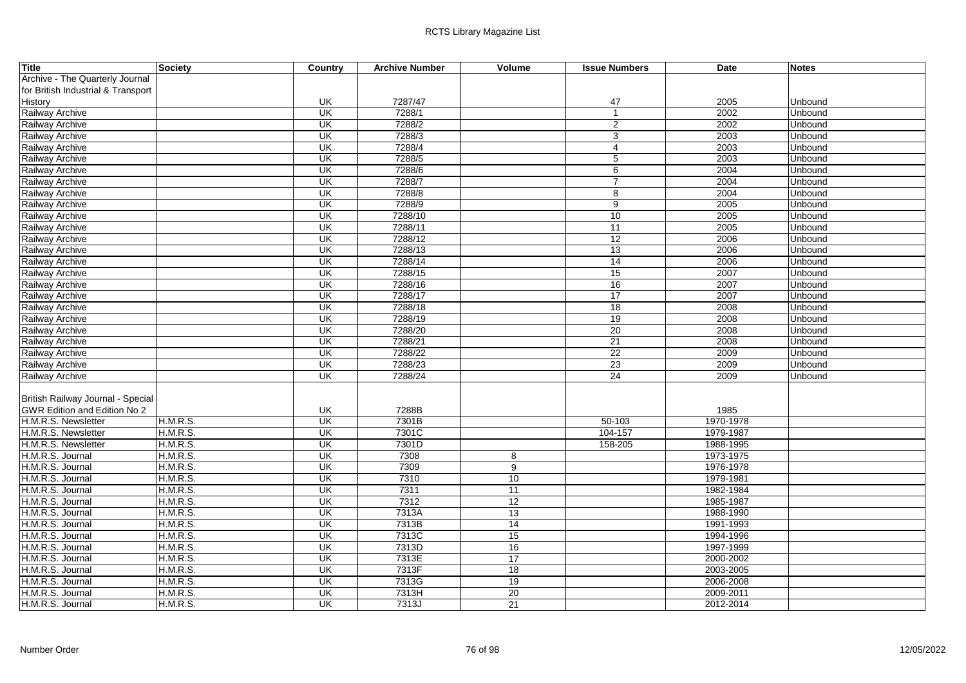| <b>Title</b>                       | Society         | Country                   | <b>Archive Number</b> | Volume          | <b>Issue Numbers</b> | <b>Date</b> | <b>Notes</b> |
|------------------------------------|-----------------|---------------------------|-----------------------|-----------------|----------------------|-------------|--------------|
| Archive - The Quarterly Journal    |                 |                           |                       |                 |                      |             |              |
| for British Industrial & Transport |                 |                           |                       |                 |                      |             |              |
| History                            |                 | UK                        | 7287/47               |                 | 47                   | 2005        | Unbound      |
| Railway Archive                    |                 | UK                        | 7288/1                |                 | $\mathbf{1}$         | 2002        | Unbound      |
| Railway Archive                    |                 | UK                        | 7288/2                |                 | $\overline{2}$       | 2002        | Unbound      |
| Railway Archive                    |                 | UK                        | 7288/3                |                 | $\overline{3}$       | 2003        | Unbound      |
| Railway Archive                    |                 | UK                        | 7288/4                |                 | $\overline{4}$       | 2003        | Unbound      |
| Railway Archive                    |                 | $\overline{\mathsf{U}}$ K | 7288/5                |                 | 5                    | 2003        | Unbound      |
| Railway Archive                    |                 | UK                        | 7288/6                |                 | 6                    | 2004        | Unbound      |
| <b>Railway Archive</b>             |                 | UK                        | 7288/7                |                 | $\overline{7}$       | 2004        | Unbound      |
| Railway Archive                    |                 | UK                        | 7288/8                |                 | 8                    | 2004        | Unbound      |
| Railway Archive                    |                 | UK                        | 7288/9                |                 | $\overline{9}$       | 2005        | Unbound      |
| Railway Archive                    |                 | $\overline{\mathsf{U}}$   | 7288/10               |                 | 10                   | 2005        | Unbound      |
| Railway Archive                    |                 | $\overline{\mathsf{U}}$   | 7288/11               |                 | 11                   | 2005        | Unbound      |
| Railway Archive                    |                 | UK                        | 7288/12               |                 | 12                   | 2006        | Unbound      |
| Railway Archive                    |                 | UK                        | 7288/13               |                 | 13                   | 2006        | Unbound      |
| Railway Archive                    |                 | UK                        | 7288/14               |                 | 14                   | 2006        | Unbound      |
| Railway Archive                    |                 | <b>UK</b>                 | 7288/15               |                 | 15                   | 2007        | Unbound      |
| Railway Archive                    |                 | $\overline{\mathsf{U}}$   | 7288/16               |                 | 16                   | 2007        | Unbound      |
| Railway Archive                    |                 | $\overline{\mathsf{U}}$   | 7288/17               |                 | 17                   | 2007        | Unbound      |
| <b>Railway Archive</b>             |                 | UK                        | 7288/18               |                 | 18                   | 2008        | Unbound      |
| Railway Archive                    |                 | UK                        | 7288/19               |                 | 19                   | 2008        | Unbound      |
| Railway Archive                    |                 | UK                        | 7288/20               |                 | $\overline{20}$      | 2008        | Unbound      |
| Railway Archive                    |                 | $\overline{\mathsf{U}}$   | 7288/21               |                 | 21                   | 2008        | Unbound      |
| Railway Archive                    |                 | $\overline{\mathsf{U}}$   | 7288/22               |                 | 22                   | 2009        | Unbound      |
| Railway Archive                    |                 | UK                        | 7288/23               |                 | $\overline{23}$      | 2009        | Unbound      |
| Railway Archive                    |                 | UK                        | 7288/24               |                 | $\overline{24}$      | 2009        | Unbound      |
| British Railway Journal - Special  |                 |                           |                       |                 |                      |             |              |
| GWR Edition and Edition No 2       |                 | UK                        | 7288B                 |                 |                      | 1985        |              |
| H.M.R.S. Newsletter                | <b>H.M.R.S.</b> | <b>UK</b>                 | 7301B                 |                 | $50 - 103$           | 1970-1978   |              |
| H.M.R.S. Newsletter                | <b>H.M.R.S.</b> | UK                        | 7301C                 |                 | 104-157              | 1979-1987   |              |
| H.M.R.S. Newsletter                | H.M.R.S.        | UK                        | 7301D                 |                 | 158-205              | 1988-1995   |              |
| H.M.R.S. Journal                   | H.M.R.S.        | UK                        | 7308                  | 8               |                      | 1973-1975   |              |
| H.M.R.S. Journal                   | <b>H.M.R.S.</b> | $\overline{\mathsf{U}}$   | 7309                  | 9               |                      | 1976-1978   |              |
| H.M.R.S. Journal                   | <b>H.M.R.S.</b> | $\overline{\mathsf{U}}$   | 7310                  | 10              |                      | 1979-1981   |              |
| H.M.R.S. Journal                   | <b>H.M.R.S.</b> | UK                        | 7311                  | 11              |                      | 1982-1984   |              |
| H.M.R.S. Journal                   | <b>H.M.R.S.</b> | UK                        | 7312                  | 12              |                      | 1985-1987   |              |
| H.M.R.S. Journal                   | H.M.R.S.        | UK                        | 7313A                 | 13              |                      | 1988-1990   |              |
| H.M.R.S. Journal                   | <b>H.M.R.S.</b> | $\overline{\mathsf{U}}$   | 7313B                 | 14              |                      | 1991-1993   |              |
| H.M.R.S. Journal                   | <b>H.M.R.S.</b> | $\overline{\mathsf{U}}$   | 7313C                 | 15              |                      | 1994-1996   |              |
| H.M.R.S. Journal                   | <b>H.M.R.S.</b> | UK                        | 7313D                 | 16              |                      | 1997-1999   |              |
| H.M.R.S. Journal                   | <b>H.M.R.S.</b> | UK                        | 7313E                 | 17              |                      | 2000-2002   |              |
| H.M.R.S. Journal                   | H.M.R.S.        | UK                        | 7313F                 | 18              |                      | 2003-2005   |              |
| H.M.R.S. Journal                   | <b>H.M.R.S.</b> | UK                        | 7313G                 | 19              |                      | 2006-2008   |              |
| H.M.R.S. Journal                   | <b>H.M.R.S.</b> | UK                        | 7313H                 | $\overline{20}$ |                      | 2009-2011   |              |
| H.M.R.S. Journal                   | <b>H.M.R.S.</b> | $\overline{\mathsf{U}}$   | 7313J                 | 21              |                      | 2012-2014   |              |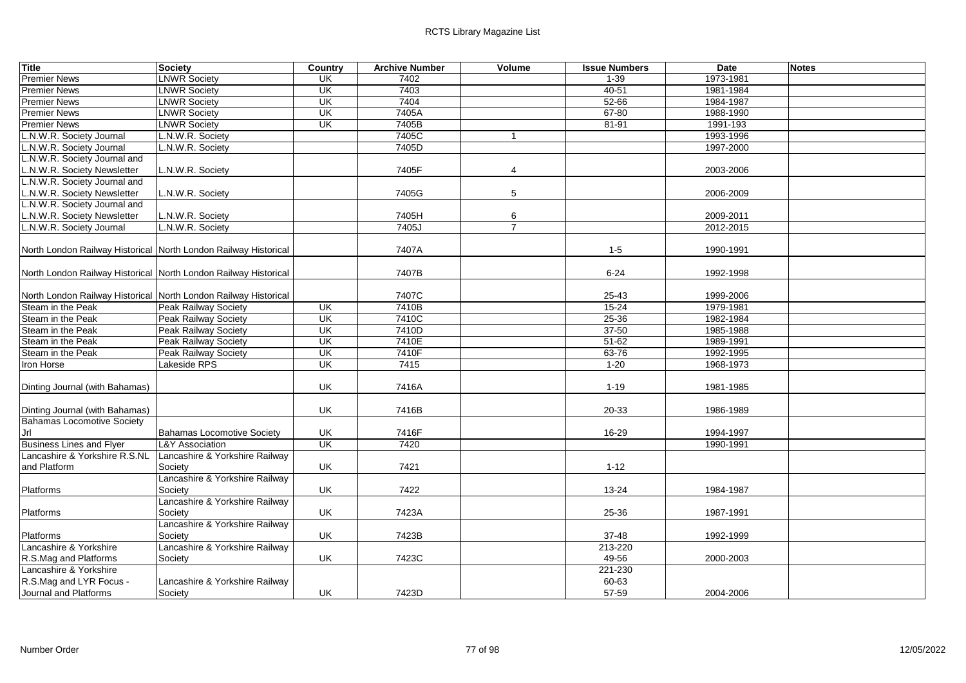| <b>Title</b>                                                    | <b>Society</b>                            | <b>Country</b>           | <b>Archive Number</b> | Volume         | <b>Issue Numbers</b> | <b>Date</b> | <b>Notes</b> |
|-----------------------------------------------------------------|-------------------------------------------|--------------------------|-----------------------|----------------|----------------------|-------------|--------------|
| <b>Premier News</b>                                             | <b>LNWR Society</b>                       | UK                       | 7402                  |                | $1 - 39$             | 1973-1981   |              |
| <b>Premier News</b>                                             | <b>LNWR Society</b>                       | <b>UK</b>                | 7403                  |                | 40-51                | 1981-1984   |              |
| <b>Premier News</b>                                             | <b>LNWR Society</b>                       | UK                       | 7404                  |                | 52-66                | 1984-1987   |              |
| <b>Premier News</b>                                             | <b>LNWR Society</b>                       | $\overline{\mathsf{U}}$  | 7405A                 |                | $67 - 80$            | 1988-1990   |              |
| <b>Premier News</b>                                             | <b>LNWR Society</b>                       | UK                       | 7405B                 |                | 81-91                | 1991-193    |              |
| L.N.W.R. Society Journal                                        | L.N.W.R. Society                          |                          | 7405C                 |                |                      | 1993-1996   |              |
| L.N.W.R. Society Journal                                        | L.N.W.R. Society                          |                          | 7405D                 |                |                      | 1997-2000   |              |
| L.N.W.R. Society Journal and                                    |                                           |                          |                       |                |                      |             |              |
| L.N.W.R. Society Newsletter                                     | L.N.W.R. Society                          |                          | 7405F                 | 4              |                      | 2003-2006   |              |
| L.N.W.R. Society Journal and                                    |                                           |                          |                       |                |                      |             |              |
| L.N.W.R. Society Newsletter                                     | L.N.W.R. Society                          |                          | 7405G                 | 5              |                      | 2006-2009   |              |
| L.N.W.R. Society Journal and                                    |                                           |                          |                       |                |                      |             |              |
| L.N.W.R. Society Newsletter                                     | L.N.W.R. Society                          |                          | 7405H                 | 6              |                      | 2009-2011   |              |
| L.N.W.R. Society Journal                                        | L.N.W.R. Society                          |                          | 7405J                 | $\overline{7}$ |                      | 2012-2015   |              |
|                                                                 |                                           |                          |                       |                |                      |             |              |
| North London Railway Historical North London Railway Historical |                                           |                          | 7407A                 |                | $1 - 5$              | 1990-1991   |              |
|                                                                 |                                           |                          |                       |                |                      |             |              |
| North London Railway Historical North London Railway Historical |                                           |                          | 7407B                 |                | $6 - 24$             | 1992-1998   |              |
|                                                                 |                                           |                          |                       |                |                      |             |              |
| North London Railway Historical North London Railway Historical |                                           |                          | 7407C                 |                | 25-43                | 1999-2006   |              |
| Steam in the Peak                                               | Peak Railway Society                      | $\overline{\mathsf{CK}}$ | 7410B                 |                | $15 - 24$            | 1979-1981   |              |
| Steam in the Peak                                               | Peak Railway Society                      | $\overline{\mathsf{U}}$  | 7410C                 |                | $25 - 36$            | 1982-1984   |              |
| Steam in the Peak                                               | Peak Railway Society                      | UK                       | 7410D                 |                | $37 - 50$            | 1985-1988   |              |
| Steam in the Peak                                               | Peak Railway Society                      | $\overline{\mathsf{U}}$  | 7410E                 |                | $51 - 62$            | 1989-1991   |              |
| Steam in the Peak                                               | Peak Railway Society                      | UK                       | 7410F                 |                | 63-76                | 1992-1995   |              |
| Iron Horse                                                      | Lakeside RPS                              | UK                       | 7415                  |                | $1 - 20$             | 1968-1973   |              |
|                                                                 |                                           |                          |                       |                |                      |             |              |
| Dinting Journal (with Bahamas)                                  |                                           | UK                       | 7416A                 |                | $1 - 19$             | 1981-1985   |              |
|                                                                 |                                           |                          |                       |                |                      |             |              |
| Dinting Journal (with Bahamas)                                  |                                           | UK                       | 7416B                 |                | 20-33                | 1986-1989   |              |
| <b>Bahamas Locomotive Society</b>                               |                                           |                          |                       |                |                      |             |              |
| Jrl                                                             | Bahamas Locomotive Society                | UK                       | 7416F                 |                | 16-29                | 1994-1997   |              |
| <b>Business Lines and Flyer</b>                                 | <b>L&amp;Y Association</b>                | UK                       | 7420                  |                |                      | 1990-1991   |              |
| Lancashire & Yorkshire R.S.NL<br>and Platform                   | Lancashire & Yorkshire Railway            | UK                       | 7421                  |                | $1 - 12$             |             |              |
|                                                                 | Society                                   |                          |                       |                |                      |             |              |
|                                                                 | Lancashire & Yorkshire Railway            |                          |                       |                |                      |             |              |
| Platforms                                                       | Society<br>Lancashire & Yorkshire Railway | UK                       | 7422                  |                | 13-24                | 1984-1987   |              |
| Platforms                                                       | Society                                   | UK                       | 7423A                 |                | 25-36                | 1987-1991   |              |
|                                                                 |                                           |                          |                       |                |                      |             |              |
|                                                                 | Lancashire & Yorkshire Railway            | UK                       | 7423B                 |                |                      |             |              |
| Platforms<br>Lancashire & Yorkshire                             | Society<br>Lancashire & Yorkshire Railway |                          |                       |                | 37-48<br>213-220     | 1992-1999   |              |
|                                                                 |                                           | UK                       | 7423C                 |                | 49-56                |             |              |
| R.S.Mag and Platforms<br>Lancashire & Yorkshire                 | Society                                   |                          |                       |                | 221-230              | 2000-2003   |              |
| R.S.Mag and LYR Focus -                                         | Lancashire & Yorkshire Railway            |                          |                       |                | 60-63                |             |              |
| Journal and Platforms                                           |                                           | UK                       | 7423D                 |                | 57-59                |             |              |
|                                                                 | Society                                   |                          |                       |                |                      | 2004-2006   |              |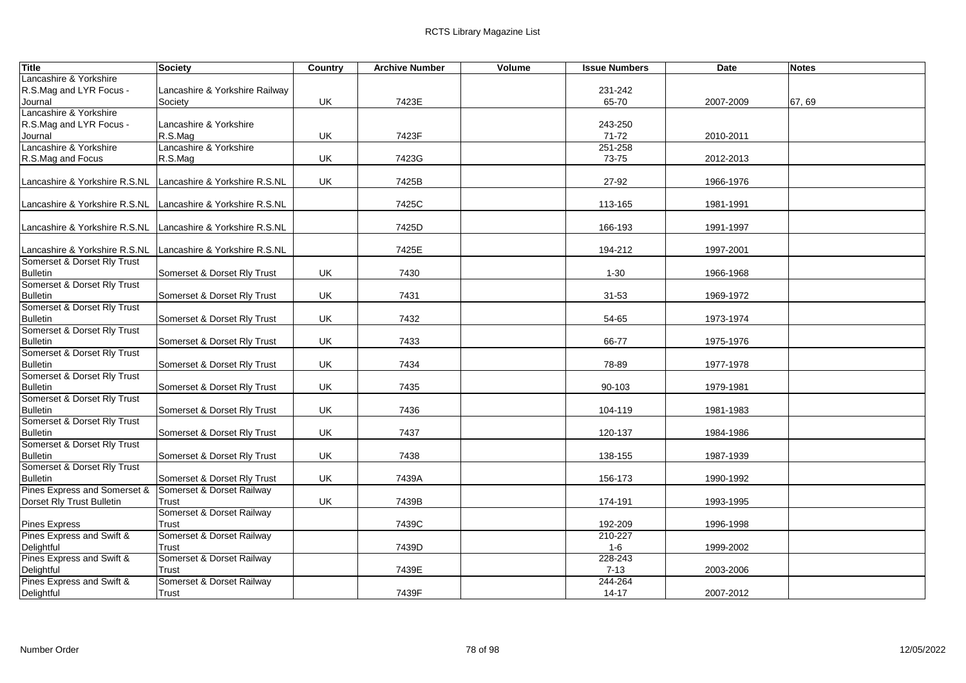| <b>Title</b>                                                 | Society                        | Country | <b>Archive Number</b> | Volume | <b>Issue Numbers</b> | Date      | <b>Notes</b> |
|--------------------------------------------------------------|--------------------------------|---------|-----------------------|--------|----------------------|-----------|--------------|
| Lancashire & Yorkshire                                       |                                |         |                       |        |                      |           |              |
| R.S.Mag and LYR Focus -                                      | Lancashire & Yorkshire Railway |         |                       |        | 231-242              |           |              |
| Journal                                                      | Society                        | UK      | 7423E                 |        | 65-70                | 2007-2009 | 67,69        |
| Lancashire & Yorkshire                                       |                                |         |                       |        |                      |           |              |
| R.S.Mag and LYR Focus -                                      | Lancashire & Yorkshire         |         |                       |        | 243-250              |           |              |
| Journal                                                      | R.S.Mag                        | UK      | 7423F                 |        | $71 - 72$            | 2010-2011 |              |
| Lancashire & Yorkshire                                       | Lancashire & Yorkshire         |         |                       |        | 251-258              |           |              |
| R.S.Mag and Focus                                            | R.S.Mag                        | UK      | 7423G                 |        | 73-75                | 2012-2013 |              |
|                                                              |                                |         |                       |        |                      |           |              |
| Lancashire & Yorkshire R.S.NL                                | Lancashire & Yorkshire R.S.NL  | UK      | 7425B                 |        | 27-92                | 1966-1976 |              |
|                                                              |                                |         |                       |        |                      |           |              |
| Lancashire & Yorkshire R.S.NL                                | Lancashire & Yorkshire R.S.NL  |         | 7425C                 |        | 113-165              | 1981-1991 |              |
|                                                              |                                |         |                       |        |                      |           |              |
| Lancashire & Yorkshire R.S.NL                                | Lancashire & Yorkshire R.S.NL  |         | 7425D                 |        | 166-193              | 1991-1997 |              |
|                                                              |                                |         |                       |        |                      |           |              |
| Lancashire & Yorkshire R.S.NL<br>Somerset & Dorset Rly Trust | Lancashire & Yorkshire R.S.NL  |         | 7425E                 |        | 194-212              | 1997-2001 |              |
| <b>Bulletin</b>                                              | Somerset & Dorset Rly Trust    | UK      | 7430                  |        | 1-30                 | 1966-1968 |              |
| Somerset & Dorset Rly Trust                                  |                                |         |                       |        |                      |           |              |
| <b>Bulletin</b>                                              | Somerset & Dorset Rly Trust    | UK      | 7431                  |        | $31 - 53$            | 1969-1972 |              |
| Somerset & Dorset Rly Trust                                  |                                |         |                       |        |                      |           |              |
| <b>Bulletin</b>                                              | Somerset & Dorset Rly Trust    | UK      | 7432                  |        | 54-65                | 1973-1974 |              |
| Somerset & Dorset Rly Trust                                  |                                |         |                       |        |                      |           |              |
| <b>Bulletin</b>                                              | Somerset & Dorset Rly Trust    | UK      | 7433                  |        | 66-77                | 1975-1976 |              |
| Somerset & Dorset Rly Trust                                  |                                |         |                       |        |                      |           |              |
| <b>Bulletin</b>                                              | Somerset & Dorset Rly Trust    | UK      | 7434                  |        | 78-89                | 1977-1978 |              |
| Somerset & Dorset Rly Trust                                  |                                |         |                       |        |                      |           |              |
| <b>Bulletin</b>                                              | Somerset & Dorset Rly Trust    | UK      | 7435                  |        | 90-103               | 1979-1981 |              |
| Somerset & Dorset Rly Trust                                  |                                |         |                       |        |                      |           |              |
| <b>Bulletin</b>                                              | Somerset & Dorset Rly Trust    | UK      | 7436                  |        | 104-119              | 1981-1983 |              |
| Somerset & Dorset Rly Trust                                  |                                |         |                       |        |                      |           |              |
| <b>Bulletin</b>                                              | Somerset & Dorset Rly Trust    | UK      | 7437                  |        | 120-137              | 1984-1986 |              |
| Somerset & Dorset Rly Trust                                  |                                |         |                       |        |                      |           |              |
| <b>Bulletin</b>                                              | Somerset & Dorset Rly Trust    | UK      | 7438                  |        | 138-155              | 1987-1939 |              |
| Somerset & Dorset Rly Trust                                  |                                |         |                       |        |                      |           |              |
| <b>Bulletin</b>                                              | Somerset & Dorset Rly Trust    | UK      | 7439A                 |        | 156-173              | 1990-1992 |              |
| Pines Express and Somerset &                                 | Somerset & Dorset Railway      |         |                       |        |                      |           |              |
| Dorset Rly Trust Bulletin                                    | Trust                          | UK      | 7439B                 |        | 174-191              | 1993-1995 |              |
|                                                              | Somerset & Dorset Railway      |         |                       |        |                      |           |              |
| Pines Express                                                | Trust                          |         | 7439C                 |        | 192-209              | 1996-1998 |              |
| Pines Express and Swift &                                    | Somerset & Dorset Railway      |         |                       |        | 210-227              |           |              |
| Delightful                                                   | Trust                          |         | 7439D                 |        | $1 - 6$              | 1999-2002 |              |
| Pines Express and Swift &                                    | Somerset & Dorset Railway      |         |                       |        | 228-243              |           |              |
| Delightful                                                   | Trust                          |         | 7439E                 |        | $7 - 13$             | 2003-2006 |              |
| Pines Express and Swift &                                    | Somerset & Dorset Railway      |         |                       |        | 244-264              |           |              |
| Delightful                                                   | Trust                          |         | 7439F                 |        | $14 - 17$            | 2007-2012 |              |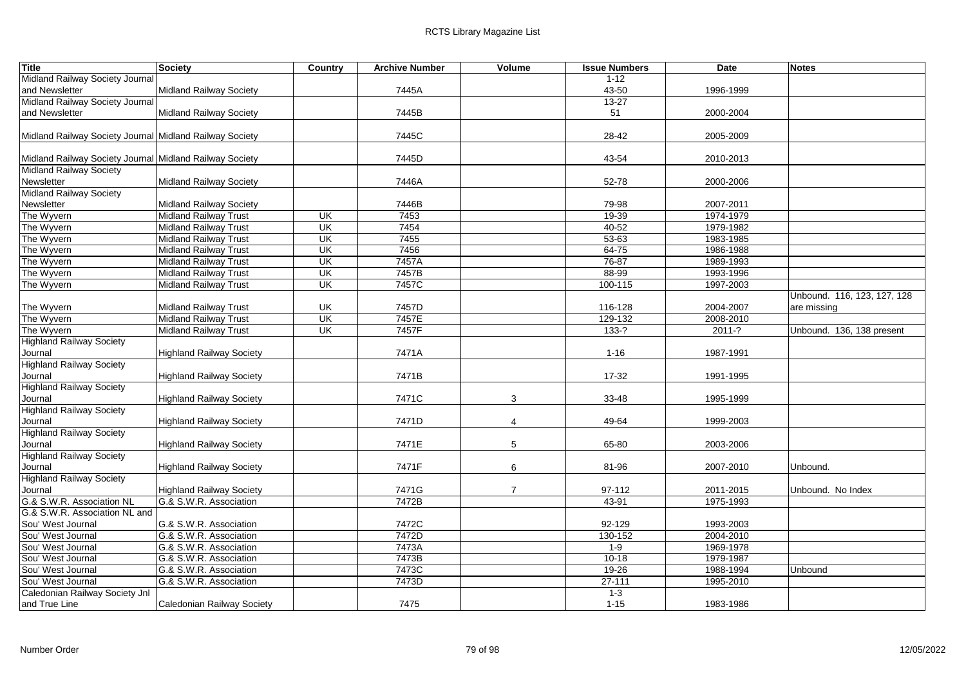| <b>Title</b>                                            | Society                         | Country                  | <b>Archive Number</b> | Volume         | <b>Issue Numbers</b> | <b>Date</b> | <b>Notes</b>                |
|---------------------------------------------------------|---------------------------------|--------------------------|-----------------------|----------------|----------------------|-------------|-----------------------------|
| Midland Railway Society Journal                         |                                 |                          |                       |                | $1 - 12$             |             |                             |
| and Newsletter                                          | Midland Railway Society         |                          | 7445A                 |                | 43-50                | 1996-1999   |                             |
| Midland Railway Society Journal                         |                                 |                          |                       |                | $13 - 27$            |             |                             |
| and Newsletter                                          | <b>Midland Railway Society</b>  |                          | 7445B                 |                | 51                   | 2000-2004   |                             |
|                                                         |                                 |                          |                       |                |                      |             |                             |
| Midland Railway Society Journal Midland Railway Society |                                 |                          | 7445C                 |                | 28-42                | 2005-2009   |                             |
|                                                         |                                 |                          |                       |                |                      |             |                             |
| Midland Railway Society Journal Midland Railway Society |                                 |                          | 7445D                 |                | 43-54                | 2010-2013   |                             |
| <b>Midland Railway Society</b>                          |                                 |                          |                       |                |                      |             |                             |
| Newsletter                                              | Midland Railway Society         |                          | 7446A                 |                | 52-78                | 2000-2006   |                             |
| <b>Midland Railway Society</b>                          |                                 |                          |                       |                |                      |             |                             |
| Newsletter                                              | <b>Midland Railway Society</b>  |                          | 7446B                 |                | 79-98                | 2007-2011   |                             |
| The Wyvern                                              | <b>Midland Railway Trust</b>    | UK                       | 7453                  |                | 19-39                | 1974-1979   |                             |
| The Wyvern                                              | <b>Midland Railway Trust</b>    | $\overline{\mathsf{U}}$  | 7454                  |                | $40 - 52$            | 1979-1982   |                             |
| The Wyvern                                              | <b>Midland Railway Trust</b>    | $\overline{\mathsf{U}}$  | 7455                  |                | $53 - 63$            | 1983-1985   |                             |
| The Wyvern                                              | Midland Railway Trust           | $\overline{\mathsf{CK}}$ | 7456                  |                | 64-75                | 1986-1988   |                             |
| The Wyvern                                              | <b>Midland Railway Trust</b>    | $\overline{\mathsf{U}}$  | 7457A                 |                | 76-87                | 1989-1993   |                             |
| The Wyvern                                              | <b>Midland Railway Trust</b>    | UK                       | 7457B                 |                | 88-99                | 1993-1996   |                             |
| The Wyvern                                              | <b>Midland Railway Trust</b>    | UK                       | 7457C                 |                | 100-115              | 1997-2003   |                             |
|                                                         |                                 |                          |                       |                |                      |             | Unbound. 116, 123, 127, 128 |
| The Wyvern                                              | <b>Midland Railway Trust</b>    | UK                       | 7457D                 |                | 116-128              | 2004-2007   | are missing                 |
| The Wyvern                                              | Midland Railway Trust           | UK                       | 7457E                 |                | 129-132              | 2008-2010   |                             |
| The Wyvern                                              | <b>Midland Railway Trust</b>    | <b>UK</b>                | 7457F                 |                | $133-?$              | $2011-?$    | Unbound. 136, 138 present   |
| <b>Highland Railway Society</b>                         |                                 |                          |                       |                |                      |             |                             |
|                                                         | <b>Highland Railway Society</b> |                          | 7471A                 |                | $1 - 16$             | 1987-1991   |                             |
| Journal<br><b>Highland Railway Society</b>              |                                 |                          |                       |                |                      |             |                             |
|                                                         |                                 |                          | 7471B                 |                |                      |             |                             |
| Journal<br><b>Highland Railway Society</b>              | <b>Highland Railway Society</b> |                          |                       |                | 17-32                | 1991-1995   |                             |
|                                                         |                                 |                          |                       | 3              |                      |             |                             |
| Journal                                                 | <b>Highland Railway Society</b> |                          | 7471C                 |                | 33-48                | 1995-1999   |                             |
| <b>Highland Railway Society</b>                         |                                 |                          |                       |                |                      |             |                             |
| Journal                                                 | <b>Highland Railway Society</b> |                          | 7471D                 | $\overline{4}$ | 49-64                | 1999-2003   |                             |
| <b>Highland Railway Society</b>                         |                                 |                          |                       |                |                      |             |                             |
| Journal                                                 | <b>Highland Railway Society</b> |                          | 7471E                 | 5              | 65-80                | 2003-2006   |                             |
| <b>Highland Railway Society</b>                         |                                 |                          |                       |                |                      |             |                             |
| Journal                                                 | <b>Highland Railway Society</b> |                          | 7471F                 | 6              | 81-96                | 2007-2010   | Unbound.                    |
| <b>Highland Railway Society</b>                         |                                 |                          |                       |                |                      |             |                             |
| Journal                                                 | <b>Highland Railway Society</b> |                          | 7471G                 | $\overline{7}$ | 97-112               | 2011-2015   | Unbound. No Index           |
| G.& S.W.R. Association NL                               | G.& S.W.R. Association          |                          | 7472B                 |                | 43-91                | 1975-1993   |                             |
| G.& S.W.R. Association NL and                           |                                 |                          |                       |                |                      |             |                             |
| Sou' West Journal                                       | G.& S.W.R. Association          |                          | 7472C                 |                | 92-129               | 1993-2003   |                             |
| Sou' West Journal                                       | G.& S.W.R. Association          |                          | 7472D                 |                | 130-152              | 2004-2010   |                             |
| Sou' West Journal                                       | G.& S.W.R. Association          |                          | 7473A                 |                | $1 - 9$              | 1969-1978   |                             |
| Sou' West Journal                                       | G.& S.W.R. Association          |                          | 7473B                 |                | $10 - 18$            | 1979-1987   |                             |
| Sou' West Journal                                       | G.& S.W.R. Association          |                          | 7473C                 |                | $19 - 26$            | 1988-1994   | Unbound                     |
| Sou' West Journal                                       | G.& S.W.R. Association          |                          | 7473D                 |                | $27 - 111$           | 1995-2010   |                             |
| Caledonian Railway Society Jnl                          |                                 |                          |                       |                | $1 - 3$              |             |                             |
| and True Line                                           | Caledonian Railway Society      |                          | 7475                  |                | $1 - 15$             | 1983-1986   |                             |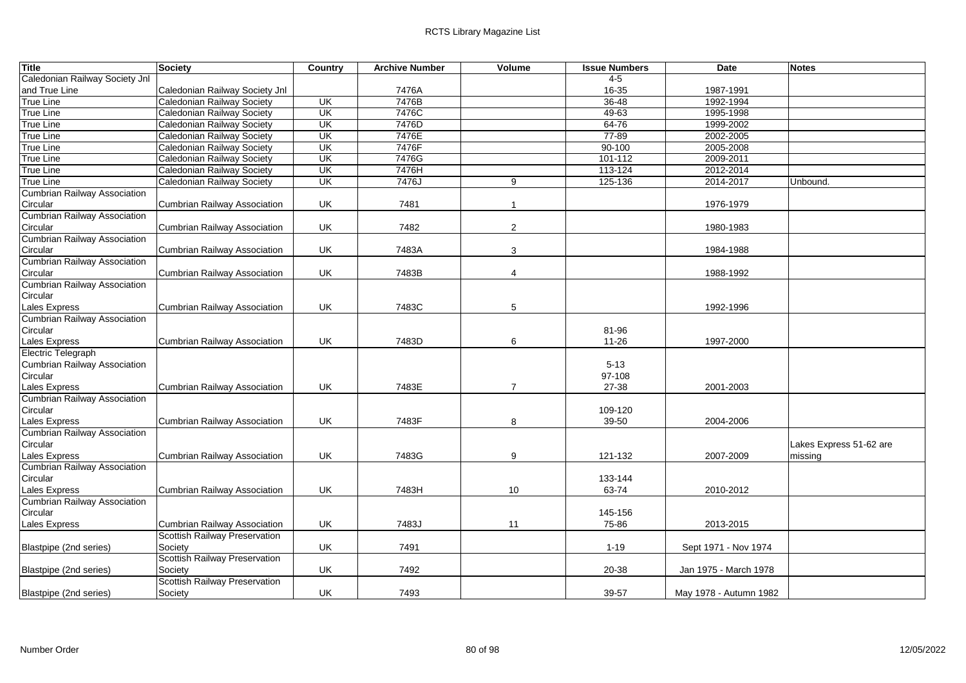| Title                               | <b>Society</b>                       | Country                  | <b>Archive Number</b> | Volume         | <b>Issue Numbers</b> | Date                   | <b>Notes</b>            |
|-------------------------------------|--------------------------------------|--------------------------|-----------------------|----------------|----------------------|------------------------|-------------------------|
| Caledonian Railway Society Jnl      |                                      |                          |                       |                | $4-5$                |                        |                         |
| and True Line                       | Caledonian Railway Society Jnl       |                          | 7476A                 |                | 16-35                | 1987-1991              |                         |
| <b>True Line</b>                    | Caledonian Railway Society           | <b>UK</b>                | 7476B                 |                | $36 - 48$            | 1992-1994              |                         |
| True Line                           | Caledonian Railway Society           | $\overline{\mathsf{CK}}$ | 7476C                 |                | $49 - 63$            | 1995-1998              |                         |
| <b>True Line</b>                    | Caledonian Railway Society           | UK                       | 7476D                 |                | $64 - 76$            | 1999-2002              |                         |
| True Line                           | Caledonian Railway Society           | $\overline{\mathsf{U}}$  | 7476E                 |                | $77 - 89$            | 2002-2005              |                         |
| <b>True Line</b>                    | Caledonian Railway Society           | <b>UK</b>                | 7476F                 |                | 90-100               | 2005-2008              |                         |
| True Line                           | Caledonian Railway Society           | UK                       | 7476G                 |                | 101-112              | 2009-2011              |                         |
| <b>True Line</b>                    | Caledonian Railway Society           | UK                       | 7476H                 |                | 113-124              | 2012-2014              |                         |
| <b>True Line</b>                    | <b>Caledonian Railway Society</b>    | UK                       | 7476J                 | 9              | 125-136              | 2014-2017              | Unbound.                |
| <b>Cumbrian Railway Association</b> |                                      |                          |                       |                |                      |                        |                         |
| Circular                            | Cumbrian Railway Association         | UK                       | 7481                  | $\mathbf{1}$   |                      | 1976-1979              |                         |
| <b>Cumbrian Railway Association</b> |                                      |                          |                       |                |                      |                        |                         |
| Circular                            | Cumbrian Railway Association         | UK                       | 7482                  | $\overline{2}$ |                      | 1980-1983              |                         |
| Cumbrian Railway Association        |                                      |                          |                       |                |                      |                        |                         |
| Circular                            | Cumbrian Railway Association         | UK                       | 7483A                 | 3              |                      | 1984-1988              |                         |
| <b>Cumbrian Railway Association</b> |                                      |                          |                       |                |                      |                        |                         |
| Circular                            | Cumbrian Railway Association         | UK                       | 7483B                 | 4              |                      | 1988-1992              |                         |
| <b>Cumbrian Railway Association</b> |                                      |                          |                       |                |                      |                        |                         |
| Circular                            |                                      |                          |                       |                |                      |                        |                         |
| Lales Express                       | <b>Cumbrian Railway Association</b>  | UK                       | 7483C                 | 5              |                      | 1992-1996              |                         |
| <b>Cumbrian Railway Association</b> |                                      |                          |                       |                |                      |                        |                         |
| Circular                            |                                      |                          |                       |                | 81-96                |                        |                         |
| <b>Lales Express</b>                | Cumbrian Railway Association         | UK                       | 7483D                 | 6              | $11 - 26$            | 1997-2000              |                         |
| Electric Telegraph                  |                                      |                          |                       |                |                      |                        |                         |
| Cumbrian Railway Association        |                                      |                          |                       |                | $5 - 13$             |                        |                         |
| Circular                            |                                      |                          |                       |                | 97-108               |                        |                         |
| Lales Express                       | Cumbrian Railway Association         | UK                       | 7483E                 | $\overline{7}$ | 27-38                | 2001-2003              |                         |
| <b>Cumbrian Railway Association</b> |                                      |                          |                       |                |                      |                        |                         |
| Circular                            |                                      |                          |                       |                | 109-120              |                        |                         |
| <b>Lales Express</b>                | <b>Cumbrian Railway Association</b>  | UK                       | 7483F                 | 8              | 39-50                | 2004-2006              |                         |
| <b>Cumbrian Railway Association</b> |                                      |                          |                       |                |                      |                        |                         |
| Circular                            |                                      |                          |                       |                |                      |                        | Lakes Express 51-62 are |
| Lales Express                       | Cumbrian Railway Association         | UK                       | 7483G                 | 9              | 121-132              | 2007-2009              | missing                 |
| <b>Cumbrian Railway Association</b> |                                      |                          |                       |                |                      |                        |                         |
| Circular                            |                                      |                          |                       |                | 133-144              |                        |                         |
| Lales Express                       | Cumbrian Railway Association         | UK                       | 7483H                 | 10             | 63-74                | 2010-2012              |                         |
| <b>Cumbrian Railway Association</b> |                                      |                          |                       |                |                      |                        |                         |
| Circular                            |                                      |                          |                       |                | 145-156              |                        |                         |
| <b>Lales Express</b>                | Cumbrian Railway Association         | UK                       | 7483J                 | 11             | 75-86                | 2013-2015              |                         |
|                                     | <b>Scottish Railway Preservation</b> |                          |                       |                |                      |                        |                         |
| Blastpipe (2nd series)              | Society                              | UK                       | 7491                  |                | $1 - 19$             | Sept 1971 - Nov 1974   |                         |
|                                     | <b>Scottish Railway Preservation</b> |                          |                       |                |                      |                        |                         |
| Blastpipe (2nd series)              | Society                              | UK                       | 7492                  |                | 20-38                | Jan 1975 - March 1978  |                         |
|                                     | Scottish Railway Preservation        |                          |                       |                |                      |                        |                         |
| Blastpipe (2nd series)              | Society                              | UK                       | 7493                  |                | 39-57                | May 1978 - Autumn 1982 |                         |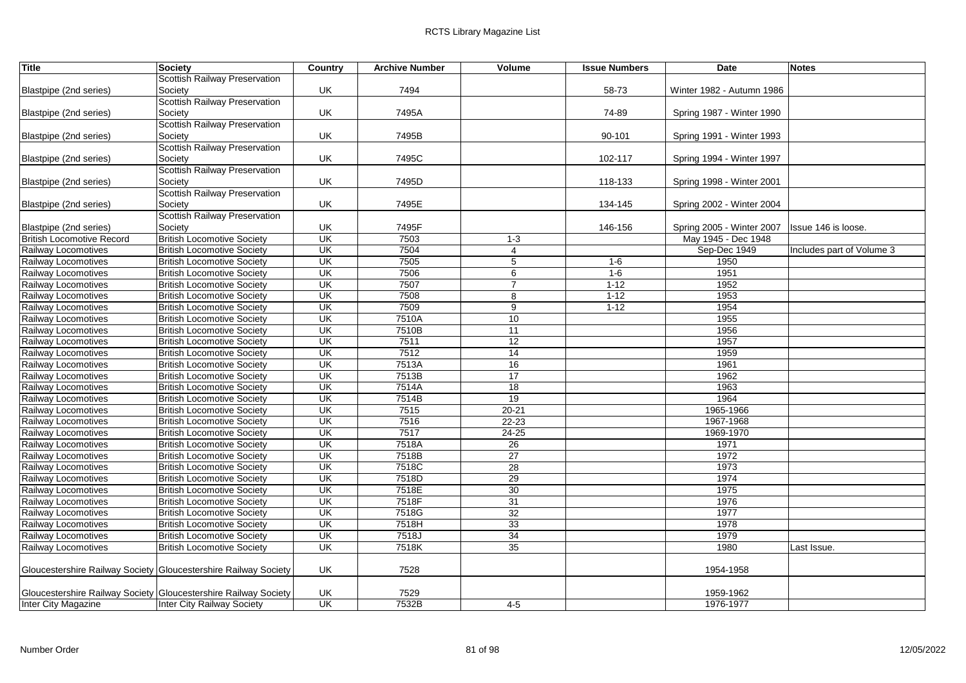| <b>Title</b>                     | Society                                                         | Country                             | <b>Archive Number</b> | Volume          | <b>Issue Numbers</b> | Date                      | <b>Notes</b>              |
|----------------------------------|-----------------------------------------------------------------|-------------------------------------|-----------------------|-----------------|----------------------|---------------------------|---------------------------|
|                                  | Scottish Railway Preservation                                   |                                     |                       |                 |                      |                           |                           |
| Blastpipe (2nd series)           | Society                                                         | UK                                  | 7494                  |                 | 58-73                | Winter 1982 - Autumn 1986 |                           |
|                                  | Scottish Railway Preservation                                   |                                     |                       |                 |                      |                           |                           |
| Blastpipe (2nd series)           | Society                                                         | UK                                  | 7495A                 |                 | 74-89                | Spring 1987 - Winter 1990 |                           |
|                                  | Scottish Railway Preservation                                   |                                     |                       |                 |                      |                           |                           |
| Blastpipe (2nd series)           | Society                                                         | UK                                  | 7495B                 |                 | 90-101               | Spring 1991 - Winter 1993 |                           |
|                                  | Scottish Railway Preservation                                   |                                     |                       |                 |                      |                           |                           |
| Blastpipe (2nd series)           | Society                                                         | UK                                  | 7495C                 |                 | 102-117              | Spring 1994 - Winter 1997 |                           |
|                                  | Scottish Railway Preservation                                   |                                     |                       |                 |                      |                           |                           |
| Blastpipe (2nd series)           | Society                                                         | UK                                  | 7495D                 |                 | 118-133              | Spring 1998 - Winter 2001 |                           |
|                                  | <b>Scottish Railway Preservation</b>                            |                                     |                       |                 |                      |                           |                           |
| Blastpipe (2nd series)           | Society                                                         | UK                                  | 7495E                 |                 | 134-145              | Spring 2002 - Winter 2004 |                           |
|                                  | Scottish Railway Preservation                                   |                                     |                       |                 |                      |                           |                           |
| Blastpipe (2nd series)           | Society                                                         | UK                                  | 7495F                 |                 | 146-156              | Spring 2005 - Winter 2007 | Issue 146 is loose.       |
| <b>British Locomotive Record</b> | <b>British Locomotive Society</b>                               | UK                                  | 7503                  | $1 - 3$         |                      | May 1945 - Dec 1948       |                           |
| Railway Locomotives              | <b>British Locomotive Society</b>                               | UK                                  | 7504                  | $\overline{4}$  |                      | Sep-Dec 1949              | Includes part of Volume 3 |
| Railway Locomotives              | <b>British Locomotive Society</b>                               | $\overline{\mathsf{U}}$ K           | 7505                  | 5               | $1 - 6$              | 1950                      |                           |
| Railway Locomotives              | <b>British Locomotive Society</b>                               | UK                                  | 7506                  | 6               | $1 - 6$              | 1951                      |                           |
| Railway Locomotives              | <b>British Locomotive Society</b>                               | <b>UK</b>                           | 7507                  | $\overline{7}$  | $1 - 12$             | 1952                      |                           |
| Railway Locomotives              | <b>British Locomotive Society</b>                               | $\overline{\mathsf{U}}$ K           | 7508                  | 8               | $1 - 12$             | 1953                      |                           |
| Railway Locomotives              | <b>British Locomotive Society</b>                               | UK                                  | 7509                  | 9               | $1 - 12$             | 1954                      |                           |
| Railway Locomotives              | <b>British Locomotive Society</b>                               | UK                                  | 7510A                 | 10              |                      | 1955                      |                           |
| Railway Locomotives              | <b>British Locomotive Society</b>                               | UK                                  | 7510B                 | 11              |                      | 1956                      |                           |
| Railway Locomotives              | <b>British Locomotive Society</b>                               | $\overline{\mathsf{U}}$ K           | 7511                  | 12              |                      | 1957                      |                           |
| Railway Locomotives              | <b>British Locomotive Society</b>                               | $\overline{\mathsf{U}}$ K           | 7512                  | $\overline{14}$ |                      | 1959                      |                           |
| Railway Locomotives              | <b>British Locomotive Society</b>                               | UK                                  | 7513A                 | 16              |                      | 1961                      |                           |
| Railway Locomotives              | <b>British Locomotive Society</b>                               | <b>UK</b>                           | 7513B                 | 17              |                      | 1962                      |                           |
| Railway Locomotives              | <b>British Locomotive Society</b>                               | UK                                  | 7514A                 | 18              |                      | 1963                      |                           |
| Railway Locomotives              | <b>British Locomotive Society</b>                               | $\overline{\mathsf{U}}$             | 7514B                 | 19              |                      | 1964                      |                           |
| Railway Locomotives              | <b>British Locomotive Society</b>                               | $\overline{\overline{\mathsf{CK}}}$ | 7515                  | $20 - 21$       |                      | 1965-1966                 |                           |
| Railway Locomotives              | <b>British Locomotive Society</b>                               | UK                                  | 7516                  | $22 - 23$       |                      | 1967-1968                 |                           |
| Railway Locomotives              | <b>British Locomotive Society</b>                               | $\overline{\mathsf{U}}$ K           | 7517                  | $24 - 25$       |                      | 1969-1970                 |                           |
| Railway Locomotives              | <b>British Locomotive Society</b>                               | UK                                  | 7518A                 | 26              |                      | 1971                      |                           |
| Railway Locomotives              | <b>British Locomotive Society</b>                               | UK                                  | 7518B                 | 27              |                      | 1972                      |                           |
| Railway Locomotives              | <b>British Locomotive Society</b>                               | $\overline{\mathsf{U}}$             | 7518C                 | 28              |                      | 1973                      |                           |
| Railway Locomotives              | <b>British Locomotive Society</b>                               | UK                                  | 7518D                 | 29              |                      | 1974                      |                           |
| Railway Locomotives              | <b>British Locomotive Society</b>                               | UK                                  | 7518E                 | 30              |                      | 1975                      |                           |
| Railway Locomotives              | <b>British Locomotive Society</b>                               | UK                                  | 7518F                 | 31              |                      | 1976                      |                           |
| Railway Locomotives              | <b>British Locomotive Society</b>                               | UK                                  | 7518G                 | 32              |                      | 1977                      |                           |
| Railway Locomotives              | <b>British Locomotive Society</b>                               | UK                                  | 7518H                 | 33              |                      | 1978                      |                           |
| Railway Locomotives              | <b>British Locomotive Society</b>                               | UK                                  | 7518J                 | 34              |                      | 1979                      |                           |
| Railway Locomotives              | <b>British Locomotive Society</b>                               | $\overline{\mathsf{U}}$ K           | 7518K                 | 35              |                      | 1980                      | Last Issue.               |
|                                  |                                                                 |                                     |                       |                 |                      |                           |                           |
|                                  | Gloucestershire Railway Society Gloucestershire Railway Society | UK                                  | 7528                  |                 |                      | 1954-1958                 |                           |
|                                  |                                                                 |                                     |                       |                 |                      |                           |                           |
|                                  | Gloucestershire Railway Society Gloucestershire Railway Society | UK                                  | 7529                  |                 |                      | 1959-1962                 |                           |
| <b>Inter City Magazine</b>       | Inter City Railway Society                                      | UK                                  | 7532B                 | $4 - 5$         |                      | 1976-1977                 |                           |
|                                  |                                                                 |                                     |                       |                 |                      |                           |                           |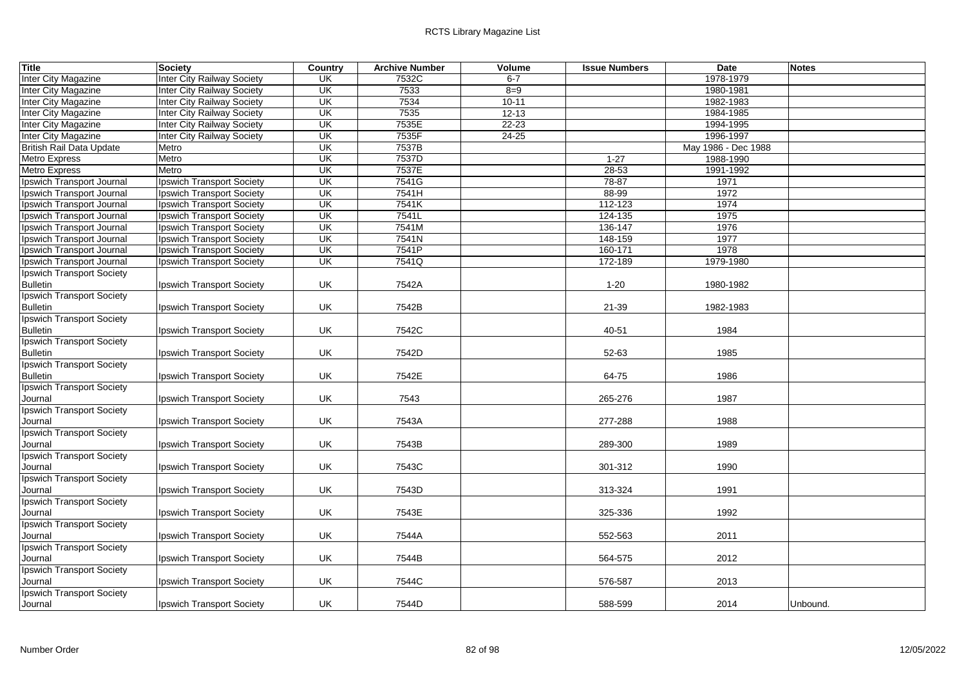| <b>Title</b>                     | Society                           | Country                  | <b>Archive Number</b> | Volume    | <b>Issue Numbers</b> | <b>Date</b>         | <b>Notes</b> |
|----------------------------------|-----------------------------------|--------------------------|-----------------------|-----------|----------------------|---------------------|--------------|
| Inter City Magazine              | <b>Inter City Railway Society</b> | UK                       | 7532C                 | $6 - 7$   |                      | 1978-1979           |              |
| Inter City Magazine              | <b>Inter City Railway Society</b> | UK                       | 7533                  | $8 = 9$   |                      | 1980-1981           |              |
| <b>Inter City Magazine</b>       | Inter City Railway Society        | $\overline{\mathsf{U}}$  | 7534                  | $10 - 11$ |                      | 1982-1983           |              |
| Inter City Magazine              | Inter City Railway Society        | $\overline{\mathsf{U}}$  | 7535                  | $12 - 13$ |                      | 1984-1985           |              |
| <b>Inter City Magazine</b>       | <b>Inter City Railway Society</b> | UK                       | 7535E                 | $22 - 23$ |                      | 1994-1995           |              |
| Inter City Magazine              | <b>Inter City Railway Society</b> | $\overline{\mathsf{U}}$  | 7535F                 | $24 - 25$ |                      | 1996-1997           |              |
| <b>British Rail Data Update</b>  | Metro                             | UK                       | 7537B                 |           |                      | May 1986 - Dec 1988 |              |
| <b>Metro Express</b>             | Metro                             | UK                       | 7537D                 |           | $1 - 27$             | 1988-1990           |              |
| <b>Metro Express</b>             | Metro                             | $\overline{\mathsf{CK}}$ | 7537E                 |           | $28 - 53$            | 1991-1992           |              |
| Ipswich Transport Journal        | Ipswich Transport Society         | UK                       | 7541G                 |           | $78 - 87$            | 1971                |              |
| Ipswich Transport Journal        | <b>Ipswich Transport Society</b>  | UK                       | 7541H                 |           | 88-99                | 1972                |              |
| Ipswich Transport Journal        | Ipswich Transport Society         | $\overline{\mathsf{U}}$  | 7541K                 |           | 112-123              | 1974                |              |
| Ipswich Transport Journal        | <b>Ipswich Transport Society</b>  | $\overline{\mathsf{U}}$  | 7541L                 |           | 124-135              | 1975                |              |
| Ipswich Transport Journal        | Ipswich Transport Society         | UK                       | 7541M                 |           | 136-147              | 1976                |              |
| Ipswich Transport Journal        | Ipswich Transport Society         | UK                       | 7541N                 |           | 148-159              | 1977                |              |
| Ipswich Transport Journal        | Ipswich Transport Society         | UK                       | 7541P                 |           | 160-171              | 1978                |              |
| Ipswich Transport Journal        | Ipswich Transport Society         | <b>UK</b>                | 7541Q                 |           | 172-189              | 1979-1980           |              |
| <b>Ipswich Transport Society</b> |                                   |                          |                       |           |                      |                     |              |
| <b>Bulletin</b>                  | Ipswich Transport Society         | UK                       | 7542A                 |           | $1 - 20$             | 1980-1982           |              |
| <b>Ipswich Transport Society</b> |                                   |                          |                       |           |                      |                     |              |
| <b>Bulletin</b>                  | Ipswich Transport Society         | UK                       | 7542B                 |           | 21-39                | 1982-1983           |              |
| <b>Ipswich Transport Society</b> |                                   |                          |                       |           |                      |                     |              |
| <b>Bulletin</b>                  | Ipswich Transport Society         | UK                       | 7542C                 |           | 40-51                | 1984                |              |
| <b>Ipswich Transport Society</b> |                                   |                          |                       |           |                      |                     |              |
| <b>Bulletin</b>                  | Ipswich Transport Society         | UK                       | 7542D                 |           | 52-63                | 1985                |              |
| <b>Ipswich Transport Society</b> |                                   |                          |                       |           |                      |                     |              |
| <b>Bulletin</b>                  | Ipswich Transport Society         | UK                       | 7542E                 |           | 64-75                | 1986                |              |
| <b>Ipswich Transport Society</b> |                                   |                          |                       |           |                      |                     |              |
| Journal                          | Ipswich Transport Society         | UK                       | 7543                  |           | 265-276              | 1987                |              |
| <b>Ipswich Transport Society</b> |                                   |                          |                       |           |                      |                     |              |
| Journal                          | Ipswich Transport Society         | UK                       | 7543A                 |           | 277-288              | 1988                |              |
| <b>Ipswich Transport Society</b> |                                   |                          |                       |           |                      |                     |              |
| Journal                          | Ipswich Transport Society         | UK                       | 7543B                 |           | 289-300              | 1989                |              |
| <b>Ipswich Transport Society</b> |                                   |                          |                       |           |                      |                     |              |
| Journal                          | Ipswich Transport Society         | UK                       | 7543C                 |           | 301-312              | 1990                |              |
| <b>Ipswich Transport Society</b> |                                   |                          |                       |           |                      |                     |              |
| Journal                          | Ipswich Transport Society         | UK                       | 7543D                 |           | 313-324              | 1991                |              |
| <b>Ipswich Transport Society</b> |                                   |                          |                       |           |                      |                     |              |
| Journal                          | Ipswich Transport Society         | UK                       | 7543E                 |           | 325-336              | 1992                |              |
| <b>Ipswich Transport Society</b> |                                   |                          |                       |           |                      |                     |              |
| Journal                          | Ipswich Transport Society         | UK                       | 7544A                 |           | 552-563              | 2011                |              |
| <b>Ipswich Transport Society</b> |                                   |                          |                       |           |                      |                     |              |
| Journal                          | Ipswich Transport Society         | UK                       | 7544B                 |           | 564-575              | 2012                |              |
| <b>Ipswich Transport Society</b> |                                   |                          |                       |           |                      |                     |              |
| Journal                          | Ipswich Transport Society         | UK                       | 7544C                 |           | 576-587              | 2013                |              |
| <b>Ipswich Transport Society</b> |                                   |                          |                       |           |                      |                     |              |
| Journal                          | Ipswich Transport Society         | UK                       | 7544D                 |           | 588-599              | 2014                | Unbound.     |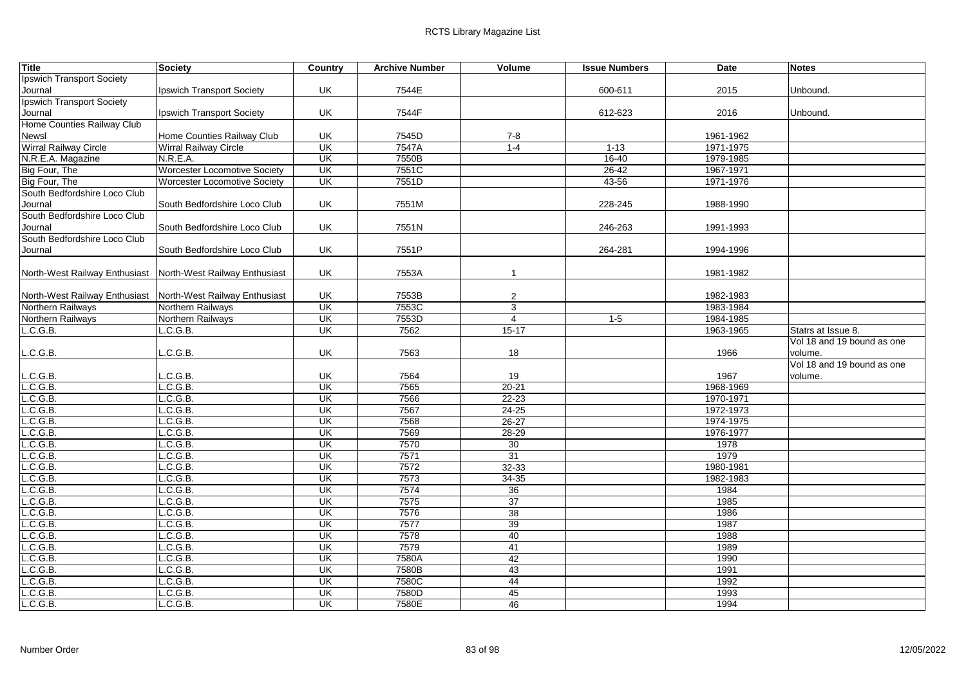| <b>Title</b>                                                  | <b>Society</b>                      | Country                  | <b>Archive Number</b> | Volume          | <b>Issue Numbers</b> | <b>Date</b> | <b>Notes</b>               |
|---------------------------------------------------------------|-------------------------------------|--------------------------|-----------------------|-----------------|----------------------|-------------|----------------------------|
| Ipswich Transport Society                                     |                                     |                          |                       |                 |                      |             |                            |
| Journal                                                       | Ipswich Transport Society           | UK                       | 7544E                 |                 | 600-611              | 2015        | Unbound.                   |
| <b>Ipswich Transport Society</b>                              |                                     |                          |                       |                 |                      |             |                            |
| Journal                                                       | Ipswich Transport Society           | UK                       | 7544F                 |                 | 612-623              | 2016        | Unbound.                   |
| Home Counties Railway Club                                    |                                     |                          |                       |                 |                      |             |                            |
| Newsl                                                         | Home Counties Railway Club          | UK                       | 7545D                 | $7 - 8$         |                      | 1961-1962   |                            |
| Wirral Railway Circle                                         | <b>Wirral Railway Circle</b>        | $\overline{\mathsf{CK}}$ | 7547A                 | $1 - 4$         | $1 - 13$             | 1971-1975   |                            |
| N.R.E.A. Magazine                                             | N.R.E.A.                            | $\overline{\mathsf{U}}$  | 7550B                 |                 | $16 - 40$            | 1979-1985   |                            |
| Big Four, The                                                 | <b>Worcester Locomotive Society</b> | UK                       | 7551C                 |                 | $26 - 42$            | 1967-1971   |                            |
| Big Four, The                                                 | <b>Worcester Locomotive Society</b> | UK                       | 7551D                 |                 | $43 - 56$            | 1971-1976   |                            |
| South Bedfordshire Loco Club                                  |                                     |                          |                       |                 |                      |             |                            |
| Journal                                                       | South Bedfordshire Loco Club        | UK                       | 7551M                 |                 | 228-245              | 1988-1990   |                            |
| South Bedfordshire Loco Club                                  |                                     |                          |                       |                 |                      |             |                            |
| Journal                                                       | South Bedfordshire Loco Club        | UK                       | 7551N                 |                 | 246-263              | 1991-1993   |                            |
| South Bedfordshire Loco Club                                  |                                     |                          |                       |                 |                      |             |                            |
| Journal                                                       | South Bedfordshire Loco Club        | UK                       | 7551P                 |                 | 264-281              | 1994-1996   |                            |
|                                                               |                                     |                          |                       |                 |                      |             |                            |
| North-West Railway Enthusiast   North-West Railway Enthusiast |                                     | UK                       | 7553A                 | $\mathbf{1}$    |                      | 1981-1982   |                            |
|                                                               |                                     |                          |                       |                 |                      |             |                            |
| North-West Railway Enthusiast   North-West Railway Enthusiast |                                     | UK                       | 7553B                 | $\overline{c}$  |                      | 1982-1983   |                            |
| Northern Railways                                             | Northern Railways                   | UK                       | 7553C                 | $\mathbf{3}$    |                      | 1983-1984   |                            |
| Northern Railways                                             | Northern Railways                   | UK                       | 7553D                 | $\overline{4}$  | $1-5$                | 1984-1985   |                            |
| L.C.G.B.                                                      | L.C.G.B.                            | UK                       | 7562                  | $15 - 17$       |                      | 1963-1965   | Statrs at Issue 8.         |
|                                                               |                                     |                          |                       |                 |                      |             | Vol 18 and 19 bound as one |
| .C.G.B.                                                       | .C.G.B.                             | UK                       | 7563                  | 18              |                      | 1966        | volume.                    |
|                                                               |                                     |                          |                       |                 |                      |             | Vol 18 and 19 bound as one |
| .C.G.B.                                                       | .C.G.B.                             | UK                       | 7564                  | 19              |                      | 1967        | volume.                    |
| L.C.G.B.                                                      | L.C.G.B.                            | UK                       | 7565                  | $20 - 21$       |                      | 1968-1969   |                            |
| .C.G.B.                                                       | L.C.G.B.                            | UK                       | 7566                  | $22 - 23$       |                      | 1970-1971   |                            |
| .C.G.B.                                                       | L.C.G.B.                            | <b>UK</b>                | 7567                  | 24-25           |                      | 1972-1973   |                            |
| .C.G.B.                                                       | L.C.G.B.                            | $\overline{\mathsf{U}}$  | 7568                  | $26 - 27$       |                      | 1974-1975   |                            |
| L.C.G.B.                                                      | L.C.G.B.                            | UK                       | 7569                  | 28-29           |                      | 1976-1977   |                            |
| .C.G.B.                                                       | L.C.G.B.                            | $\overline{\mathsf{CK}}$ | 7570                  | 30              |                      | 1978        |                            |
| L.C.G.B.                                                      | L.C.G.B.                            | UK                       | 7571                  | 31              |                      | 1979        |                            |
| L.C.G.B.                                                      | L.C.G.B.                            | UK                       | 7572                  | 32-33           |                      | 1980-1981   |                            |
| .C.G.B.                                                       | L.C.G.B.                            | UK                       | 7573                  | $34 - 35$       |                      | 1982-1983   |                            |
| .C.G.B.                                                       | L.C.G.B.                            | <b>UK</b>                | 7574                  | 36              |                      | 1984        |                            |
| .C.G.B.                                                       | L.C.G.B.                            | $\overline{\mathsf{CK}}$ | 7575                  | $\overline{37}$ |                      | 1985        |                            |
| .C.G.B.                                                       | L.C.G.B.                            | UK                       | 7576                  | 38              |                      | 1986        |                            |
| .C.G.B.                                                       | L.C.G.B.                            | UK                       | 7577                  | 39              |                      | 1987        |                            |
| .C.G.B.                                                       | L.C.G.B.                            | UK                       | 7578                  | 40              |                      | 1988        |                            |
| .C.G.B.                                                       | L.C.G.B.                            | $\overline{\mathsf{CK}}$ | 7579                  | 41              |                      | 1989        |                            |
| L.C.G.B.                                                      | L.C.G.B.                            | UK                       | 7580A                 | 42              |                      | 1990        |                            |
| L.C.G.B.                                                      | L.C.G.B.                            | $\overline{\mathsf{CK}}$ | 7580B                 | 43              |                      | 1991        |                            |
| L.C.G.B.                                                      | L.C.G.B.                            | <b>UK</b>                | 7580C                 | 44              |                      | 1992        |                            |
| .C.G.B.                                                       | L.C.G.B.                            | <b>UK</b>                | 7580D                 | 45              |                      | 1993        |                            |
| L.C.G.B.                                                      | L.C.G.B.                            | $\overline{\mathsf{CK}}$ | 7580E                 | 46              |                      | 1994        |                            |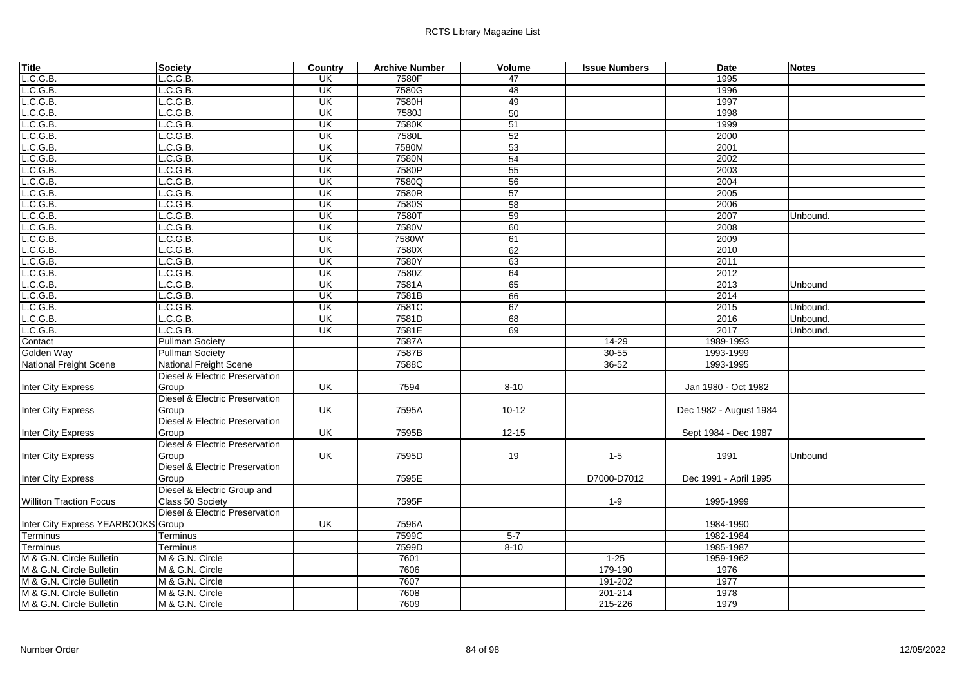| <b>Title</b>                       | Society                                   | Country                  | <b>Archive Number</b> | Volume    | <b>Issue Numbers</b> | <b>Date</b>            | <b>Notes</b> |
|------------------------------------|-------------------------------------------|--------------------------|-----------------------|-----------|----------------------|------------------------|--------------|
| L.C.G.B.                           | L.C.G.B.                                  | UK                       | 7580F                 | 47        |                      | 1995                   |              |
| L.C.G.B.                           | L.C.G.B.                                  | UK                       | 7580G                 | 48        |                      | 1996                   |              |
| .C.G.B.                            | .C.G.B.                                   | UK                       | 7580H                 | 49        |                      | 1997                   |              |
| L.C.G.B.                           | C.G.B.                                    | UK                       | 7580J                 | 50        |                      | 1998                   |              |
| L.C.G.B.                           | L.C.G.B.                                  | $\overline{\mathsf{CK}}$ | 7580K                 | 51        |                      | 1999                   |              |
| L.C.G.B.                           | .C.G.B.                                   | $\overline{\mathsf{U}}$  | 7580L                 | 52        |                      | 2000                   |              |
| L.C.G.B.                           | C.G.B.                                    | UK                       | 7580M                 | 53        |                      | 2001                   |              |
| L.C.G.B.                           | L.C.G.B.                                  | UK                       | 7580N                 | 54        |                      | 2002                   |              |
| L.C.G.B.                           | .C.G.B.                                   | UK                       | 7580P                 | 55        |                      | 2003                   |              |
| L.C.G.B.                           | C.G.B.                                    | UK                       | 7580Q                 | 56        |                      | 2004                   |              |
| L.C.G.B.                           | L.C.G.B.                                  | UK                       | 7580R                 | 57        |                      | 2005                   |              |
| L.C.G.B.                           | L.C.G.B.                                  | $\overline{\mathsf{U}}$  | 7580S                 | 58        |                      | 2006                   |              |
| L.C.G.B.                           | C.G.B.                                    | $\overline{\mathsf{U}}$  | 7580T                 | 59        |                      | 2007                   | Unbound.     |
| L.C.G.B.                           | L.C.G.B.                                  | UK                       | 7580V                 | 60        |                      | 2008                   |              |
| L.C.G.B.                           | C.G.B.                                    | UK                       | 7580W                 | 61        |                      | 2009                   |              |
| L.C.G.B.                           | L.C.G.B.                                  | $\overline{\mathsf{CK}}$ | 7580X                 | 62        |                      | 2010                   |              |
| L.C.G.B.                           | L.C.G.B.                                  | $\overline{\mathsf{U}}$  | 7580Y                 | 63        |                      | 2011                   |              |
| L.C.G.B.                           | L.C.G.B.                                  | $\overline{\mathsf{U}}$  | 7580Z                 | 64        |                      | 2012                   |              |
| L.C.G.B.                           | L.C.G.B.                                  | $\overline{\mathsf{U}}$  | 7581A                 | 65        |                      | 2013                   | Unbound      |
| L.C.G.B.                           | C.G.B.                                    | $\overline{\mathsf{U}}$  | 7581B                 | 66        |                      | 2014                   |              |
| L.C.G.B.                           | L.C.G.B.                                  | UK                       | 7581C                 | 67        |                      | 2015                   | Unbound.     |
| L.C.G.B.                           | L.C.G.B.                                  | UK                       | 7581D                 | 68        |                      | 2016                   | Unbound.     |
| L.C.G.B.                           | C.G.B.                                    | <b>UK</b>                | 7581E                 | 69        |                      | 2017                   | Unbound.     |
| Contact                            | <b>Pullman Society</b>                    |                          | 7587A                 |           | $14 - 29$            | 1989-1993              |              |
| Golden Way                         | <b>Pullman Society</b>                    |                          | 7587B                 |           | $30 - 55$            | 1993-1999              |              |
| <b>National Freight Scene</b>      | <b>National Freight Scene</b>             |                          | 7588C                 |           | $36 - 52$            | 1993-1995              |              |
|                                    | Diesel & Electric Preservation            |                          |                       |           |                      |                        |              |
| Inter City Express                 | Group                                     | UK                       | 7594                  | $8 - 10$  |                      | Jan 1980 - Oct 1982    |              |
|                                    | <b>Diesel &amp; Electric Preservation</b> |                          |                       |           |                      |                        |              |
| Inter City Express                 | Group                                     | UK                       | 7595A                 | $10 - 12$ |                      | Dec 1982 - August 1984 |              |
|                                    | Diesel & Electric Preservation            |                          |                       |           |                      |                        |              |
| <b>Inter City Express</b>          | Group                                     | UK                       | 7595B                 | $12 - 15$ |                      | Sept 1984 - Dec 1987   |              |
|                                    | Diesel & Electric Preservation            |                          |                       |           |                      |                        |              |
| Inter City Express                 | Group                                     | UK                       | 7595D                 | 19        | $1-5$                | 1991                   | Unbound      |
|                                    | <b>Diesel &amp; Electric Preservation</b> |                          |                       |           |                      |                        |              |
| <b>Inter City Express</b>          | Group                                     |                          | 7595E                 |           | D7000-D7012          | Dec 1991 - April 1995  |              |
|                                    | Diesel & Electric Group and               |                          |                       |           |                      |                        |              |
| <b>Williton Traction Focus</b>     | Class 50 Society                          |                          | 7595F                 |           | $1 - 9$              | 1995-1999              |              |
|                                    | Diesel & Electric Preservation            |                          |                       |           |                      |                        |              |
| Inter City Express YEARBOOKS Group |                                           | UK                       | 7596A                 |           |                      | 1984-1990              |              |
| Terminus                           | Terminus                                  |                          | 7599C                 | $5 - 7$   |                      | 1982-1984              |              |
| <b>Terminus</b>                    | Terminus                                  |                          | 7599D                 | $8 - 10$  |                      | 1985-1987              |              |
| M & G.N. Circle Bulletin           | M & G.N. Circle                           |                          | 7601                  |           | $1 - 25$             | 1959-1962              |              |
| M & G.N. Circle Bulletin           | M & G.N. Circle                           |                          | 7606                  |           | 179-190              | 1976                   |              |
| M & G.N. Circle Bulletin           | M & G.N. Circle                           |                          | 7607                  |           | 191-202              | 1977                   |              |
| M & G.N. Circle Bulletin           | M & G.N. Circle                           |                          | 7608                  |           | 201-214              | 1978                   |              |
| M & G.N. Circle Bulletin           | M & G.N. Circle                           |                          | 7609                  |           | 215-226              | 1979                   |              |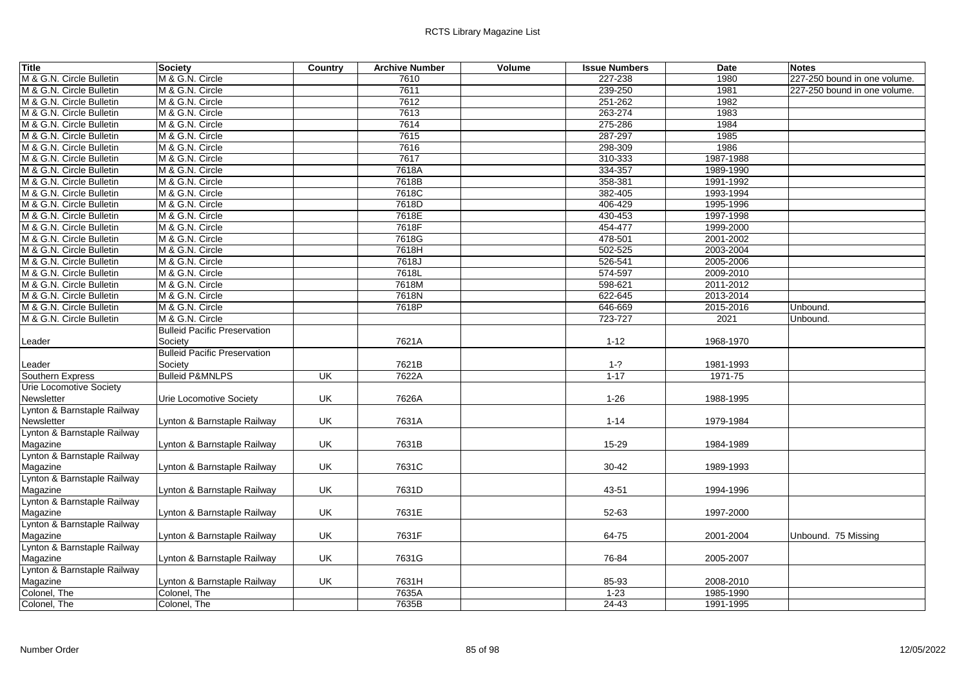| 7610<br>227-238<br>1980<br>227-250 bound in one volume.<br>7611<br>239-250<br>M & G.N. Circle<br>1981<br>227-250 bound in one volume.<br>M & G.N. Circle<br>7612<br>251-262<br>1982<br>7613<br>263-274<br>M & G.N. Circle Bulletin<br>M & G.N. Circle<br>1983<br>7614<br>275-286<br>1984<br>M & G.N. Circle<br>7615<br>M & G.N. Circle<br>287-297<br>1985<br>M & G.N. Circle Bulletin<br>M & G.N. Circle<br>7616<br>298-309<br>1986<br>7617<br>1987-1988<br>M & G.N. Circle<br>310-333<br>7618A<br>334-357<br>1989-1990<br>M & G.N. Circle<br>7618B<br>358-381<br>1991-1992<br>M & G.N. Circle<br>7618C<br>M & G.N. Circle<br>382-405<br>1993-1994<br>7618D<br>406-429<br>M & G.N. Circle Bulletin<br>M & G.N. Circle<br>1995-1996<br>7618E<br>M & G.N. Circle Bulletin<br>M & G.N. Circle<br>430-453<br>1997-1998<br>7618F<br>454-477<br>1999-2000<br>M & G.N. Circle<br>7618G<br>478-501<br>2001-2002<br>M & G.N. Circle<br>M & G.N. Circle Bulletin<br>M & G.N. Circle<br>7618H<br>502-525<br>2003-2004<br>7618J<br>2005-2006<br>M & G.N. Circle<br>526-541<br>7618L<br>574-597<br>2009-2010<br>M & G.N. Circle<br>7618M<br>598-621<br>2011-2012<br>M & G.N. Circle<br>7618N<br>622-645<br>M & G.N. Circle<br>2013-2014<br>7618P<br>M & G.N. Circle<br>646-669<br>2015-2016<br>Unbound.<br>M & G.N. Circle<br>723-727<br>2021<br>Unbound.<br><b>Bulleid Pacific Preservation</b><br>7621A<br>$1 - 12$<br>1968-1970<br>Society<br>Leader<br><b>Bulleid Pacific Preservation</b><br>Society<br>7621B<br>$1 - ?$<br>Leader<br>1981-1993<br>$1 - 17$<br><b>Bulleid P&amp;MNLPS</b><br>UK<br>7622A<br>1971-75<br>UK<br>7626A<br>$1 - 26$<br>1988-1995<br>Urie Locomotive Society<br>UK<br>7631A<br>$1 - 14$<br>Lynton & Barnstaple Railway<br>1979-1984<br>Lynton & Barnstaple Railway<br>Lynton & Barnstaple Railway<br>UK<br>7631B<br>15-29<br>1984-1989<br>Lynton & Barnstaple Railway<br>UK<br>7631C<br>$30 - 42$<br>1989-1993<br>UK<br>7631D<br>43-51<br>1994-1996<br>Magazine<br>Lynton & Barnstaple Railway<br>Lynton & Barnstaple Railway<br>UK<br>7631E<br>1997-2000<br>52-63<br>Lynton & Barnstaple Railway<br>Lynton & Barnstaple Railway<br>UK<br>7631F<br>64-75<br>2001-2004<br>Unbound. 75 Missing<br>Lynton & Barnstaple Railway<br>UK<br>7631G<br>76-84<br>2005-2007<br>Lynton & Barnstaple Railway<br>7631H<br>85-93<br>2008-2010<br>UK<br>7635A<br>Colonel, The<br>$1 - 23$<br>1985-1990<br>Colonel, The<br>7635B<br>$24 - 43$<br>1991-1995 | <b>Title</b>                   | Society         | Country | <b>Archive Number</b> | Volume | <b>Issue Numbers</b> | Date | <b>Notes</b> |
|-------------------------------------------------------------------------------------------------------------------------------------------------------------------------------------------------------------------------------------------------------------------------------------------------------------------------------------------------------------------------------------------------------------------------------------------------------------------------------------------------------------------------------------------------------------------------------------------------------------------------------------------------------------------------------------------------------------------------------------------------------------------------------------------------------------------------------------------------------------------------------------------------------------------------------------------------------------------------------------------------------------------------------------------------------------------------------------------------------------------------------------------------------------------------------------------------------------------------------------------------------------------------------------------------------------------------------------------------------------------------------------------------------------------------------------------------------------------------------------------------------------------------------------------------------------------------------------------------------------------------------------------------------------------------------------------------------------------------------------------------------------------------------------------------------------------------------------------------------------------------------------------------------------------------------------------------------------------------------------------------------------------------------------------------------------------------------------------------------------------------------------------------------------------------------------------------------------------------------------------------------------------------------------------------------------------------------------------------------------------------------------------------------------------------------------------------------------|--------------------------------|-----------------|---------|-----------------------|--------|----------------------|------|--------------|
|                                                                                                                                                                                                                                                                                                                                                                                                                                                                                                                                                                                                                                                                                                                                                                                                                                                                                                                                                                                                                                                                                                                                                                                                                                                                                                                                                                                                                                                                                                                                                                                                                                                                                                                                                                                                                                                                                                                                                                                                                                                                                                                                                                                                                                                                                                                                                                                                                                                             | M & G.N. Circle Bulletin       | M & G.N. Circle |         |                       |        |                      |      |              |
|                                                                                                                                                                                                                                                                                                                                                                                                                                                                                                                                                                                                                                                                                                                                                                                                                                                                                                                                                                                                                                                                                                                                                                                                                                                                                                                                                                                                                                                                                                                                                                                                                                                                                                                                                                                                                                                                                                                                                                                                                                                                                                                                                                                                                                                                                                                                                                                                                                                             | M & G.N. Circle Bulletin       |                 |         |                       |        |                      |      |              |
|                                                                                                                                                                                                                                                                                                                                                                                                                                                                                                                                                                                                                                                                                                                                                                                                                                                                                                                                                                                                                                                                                                                                                                                                                                                                                                                                                                                                                                                                                                                                                                                                                                                                                                                                                                                                                                                                                                                                                                                                                                                                                                                                                                                                                                                                                                                                                                                                                                                             | M & G.N. Circle Bulletin       |                 |         |                       |        |                      |      |              |
|                                                                                                                                                                                                                                                                                                                                                                                                                                                                                                                                                                                                                                                                                                                                                                                                                                                                                                                                                                                                                                                                                                                                                                                                                                                                                                                                                                                                                                                                                                                                                                                                                                                                                                                                                                                                                                                                                                                                                                                                                                                                                                                                                                                                                                                                                                                                                                                                                                                             |                                |                 |         |                       |        |                      |      |              |
|                                                                                                                                                                                                                                                                                                                                                                                                                                                                                                                                                                                                                                                                                                                                                                                                                                                                                                                                                                                                                                                                                                                                                                                                                                                                                                                                                                                                                                                                                                                                                                                                                                                                                                                                                                                                                                                                                                                                                                                                                                                                                                                                                                                                                                                                                                                                                                                                                                                             | M & G.N. Circle Bulletin       |                 |         |                       |        |                      |      |              |
|                                                                                                                                                                                                                                                                                                                                                                                                                                                                                                                                                                                                                                                                                                                                                                                                                                                                                                                                                                                                                                                                                                                                                                                                                                                                                                                                                                                                                                                                                                                                                                                                                                                                                                                                                                                                                                                                                                                                                                                                                                                                                                                                                                                                                                                                                                                                                                                                                                                             | M & G.N. Circle Bulletin       |                 |         |                       |        |                      |      |              |
|                                                                                                                                                                                                                                                                                                                                                                                                                                                                                                                                                                                                                                                                                                                                                                                                                                                                                                                                                                                                                                                                                                                                                                                                                                                                                                                                                                                                                                                                                                                                                                                                                                                                                                                                                                                                                                                                                                                                                                                                                                                                                                                                                                                                                                                                                                                                                                                                                                                             |                                |                 |         |                       |        |                      |      |              |
|                                                                                                                                                                                                                                                                                                                                                                                                                                                                                                                                                                                                                                                                                                                                                                                                                                                                                                                                                                                                                                                                                                                                                                                                                                                                                                                                                                                                                                                                                                                                                                                                                                                                                                                                                                                                                                                                                                                                                                                                                                                                                                                                                                                                                                                                                                                                                                                                                                                             | M & G.N. Circle Bulletin       |                 |         |                       |        |                      |      |              |
|                                                                                                                                                                                                                                                                                                                                                                                                                                                                                                                                                                                                                                                                                                                                                                                                                                                                                                                                                                                                                                                                                                                                                                                                                                                                                                                                                                                                                                                                                                                                                                                                                                                                                                                                                                                                                                                                                                                                                                                                                                                                                                                                                                                                                                                                                                                                                                                                                                                             | M & G.N. Circle Bulletin       |                 |         |                       |        |                      |      |              |
|                                                                                                                                                                                                                                                                                                                                                                                                                                                                                                                                                                                                                                                                                                                                                                                                                                                                                                                                                                                                                                                                                                                                                                                                                                                                                                                                                                                                                                                                                                                                                                                                                                                                                                                                                                                                                                                                                                                                                                                                                                                                                                                                                                                                                                                                                                                                                                                                                                                             | M & G.N. Circle Bulletin       |                 |         |                       |        |                      |      |              |
|                                                                                                                                                                                                                                                                                                                                                                                                                                                                                                                                                                                                                                                                                                                                                                                                                                                                                                                                                                                                                                                                                                                                                                                                                                                                                                                                                                                                                                                                                                                                                                                                                                                                                                                                                                                                                                                                                                                                                                                                                                                                                                                                                                                                                                                                                                                                                                                                                                                             | M & G.N. Circle Bulletin       |                 |         |                       |        |                      |      |              |
|                                                                                                                                                                                                                                                                                                                                                                                                                                                                                                                                                                                                                                                                                                                                                                                                                                                                                                                                                                                                                                                                                                                                                                                                                                                                                                                                                                                                                                                                                                                                                                                                                                                                                                                                                                                                                                                                                                                                                                                                                                                                                                                                                                                                                                                                                                                                                                                                                                                             |                                |                 |         |                       |        |                      |      |              |
|                                                                                                                                                                                                                                                                                                                                                                                                                                                                                                                                                                                                                                                                                                                                                                                                                                                                                                                                                                                                                                                                                                                                                                                                                                                                                                                                                                                                                                                                                                                                                                                                                                                                                                                                                                                                                                                                                                                                                                                                                                                                                                                                                                                                                                                                                                                                                                                                                                                             |                                |                 |         |                       |        |                      |      |              |
|                                                                                                                                                                                                                                                                                                                                                                                                                                                                                                                                                                                                                                                                                                                                                                                                                                                                                                                                                                                                                                                                                                                                                                                                                                                                                                                                                                                                                                                                                                                                                                                                                                                                                                                                                                                                                                                                                                                                                                                                                                                                                                                                                                                                                                                                                                                                                                                                                                                             | M & G.N. Circle Bulletin       |                 |         |                       |        |                      |      |              |
|                                                                                                                                                                                                                                                                                                                                                                                                                                                                                                                                                                                                                                                                                                                                                                                                                                                                                                                                                                                                                                                                                                                                                                                                                                                                                                                                                                                                                                                                                                                                                                                                                                                                                                                                                                                                                                                                                                                                                                                                                                                                                                                                                                                                                                                                                                                                                                                                                                                             | M & G.N. Circle Bulletin       |                 |         |                       |        |                      |      |              |
|                                                                                                                                                                                                                                                                                                                                                                                                                                                                                                                                                                                                                                                                                                                                                                                                                                                                                                                                                                                                                                                                                                                                                                                                                                                                                                                                                                                                                                                                                                                                                                                                                                                                                                                                                                                                                                                                                                                                                                                                                                                                                                                                                                                                                                                                                                                                                                                                                                                             |                                |                 |         |                       |        |                      |      |              |
|                                                                                                                                                                                                                                                                                                                                                                                                                                                                                                                                                                                                                                                                                                                                                                                                                                                                                                                                                                                                                                                                                                                                                                                                                                                                                                                                                                                                                                                                                                                                                                                                                                                                                                                                                                                                                                                                                                                                                                                                                                                                                                                                                                                                                                                                                                                                                                                                                                                             | M & G.N. Circle Bulletin       |                 |         |                       |        |                      |      |              |
|                                                                                                                                                                                                                                                                                                                                                                                                                                                                                                                                                                                                                                                                                                                                                                                                                                                                                                                                                                                                                                                                                                                                                                                                                                                                                                                                                                                                                                                                                                                                                                                                                                                                                                                                                                                                                                                                                                                                                                                                                                                                                                                                                                                                                                                                                                                                                                                                                                                             | M & G.N. Circle Bulletin       |                 |         |                       |        |                      |      |              |
|                                                                                                                                                                                                                                                                                                                                                                                                                                                                                                                                                                                                                                                                                                                                                                                                                                                                                                                                                                                                                                                                                                                                                                                                                                                                                                                                                                                                                                                                                                                                                                                                                                                                                                                                                                                                                                                                                                                                                                                                                                                                                                                                                                                                                                                                                                                                                                                                                                                             | M & G.N. Circle Bulletin       |                 |         |                       |        |                      |      |              |
|                                                                                                                                                                                                                                                                                                                                                                                                                                                                                                                                                                                                                                                                                                                                                                                                                                                                                                                                                                                                                                                                                                                                                                                                                                                                                                                                                                                                                                                                                                                                                                                                                                                                                                                                                                                                                                                                                                                                                                                                                                                                                                                                                                                                                                                                                                                                                                                                                                                             | M & G.N. Circle Bulletin       |                 |         |                       |        |                      |      |              |
|                                                                                                                                                                                                                                                                                                                                                                                                                                                                                                                                                                                                                                                                                                                                                                                                                                                                                                                                                                                                                                                                                                                                                                                                                                                                                                                                                                                                                                                                                                                                                                                                                                                                                                                                                                                                                                                                                                                                                                                                                                                                                                                                                                                                                                                                                                                                                                                                                                                             | M & G.N. Circle Bulletin       |                 |         |                       |        |                      |      |              |
|                                                                                                                                                                                                                                                                                                                                                                                                                                                                                                                                                                                                                                                                                                                                                                                                                                                                                                                                                                                                                                                                                                                                                                                                                                                                                                                                                                                                                                                                                                                                                                                                                                                                                                                                                                                                                                                                                                                                                                                                                                                                                                                                                                                                                                                                                                                                                                                                                                                             | M & G.N. Circle Bulletin       |                 |         |                       |        |                      |      |              |
|                                                                                                                                                                                                                                                                                                                                                                                                                                                                                                                                                                                                                                                                                                                                                                                                                                                                                                                                                                                                                                                                                                                                                                                                                                                                                                                                                                                                                                                                                                                                                                                                                                                                                                                                                                                                                                                                                                                                                                                                                                                                                                                                                                                                                                                                                                                                                                                                                                                             |                                |                 |         |                       |        |                      |      |              |
|                                                                                                                                                                                                                                                                                                                                                                                                                                                                                                                                                                                                                                                                                                                                                                                                                                                                                                                                                                                                                                                                                                                                                                                                                                                                                                                                                                                                                                                                                                                                                                                                                                                                                                                                                                                                                                                                                                                                                                                                                                                                                                                                                                                                                                                                                                                                                                                                                                                             |                                |                 |         |                       |        |                      |      |              |
|                                                                                                                                                                                                                                                                                                                                                                                                                                                                                                                                                                                                                                                                                                                                                                                                                                                                                                                                                                                                                                                                                                                                                                                                                                                                                                                                                                                                                                                                                                                                                                                                                                                                                                                                                                                                                                                                                                                                                                                                                                                                                                                                                                                                                                                                                                                                                                                                                                                             |                                |                 |         |                       |        |                      |      |              |
|                                                                                                                                                                                                                                                                                                                                                                                                                                                                                                                                                                                                                                                                                                                                                                                                                                                                                                                                                                                                                                                                                                                                                                                                                                                                                                                                                                                                                                                                                                                                                                                                                                                                                                                                                                                                                                                                                                                                                                                                                                                                                                                                                                                                                                                                                                                                                                                                                                                             |                                |                 |         |                       |        |                      |      |              |
|                                                                                                                                                                                                                                                                                                                                                                                                                                                                                                                                                                                                                                                                                                                                                                                                                                                                                                                                                                                                                                                                                                                                                                                                                                                                                                                                                                                                                                                                                                                                                                                                                                                                                                                                                                                                                                                                                                                                                                                                                                                                                                                                                                                                                                                                                                                                                                                                                                                             | Southern Express               |                 |         |                       |        |                      |      |              |
|                                                                                                                                                                                                                                                                                                                                                                                                                                                                                                                                                                                                                                                                                                                                                                                                                                                                                                                                                                                                                                                                                                                                                                                                                                                                                                                                                                                                                                                                                                                                                                                                                                                                                                                                                                                                                                                                                                                                                                                                                                                                                                                                                                                                                                                                                                                                                                                                                                                             | <b>Urie Locomotive Society</b> |                 |         |                       |        |                      |      |              |
|                                                                                                                                                                                                                                                                                                                                                                                                                                                                                                                                                                                                                                                                                                                                                                                                                                                                                                                                                                                                                                                                                                                                                                                                                                                                                                                                                                                                                                                                                                                                                                                                                                                                                                                                                                                                                                                                                                                                                                                                                                                                                                                                                                                                                                                                                                                                                                                                                                                             | Newsletter                     |                 |         |                       |        |                      |      |              |
|                                                                                                                                                                                                                                                                                                                                                                                                                                                                                                                                                                                                                                                                                                                                                                                                                                                                                                                                                                                                                                                                                                                                                                                                                                                                                                                                                                                                                                                                                                                                                                                                                                                                                                                                                                                                                                                                                                                                                                                                                                                                                                                                                                                                                                                                                                                                                                                                                                                             | Lynton & Barnstaple Railway    |                 |         |                       |        |                      |      |              |
|                                                                                                                                                                                                                                                                                                                                                                                                                                                                                                                                                                                                                                                                                                                                                                                                                                                                                                                                                                                                                                                                                                                                                                                                                                                                                                                                                                                                                                                                                                                                                                                                                                                                                                                                                                                                                                                                                                                                                                                                                                                                                                                                                                                                                                                                                                                                                                                                                                                             | Newsletter                     |                 |         |                       |        |                      |      |              |
|                                                                                                                                                                                                                                                                                                                                                                                                                                                                                                                                                                                                                                                                                                                                                                                                                                                                                                                                                                                                                                                                                                                                                                                                                                                                                                                                                                                                                                                                                                                                                                                                                                                                                                                                                                                                                                                                                                                                                                                                                                                                                                                                                                                                                                                                                                                                                                                                                                                             |                                |                 |         |                       |        |                      |      |              |
|                                                                                                                                                                                                                                                                                                                                                                                                                                                                                                                                                                                                                                                                                                                                                                                                                                                                                                                                                                                                                                                                                                                                                                                                                                                                                                                                                                                                                                                                                                                                                                                                                                                                                                                                                                                                                                                                                                                                                                                                                                                                                                                                                                                                                                                                                                                                                                                                                                                             | Magazine                       |                 |         |                       |        |                      |      |              |
|                                                                                                                                                                                                                                                                                                                                                                                                                                                                                                                                                                                                                                                                                                                                                                                                                                                                                                                                                                                                                                                                                                                                                                                                                                                                                                                                                                                                                                                                                                                                                                                                                                                                                                                                                                                                                                                                                                                                                                                                                                                                                                                                                                                                                                                                                                                                                                                                                                                             | Lynton & Barnstaple Railway    |                 |         |                       |        |                      |      |              |
|                                                                                                                                                                                                                                                                                                                                                                                                                                                                                                                                                                                                                                                                                                                                                                                                                                                                                                                                                                                                                                                                                                                                                                                                                                                                                                                                                                                                                                                                                                                                                                                                                                                                                                                                                                                                                                                                                                                                                                                                                                                                                                                                                                                                                                                                                                                                                                                                                                                             | Magazine                       |                 |         |                       |        |                      |      |              |
|                                                                                                                                                                                                                                                                                                                                                                                                                                                                                                                                                                                                                                                                                                                                                                                                                                                                                                                                                                                                                                                                                                                                                                                                                                                                                                                                                                                                                                                                                                                                                                                                                                                                                                                                                                                                                                                                                                                                                                                                                                                                                                                                                                                                                                                                                                                                                                                                                                                             | Lynton & Barnstaple Railway    |                 |         |                       |        |                      |      |              |
|                                                                                                                                                                                                                                                                                                                                                                                                                                                                                                                                                                                                                                                                                                                                                                                                                                                                                                                                                                                                                                                                                                                                                                                                                                                                                                                                                                                                                                                                                                                                                                                                                                                                                                                                                                                                                                                                                                                                                                                                                                                                                                                                                                                                                                                                                                                                                                                                                                                             |                                |                 |         |                       |        |                      |      |              |
|                                                                                                                                                                                                                                                                                                                                                                                                                                                                                                                                                                                                                                                                                                                                                                                                                                                                                                                                                                                                                                                                                                                                                                                                                                                                                                                                                                                                                                                                                                                                                                                                                                                                                                                                                                                                                                                                                                                                                                                                                                                                                                                                                                                                                                                                                                                                                                                                                                                             | Lynton & Barnstaple Railway    |                 |         |                       |        |                      |      |              |
|                                                                                                                                                                                                                                                                                                                                                                                                                                                                                                                                                                                                                                                                                                                                                                                                                                                                                                                                                                                                                                                                                                                                                                                                                                                                                                                                                                                                                                                                                                                                                                                                                                                                                                                                                                                                                                                                                                                                                                                                                                                                                                                                                                                                                                                                                                                                                                                                                                                             | Magazine                       |                 |         |                       |        |                      |      |              |
|                                                                                                                                                                                                                                                                                                                                                                                                                                                                                                                                                                                                                                                                                                                                                                                                                                                                                                                                                                                                                                                                                                                                                                                                                                                                                                                                                                                                                                                                                                                                                                                                                                                                                                                                                                                                                                                                                                                                                                                                                                                                                                                                                                                                                                                                                                                                                                                                                                                             |                                |                 |         |                       |        |                      |      |              |
|                                                                                                                                                                                                                                                                                                                                                                                                                                                                                                                                                                                                                                                                                                                                                                                                                                                                                                                                                                                                                                                                                                                                                                                                                                                                                                                                                                                                                                                                                                                                                                                                                                                                                                                                                                                                                                                                                                                                                                                                                                                                                                                                                                                                                                                                                                                                                                                                                                                             | Magazine                       |                 |         |                       |        |                      |      |              |
|                                                                                                                                                                                                                                                                                                                                                                                                                                                                                                                                                                                                                                                                                                                                                                                                                                                                                                                                                                                                                                                                                                                                                                                                                                                                                                                                                                                                                                                                                                                                                                                                                                                                                                                                                                                                                                                                                                                                                                                                                                                                                                                                                                                                                                                                                                                                                                                                                                                             | Lynton & Barnstaple Railway    |                 |         |                       |        |                      |      |              |
|                                                                                                                                                                                                                                                                                                                                                                                                                                                                                                                                                                                                                                                                                                                                                                                                                                                                                                                                                                                                                                                                                                                                                                                                                                                                                                                                                                                                                                                                                                                                                                                                                                                                                                                                                                                                                                                                                                                                                                                                                                                                                                                                                                                                                                                                                                                                                                                                                                                             | Magazine                       |                 |         |                       |        |                      |      |              |
|                                                                                                                                                                                                                                                                                                                                                                                                                                                                                                                                                                                                                                                                                                                                                                                                                                                                                                                                                                                                                                                                                                                                                                                                                                                                                                                                                                                                                                                                                                                                                                                                                                                                                                                                                                                                                                                                                                                                                                                                                                                                                                                                                                                                                                                                                                                                                                                                                                                             | Lynton & Barnstaple Railway    |                 |         |                       |        |                      |      |              |
|                                                                                                                                                                                                                                                                                                                                                                                                                                                                                                                                                                                                                                                                                                                                                                                                                                                                                                                                                                                                                                                                                                                                                                                                                                                                                                                                                                                                                                                                                                                                                                                                                                                                                                                                                                                                                                                                                                                                                                                                                                                                                                                                                                                                                                                                                                                                                                                                                                                             | Magazine                       |                 |         |                       |        |                      |      |              |
|                                                                                                                                                                                                                                                                                                                                                                                                                                                                                                                                                                                                                                                                                                                                                                                                                                                                                                                                                                                                                                                                                                                                                                                                                                                                                                                                                                                                                                                                                                                                                                                                                                                                                                                                                                                                                                                                                                                                                                                                                                                                                                                                                                                                                                                                                                                                                                                                                                                             | Colonel, The                   |                 |         |                       |        |                      |      |              |
|                                                                                                                                                                                                                                                                                                                                                                                                                                                                                                                                                                                                                                                                                                                                                                                                                                                                                                                                                                                                                                                                                                                                                                                                                                                                                                                                                                                                                                                                                                                                                                                                                                                                                                                                                                                                                                                                                                                                                                                                                                                                                                                                                                                                                                                                                                                                                                                                                                                             | Colonel, The                   |                 |         |                       |        |                      |      |              |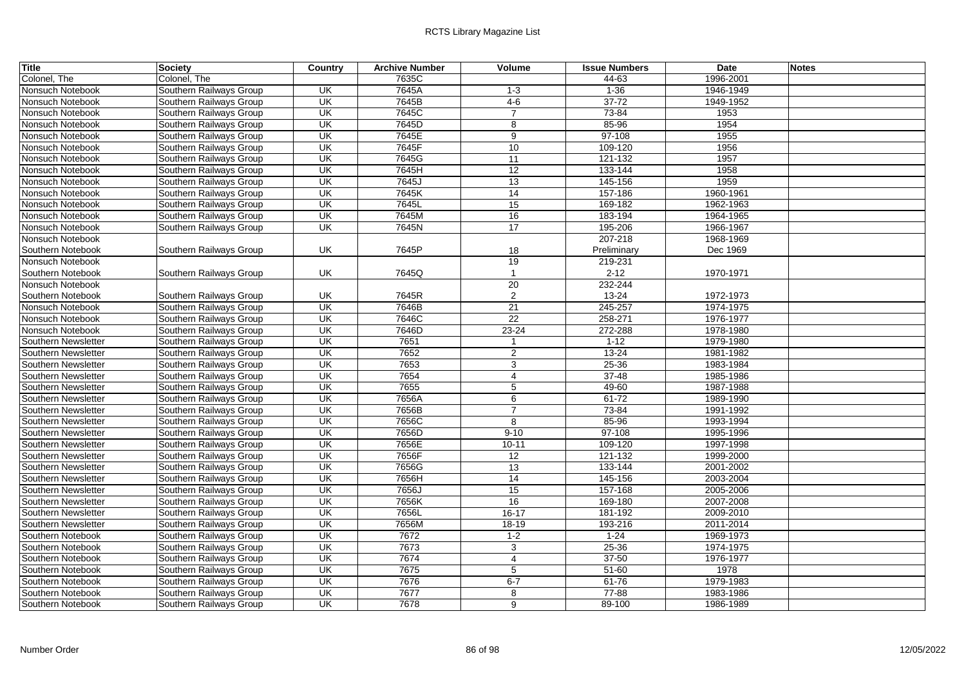| <b>Title</b>        | <b>Society</b>          | Country                  | <b>Archive Number</b> | Volume          | <b>Issue Numbers</b> | <b>Date</b> | <b>Notes</b> |
|---------------------|-------------------------|--------------------------|-----------------------|-----------------|----------------------|-------------|--------------|
| Colonel, The        | Colonel, The            |                          | 7635C                 |                 | 44-63                | 1996-2001   |              |
| Nonsuch Notebook    | Southern Railways Group | UK                       | 7645A                 | $1-3$           | $1 - 36$             | 1946-1949   |              |
| Nonsuch Notebook    | Southern Railways Group | UK                       | 7645B                 | $4 - 6$         | $37 - 72$            | 1949-1952   |              |
| Nonsuch Notebook    | Southern Railways Group | UK                       | 7645C                 | $\overline{7}$  | 73-84                | 1953        |              |
| Nonsuch Notebook    | Southern Railways Group | UK                       | 7645D                 | 8               | 85-96                | 1954        |              |
| Nonsuch Notebook    | Southern Railways Group | UK                       | 7645E                 | $\overline{9}$  | 97-108               | 1955        |              |
| Nonsuch Notebook    | Southern Railways Group | UK                       | 7645F                 | 10              | 109-120              | 1956        |              |
| Nonsuch Notebook    | Southern Railways Group | UK                       | 7645G                 | $\overline{11}$ | 121-132              | 1957        |              |
| Nonsuch Notebook    | Southern Railways Group | UK                       | 7645H                 | 12              | 133-144              | 1958        |              |
| Nonsuch Notebook    | Southern Railways Group | $\overline{\mathsf{CK}}$ | 7645J                 | 13              | 145-156              | 1959        |              |
| Nonsuch Notebook    | Southern Railways Group | UK                       | 7645K                 | 14              | 157-186              | 1960-1961   |              |
| Nonsuch Notebook    | Southern Railways Group | UK                       | 7645L                 | 15              | 169-182              | 1962-1963   |              |
| Nonsuch Notebook    | Southern Railways Group | UK                       | 7645M                 | 16              | 183-194              | 1964-1965   |              |
| Nonsuch Notebook    | Southern Railways Group | $\overline{\mathsf{CK}}$ | 7645N                 | 17              | 195-206              | 1966-1967   |              |
| Nonsuch Notebook    |                         |                          |                       |                 | 207-218              | 1968-1969   |              |
| Southern Notebook   | Southern Railways Group | <b>UK</b>                | 7645P                 | 18              | Preliminary          | Dec 1969    |              |
| Nonsuch Notebook    |                         |                          |                       | 19              | 219-231              |             |              |
| Southern Notebook   | Southern Railways Group | UK                       | 7645Q                 | $\overline{1}$  | $2 - 12$             | 1970-1971   |              |
| Nonsuch Notebook    |                         |                          |                       | 20              | 232-244              |             |              |
| Southern Notebook   | Southern Railways Group | UK                       | 7645R                 | $\overline{2}$  | 13-24                | 1972-1973   |              |
| Nonsuch Notebook    | Southern Railways Group | UK                       | 7646B                 | 21              | 245-257              | 1974-1975   |              |
| Nonsuch Notebook    | Southern Railways Group | $\overline{\mathsf{CK}}$ | 7646C                 | $\overline{22}$ | 258-271              | 1976-1977   |              |
| Nonsuch Notebook    | Southern Railways Group | UK                       | 7646D                 | $23 - 24$       | 272-288              | 1978-1980   |              |
| Southern Newsletter | Southern Railways Group | $\overline{\mathsf{CK}}$ | 7651                  |                 | $1 - 12$             | 1979-1980   |              |
| Southern Newsletter | Southern Railways Group | $\overline{\mathsf{U}}$  | 7652                  | $\overline{2}$  | $13 - 24$            | 1981-1982   |              |
| Southern Newsletter | Southern Railways Group | $\overline{\mathsf{U}}$  | 7653                  | 3               | $25 - 36$            | 1983-1984   |              |
| Southern Newsletter | Southern Railways Group | UK                       | 7654                  | $\overline{4}$  | $37 - 48$            | 1985-1986   |              |
| Southern Newsletter | Southern Railways Group | UK                       | 7655                  | 5               | 49-60                | 1987-1988   |              |
| Southern Newsletter | Southern Railways Group | UK                       | 7656A                 | 6               | $61 - 72$            | 1989-1990   |              |
| Southern Newsletter | Southern Railways Group | UK                       | 7656B                 | $\overline{7}$  | 73-84                | 1991-1992   |              |
| Southern Newsletter | Southern Railways Group | UK                       | 7656C                 | $\overline{8}$  | 85-96                | 1993-1994   |              |
| Southern Newsletter | Southern Railways Group | UK                       | 7656D                 | $9 - 10$        | 97-108               | 1995-1996   |              |
| Southern Newsletter | Southern Railways Group | UK                       | 7656E                 | $10 - 11$       | 109-120              | 1997-1998   |              |
| Southern Newsletter | Southern Railways Group | UK                       | 7656F                 | 12              | 121-132              | 1999-2000   |              |
| Southern Newsletter | Southern Railways Group | $\overline{\mathsf{CK}}$ | 7656G                 | $\overline{13}$ | 133-144              | 2001-2002   |              |
| Southern Newsletter | Southern Railways Group | UK                       | 7656H                 | 14              | 145-156              | 2003-2004   |              |
| Southern Newsletter | Southern Railways Group | $\overline{\mathsf{CK}}$ | 7656J                 | 15              | 157-168              | 2005-2006   |              |
| Southern Newsletter | Southern Railways Group | UK                       | 7656K                 | 16              | 169-180              | 2007-2008   |              |
| Southern Newsletter | Southern Railways Group | UK                       | 7656L                 | $16 - 17$       | 181-192              | 2009-2010   |              |
| Southern Newsletter | Southern Railways Group | UK                       | 7656M                 | $18 - 19$       | 193-216              | 2011-2014   |              |
| Southern Notebook   | Southern Railways Group | UK                       | 7672                  | $1-2$           | $1 - 24$             | 1969-1973   |              |
| Southern Notebook   | Southern Railways Group | $\overline{\mathsf{CK}}$ | 7673                  | 3               | $25 - 36$            | 1974-1975   |              |
| Southern Notebook   | Southern Railways Group | UK                       | 7674                  | $\overline{4}$  | $37 - 50$            | 1976-1977   |              |
| Southern Notebook   | Southern Railways Group | $\overline{\mathsf{CK}}$ | 7675                  | $\overline{5}$  | $51 - 60$            | 1978        |              |
| Southern Notebook   | Southern Railways Group | UK                       | 7676                  | $6 - 7$         | $61 - 76$            | 1979-1983   |              |
| Southern Notebook   | Southern Railways Group | $\overline{\mathsf{CK}}$ | 7677                  | 8               | $77 - 88$            | 1983-1986   |              |
| Southern Notebook   | Southern Railways Group | UK                       | 7678                  | 9               | 89-100               | 1986-1989   |              |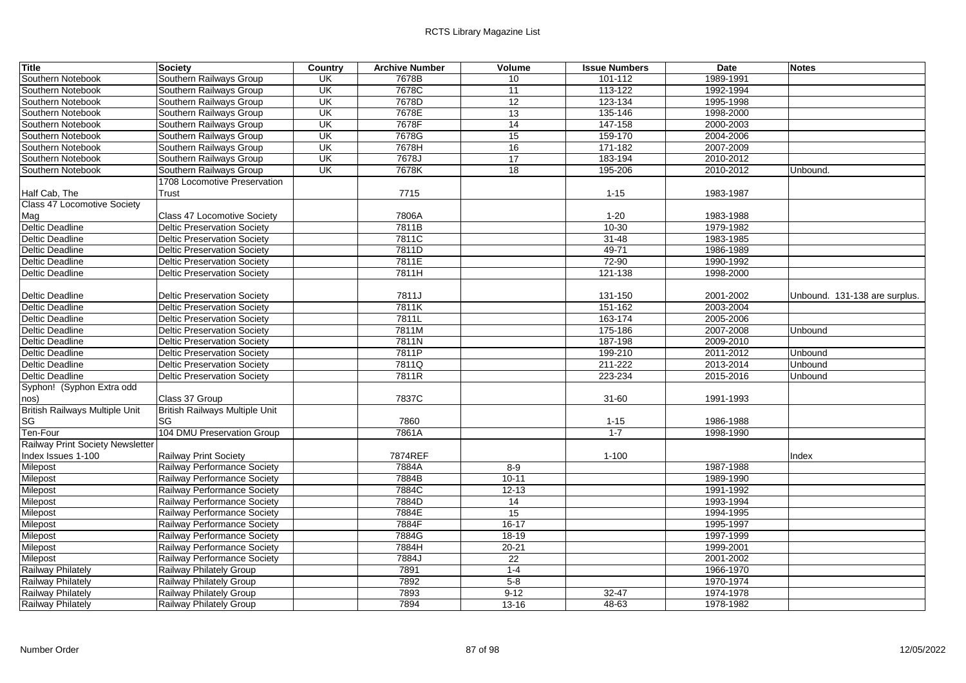| <b>Title</b>                          | <b>Society</b>                     | Country                  | <b>Archive Number</b> | Volume          | <b>Issue Numbers</b> | <b>Date</b> | <b>Notes</b>                  |
|---------------------------------------|------------------------------------|--------------------------|-----------------------|-----------------|----------------------|-------------|-------------------------------|
| Southern Notebook                     | Southern Railways Group            | UK                       | 7678B                 | 10              | 101-112              | 1989-1991   |                               |
| Southern Notebook                     | Southern Railways Group            | $\overline{\mathsf{CK}}$ | 7678C                 | 11              | 113-122              | 1992-1994   |                               |
| Southern Notebook                     | Southern Railways Group            | UK                       | 7678D                 | 12              | 123-134              | 1995-1998   |                               |
| Southern Notebook                     | Southern Railways Group            | UK                       | 7678E                 | 13              | 135-146              | 1998-2000   |                               |
| Southern Notebook                     | Southern Railways Group            | UK                       | 7678F                 | 14              | 147-158              | 2000-2003   |                               |
| Southern Notebook                     | Southern Railways Group            | UK                       | 7678G                 | 15              | 159-170              | 2004-2006   |                               |
| Southern Notebook                     | Southern Railways Group            | UK                       | 7678H                 | 16              | 171-182              | 2007-2009   |                               |
| Southern Notebook                     | Southern Railways Group            | $\overline{\mathsf{U}}$  | 7678J                 | $\overline{17}$ | 183-194              | 2010-2012   |                               |
| Southern Notebook                     | Southern Railways Group            | UK                       | 7678K                 | 18              | 195-206              | 2010-2012   | Unbound.                      |
|                                       | 1708 Locomotive Preservation       |                          |                       |                 |                      |             |                               |
| Half Cab, The                         | Trust                              |                          | 7715                  |                 | $1 - 15$             | 1983-1987   |                               |
| Class 47 Locomotive Society           |                                    |                          |                       |                 |                      |             |                               |
| Mag                                   | <b>Class 47 Locomotive Society</b> |                          | 7806A                 |                 | $1 - 20$             | 1983-1988   |                               |
| Deltic Deadline                       | Deltic Preservation Society        |                          | 7811B                 |                 | $10-30$              | 1979-1982   |                               |
| <b>Deltic Deadline</b>                | <b>Deltic Preservation Society</b> |                          | 7811C                 |                 | $31 - 48$            | 1983-1985   |                               |
| Deltic Deadline                       | Deltic Preservation Society        |                          | 7811D                 |                 | 49-71                | 1986-1989   |                               |
| <b>Deltic Deadline</b>                | Deltic Preservation Society        |                          | 7811E                 |                 | 72-90                | 1990-1992   |                               |
| <b>Deltic Deadline</b>                | <b>Deltic Preservation Society</b> |                          | 7811H                 |                 | $121 - 138$          | 1998-2000   |                               |
|                                       |                                    |                          |                       |                 |                      |             |                               |
| Deltic Deadline                       | <b>Deltic Preservation Society</b> |                          | 7811J                 |                 | 131-150              | 2001-2002   | Unbound. 131-138 are surplus. |
| <b>Deltic Deadline</b>                | Deltic Preservation Society        |                          | 7811K                 |                 | 151-162              | 2003-2004   |                               |
| <b>Deltic Deadline</b>                | <b>Deltic Preservation Society</b> |                          | 7811L                 |                 | 163-174              | 2005-2006   |                               |
| Deltic Deadline                       | <b>Deltic Preservation Society</b> |                          | 7811M                 |                 | 175-186              | 2007-2008   | Unbound                       |
| <b>Deltic Deadline</b>                | Deltic Preservation Society        |                          | 7811N                 |                 | 187-198              | 2009-2010   |                               |
| <b>Deltic Deadline</b>                | Deltic Preservation Society        |                          | 7811P                 |                 | 199-210              | 2011-2012   | Unbound                       |
| <b>Deltic Deadline</b>                | <b>Deltic Preservation Society</b> |                          | 7811Q                 |                 | 211-222              | 2013-2014   | Unbound                       |
| <b>Deltic Deadline</b>                | Deltic Preservation Society        |                          | 7811R                 |                 | 223-234              | 2015-2016   | Unbound                       |
| Syphon! (Syphon Extra odd             |                                    |                          |                       |                 |                      |             |                               |
| nos)                                  | Class 37 Group                     |                          | 7837C                 |                 | $31 - 60$            | 1991-1993   |                               |
| <b>British Railways Multiple Unit</b> | British Railways Multiple Unit     |                          |                       |                 |                      |             |                               |
| SG                                    | <b>SG</b>                          |                          | 7860                  |                 | $1 - 15$             | 1986-1988   |                               |
| Ten-Four                              | 104 DMU Preservation Group         |                          | 7861A                 |                 | $1 - 7$              | 1998-1990   |                               |
| Railway Print Society Newsletter      |                                    |                          |                       |                 |                      |             |                               |
| Index Issues 1-100                    | Railway Print Society              |                          | 7874REF               |                 | $1 - 100$            |             | Index                         |
| Milepost                              | Railway Performance Society        |                          | 7884A                 | $8-9$           |                      | 1987-1988   |                               |
| Milepost                              | Railway Performance Society        |                          | 7884B                 | $10 - 11$       |                      | 1989-1990   |                               |
| Milepost                              | Railway Performance Society        |                          | 7884C                 | $12 - 13$       |                      | 1991-1992   |                               |
| Milepost                              | Railway Performance Society        |                          | 7884D                 | $\overline{14}$ |                      | 1993-1994   |                               |
| Milepost                              | Railway Performance Society        |                          | 7884E                 | 15              |                      | 1994-1995   |                               |
| Milepost                              | Railway Performance Society        |                          | 7884F                 | $16-17$         |                      | 1995-1997   |                               |
| Milepost                              | Railway Performance Society        |                          | 7884G                 | 18-19           |                      | 1997-1999   |                               |
| Milepost                              | Railway Performance Society        |                          | 7884H                 | $20 - 21$       |                      | 1999-2001   |                               |
| Milepost                              | Railway Performance Society        |                          | 7884J                 | 22              |                      | 2001-2002   |                               |
| Railway Philately                     | Railway Philately Group            |                          | 7891                  | $1 - 4$         |                      | 1966-1970   |                               |
| <b>Railway Philately</b>              | Railway Philately Group            |                          | 7892                  | $5 - 8$         |                      | 1970-1974   |                               |
| Railway Philately                     | Railway Philately Group            |                          | 7893                  | $9 - 12$        | $32 - 47$            | 1974-1978   |                               |
| <b>Railway Philately</b>              | Railway Philately Group            |                          | 7894                  | 13-16           | $48 - 63$            | 1978-1982   |                               |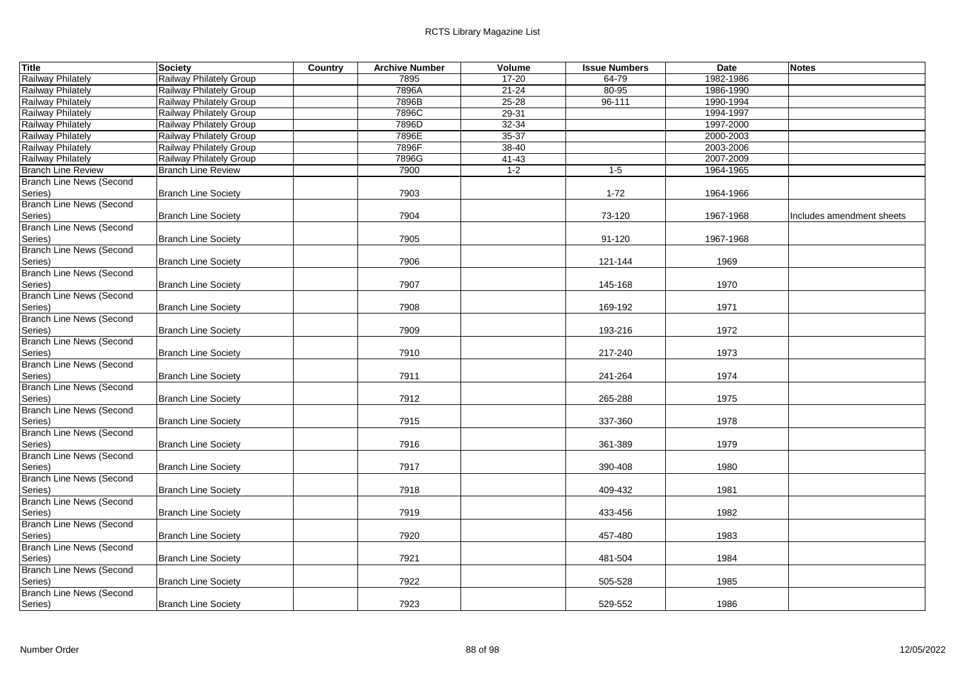| <b>Title</b>                    | Society                        | Country | <b>Archive Number</b> | Volume    | <b>Issue Numbers</b> | <b>Date</b> | <b>Notes</b>              |
|---------------------------------|--------------------------------|---------|-----------------------|-----------|----------------------|-------------|---------------------------|
| <b>Railway Philately</b>        | <b>Railway Philately Group</b> |         | 7895                  | 17-20     | 64-79                | 1982-1986   |                           |
| Railway Philately               | Railway Philately Group        |         | 7896A                 | $21 - 24$ | 80-95                | 1986-1990   |                           |
| Railway Philately               | Railway Philately Group        |         | 7896B                 | $25 - 28$ | $96 - 111$           | 1990-1994   |                           |
| <b>Railway Philately</b>        | Railway Philately Group        |         | 7896C                 | $29 - 31$ |                      | 1994-1997   |                           |
| Railway Philately               | Railway Philately Group        |         | 7896D                 | 32-34     |                      | 1997-2000   |                           |
| <b>Railway Philately</b>        | <b>Railway Philately Group</b> |         | 7896E                 | 35-37     |                      | 2000-2003   |                           |
| Railway Philately               | Railway Philately Group        |         | 7896F                 | 38-40     |                      | 2003-2006   |                           |
| Railway Philately               | Railway Philately Group        |         | 7896G                 | $41 - 43$ |                      | 2007-2009   |                           |
| <b>Branch Line Review</b>       | <b>Branch Line Review</b>      |         | 7900                  | $1 - 2$   | $1 - 5$              | 1964-1965   |                           |
| <b>Branch Line News (Second</b> |                                |         |                       |           |                      |             |                           |
| Series)                         | <b>Branch Line Society</b>     |         | 7903                  |           | $1 - 72$             | 1964-1966   |                           |
| <b>Branch Line News (Second</b> |                                |         |                       |           |                      |             |                           |
| Series)                         | <b>Branch Line Society</b>     |         | 7904                  |           | 73-120               | 1967-1968   | Includes amendment sheets |
| <b>Branch Line News (Second</b> |                                |         |                       |           |                      |             |                           |
| Series)                         | <b>Branch Line Society</b>     |         | 7905                  |           | 91-120               | 1967-1968   |                           |
| Branch Line News (Second        |                                |         |                       |           |                      |             |                           |
| Series)                         | <b>Branch Line Society</b>     |         | 7906                  |           | 121-144              | 1969        |                           |
| <b>Branch Line News (Second</b> |                                |         |                       |           |                      |             |                           |
| Series)                         | <b>Branch Line Society</b>     |         | 7907                  |           | 145-168              | 1970        |                           |
| <b>Branch Line News (Second</b> |                                |         |                       |           |                      |             |                           |
| Series)                         | <b>Branch Line Society</b>     |         | 7908                  |           | 169-192              | 1971        |                           |
| <b>Branch Line News (Second</b> |                                |         |                       |           |                      |             |                           |
| Series)                         | <b>Branch Line Society</b>     |         | 7909                  |           | 193-216              | 1972        |                           |
| <b>Branch Line News (Second</b> |                                |         |                       |           |                      |             |                           |
| Series)                         | <b>Branch Line Society</b>     |         | 7910                  |           | 217-240              | 1973        |                           |
| <b>Branch Line News (Second</b> |                                |         |                       |           |                      |             |                           |
| Series)                         | <b>Branch Line Society</b>     |         | 7911                  |           | 241-264              | 1974        |                           |
| <b>Branch Line News (Second</b> |                                |         |                       |           |                      |             |                           |
| Series)                         | <b>Branch Line Society</b>     |         | 7912                  |           | 265-288              | 1975        |                           |
| <b>Branch Line News (Second</b> |                                |         |                       |           |                      |             |                           |
| Series)                         | <b>Branch Line Society</b>     |         | 7915                  |           | 337-360              | 1978        |                           |
| <b>Branch Line News (Second</b> |                                |         |                       |           |                      |             |                           |
| Series)                         | <b>Branch Line Society</b>     |         | 7916                  |           | 361-389              | 1979        |                           |
| <b>Branch Line News (Second</b> |                                |         |                       |           |                      |             |                           |
| Series)                         | <b>Branch Line Society</b>     |         | 7917                  |           | 390-408              | 1980        |                           |
| <b>Branch Line News (Second</b> |                                |         |                       |           |                      |             |                           |
| Series)                         | <b>Branch Line Society</b>     |         | 7918                  |           | 409-432              | 1981        |                           |
| <b>Branch Line News (Second</b> |                                |         |                       |           |                      |             |                           |
| Series)                         | <b>Branch Line Society</b>     |         | 7919                  |           | 433-456              | 1982        |                           |
| <b>Branch Line News (Second</b> |                                |         |                       |           |                      |             |                           |
| Series)                         | <b>Branch Line Society</b>     |         | 7920                  |           | 457-480              | 1983        |                           |
| <b>Branch Line News (Second</b> |                                |         |                       |           |                      |             |                           |
| Series)                         | <b>Branch Line Society</b>     |         | 7921                  |           | 481-504              | 1984        |                           |
| <b>Branch Line News (Second</b> |                                |         |                       |           |                      |             |                           |
| Series)                         | <b>Branch Line Society</b>     |         | 7922                  |           | 505-528              | 1985        |                           |
| Branch Line News (Second        |                                |         |                       |           |                      |             |                           |
| Series)                         | <b>Branch Line Society</b>     |         | 7923                  |           | 529-552              | 1986        |                           |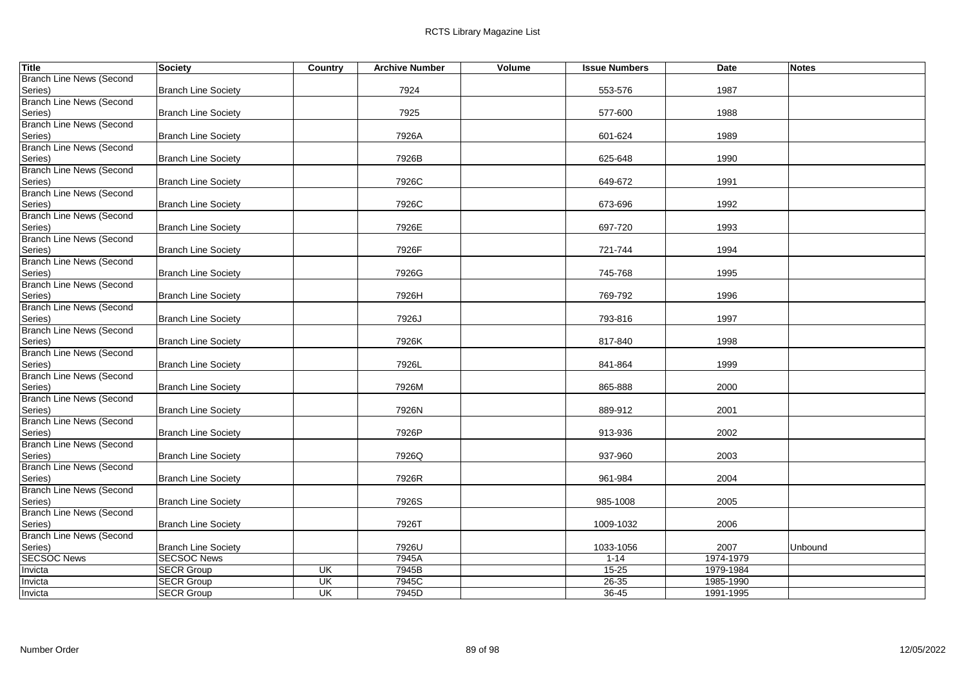| <b>Title</b>                               | <b>Society</b>             | Country                  | <b>Archive Number</b> | Volume | <b>Issue Numbers</b> | <b>Date</b> | <b>Notes</b> |
|--------------------------------------------|----------------------------|--------------------------|-----------------------|--------|----------------------|-------------|--------------|
| <b>Branch Line News (Second</b>            |                            |                          |                       |        |                      |             |              |
| Series)                                    | <b>Branch Line Society</b> |                          | 7924                  |        | 553-576              | 1987        |              |
| <b>Branch Line News (Second</b>            |                            |                          |                       |        |                      |             |              |
| Series)                                    | <b>Branch Line Society</b> |                          | 7925                  |        | 577-600              | 1988        |              |
| <b>Branch Line News (Second</b>            |                            |                          |                       |        |                      |             |              |
| Series)                                    | <b>Branch Line Society</b> |                          | 7926A                 |        | 601-624              | 1989        |              |
| <b>Branch Line News (Second</b>            |                            |                          |                       |        |                      |             |              |
| Series)                                    | <b>Branch Line Society</b> |                          | 7926B                 |        | 625-648              | 1990        |              |
| <b>Branch Line News (Second</b>            |                            |                          |                       |        |                      |             |              |
| Series)<br><b>Branch Line News (Second</b> | <b>Branch Line Society</b> |                          | 7926C                 |        | 649-672              | 1991        |              |
| Series)                                    | <b>Branch Line Society</b> |                          | 7926C                 |        | 673-696              | 1992        |              |
| <b>Branch Line News (Second</b>            |                            |                          |                       |        |                      |             |              |
| Series)                                    | <b>Branch Line Society</b> |                          | 7926E                 |        | 697-720              | 1993        |              |
| <b>Branch Line News (Second</b>            |                            |                          |                       |        |                      |             |              |
| Series)                                    | <b>Branch Line Society</b> |                          | 7926F                 |        | 721-744              | 1994        |              |
| <b>Branch Line News (Second</b>            |                            |                          |                       |        |                      |             |              |
| Series)                                    | <b>Branch Line Society</b> |                          | 7926G                 |        | 745-768              | 1995        |              |
| <b>Branch Line News (Second</b>            |                            |                          |                       |        |                      |             |              |
| Series)                                    | <b>Branch Line Society</b> |                          | 7926H                 |        | 769-792              | 1996        |              |
| <b>Branch Line News (Second</b>            |                            |                          |                       |        |                      |             |              |
| Series)                                    | <b>Branch Line Society</b> |                          | 7926J                 |        | 793-816              | 1997        |              |
| <b>Branch Line News (Second</b>            |                            |                          |                       |        |                      |             |              |
| Series)                                    | <b>Branch Line Society</b> |                          | 7926K                 |        | 817-840              | 1998        |              |
| <b>Branch Line News (Second</b>            |                            |                          |                       |        |                      |             |              |
| Series)                                    | <b>Branch Line Society</b> |                          | 7926L                 |        | 841-864              | 1999        |              |
| <b>Branch Line News (Second</b>            |                            |                          |                       |        |                      |             |              |
| Series)                                    | <b>Branch Line Society</b> |                          | 7926M                 |        | 865-888              | 2000        |              |
| <b>Branch Line News (Second</b>            |                            |                          |                       |        |                      |             |              |
| Series)<br><b>Branch Line News (Second</b> | <b>Branch Line Society</b> |                          | 7926N                 |        | 889-912              | 2001        |              |
| Series)                                    | <b>Branch Line Society</b> |                          | 7926P                 |        | 913-936              | 2002        |              |
| <b>Branch Line News (Second</b>            |                            |                          |                       |        |                      |             |              |
| Series)                                    | <b>Branch Line Society</b> |                          | 7926Q                 |        | 937-960              | 2003        |              |
| <b>Branch Line News (Second</b>            |                            |                          |                       |        |                      |             |              |
| Series)                                    | <b>Branch Line Society</b> |                          | 7926R                 |        | 961-984              | 2004        |              |
| <b>Branch Line News (Second</b>            |                            |                          |                       |        |                      |             |              |
| Series)                                    | <b>Branch Line Society</b> |                          | 7926S                 |        | 985-1008             | 2005        |              |
| <b>Branch Line News (Second</b>            |                            |                          |                       |        |                      |             |              |
| Series)                                    | <b>Branch Line Society</b> |                          | 7926T                 |        | 1009-1032            | 2006        |              |
| <b>Branch Line News (Second</b>            |                            |                          |                       |        |                      |             |              |
| Series)                                    | <b>Branch Line Society</b> |                          | 7926U                 |        | 1033-1056            | 2007        | Unbound      |
| <b>SECSOC News</b>                         | <b>SECSOC News</b>         |                          | 7945A                 |        | $1 - 14$             | 1974-1979   |              |
| Invicta                                    | <b>SECR Group</b>          | <b>UK</b>                | 7945B                 |        | $15 - 25$            | 1979-1984   |              |
| Invicta                                    | <b>SECR Group</b>          | UK                       | 7945C                 |        | $26 - 35$            | 1985-1990   |              |
| Invicta                                    | <b>SECR Group</b>          | $\overline{\mathsf{CK}}$ | 7945D                 |        | $36 - 45$            | 1991-1995   |              |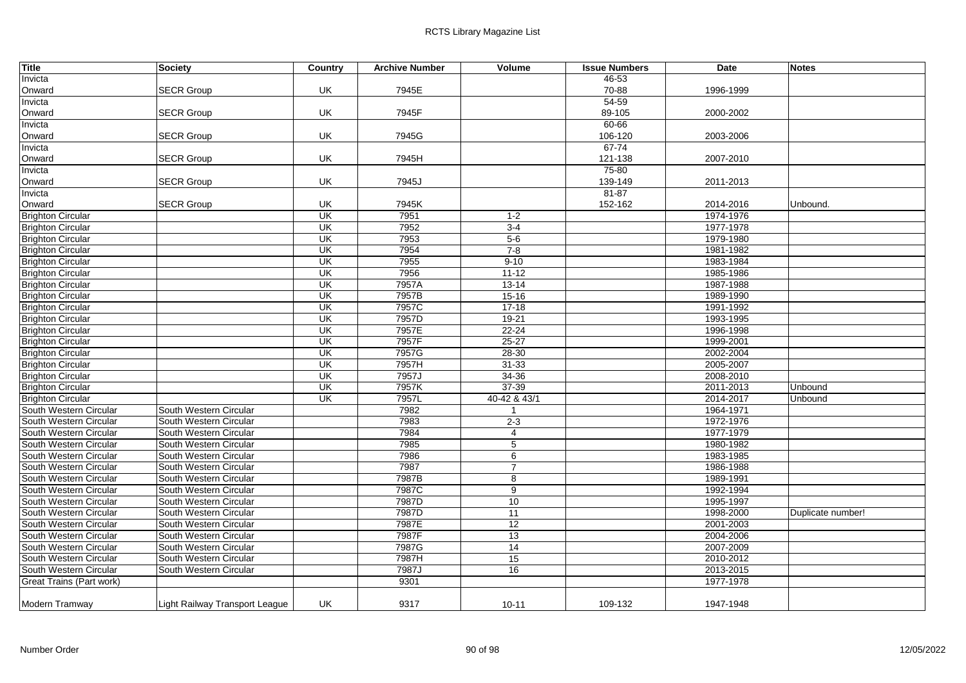| <b>Title</b>             | <b>Society</b>                 | Country                  | <b>Archive Number</b> | Volume          | <b>Issue Numbers</b> | <b>Date</b> | <b>Notes</b>      |
|--------------------------|--------------------------------|--------------------------|-----------------------|-----------------|----------------------|-------------|-------------------|
| Invicta                  |                                |                          |                       |                 | 46-53                |             |                   |
| Onward                   | <b>SECR Group</b>              | UK                       | 7945E                 |                 | 70-88                | 1996-1999   |                   |
| Invicta                  |                                |                          |                       |                 | 54-59                |             |                   |
| Onward                   | <b>SECR Group</b>              | UK                       | 7945F                 |                 | 89-105               | 2000-2002   |                   |
| Invicta                  |                                |                          |                       |                 | 60-66                |             |                   |
| Onward                   | <b>SECR Group</b>              | UK                       | 7945G                 |                 | 106-120              | 2003-2006   |                   |
| Invicta                  |                                |                          |                       |                 | $67 - 74$            |             |                   |
| Onward                   | <b>SECR Group</b>              | UK                       | 7945H                 |                 | 121-138              | 2007-2010   |                   |
| Invicta                  |                                |                          |                       |                 | 75-80                |             |                   |
| Onward                   | <b>SECR Group</b>              | UK                       | 7945J                 |                 | 139-149              | 2011-2013   |                   |
| Invicta                  |                                |                          |                       |                 | $81 - 87$            |             |                   |
| Onward                   | <b>SECR Group</b>              | UK                       | 7945K                 |                 | 152-162              | 2014-2016   | Unbound.          |
| <b>Brighton Circular</b> |                                | UK                       | 7951                  | $1 - 2$         |                      | 1974-1976   |                   |
| <b>Brighton Circular</b> |                                | UK                       | 7952                  | $3-4$           |                      | 1977-1978   |                   |
| <b>Brighton Circular</b> |                                | $\overline{\mathsf{CK}}$ | 7953                  | $5-6$           |                      | 1979-1980   |                   |
| <b>Brighton Circular</b> |                                | $\overline{\mathsf{CK}}$ | 7954                  | $7 - 8$         |                      | 1981-1982   |                   |
| <b>Brighton Circular</b> |                                | <b>UK</b>                | 7955                  | $9 - 10$        |                      | 1983-1984   |                   |
| <b>Brighton Circular</b> |                                | UK                       | 7956                  | $11 - 12$       |                      | 1985-1986   |                   |
| <b>Brighton Circular</b> |                                | <b>UK</b>                | 7957A                 | $13 - 14$       |                      | 1987-1988   |                   |
| <b>Brighton Circular</b> |                                | <b>UK</b>                | 7957B                 | $15 - 16$       |                      | 1989-1990   |                   |
| <b>Brighton Circular</b> |                                | UK                       | 7957C                 | $17 - 18$       |                      | 1991-1992   |                   |
| <b>Brighton Circular</b> |                                | $\overline{\mathsf{CK}}$ | 7957D                 | $19 - 21$       |                      | 1993-1995   |                   |
| <b>Brighton Circular</b> |                                | UK                       | 7957E                 | $22 - 24$       |                      | 1996-1998   |                   |
| <b>Brighton Circular</b> |                                | <b>UK</b>                | 7957F                 | $25 - 27$       |                      | 1999-2001   |                   |
| <b>Brighton Circular</b> |                                | $\overline{\mathsf{CK}}$ | 7957G                 | 28-30           |                      | 2002-2004   |                   |
| <b>Brighton Circular</b> |                                | <b>UK</b>                | 7957H                 | $31 - 33$       |                      | 2005-2007   |                   |
| <b>Brighton Circular</b> |                                | UK                       | 7957J                 | $34 - 36$       |                      | 2008-2010   |                   |
| <b>Brighton Circular</b> |                                | UK                       | 7957K                 | $37 - 39$       |                      | 2011-2013   | Unbound           |
| <b>Brighton Circular</b> |                                | UK                       | 7957L                 | 40-42 & 43/1    |                      | 2014-2017   | Unbound           |
| South Western Circular   | South Western Circular         |                          | 7982                  | -1              |                      | 1964-1971   |                   |
| South Western Circular   | South Western Circular         |                          | 7983                  | $2 - 3$         |                      | 1972-1976   |                   |
| South Western Circular   | South Western Circular         |                          | 7984                  | $\overline{4}$  |                      | 1977-1979   |                   |
| South Western Circular   | South Western Circular         |                          | 7985                  | 5               |                      | 1980-1982   |                   |
| South Western Circular   | South Western Circular         |                          | 7986                  | $6 \overline{}$ |                      | 1983-1985   |                   |
| South Western Circular   | South Western Circular         |                          | 7987                  | $\overline{7}$  |                      | 1986-1988   |                   |
| South Western Circular   | South Western Circular         |                          | 7987B                 | 8               |                      | 1989-1991   |                   |
| South Western Circular   | South Western Circular         |                          | 7987C                 | 9               |                      | 1992-1994   |                   |
| South Western Circular   | South Western Circular         |                          | 7987D                 | 10              |                      | 1995-1997   |                   |
| South Western Circular   | South Western Circular         |                          | 7987D                 | 11              |                      | 1998-2000   | Duplicate number! |
| South Western Circular   | South Western Circular         |                          | 7987E                 | $\overline{12}$ |                      | 2001-2003   |                   |
| South Western Circular   | South Western Circular         |                          | 7987F                 | 13              |                      | 2004-2006   |                   |
| South Western Circular   | South Western Circular         |                          | 7987G                 | 14              |                      | 2007-2009   |                   |
| South Western Circular   | South Western Circular         |                          | 7987H                 | 15              |                      | 2010-2012   |                   |
| South Western Circular   | South Western Circular         |                          | 7987J                 | 16              |                      | 2013-2015   |                   |
| Great Trains (Part work) |                                |                          | 9301                  |                 |                      | 1977-1978   |                   |
|                          |                                |                          |                       |                 |                      |             |                   |
| Modern Tramway           | Light Railway Transport League | UK.                      | 9317                  | $10 - 11$       | 109-132              | 1947-1948   |                   |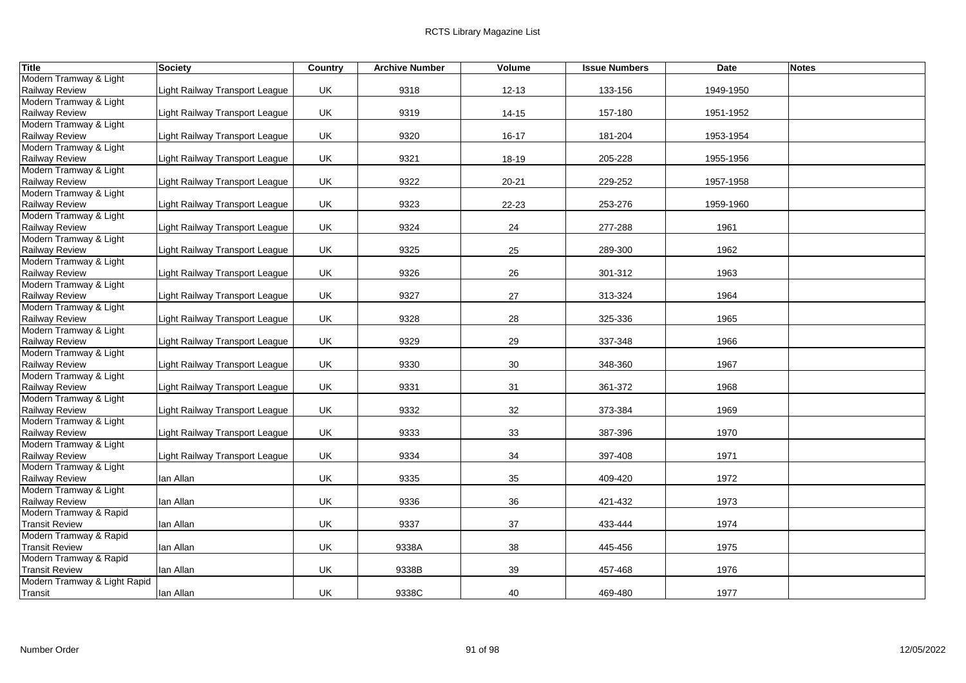| <b>Title</b>                                    | <b>Society</b>                 | Country | <b>Archive Number</b> | Volume    | <b>Issue Numbers</b> | <b>Date</b> | <b>Notes</b> |
|-------------------------------------------------|--------------------------------|---------|-----------------------|-----------|----------------------|-------------|--------------|
| Modern Tramway & Light                          |                                |         |                       |           |                      |             |              |
| <b>Railway Review</b>                           | Light Railway Transport League | UK      | 9318                  | $12 - 13$ | 133-156              | 1949-1950   |              |
| Modern Tramway & Light                          |                                |         |                       |           |                      |             |              |
| Railway Review                                  | Light Railway Transport League | UK      | 9319                  | 14-15     | 157-180              | 1951-1952   |              |
| Modern Tramway & Light                          |                                |         |                       |           |                      |             |              |
| Railway Review                                  | Light Railway Transport League | UK      | 9320                  | $16 - 17$ | 181-204              | 1953-1954   |              |
| Modern Tramway & Light                          |                                |         |                       |           |                      |             |              |
| Railway Review                                  | Light Railway Transport League | UK      | 9321                  | 18-19     | 205-228              | 1955-1956   |              |
| Modern Tramway & Light                          |                                |         |                       |           |                      |             |              |
| <b>Railway Review</b><br>Modern Tramway & Light | Light Railway Transport League | UK      | 9322                  | $20 - 21$ | 229-252              | 1957-1958   |              |
| <b>Railway Review</b>                           | Light Railway Transport League | UK      | 9323                  | $22 - 23$ | 253-276              | 1959-1960   |              |
| Modern Tramway & Light                          |                                |         |                       |           |                      |             |              |
| <b>Railway Review</b>                           | Light Railway Transport League | UK      | 9324                  | 24        | 277-288              | 1961        |              |
| Modern Tramway & Light                          |                                |         |                       |           |                      |             |              |
| Railway Review                                  | Light Railway Transport League | UK      | 9325                  | 25        | 289-300              | 1962        |              |
| Modern Tramway & Light                          |                                |         |                       |           |                      |             |              |
| <b>Railway Review</b>                           | Light Railway Transport League | UK      | 9326                  | 26        | 301-312              | 1963        |              |
| Modern Tramway & Light                          |                                |         |                       |           |                      |             |              |
| Railway Review                                  | Light Railway Transport League | UK      | 9327                  | 27        | 313-324              | 1964        |              |
| Modern Tramway & Light                          |                                |         |                       |           |                      |             |              |
| <b>Railway Review</b>                           | Light Railway Transport League | UK      | 9328                  | 28        | 325-336              | 1965        |              |
| Modern Tramway & Light                          |                                |         |                       |           |                      |             |              |
| <b>Railway Review</b>                           | Light Railway Transport League | UK      | 9329                  | 29        | 337-348              | 1966        |              |
| Modern Tramway & Light                          |                                |         |                       |           |                      |             |              |
| Railway Review                                  | Light Railway Transport League | UK      | 9330                  | 30        | 348-360              | 1967        |              |
| Modern Tramway & Light                          |                                |         |                       |           |                      |             |              |
| Railway Review                                  | Light Railway Transport League | UK      | 9331                  | 31        | 361-372              | 1968        |              |
| Modern Tramway & Light                          |                                |         |                       | 32        |                      |             |              |
| Railway Review<br>Modern Tramway & Light        | Light Railway Transport League | UK      | 9332                  |           | 373-384              | 1969        |              |
| <b>Railway Review</b>                           | Light Railway Transport League | UK      | 9333                  | 33        | 387-396              | 1970        |              |
| Modern Tramway & Light                          |                                |         |                       |           |                      |             |              |
| Railway Review                                  | Light Railway Transport League | UK      | 9334                  | 34        | 397-408              | 1971        |              |
| Modern Tramway & Light                          |                                |         |                       |           |                      |             |              |
| Railway Review                                  | lan Allan                      | UK      | 9335                  | 35        | 409-420              | 1972        |              |
| Modern Tramway & Light                          |                                |         |                       |           |                      |             |              |
| Railway Review                                  | lan Allan                      | UK      | 9336                  | 36        | 421-432              | 1973        |              |
| Modern Tramway & Rapid                          |                                |         |                       |           |                      |             |              |
| <b>Transit Review</b>                           | lan Allan                      | UK      | 9337                  | 37        | 433-444              | 1974        |              |
| Modern Tramway & Rapid                          |                                |         |                       |           |                      |             |              |
| <b>Transit Review</b>                           | lan Allan                      | UK      | 9338A                 | 38        | 445-456              | 1975        |              |
| Modern Tramway & Rapid                          |                                |         |                       |           |                      |             |              |
| <b>Transit Review</b>                           | lan Allan                      | UK      | 9338B                 | 39        | 457-468              | 1976        |              |
| Modern Tramway & Light Rapid                    |                                |         |                       |           |                      |             |              |
| Transit                                         | Ian Allan                      | UK      | 9338C                 | 40        | 469-480              | 1977        |              |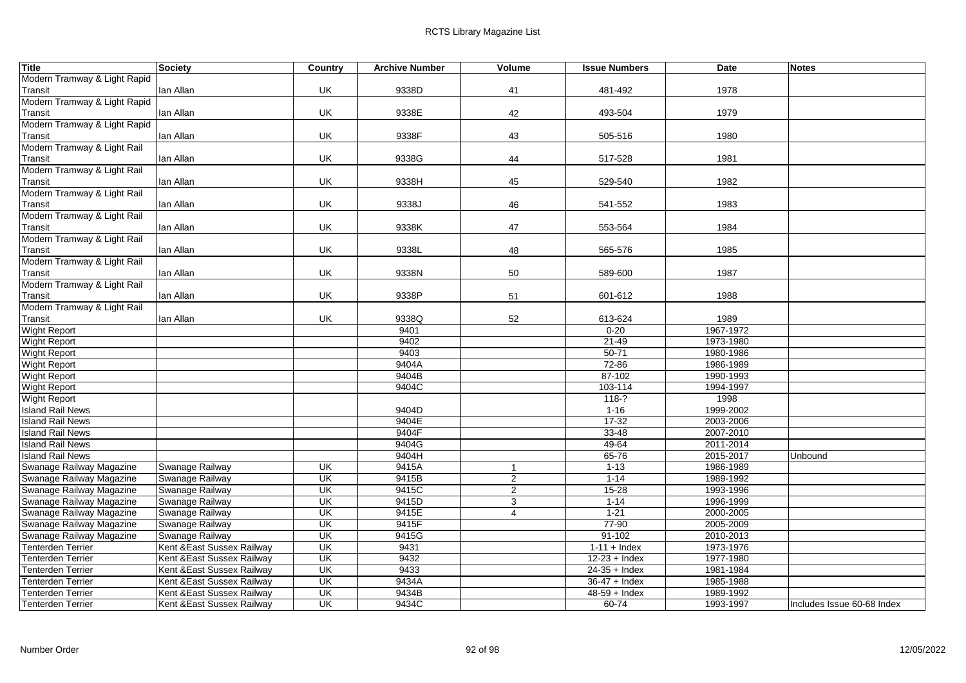| Title                        | <b>Society</b>             | Country                  | <b>Archive Number</b> | Volume         | <b>Issue Numbers</b> | Date      | <b>Notes</b>               |
|------------------------------|----------------------------|--------------------------|-----------------------|----------------|----------------------|-----------|----------------------------|
| Modern Tramway & Light Rapid |                            |                          |                       |                |                      |           |                            |
| Transit                      | lan Allan                  | UK                       | 9338D                 | 41             | 481-492              | 1978      |                            |
| Modern Tramway & Light Rapid |                            |                          |                       |                |                      |           |                            |
| Transit                      | lan Allan                  | UK                       | 9338E                 | 42             | 493-504              | 1979      |                            |
| Modern Tramway & Light Rapid |                            |                          |                       |                |                      |           |                            |
| Transit                      | lan Allan                  | UK                       | 9338F                 | 43             | 505-516              | 1980      |                            |
| Modern Tramway & Light Rail  |                            |                          |                       |                |                      |           |                            |
| Transit                      | lan Allan                  | UK                       | 9338G                 | 44             | 517-528              | 1981      |                            |
| Modern Tramway & Light Rail  |                            |                          |                       |                |                      |           |                            |
| Transit                      | lan Allan                  | UK                       | 9338H                 | 45             | 529-540              | 1982      |                            |
| Modern Tramway & Light Rail  |                            |                          |                       |                |                      |           |                            |
| Transit                      | lan Allan                  | UK                       | 9338J                 | 46             | 541-552              | 1983      |                            |
| Modern Tramway & Light Rail  |                            |                          |                       |                |                      |           |                            |
| Transit                      | lan Allan                  | UK                       | 9338K                 | 47             | 553-564              | 1984      |                            |
| Modern Tramway & Light Rail  |                            |                          |                       |                |                      |           |                            |
| Transit                      | lan Allan                  | UK                       | 9338L                 | 48             | 565-576              | 1985      |                            |
| Modern Tramway & Light Rail  |                            |                          |                       |                |                      |           |                            |
| Transit                      | lan Allan                  | UK                       | 9338N                 | 50             | 589-600              | 1987      |                            |
| Modern Tramway & Light Rail  |                            |                          |                       |                |                      |           |                            |
| Transit                      | lan Allan                  | UK                       | 9338P                 | 51             | 601-612              | 1988      |                            |
| Modern Tramway & Light Rail  |                            |                          |                       |                |                      |           |                            |
| Transit                      | lan Allan                  | UK                       | 9338Q                 | 52             | 613-624              | 1989      |                            |
| <b>Wight Report</b>          |                            |                          | 9401                  |                | $0 - 20$             | 1967-1972 |                            |
| <b>Wight Report</b>          |                            |                          | 9402                  |                | $21 - 49$            | 1973-1980 |                            |
| <b>Wight Report</b>          |                            |                          | 9403                  |                | $50 - 71$            | 1980-1986 |                            |
| <b>Wight Report</b>          |                            |                          | 9404A                 |                | 72-86                | 1986-1989 |                            |
| <b>Wight Report</b>          |                            |                          | 9404B                 |                | 87-102               | 1990-1993 |                            |
| <b>Wight Report</b>          |                            |                          | 9404C                 |                | 103-114              | 1994-1997 |                            |
| <b>Wight Report</b>          |                            |                          |                       |                | $118-?$              | 1998      |                            |
| <b>Island Rail News</b>      |                            |                          | 9404D                 |                | $1 - 16$             | 1999-2002 |                            |
| <b>Island Rail News</b>      |                            |                          | 9404E                 |                | $17-32$              | 2003-2006 |                            |
| <b>Island Rail News</b>      |                            |                          | 9404F                 |                | $33 - 48$            | 2007-2010 |                            |
| <b>Island Rail News</b>      |                            |                          | 9404G                 |                | 49-64                | 2011-2014 |                            |
| <b>Island Rail News</b>      |                            |                          | 9404H                 |                | 65-76                | 2015-2017 | Unbound                    |
| Swanage Railway Magazine     | Swanage Railway            | $\overline{\mathsf{CK}}$ | 9415A                 | $\mathbf{1}$   | $1 - 13$             | 1986-1989 |                            |
| Swanage Railway Magazine     | Swanage Railway            | UK                       | 9415B                 | $\overline{2}$ | $1 - 14$             | 1989-1992 |                            |
| Swanage Railway Magazine     | Swanage Railway            | UK                       | 9415C                 | $\overline{2}$ | $15 - 28$            | 1993-1996 |                            |
| Swanage Railway Magazine     | Swanage Railway            | UK                       | 9415D                 | 3              | $1 - 14$             | 1996-1999 |                            |
| Swanage Railway Magazine     | Swanage Railway            | UK                       | 9415E                 | 4              | $1 - 21$             | 2000-2005 |                            |
| Swanage Railway Magazine     | Swanage Railway            | UK                       | 9415F                 |                | 77-90                | 2005-2009 |                            |
| Swanage Railway Magazine     | Swanage Railway            | UK                       | 9415G                 |                | $91 - 102$           | 2010-2013 |                            |
| <b>Tenterden Terrier</b>     | Kent & East Sussex Railway | UK                       | 9431                  |                | $1-11 +$ Index       | 1973-1976 |                            |
| <b>Tenterden Terrier</b>     | Kent & East Sussex Railway | UK                       | 9432                  |                | $12-23 +$ Index      | 1977-1980 |                            |
| <b>Tenterden Terrier</b>     | Kent & East Sussex Railway | UK                       | 9433                  |                | $24-35 +$ Index      | 1981-1984 |                            |
| <b>Tenterden Terrier</b>     | Kent & East Sussex Railway | UK                       | 9434A                 |                | $36-47 +$ Index      | 1985-1988 |                            |
| <b>Tenterden Terrier</b>     | Kent & East Sussex Railway | UK                       | 9434B                 |                | $48-59 +$ Index      | 1989-1992 |                            |
| <b>Tenterden Terrier</b>     | Kent & East Sussex Railway | UK                       | 9434C                 |                | $60 - 74$            | 1993-1997 | Includes Issue 60-68 Index |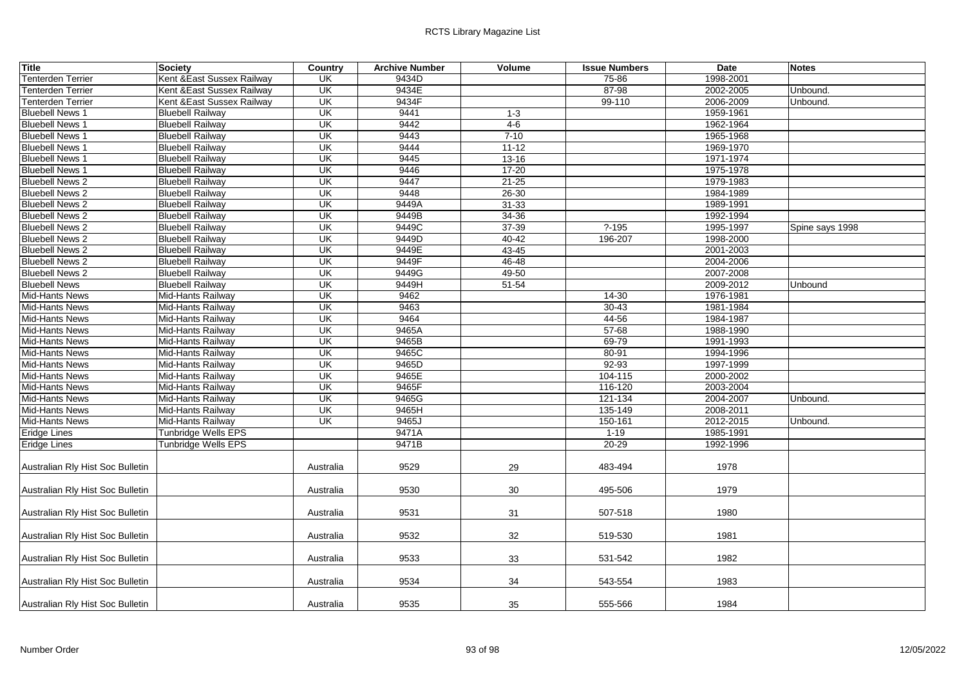| <b>Title</b>                     | <b>Society</b>             | Country                  | <b>Archive Number</b> | Volume    | <b>Issue Numbers</b> | Date      | <b>Notes</b>    |
|----------------------------------|----------------------------|--------------------------|-----------------------|-----------|----------------------|-----------|-----------------|
| <b>Tenterden Terrier</b>         | Kent &East Sussex Railway  | UK                       | 9434D                 |           | 75-86                | 1998-2001 |                 |
| Tenterden Terrier                | Kent & East Sussex Railway | UK                       | 9434E                 |           | 87-98                | 2002-2005 | Unbound.        |
| <b>Tenterden Terrier</b>         | Kent & East Sussex Railway | UK                       | 9434F                 |           | 99-110               | 2006-2009 | Unbound.        |
| <b>Bluebell News 1</b>           | <b>Bluebell Railway</b>    | UK                       | 9441                  | $1 - 3$   |                      | 1959-1961 |                 |
| <b>Bluebell News 1</b>           | <b>Bluebell Railway</b>    | UK                       | 9442                  | $4-6$     |                      | 1962-1964 |                 |
| <b>Bluebell News 1</b>           | <b>Bluebell Railway</b>    | $\overline{\mathsf{U}}$  | 9443                  | $7 - 10$  |                      | 1965-1968 |                 |
| <b>Bluebell News 1</b>           | <b>Bluebell Railway</b>    | $\overline{\mathsf{CK}}$ | 9444                  | $11 - 12$ |                      | 1969-1970 |                 |
| <b>Bluebell News 1</b>           | <b>Bluebell Railway</b>    | $\overline{\mathsf{U}}$  | 9445                  | $13 - 16$ |                      | 1971-1974 |                 |
| <b>Bluebell News 1</b>           | <b>Bluebell Railway</b>    | UK                       | 9446                  | $17 - 20$ |                      | 1975-1978 |                 |
| <b>Bluebell News 2</b>           | <b>Bluebell Railway</b>    | $\overline{\mathsf{U}}$  | 9447                  | $21 - 25$ |                      | 1979-1983 |                 |
| <b>Bluebell News 2</b>           | <b>Bluebell Railway</b>    | $\overline{\mathsf{U}}$  | 9448                  | $26 - 30$ |                      | 1984-1989 |                 |
| <b>Bluebell News 2</b>           | <b>Bluebell Railway</b>    | UK                       | 9449A                 | $31 - 33$ |                      | 1989-1991 |                 |
| <b>Bluebell News 2</b>           | <b>Bluebell Railway</b>    | $\overline{\mathsf{U}}$  | 9449B                 | 34-36     |                      | 1992-1994 |                 |
| <b>Bluebell News 2</b>           | <b>Bluebell Railway</b>    | $\overline{\mathsf{U}}$  | 9449C                 | 37-39     | $? - 195$            | 1995-1997 | Spine says 1998 |
| <b>Bluebell News 2</b>           | <b>Bluebell Railway</b>    | UK                       | 9449D                 | $40 - 42$ | 196-207              | 1998-2000 |                 |
| <b>Bluebell News 2</b>           | <b>Bluebell Railway</b>    | UK                       | 9449E                 | 43-45     |                      | 2001-2003 |                 |
| <b>Bluebell News 2</b>           | <b>Bluebell Railway</b>    | $\overline{\mathsf{U}}$  | 9449F                 | 46-48     |                      | 2004-2006 |                 |
| <b>Bluebell News 2</b>           | <b>Bluebell Railway</b>    | UK                       | 9449G                 | 49-50     |                      | 2007-2008 |                 |
| <b>Bluebell News</b>             | <b>Bluebell Railway</b>    | $\overline{\mathsf{U}}$  | 9449H                 | $51 - 54$ |                      | 2009-2012 | Unbound         |
| Mid-Hants News                   | Mid-Hants Railway          | UK                       | 9462                  |           | 14-30                | 1976-1981 |                 |
| <b>Mid-Hants News</b>            | Mid-Hants Railway          | UK                       | 9463                  |           | $30 - 43$            | 1981-1984 |                 |
| Mid-Hants News                   | Mid-Hants Railway          | UK                       | 9464                  |           | 44-56                | 1984-1987 |                 |
| Mid-Hants News                   | Mid-Hants Railway          | UK                       | 9465A                 |           | $57 - 68$            | 1988-1990 |                 |
| <b>Mid-Hants News</b>            | Mid-Hants Railway          | $\overline{\mathsf{U}}$  | 9465B                 |           | $69 - 79$            | 1991-1993 |                 |
| Mid-Hants News                   | Mid-Hants Railway          | UK                       | 9465C                 |           | 80-91                | 1994-1996 |                 |
| Mid-Hants News                   | Mid-Hants Railway          | UK                       | 9465D                 |           | $92 - 93$            | 1997-1999 |                 |
| <b>Mid-Hants News</b>            | Mid-Hants Railway          | UK                       | 9465E                 |           | 104-115              | 2000-2002 |                 |
| <b>Mid-Hants News</b>            | Mid-Hants Railway          | UK                       | 9465F                 |           | 116-120              | 2003-2004 |                 |
| <b>Mid-Hants News</b>            | Mid-Hants Railway          | UK                       | 9465G                 |           | 121-134              | 2004-2007 | Unbound.        |
| <b>Mid-Hants News</b>            | Mid-Hants Railway          | UK                       | 9465H                 |           | 135-149              | 2008-2011 |                 |
| Mid-Hants News                   | Mid-Hants Railway          | UK                       | 9465J                 |           | 150-161              | 2012-2015 | Unbound.        |
| <b>Eridge Lines</b>              | Tunbridge Wells EPS        |                          | 9471A                 |           | $1 - 19$             | 1985-1991 |                 |
| Eridge Lines                     | Tunbridge Wells EPS        |                          | 9471B                 |           | $20 - 29$            | 1992-1996 |                 |
| Australian Rly Hist Soc Bulletin |                            | Australia                | 9529                  | 29        | 483-494              | 1978      |                 |
| Australian Rly Hist Soc Bulletin |                            | Australia                | 9530                  | 30        | 495-506              | 1979      |                 |
| Australian Rly Hist Soc Bulletin |                            | Australia                | 9531                  | 31        | 507-518              | 1980      |                 |
| Australian Rly Hist Soc Bulletin |                            | Australia                | 9532                  | 32        | 519-530              | 1981      |                 |
| Australian Rly Hist Soc Bulletin |                            | Australia                | 9533                  | 33        | 531-542              | 1982      |                 |
| Australian Rly Hist Soc Bulletin |                            | Australia                | 9534                  | 34        | 543-554              | 1983      |                 |
| Australian Rly Hist Soc Bulletin |                            | Australia                | 9535                  | 35        | 555-566              | 1984      |                 |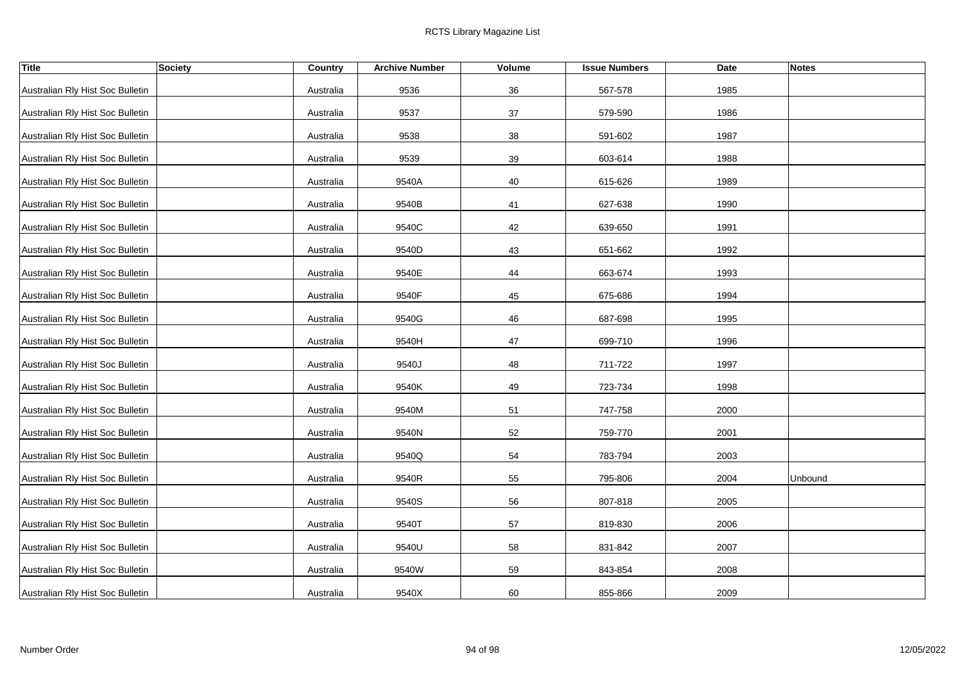| <b>Title</b>                     | <b>Society</b> | Country   | <b>Archive Number</b> | Volume | <b>Issue Numbers</b> | <b>Date</b> | <b>Notes</b> |
|----------------------------------|----------------|-----------|-----------------------|--------|----------------------|-------------|--------------|
| Australian Rly Hist Soc Bulletin |                | Australia | 9536                  | 36     | 567-578              | 1985        |              |
| Australian Rly Hist Soc Bulletin |                | Australia | 9537                  | 37     | 579-590              | 1986        |              |
| Australian Rly Hist Soc Bulletin |                | Australia | 9538                  | 38     | 591-602              | 1987        |              |
| Australian Rly Hist Soc Bulletin |                | Australia | 9539                  | 39     | 603-614              | 1988        |              |
| Australian Rly Hist Soc Bulletin |                | Australia | 9540A                 | 40     | 615-626              | 1989        |              |
| Australian Rly Hist Soc Bulletin |                | Australia | 9540B                 | 41     | 627-638              | 1990        |              |
| Australian Rly Hist Soc Bulletin |                | Australia | 9540C                 | 42     | 639-650              | 1991        |              |
| Australian Rly Hist Soc Bulletin |                | Australia | 9540D                 | 43     | 651-662              | 1992        |              |
| Australian Rly Hist Soc Bulletin |                | Australia | 9540E                 | 44     | 663-674              | 1993        |              |
| Australian Rly Hist Soc Bulletin |                | Australia | 9540F                 | 45     | 675-686              | 1994        |              |
| Australian Rly Hist Soc Bulletin |                | Australia | 9540G                 | 46     | 687-698              | 1995        |              |
| Australian Rly Hist Soc Bulletin |                | Australia | 9540H                 | 47     | 699-710              | 1996        |              |
| Australian Rly Hist Soc Bulletin |                | Australia | 9540J                 | 48     | 711-722              | 1997        |              |
| Australian Rly Hist Soc Bulletin |                | Australia | 9540K                 | 49     | 723-734              | 1998        |              |
| Australian Rly Hist Soc Bulletin |                | Australia | 9540M                 | 51     | 747-758              | 2000        |              |
| Australian Rly Hist Soc Bulletin |                | Australia | 9540N                 | 52     | 759-770              | 2001        |              |
| Australian Rly Hist Soc Bulletin |                | Australia | 9540Q                 | 54     | 783-794              | 2003        |              |
| Australian Rly Hist Soc Bulletin |                | Australia | 9540R                 | 55     | 795-806              | 2004        | Unbound      |
| Australian Rly Hist Soc Bulletin |                | Australia | 9540S                 | 56     | 807-818              | 2005        |              |
| Australian Rly Hist Soc Bulletin |                | Australia | 9540T                 | 57     | 819-830              | 2006        |              |
| Australian Rly Hist Soc Bulletin |                | Australia | 9540U                 | 58     | 831-842              | 2007        |              |
| Australian Rly Hist Soc Bulletin |                | Australia | 9540W                 | 59     | 843-854              | 2008        |              |
| Australian Rly Hist Soc Bulletin |                | Australia | 9540X                 | 60     | 855-866              | 2009        |              |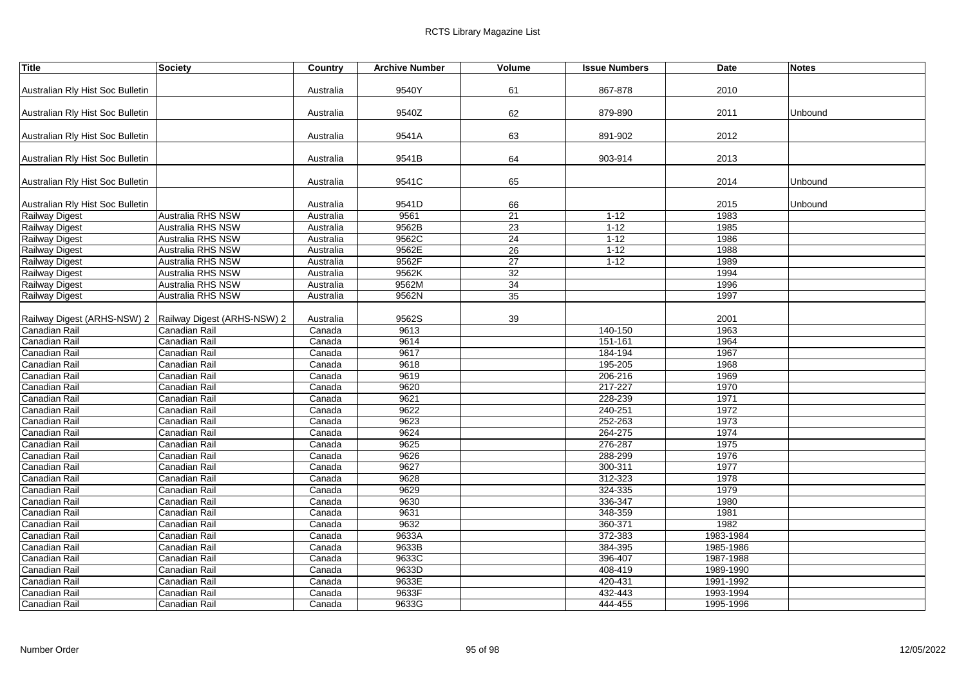| <b>Title</b>                                              | Society                  | Country   | <b>Archive Number</b> | Volume          | <b>Issue Numbers</b> | Date      | <b>Notes</b> |
|-----------------------------------------------------------|--------------------------|-----------|-----------------------|-----------------|----------------------|-----------|--------------|
|                                                           |                          |           |                       |                 |                      |           |              |
| Australian Rly Hist Soc Bulletin                          |                          | Australia | 9540Y                 | 61              | 867-878              | 2010      |              |
|                                                           |                          |           |                       |                 |                      |           |              |
| Australian Rly Hist Soc Bulletin                          |                          | Australia | 9540Z                 | 62              | 879-890              | 2011      | Unbound      |
| Australian Rly Hist Soc Bulletin                          |                          | Australia | 9541A                 | 63              | 891-902              | 2012      |              |
|                                                           |                          |           |                       |                 |                      |           |              |
| Australian Rly Hist Soc Bulletin                          |                          | Australia | 9541B                 | 64              | 903-914              | 2013      |              |
|                                                           |                          |           |                       |                 |                      |           |              |
| Australian Rly Hist Soc Bulletin                          |                          | Australia | 9541C                 | 65              |                      | 2014      | Unbound      |
|                                                           |                          |           |                       |                 |                      |           |              |
| Australian Rly Hist Soc Bulletin                          |                          | Australia | 9541D                 | 66              |                      | 2015      | Unbound      |
| <b>Railway Digest</b>                                     | Australia RHS NSW        | Australia | 9561                  | $\overline{21}$ | $1 - 12$             | 1983      |              |
| <b>Railway Digest</b>                                     | Australia RHS NSW        | Australia | 9562B                 | 23              | $1 - 12$             | 1985      |              |
| <b>Railway Digest</b>                                     | Australia RHS NSW        | Australia | 9562C                 | 24              | $1 - 12$             | 1986      |              |
| Railway Digest                                            | Australia RHS NSW        | Australia | 9562E                 | 26              | $1 - 12$             | 1988      |              |
| <b>Railway Digest</b>                                     | Australia RHS NSW        | Australia | 9562F                 | 27              | $1 - 12$             | 1989      |              |
| <b>Railway Digest</b>                                     | Australia RHS NSW        | Australia | 9562K                 | 32              |                      | 1994      |              |
| Railway Digest                                            | <b>Australia RHS NSW</b> | Australia | 9562M                 | 34              |                      | 1996      |              |
| Railway Digest                                            | Australia RHS NSW        | Australia | 9562N                 | 35              |                      | 1997      |              |
|                                                           |                          |           |                       |                 |                      |           |              |
| Railway Digest (ARHS-NSW) 2   Railway Digest (ARHS-NSW) 2 |                          | Australia | 9562S                 | 39              |                      | 2001      |              |
| Canadian Rail                                             | Canadian Rail            | Canada    | 9613                  |                 | 140-150              | 1963      |              |
| Canadian Rail                                             | Canadian Rail            | Canada    | 9614                  |                 | 151-161              | 1964      |              |
| Canadian Rail                                             | Canadian Rail            | Canada    | 9617                  |                 | 184-194              | 1967      |              |
| <b>Canadian Rail</b>                                      | Canadian Rail            | Canada    | 9618                  |                 | 195-205              | 1968      |              |
| Canadian Rail                                             | Canadian Rail            | Canada    | 9619                  |                 | 206-216              | 1969      |              |
| <b>Canadian Rail</b>                                      | Canadian Rail            | Canada    | 9620                  |                 | 217-227              | 1970      |              |
| Canadian Rail                                             | <b>Canadian Rail</b>     | Canada    | 9621                  |                 | 228-239              | 1971      |              |
| Canadian Rail                                             | Canadian Rail            | Canada    | 9622                  |                 | 240-251              | 1972      |              |
| Canadian Rail                                             | Canadian Rail            | Canada    | 9623                  |                 | 252-263              | 1973      |              |
| Canadian Rail                                             | Canadian Rail            | Canada    | 9624                  |                 | 264-275              | 1974      |              |
| Canadian Rail                                             | Canadian Rail            | Canada    | 9625                  |                 | 276-287              | 1975      |              |
| Canadian Rail                                             | Canadian Rail            | Canada    | 9626                  |                 | 288-299              | 1976      |              |
| Canadian Rail                                             | Canadian Rail            | Canada    | 9627                  |                 | 300-311              | 1977      |              |
| Canadian Rail                                             | Canadian Rail            | Canada    | 9628                  |                 | 312-323              | 1978      |              |
| <b>Canadian Rail</b>                                      | Canadian Rail            | Canada    | 9629                  |                 | 324-335              | 1979      |              |
| Canadian Rail                                             | Canadian Rail            | Canada    | 9630                  |                 | 336-347              | 1980      |              |
| Canadian Rail                                             | Canadian Rail            | Canada    | 9631                  |                 | 348-359              | 1981      |              |
| Canadian Rail                                             | Canadian Rail            | Canada    | 9632                  |                 | 360-371              | 1982      |              |
| Canadian Rail                                             | Canadian Rail            | Canada    | 9633A                 |                 | 372-383              | 1983-1984 |              |
| Canadian Rail                                             | Canadian Rail            | Canada    | 9633B                 |                 | 384-395              | 1985-1986 |              |
| <b>Canadian Rail</b>                                      | Canadian Rail            | Canada    | 9633C                 |                 | 396-407              | 1987-1988 |              |
| Canadian Rail                                             | Canadian Rail            | Canada    | 9633D                 |                 | 408-419              | 1989-1990 |              |
| Canadian Rail                                             | Canadian Rail            | Canada    | 9633E                 |                 | 420-431              | 1991-1992 |              |
| <b>Canadian Rail</b>                                      | Canadian Rail            | Canada    | 9633F                 |                 | 432-443              | 1993-1994 |              |
| <b>Canadian Rail</b>                                      | Canadian Rail            | Canada    | 9633G                 |                 | 444-455              | 1995-1996 |              |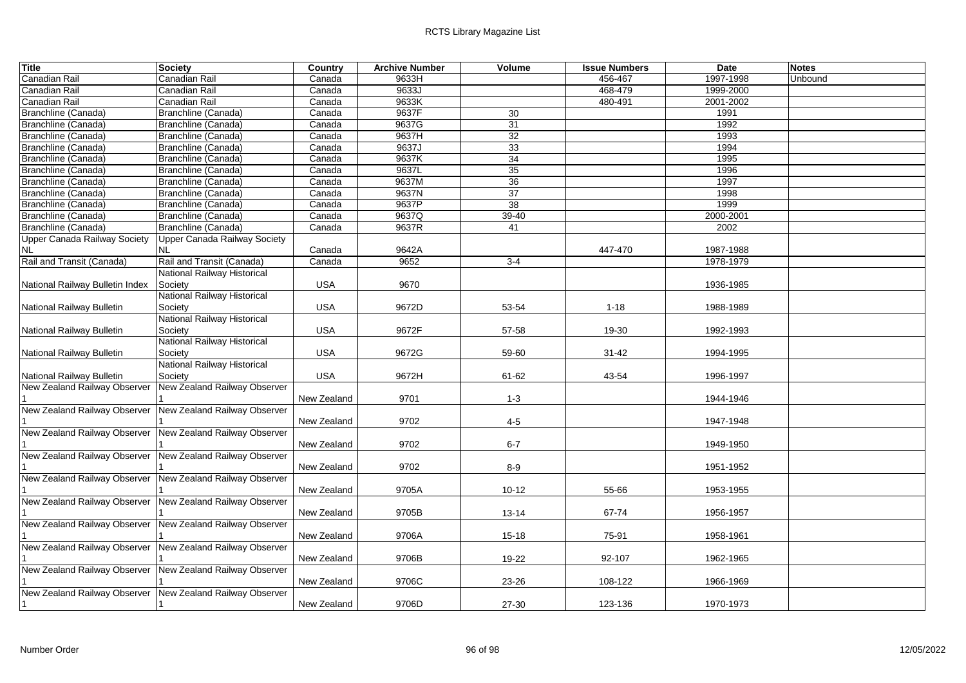| <b>Title</b>                    | Society                             | Country     | <b>Archive Number</b> | Volume    | <b>Issue Numbers</b> | Date      | <b>Notes</b> |
|---------------------------------|-------------------------------------|-------------|-----------------------|-----------|----------------------|-----------|--------------|
| Canadian Rail                   | Canadian Rail                       | Canada      | 9633H                 |           | 456-467              | 1997-1998 | Unbound      |
| Canadian Rail                   | Canadian Rail                       | Canada      | 9633J                 |           | 468-479              | 1999-2000 |              |
| Canadian Rail                   | Canadian Rail                       | Canada      | 9633K                 |           | 480-491              | 2001-2002 |              |
| Branchline (Canada)             | Branchline (Canada)                 | Canada      | 9637F                 | 30        |                      | 1991      |              |
| Branchline (Canada)             | Branchline (Canada)                 | Canada      | 9637G                 | 31        |                      | 1992      |              |
| Branchline (Canada)             | Branchline (Canada)                 | Canada      | 9637H                 | 32        |                      | 1993      |              |
| Branchline (Canada)             | Branchline (Canada)                 | Canada      | 9637J                 | 33        |                      | 1994      |              |
| Branchline (Canada)             | Branchline (Canada)                 | Canada      | 9637K                 | 34        |                      | 1995      |              |
| Branchline (Canada)             | Branchline (Canada)                 | Canada      | 9637L                 | 35        |                      | 1996      |              |
| Branchline (Canada)             | Branchline (Canada)                 | Canada      | 9637M                 | 36        |                      | 1997      |              |
| Branchline (Canada)             | Branchline (Canada)                 | Canada      | 9637N                 | 37        |                      | 1998      |              |
| Branchline (Canada)             | Branchline (Canada)                 | Canada      | 9637P                 | 38        |                      | 1999      |              |
| Branchline (Canada)             | Branchline (Canada)                 | Canada      | 9637Q                 | 39-40     |                      | 2000-2001 |              |
| Branchline (Canada)             | Branchline (Canada)                 | Canada      | 9637R                 | 41        |                      | 2002      |              |
| Upper Canada Railway Society    | <b>Upper Canada Railway Society</b> |             |                       |           |                      |           |              |
| NL                              | <b>NL</b>                           | Canada      | 9642A                 |           | 447-470              | 1987-1988 |              |
| Rail and Transit (Canada)       | Rail and Transit (Canada)           | Canada      | 9652                  | $3-4$     |                      | 1978-1979 |              |
|                                 | National Railway Historical         |             |                       |           |                      |           |              |
| National Railway Bulletin Index | Society                             | <b>USA</b>  | 9670                  |           |                      | 1936-1985 |              |
|                                 | National Railway Historical         |             |                       |           |                      |           |              |
| National Railway Bulletin       | Society                             | <b>USA</b>  | 9672D                 | 53-54     | $1 - 18$             | 1988-1989 |              |
|                                 | National Railway Historical         |             |                       |           |                      |           |              |
| National Railway Bulletin       | Society                             | <b>USA</b>  | 9672F                 | 57-58     | 19-30                | 1992-1993 |              |
|                                 | National Railway Historical         |             |                       |           |                      |           |              |
| National Railway Bulletin       | Society                             | <b>USA</b>  | 9672G                 | 59-60     | $31 - 42$            | 1994-1995 |              |
|                                 | National Railway Historical         |             |                       |           |                      |           |              |
| National Railway Bulletin       | Society                             | <b>USA</b>  | 9672H                 | 61-62     | 43-54                | 1996-1997 |              |
| New Zealand Railway Observer    | New Zealand Railway Observer        |             |                       |           |                      |           |              |
|                                 |                                     | New Zealand | 9701                  | $1 - 3$   |                      | 1944-1946 |              |
| New Zealand Railway Observer    | New Zealand Railway Observer        |             |                       |           |                      |           |              |
|                                 |                                     | New Zealand | 9702                  | $4-5$     |                      | 1947-1948 |              |
| New Zealand Railway Observer    | New Zealand Railway Observer        |             |                       |           |                      |           |              |
|                                 |                                     | New Zealand | 9702                  | $6 - 7$   |                      | 1949-1950 |              |
| New Zealand Railway Observer    | New Zealand Railway Observer        |             |                       |           |                      |           |              |
|                                 |                                     | New Zealand | 9702                  | $8-9$     |                      | 1951-1952 |              |
| New Zealand Railway Observer    | New Zealand Railway Observer        |             |                       |           |                      |           |              |
|                                 |                                     | New Zealand | 9705A                 | $10 - 12$ | 55-66                | 1953-1955 |              |
| New Zealand Railway Observer    | New Zealand Railway Observer        |             |                       |           |                      |           |              |
|                                 |                                     | New Zealand | 9705B                 | 13-14     | 67-74                | 1956-1957 |              |
| New Zealand Railway Observer    | New Zealand Railway Observer        |             |                       |           |                      |           |              |
| New Zealand Railway Observer    | New Zealand Railway Observer        | New Zealand | 9706A                 | $15 - 18$ | 75-91                | 1958-1961 |              |
|                                 |                                     |             |                       |           |                      |           |              |
| New Zealand Railway Observer    | New Zealand Railway Observer        | New Zealand | 9706B                 | 19-22     | 92-107               | 1962-1965 |              |
|                                 |                                     |             |                       |           |                      |           |              |
| New Zealand Railway Observer    | New Zealand Railway Observer        | New Zealand | 9706C                 | 23-26     | 108-122              | 1966-1969 |              |
|                                 |                                     |             |                       |           |                      |           |              |
|                                 |                                     | New Zealand | 9706D                 | 27-30     | 123-136              | 1970-1973 |              |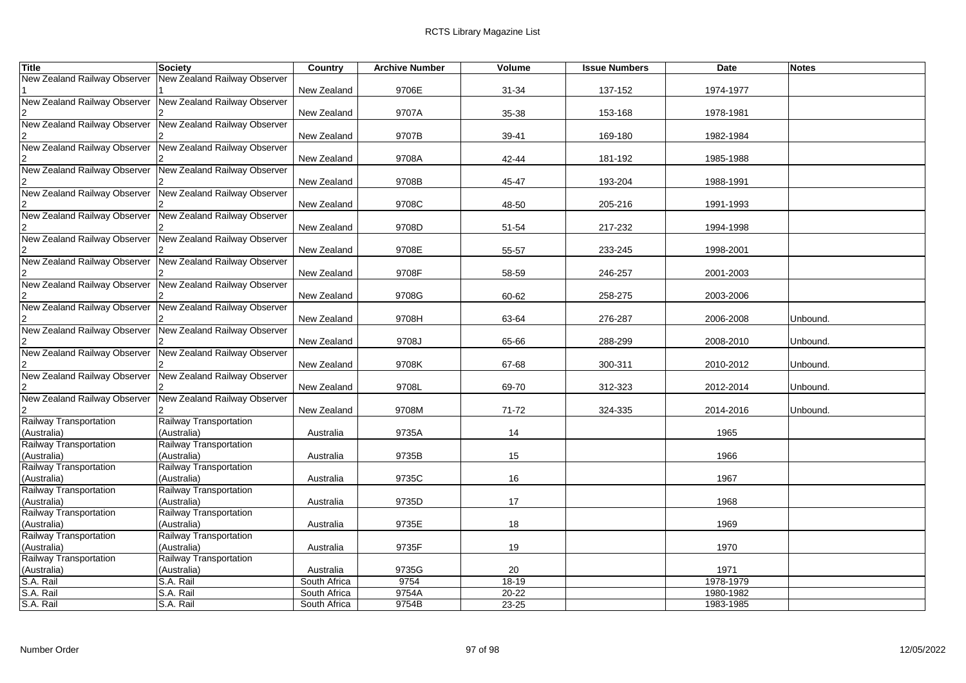| <b>Title</b>                                              | <b>Society</b>               | Country      | <b>Archive Number</b> | Volume    | <b>Issue Numbers</b> | Date      | <b>Notes</b> |
|-----------------------------------------------------------|------------------------------|--------------|-----------------------|-----------|----------------------|-----------|--------------|
| New Zealand Railway Observer                              | New Zealand Railway Observer |              |                       |           |                      |           |              |
|                                                           |                              | New Zealand  | 9706E                 | 31-34     | 137-152              | 1974-1977 |              |
| New Zealand Railway Observer                              | New Zealand Railway Observer |              |                       |           |                      |           |              |
|                                                           |                              | New Zealand  | 9707A                 | 35-38     | 153-168              | 1978-1981 |              |
| New Zealand Railway Observer                              | New Zealand Railway Observer |              |                       |           |                      |           |              |
|                                                           |                              | New Zealand  | 9707B                 | 39-41     | 169-180              | 1982-1984 |              |
| New Zealand Railway Observer                              | New Zealand Railway Observer |              |                       |           |                      |           |              |
|                                                           |                              | New Zealand  | 9708A                 | 42-44     | 181-192              | 1985-1988 |              |
| New Zealand Railway Observer                              | New Zealand Railway Observer |              |                       |           |                      |           |              |
|                                                           |                              | New Zealand  | 9708B                 | 45-47     | 193-204              | 1988-1991 |              |
| New Zealand Railway Observer                              | New Zealand Railway Observer |              |                       |           |                      |           |              |
|                                                           |                              | New Zealand  | 9708C                 | 48-50     | 205-216              | 1991-1993 |              |
| New Zealand Railway Observer                              | New Zealand Railway Observer |              |                       |           |                      |           |              |
|                                                           |                              | New Zealand  | 9708D                 | 51-54     | 217-232              | 1994-1998 |              |
| New Zealand Railway Observer New Zealand Railway Observer |                              |              |                       |           |                      |           |              |
|                                                           |                              | New Zealand  | 9708E                 | 55-57     | 233-245              | 1998-2001 |              |
| New Zealand Railway Observer                              | New Zealand Railway Observer |              |                       |           |                      |           |              |
|                                                           |                              | New Zealand  | 9708F                 | 58-59     | 246-257              | 2001-2003 |              |
| New Zealand Railway Observer                              | New Zealand Railway Observer |              |                       |           |                      |           |              |
|                                                           |                              | New Zealand  | 9708G                 | 60-62     | 258-275              | 2003-2006 |              |
| New Zealand Railway Observer                              | New Zealand Railway Observer |              |                       |           |                      |           |              |
|                                                           |                              | New Zealand  | 9708H                 | 63-64     | 276-287              | 2006-2008 | Unbound.     |
| New Zealand Railway Observer                              | New Zealand Railway Observer |              |                       |           |                      |           |              |
|                                                           |                              | New Zealand  | 9708J                 | 65-66     | 288-299              | 2008-2010 | Unbound.     |
| New Zealand Railway Observer                              | New Zealand Railway Observer |              |                       |           |                      |           |              |
| New Zealand Railway Observer                              |                              | New Zealand  | 9708K                 | 67-68     | 300-311              | 2010-2012 | Unbound.     |
|                                                           | New Zealand Railway Observer | New Zealand  | 9708L                 |           | 312-323              | 2012-2014 | Unbound.     |
| New Zealand Railway Observer                              | New Zealand Railway Observer |              |                       | 69-70     |                      |           |              |
|                                                           |                              | New Zealand  | 9708M                 | $71 - 72$ | 324-335              | 2014-2016 | Unbound.     |
| Railway Transportation                                    | Railway Transportation       |              |                       |           |                      |           |              |
| (Australia)                                               | (Australia)                  | Australia    | 9735A                 | 14        |                      | 1965      |              |
| <b>Railway Transportation</b>                             | Railway Transportation       |              |                       |           |                      |           |              |
| (Australia)                                               | (Australia)                  | Australia    | 9735B                 | 15        |                      | 1966      |              |
| Railway Transportation                                    | Railway Transportation       |              |                       |           |                      |           |              |
| (Australia)                                               | (Australia)                  | Australia    | 9735C                 | 16        |                      | 1967      |              |
| Railway Transportation                                    | Railway Transportation       |              |                       |           |                      |           |              |
| (Australia)                                               | (Australia)                  | Australia    | 9735D                 | 17        |                      | 1968      |              |
| <b>Railway Transportation</b>                             | Railway Transportation       |              |                       |           |                      |           |              |
| (Australia)                                               | (Australia)                  | Australia    | 9735E                 | 18        |                      | 1969      |              |
| <b>Railway Transportation</b>                             | Railway Transportation       |              |                       |           |                      |           |              |
| (Australia)                                               | (Australia)                  | Australia    | 9735F                 | 19        |                      | 1970      |              |
| Railway Transportation                                    | Railway Transportation       |              |                       |           |                      |           |              |
| (Australia)                                               | (Australia)                  | Australia    | 9735G                 | 20        |                      | 1971      |              |
| S.A. Rail                                                 | S.A. Rail                    | South Africa | 9754                  | $18-19$   |                      | 1978-1979 |              |
|                                                           | S.A. Rail                    | South Africa | 9754A                 | 20-22     |                      | 1980-1982 |              |
| S.A. Rail<br>S.A. Rail                                    | S.A. Rail                    | South Africa | 9754B                 | 23-25     |                      | 1983-1985 |              |
|                                                           |                              |              |                       |           |                      |           |              |